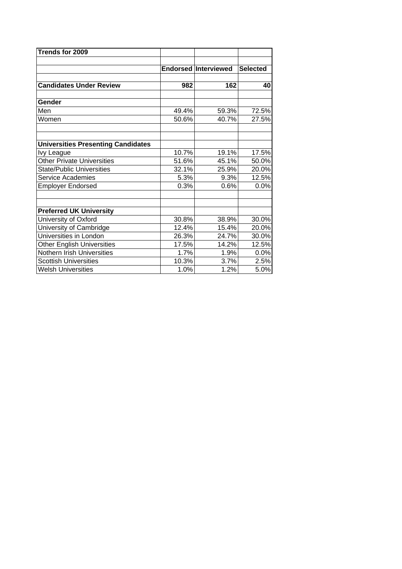| Trends for 2009                           |       |                             |                 |
|-------------------------------------------|-------|-----------------------------|-----------------|
|                                           |       |                             |                 |
|                                           |       | <b>Endorsed Interviewed</b> | <b>Selected</b> |
| <b>Candidates Under Review</b>            | 982   | 162                         | 40              |
| Gender                                    |       |                             |                 |
| Men                                       | 49.4% | 59.3%                       | 72.5%           |
| Women                                     | 50.6% | 40.7%                       | $27.5\%$        |
| <b>Universities Presenting Candidates</b> |       |                             |                 |
| <b>Ivy League</b>                         | 10.7% | 19.1%                       | 17.5%           |
| <b>Other Private Universities</b>         | 51.6% | 45.1%                       | 50.0%           |
| <b>State/Public Universities</b>          | 32.1% | 25.9%                       | 20.0%           |
| Service Academies                         | 5.3%  | 9.3%                        | 12.5%           |
| <b>Employer Endorsed</b>                  | 0.3%  | 0.6%                        | 0.0%            |
|                                           |       |                             |                 |
| <b>Preferred UK University</b>            |       |                             |                 |
| University of Oxford                      | 30.8% | 38.9%                       | 30.0%           |
| University of Cambridge                   | 12.4% | 15.4%                       | 20.0%           |
| Universities in London                    | 26.3% | 24.7%                       | 30.0%           |
| <b>Other English Universities</b>         | 17.5% | 14.2%                       | 12.5%           |
| Nothern Irish Universities                | 1.7%  | 1.9%                        | 0.0%            |
| <b>Scottish Universities</b>              | 10.3% | 3.7%                        | 2.5%            |
| <b>Welsh Universities</b>                 | 1.0%  | 1.2%                        | 5.0%            |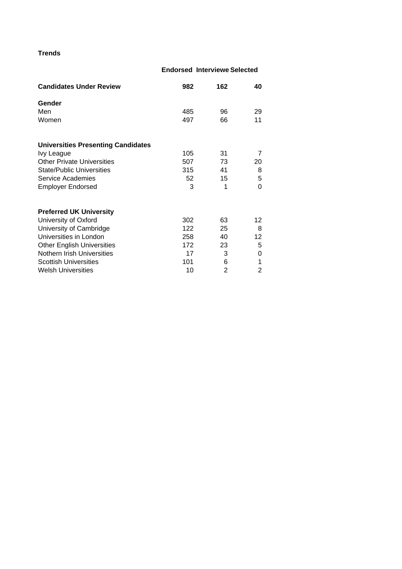## **Trends**

## **e Endorsed Interview Selected**

| <b>Candidates Under Review</b>            | 982 | 162            | 40             |
|-------------------------------------------|-----|----------------|----------------|
| Gender                                    |     |                |                |
| Men                                       | 485 | 96             | 29             |
| Women                                     | 497 | 66             | 11             |
| <b>Universities Presenting Candidates</b> |     |                |                |
| Ivy League                                | 105 | 31             | 7              |
| <b>Other Private Universities</b>         | 507 | 73             | 20             |
| <b>State/Public Universities</b>          | 315 | 41             | 8              |
| <b>Service Academies</b>                  | 52  | 15             | 5              |
| <b>Employer Endorsed</b>                  | 3   | 1              | 0              |
| <b>Preferred UK University</b>            |     |                |                |
| University of Oxford                      | 302 | 63             | 12             |
| University of Cambridge                   | 122 | 25             | 8              |
| Universities in London                    | 258 | 40             | 12             |
| <b>Other English Universities</b>         | 172 | 23             | 5              |
| Nothern Irish Universities                | 17  | 3              | 0              |
| <b>Scottish Universities</b>              | 101 | 6              | 1              |
| <b>Welsh Universities</b>                 | 10  | $\overline{2}$ | $\overline{2}$ |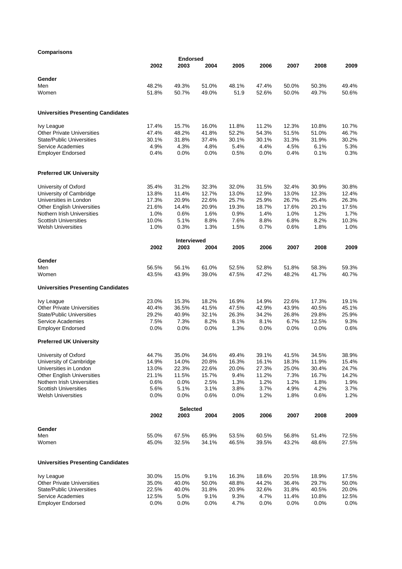## **Comparisons**

| Comparisons                               |       |                            |         |       |         |       |         |       |
|-------------------------------------------|-------|----------------------------|---------|-------|---------|-------|---------|-------|
|                                           |       | <b>Endorsed</b>            |         |       |         |       |         |       |
|                                           | 2002  | 2003                       | 2004    | 2005  | 2006    | 2007  | 2008    | 2009  |
| Gender                                    |       |                            |         |       |         |       |         |       |
| Men                                       | 48.2% | 49.3%                      | 51.0%   | 48.1% | 47.4%   | 50.0% | 50.3%   | 49.4% |
| Women                                     | 51.8% | 50.7%                      | 49.0%   | 51.9  | 52.6%   | 50.0% | 49.7%   | 50.6% |
|                                           |       |                            |         |       |         |       |         |       |
| <b>Universities Presenting Candidates</b> |       |                            |         |       |         |       |         |       |
| Ivy League                                | 17.4% | 15.7%                      | 16.0%   | 11.8% | 11.2%   | 12.3% | 10.8%   | 10.7% |
| <b>Other Private Universities</b>         | 47.4% | 48.2%                      | 41.8%   | 52.2% | 54.3%   | 51.5% | 51.0%   | 46.7% |
| <b>State/Public Universities</b>          | 30.1% | 31.8%                      | 37.4%   | 30.1% | 30.1%   | 31.3% | 31.9%   | 30.2% |
| Service Academies                         | 4.9%  | 4.3%                       | 4.8%    | 5.4%  | 4.4%    | 4.5%  | 6.1%    | 5.3%  |
| <b>Employer Endorsed</b>                  | 0.4%  | 0.0%                       | 0.0%    | 0.5%  | $0.0\%$ | 0.4%  | 0.1%    | 0.3%  |
| <b>Preferred UK University</b>            |       |                            |         |       |         |       |         |       |
| University of Oxford                      | 35.4% | 31.2%                      | 32.3%   | 32.0% | 31.5%   | 32.4% | 30.9%   | 30.8% |
| University of Cambridge                   | 13.8% | 11.4%                      | 12.7%   | 13.0% | 12.9%   | 13.0% | 12.3%   | 12.4% |
| Universities in London                    | 17.3% | 20.9%                      | 22.6%   | 25.7% | 25.9%   | 26.7% | 25.4%   | 26.3% |
| <b>Other English Universities</b>         | 21.6% | 14.4%                      | 20.9%   | 19.3% | 18.7%   | 17.6% | 20.1%   | 17.5% |
| Nothern Irish Universities                | 1.0%  | 0.6%                       | 1.6%    | 0.9%  | 1.4%    | 1.0%  | 1.2%    | 1.7%  |
| <b>Scottish Universities</b>              | 10.0% | 5.1%                       | 8.8%    | 7.6%  | 8.8%    | 6.8%  | 8.2%    | 10.3% |
| <b>Welsh Universities</b>                 | 1.0%  | 0.3%                       | 1.3%    | 1.5%  | 0.7%    | 0.6%  | 1.8%    | 1.0%  |
|                                           |       |                            |         |       |         |       |         |       |
|                                           | 2002  | <b>Interviewed</b><br>2003 | 2004    | 2005  | 2006    | 2007  | 2008    | 2009  |
|                                           |       |                            |         |       |         |       |         |       |
| Gender                                    |       |                            |         |       |         |       |         |       |
| Men                                       | 56.5% | 56.1%                      | 61.0%   | 52.5% | 52.8%   | 51.8% | 58.3%   | 59.3% |
| Women                                     | 43.5% | 43.9%                      | 39.0%   | 47.5% | 47.2%   | 48.2% | 41.7%   | 40.7% |
| <b>Universities Presenting Candidates</b> |       |                            |         |       |         |       |         |       |
| <b>Ivy League</b>                         | 23.0% | 15.3%                      | 18.2%   | 16.9% | 14.9%   | 22.6% | 17.3%   | 19.1% |
| <b>Other Private Universities</b>         | 40.4% | 36.5%                      | 41.5%   | 47.5% | 42.9%   | 43.9% | 40.5%   | 45.1% |
| <b>State/Public Universities</b>          | 29.2% | 40.9%                      | 32.1%   | 26.3% | 34.2%   | 26.8% | 29.8%   | 25.9% |
| Service Academies                         | 7.5%  | 7.3%                       | 8.2%    | 8.1%  | 8.1%    | 6.7%  | 12.5%   | 9.3%  |
| <b>Employer Endorsed</b>                  | 0.0%  | $0.0\%$                    | $0.0\%$ | 1.3%  | $0.0\%$ | 0.0%  | $0.0\%$ | 0.6%  |
| <b>Preferred UK University</b>            |       |                            |         |       |         |       |         |       |
| University of Oxford                      | 44.7% | 35.0%                      | 34.6%   | 49.4% | 39.1%   | 41.5% | 34.5%   | 38.9% |
| University of Cambridge                   | 14.9% | 14.0%                      | 20.8%   | 16.3% | 16.1%   | 18.3% | 11.9%   | 15.4% |
| Universities in London                    | 13.0% | 22.3%                      | 22.6%   | 20.0% | 27.3%   | 25.0% | 30.4%   | 24.7% |
| <b>Other English Universities</b>         | 21.1% | 11.5%                      | 15.7%   | 9.4%  | 11.2%   | 7.3%  | 16.7%   | 14.2% |
| Nothern Irish Universities                | 0.6%  | 0.0%                       | 2.5%    | 1.3%  | 1.2%    | 1.2%  | 1.8%    | 1.9%  |
| <b>Scottish Universities</b>              | 5.6%  | 5.1%                       | 3.1%    | 3.8%  | 3.7%    | 4.9%  | 4.2%    | 3.7%  |
| <b>Welsh Universities</b>                 | 0.0%  | 0.0%                       | 0.6%    | 0.0%  | 1.2%    | 1.8%  | 0.6%    | 1.2%  |
|                                           |       | <b>Selected</b>            |         |       |         |       |         |       |
|                                           | 2002  | 2003                       | 2004    | 2005  | 2006    | 2007  | 2008    | 2009  |
| Gender                                    |       |                            |         |       |         |       |         |       |
| Men                                       | 55.0% | 67.5%                      | 65.9%   | 53.5% | 60.5%   | 56.8% | 51.4%   | 72.5% |
| Women                                     | 45.0% | 32.5%                      | 34.1%   | 46.5% | 39.5%   | 43.2% | 48.6%   | 27.5% |
| <b>Universities Presenting Candidates</b> |       |                            |         |       |         |       |         |       |
| Ivy League                                | 30.0% | 15.0%                      | 9.1%    | 16.3% | 18.6%   | 20.5% | 18.9%   | 17.5% |
| <b>Other Private Universities</b>         | 35.0% | 40.0%                      | 50.0%   | 48.8% | 44.2%   | 36.4% | 29.7%   | 50.0% |
| <b>State/Public Universities</b>          | 22.5% | 40.0%                      | 31.8%   | 20.9% | 32.6%   | 31.8% | 40.5%   | 20.0% |
| Service Academies                         | 12.5% | 5.0%                       | 9.1%    | 9.3%  | 4.7%    | 11.4% | 10.8%   | 12.5% |
| <b>Employer Endorsed</b>                  | 0.0%  | 0.0%                       | 0.0%    | 4.7%  | 0.0%    | 0.0%  | 0.0%    | 0.0%  |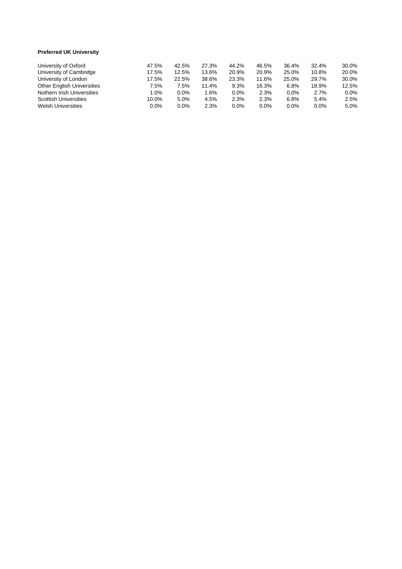## **Preferred UK Universit y**

| University of Oxford              | 47.5%   | 42.5%   | 27.3% | 44.2%   | 46.5% | 36.4% | 32.4% | 30.0% |
|-----------------------------------|---------|---------|-------|---------|-------|-------|-------|-------|
| University of Cambridge           | 17.5%   | 12.5%   | 13.6% | 20.9%   | 20.9% | 25.0% | 10.8% | 20.0% |
| University of London              | 17.5%   | 22.5%   | 38.6% | 23.3%   | 11.6% | 25.0% | 29.7% | 30.0% |
| <b>Other English Universities</b> | 7.5%    | 7.5%    | 11.4% | 9.3%    | 16.3% | 6.8%  | 18.9% | 12.5% |
| Nothern Irish Universities        | $0\%$   | $0.0\%$ | 1.6%  | 0.0%    | 2.3%  | 0.0%  | 2.7%  | 0.0%  |
| <b>Scottish Universities</b>      | 10.0%   | 5.0%    | 4.5%  | 2.3%    | 2.3%  | 6.8%  | 5.4%  | 2.5%  |
| <b>Welsh Universities</b>         | $0.0\%$ | 0.0%    | 2.3%  | $0.0\%$ | 0.0%  | 0.0%  | 0.0%  | 5.0%  |
|                                   |         |         |       |         |       |       |       |       |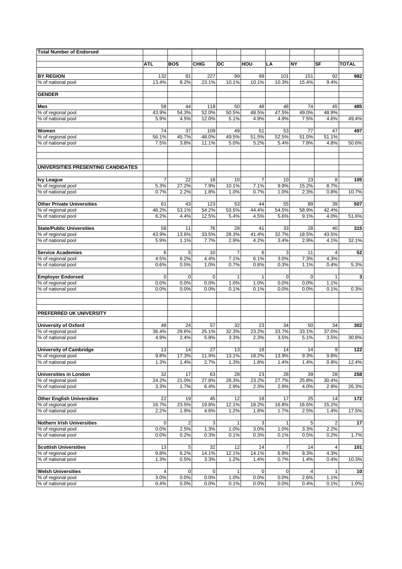| <b>Total Number of Endorsed</b>                 |               |                |                     |                      |                        |               |               |                         |              |
|-------------------------------------------------|---------------|----------------|---------------------|----------------------|------------------------|---------------|---------------|-------------------------|--------------|
|                                                 |               |                |                     |                      |                        |               |               |                         |              |
|                                                 | <b>ATL</b>    | <b>BOS</b>     | <b>CHIG</b>         | DC                   | HOU                    | LA            | <b>NY</b>     | SF                      | <b>TOTAL</b> |
| <b>BY REGION</b>                                | 132           | 81             | 227                 | 99                   | 99                     | 101           | 151           | 92                      | 982          |
| % of national pool                              | 13.4%         | 8.2%           | 23.1%               | 10.1%                | 10.1%                  | 10.3%         | 15.4%         | 9.4%                    |              |
| <b>GENDER</b>                                   |               |                |                     |                      |                        |               |               |                         |              |
|                                                 |               |                |                     |                      |                        |               |               |                         |              |
| Men                                             | 58            | 44             | 118                 | 50                   | 48                     | 48            | 74            | 45                      | 485          |
| % of regional pool                              | 43.9%         | 54.3%          | 52.0%               | 50.5%                | 48.5%                  | 47.5%         | 49.0%         | 48.9%                   |              |
| % of national pool                              | 5.9%          | 4.5%           | 12.0%               | 5.1%                 | 4.9%                   | 4.9%          | 7.5%          | 4.6%                    | 49.4%        |
| Women                                           | 74            | 37             | 109                 | 49                   | 51                     | 53            | 77            | 47                      | 497          |
| % of regional pool                              | 56.1%         | 45.7%          | 48.0%               | 49.5%                | 51.5%                  | 52.5%         | 51.0%         | 51.1%                   |              |
| % of national pool                              | 7.5%          | 3.8%           | 11.1%               | 5.0%                 | 5.2%                   | 5.4%          | 7.8%          | 4.8%                    | 50.6%        |
| UNIVERSITIES PRESENTING CANDIDATES              |               |                |                     |                      |                        |               |               |                         |              |
|                                                 |               |                |                     |                      |                        |               |               |                         |              |
| <b>Ivy League</b><br>% of regional pool         | 7<br>5.3%     | 22<br>27.2%    | 18<br>7.9%          | 10<br>10.1%          | $\overline{7}$<br>7.1% | 10<br>9.9%    | 23<br>15.2%   | 8<br>8.7%               | 105          |
| % of national pool                              | 0.7%          | 2.2%           | 1.8%                | 1.0%                 | 0.7%                   | 1.0%          | 2.3%          | 0.8%                    | 10.7%        |
|                                                 |               |                |                     |                      |                        |               |               |                         |              |
| <b>Other Private Universities</b>               | 61            | 43             | 123                 | 53<br>53.5%          | 44                     | 55            | 89            | 39<br>42.4%             | 507          |
| % of regional pool<br>% of national pool        | 46.2%<br>6.2% | 53.1%<br>4.4%  | 54.2%<br>12.5%      | 5.4%                 | 44.4%<br>4.5%          | 54.5%<br>5.6% | 58.9%<br>9.1% | 4.0%                    | 51.6%        |
|                                                 |               |                |                     |                      |                        |               |               |                         |              |
| <b>State/Public Universities</b>                | 58            | 11             | 76                  | 28                   | 41                     | 33            | 28            | 40                      | 315          |
| % of regional pool                              | 43.9%         | 13.6%          | 33.5%               | 28.3%                | 41.4%                  | 32.7%         | 18.5%         | 43.5%                   |              |
| % of national pool                              | 5.9%          | 1.1%           | 7.7%                | 2.9%                 | 4.2%                   | 3.4%          | 2.9%          | 4.1%                    | 32.1%        |
| <b>Service Academies</b>                        | 6             | 5              | 10                  | $\overline{7}$       | 6                      | 3             | 11            | 4                       | 52           |
| % of regional pool                              | 4.5%          | 6.2%           | 4.4%                | 7.1%                 | 6.1%                   | 3.0%          | 7.3%          | 4.3%                    |              |
| % of national pool                              | 0.6%          | 0.5%           | 1.0%                | 0.7%                 | 0.6%                   | 0.3%          | 1.1%          | 0.4%                    | 5.3%         |
| <b>Employer Endorsed</b>                        | $\mathbf 0$   | $\mathbf 0$    | $\mathbf 0$         | $\mathbf{1}$         | 1                      | $\mathbf 0$   | $\mathbf 0$   | $\mathbf{1}$            | 3            |
| % of regional pool                              | 0.0%          | 0.0%           | 0.0%                | 1.0%                 | 1.0%                   | 0.0%          | 0.0%          | 1.1%                    |              |
| % of national pool                              | 0.0%          | 0.0%           | 0.0%                | 0.1%                 | 0.1%                   | 0.0%          | 0.0%          | 0.1%                    | 0.3%         |
|                                                 |               |                |                     |                      |                        |               |               |                         |              |
| PREFERRED UK UNIVERSITY                         |               |                |                     |                      |                        |               |               |                         |              |
| <b>University of Oxford</b>                     | 48            | 24             | 57                  | 32                   | 23                     | 34            | 50            | 34                      | 302          |
| % of regional pool                              | 36.4%         | 29.6%          | 25.1%               | 32.3%                | 23.2%                  | 33.7%         | 33.1%         | 37.0%                   |              |
| % of national pool                              | 4.9%          | 2.4%           | 5.8%                | 3.3%                 | 2.3%                   | 3.5%          | 5.1%          | 3.5%                    | 30.8%        |
| <b>University of Cambridge</b>                  | 13            | 14             | 27                  | 13                   | 18                     | 14            | 14            | 9                       | 122          |
| % of regional pool                              | 9.8%          | 17.3%          | 11.9%               | 13.1%                | 18.2%                  | 13.9%         | 9.3%          | 9.8%                    |              |
| % of national pool                              | 1.3%          | 1.4%           | 2.7%                | 1.3%                 | 1.8%                   | 1.4%          | 1.4%          | 0.9%                    | 12.4%        |
| <b>Universities in London</b>                   |               | 17             |                     |                      | 23                     |               | 39            | 28                      | 258          |
| % of regional pool                              | 32<br>24.2%   | 21.0%          | 63<br>27.8%         | 28<br>28.3%          | 23.2%                  | 28<br>27.7%   | 25.8%         | 30.4%                   |              |
| % of national pool                              | 3.3%          | 1.7%           | 6.4%                | 2.9%                 | 2.3%                   | 2.9%          | 4.0%          | 2.9%                    | 26.3%        |
|                                                 |               |                |                     |                      |                        |               |               |                         |              |
| <b>Other English Universities</b>               | 22            | 19             | 45                  | 12                   | 18                     | 17            | 25            | 14                      | 172          |
| % of regional pool<br>% of national pool        | 16.7%<br>2.2% | 23.5%<br>1.9%  | 19.8%<br>4.6%       | 12.1%<br>1.2%        | 18.2%<br>1.8%          | 16.8%<br>1.7% | 16.6%<br>2.5% | 15.2%<br>1.4%           | 17.5%        |
|                                                 |               |                |                     |                      |                        |               |               |                         |              |
| <b>Nothern Irish Universities</b>               | 0             | $\overline{c}$ | 3                   | 1                    | 3                      | 1             | 5             | $\overline{\mathbf{c}}$ | 17           |
| % of regional pool                              | 0.0%          | 2.5%           | 1.3%                | 1.0%                 | 3.0%                   | 1.0%          | 3.3%          | 2.2%                    |              |
| % of national pool                              | 0.0%          | 0.2%           | 0.3%                | 0.1%                 | 0.3%                   | 0.1%          | 0.5%          | 0.2%                    | 1.7%         |
| <b>Scottish Universities</b>                    | 13            | 5              | 32                  | 12                   | 14                     | 7             | 14            | 4                       | 101          |
| % of regional pool                              | 9.8%          | 6.2%           | 14.1%               | 12.1%                | 14.1%                  | 6.9%          | 9.3%          | 4.3%                    |              |
| % of national pool                              | 1.3%          | 0.5%           | 3.3%                | 1.2%                 | 1.4%                   | 0.7%          | 1.4%          | 0.4%                    | 10.3%        |
|                                                 |               |                |                     |                      |                        |               |               |                         |              |
| <b>Welsh Universities</b><br>% of regional pool | 4<br>3.0%     | 0<br>0.0%      | $\mathbf 0$<br>0.0% | $\mathbf{1}$<br>1.0% | 0<br>0.0%              | 0<br>0.0%     | 2.6%          | 1<br>1.1%               | 10           |
| % of national pool                              | 0.4%          | 0.0%           | 0.0%                | 0.1%                 | 0.0%                   | 0.0%          | 0.4%          | 0.1%                    | 1.0%         |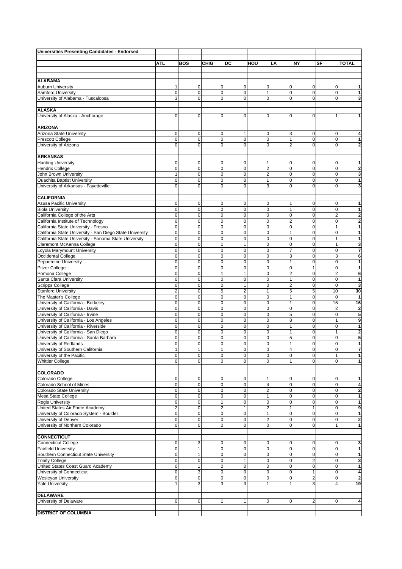| <b>Universities Presenting Candidates - Endorsed</b>        |                            |                  |                         |                  |                            |                                |                            |                             |                                |
|-------------------------------------------------------------|----------------------------|------------------|-------------------------|------------------|----------------------------|--------------------------------|----------------------------|-----------------------------|--------------------------------|
|                                                             |                            |                  |                         |                  |                            |                                |                            |                             |                                |
|                                                             | <b>ATL</b>                 | <b>BOS</b>       | <b>CHIG</b>             | DC               | HOU                        | LA                             | NΥ                         | SF                          | <b>TOTAL</b>                   |
|                                                             |                            |                  |                         |                  |                            |                                |                            |                             |                                |
| <b>ALABAMA</b>                                              |                            |                  |                         |                  |                            |                                |                            |                             |                                |
| <b>Auburn University</b>                                    | 1                          | 0                | 0                       | $\mathbf 0$      | 0                          | 0                              | 0                          | 0                           | 1                              |
| <b>Samford University</b>                                   | $\mathbf 0$                | $\mathbf 0$      | 0                       | $\pmb{0}$        | $\mathbf{1}$               | $\pmb{0}$                      | 0                          | $\mathbf 0$                 | $\mathbf{1}$                   |
| University of Alabama - Tuscaloosa                          | 3                          | 0                | $\Omega$                | $\Omega$         | $\mathbf 0$                | 0                              | $\Omega$                   | $\mathbf 0$                 | 3                              |
|                                                             |                            |                  |                         |                  |                            |                                |                            |                             |                                |
| <b>ALASKA</b>                                               |                            |                  |                         |                  |                            |                                |                            |                             |                                |
| University of Alaska - Anchorage                            | $\mathbf 0$                | $\mathbf 0$      | $\mathbf 0$             | $\mathbf 0$      | 0                          | $\mathbf 0$                    | $\mathbf 0$                | $\mathbf{1}$                | 1                              |
|                                                             |                            |                  |                         |                  |                            |                                |                            |                             |                                |
| <b>ARIZONA</b>                                              |                            |                  |                         |                  |                            |                                |                            |                             |                                |
| Arizona State University                                    | $\mathbf 0$                | $\mathbf 0$      | $\mathbf 0$             | 1                | 0                          | 3                              | 0                          | $\pmb{0}$                   | 4                              |
| <b>Prescott College</b>                                     | $\overline{0}$             | 0                | 0                       | $\mathbf 0$      | $\pmb{0}$                  | 1                              | 0                          | $\pmb{0}$                   | 1                              |
| University of Arizona                                       | $\mathbf 0$                | 0                | 0                       | 0                | $\mathbf 0$                | $\overline{2}$                 | $\mathbf 0$                | $\mathbf 0$                 | $\mathbf{2}$                   |
| <b>ARKANSAS</b>                                             |                            |                  |                         |                  |                            |                                |                            |                             |                                |
| <b>Harding University</b>                                   | 0                          | 0                | $\mathbf 0$             | $\mathbf 0$      | 1                          | 0                              | 0                          | 0                           | 1                              |
| <b>Hendrix College</b>                                      | $\pmb{0}$                  | $\mathsf 0$      | $\mathbf 0$             | $\pmb{0}$        | $\overline{c}$             | 0                              | 0                          | $\pmb{0}$                   | $\overline{\mathbf{2}}$        |
| John Brown University                                       | 1                          | $\mathsf 0$      | $\mathbf 0$             | $\pmb{0}$        | $\overline{c}$             | 0                              | 0                          | $\pmb{0}$                   | 3                              |
| <b>Ouachita Baptist University</b>                          | $\mathbf 0$                | $\mathbf 0$      | $\mathbf 0$             | $\mathbf 0$      | $\mathbf{1}$               | 0                              | $\mathbf 0$                | $\pmb{0}$                   | 1                              |
| University of Arkansas - Fayetteville                       | $\mathbf 0$                | $\mathbf{0}$     | $\mathbf{0}$            | $\mathbf 0$      | 3                          | 0                              | $\mathbf 0$                | $\mathbf 0$                 | 3                              |
|                                                             |                            |                  |                         |                  |                            |                                |                            |                             |                                |
| <b>CALIFORNIA</b>                                           |                            |                  |                         |                  |                            |                                |                            |                             |                                |
| Azusa Pacific University                                    | $\mathbf 0$                | $\mathbf 0$      | 0                       | $\mathbf 0$      | 0                          | $\mathbf{1}$                   | $\mathbf 0$                | $\mathbf 0$                 | 1                              |
| <b>Biola University</b>                                     | $\mathbf 0$                | $\mathbf 0$      | 0                       | $\mathbf 0$      | $\mathbf 0$                | $\mathbf{1}$                   | $\mathbf 0$                | $\pmb{0}$                   | 1                              |
| California College of the Arts                              | 0                          | 0                | 0                       | $\mathbf 0$      | $\mathbf 0$                | $\pmb{0}$                      | 0                          | $\overline{c}$              | $\mathbf{2}$                   |
| California Institute of Technology                          | $\mathbf 0$                | $\mathbf 0$      | $\mathbf 0$             | 0                | $\pmb{0}$                  | $\overline{c}$                 | $\mathbf 0$                | $\pmb{0}$                   | $\mathbf{2}$                   |
| California State University - Fresno                        | 0                          | $\mathbf 0$      | $\mathbf 0$             | $\mathbf 0$      | $\pmb{0}$                  | $\mathbf 0$                    | $\mathbf 0$                | $\mathbf{1}$                | 1                              |
| California State University - San Diego State University    | 0                          | $\mathsf 0$      | 0                       | $\mathbf 0$      | $\mathbf 0$                | $\mathbf{1}$                   | $\mathbf 0$                | $\pmb{0}$                   | 1                              |
| California State University - Sonoma State University       | $\mathbf 0$                | $\mathsf 0$      | $\pmb{0}$               | $\pmb{0}$        | $\mathbf 0$                | 0                              | 0                          | $\mathbf{1}$                | $\mathbf{1}$                   |
| Claremont McKenna College                                   | $\mathbf 0$<br>$\mathbf 0$ | 0<br>$\mathbf 0$ | 1<br>0                  | $\mathbf{1}$     | $\mathbf 0$<br>$\mathbf 0$ | 0<br>$\overline{7}$            | $\mathbf 0$<br>$\mathbf 0$ | $\mathbf{1}$<br>$\mathbf 0$ | 3<br>$\overline{7}$            |
| Loyola Marymount University<br>Occidental College           | 0                          | $\mathbf 0$      | 0                       | 0<br>$\mathbf 0$ | $\mathbf 0$                | 3                              | $\mathbf 0$                | 3                           | 6                              |
| Pepperdine University                                       | $\mathbf 0$                | $\mathbf 0$      | 0                       | $\mathbf 0$      | $\mathbf 0$                | $\mathbf{1}$                   | $\mathbf 0$                | $\pmb{0}$                   | 1                              |
| <b>Pitzer College</b>                                       | $\mathbf 0$                | $\overline{0}$   | $\mathbf 0$             | $\mathbf 0$      | $\mathbf 0$                | 0                              | $\mathbf{1}$               | $\pmb{0}$                   | $\mathbf{1}$                   |
| Pomona College                                              | 0                          | $\overline{0}$   | $\mathbf{1}$            | 1                | $\mathbf 0$                | $\overline{\mathbf{c}}$        | $\mathbf 0$                | $\overline{c}$              | 6                              |
| Santa Clara University                                      | $\mathbf 0$                | $\mathbf{0}$     | $\mathbf 0$             | $\pmb{0}$        | 0                          | $\mathbf{1}$                   | 0                          | $\pmb{0}$                   | 1                              |
| <b>Scripps College</b>                                      | 0                          | 0                | 0                       | 1                | $\mathbf 0$                | $\overline{c}$                 | $\mathbf 0$                | $\mathbf 0$                 | 3                              |
| <b>Stanford University</b>                                  | $\overline{2}$             | $\mathbf 0$      | 5                       | $\overline{2}$   | $\mathbf{1}$               | 5                              | 5                          | 10                          | 30                             |
| The Master's College                                        | 0                          | 0                | 0                       | 0                | $\mathbf 0$                | $\mathbf{1}$                   | $\mathbf 0$                | $\mathbf 0$                 | 1                              |
| University of California - Berkeley                         | $\mathbf 0$                | $\mathbf 0$      | 0                       | $\mathbf 0$      | $\mathbf 0$                | $\mathbf{1}$                   | $\mathbf 0$                | 15                          | 16                             |
| University of California - Davis                            | $\mathbf 0$                | $\mathbf 0$      | 0                       | $\mathbf 0$      | $\mathbf 0$                | $\pmb{0}$                      | $\mathbf 0$                | $\overline{\mathbf{c}}$     | $\mathbf 2$                    |
| University of California - Irvine                           | $\mathbf 0$                | $\mathbf 0$      | 0                       | 0                | 0                          | 5                              | $\mathbf 0$                | $\pmb{0}$                   | 5                              |
| University of California - Los Angeles                      | 0                          | $\overline{0}$   | $\mathbf 0$             | $\mathbf 0$      | $\mathbf 0$                | 8                              | 0                          | 1                           | 9                              |
| University of California - Riverside                        | 0                          | $\mathbf 0$      | $\mathbf{0}$            | $\mathbf 0$      | $\mathbf 0$                | $\mathbf{1}$                   | $\mathbf 0$                | $\mathbf 0$                 | 1                              |
| University of California - San Diego                        | 0                          | $\mathsf 0$      | $\mathbf 0$             | 0                | $\pmb{0}$                  | 1                              | 0                          | 1                           | $\overline{\mathbf{c}}$        |
| University of California - Santa Barbara                    | $\mathbf 0$<br>$\mathbf 0$ | $\mathbf 0$<br>0 | 0<br>0                  | $\mathbf 0$<br>0 | $\mathbf 0$                | 5                              | 0                          | $\pmb{0}$<br>$\mathbf 0$    | 5                              |
| University of Redlands<br>University of Southern California | 1                          | 1                | $\mathbf{1}$            | 0                | $\mathbf 0$<br>$\mathbf 0$ | $\mathbf{1}$<br>$\overline{4}$ | $\pmb{0}$<br>$\Omega$      | $\mathbf{0}$                | $\mathbf{1}$<br>$\overline{7}$ |
| University of the Pacific                                   | $\pmb{0}$                  | $\mathbf 0$      | $\mathbf 0$             | $\pmb{0}$        | $\pmb{0}$                  | 0                              | $\overline{0}$             | $\mathbf{1}$                | 1                              |
| <b>Whittier College</b>                                     | $\overline{0}$             | $\mathbf 0$      | 0                       | $\mathbf 0$      | 0                          | $\mathbf{1}$                   | $\mathbf 0$                | $\mathbf 0$                 | $\mathbf{1}$                   |
|                                                             |                            |                  |                         |                  |                            |                                |                            |                             |                                |
| <b>COLORADO</b>                                             |                            |                  |                         |                  |                            |                                |                            |                             |                                |
| Colorado College                                            | $\mathbf 0$                | $\mathbf 0$      | $\mathbf 0$             | $\mathbf 0$      | 1                          | 0                              | $\overline{0}$             | $\mathbf 0$                 | 1                              |
| Colorado School of Mines                                    | $\pmb{0}$                  | $\mathbf 0$      | $\mathbf 0$             | $\pmb{0}$        | $\pmb{4}$                  | $\pmb{0}$                      | 0                          | $\mathbf 0$                 | $\overline{\mathbf{4}}$        |
| <b>Colorado State University</b>                            | $\mathbf 0$                | $\mathsf 0$      | 0                       | 0                | $\overline{2}$             | 0                              | $\pmb{0}$                  | $\pmb{0}$                   | $\mathbf{2}$                   |
| Mesa State College                                          | 0                          | $\mathbf 0$      | $\mathbf 0$             | 0                | 1                          | 0                              | 0                          | $\mathbf 0$                 | 1                              |
| <b>Regis University</b>                                     | 0                          | $\mathsf 0$      | $\mathbf{1}$            | $\mathbf 0$      | $\pmb{0}$                  | $\pmb{0}$                      | $\pmb{0}$                  | $\pmb{0}$                   | 1                              |
| United States Air Force Academy                             | $\overline{c}$             | $\mathsf 0$      | $\overline{\mathbf{c}}$ | $\mathbf{1}$     | $\overline{c}$             | $\mathbf{1}$                   | $\mathbf{1}$               | $\pmb{0}$                   | 9                              |
| University of Colorado System - Boulder                     | $\mathbf 0$                | $\mathsf 0$      | $\mathbf 0$             | $\pmb{0}$        | $\mathbf{1}$               | 0                              | $\mathbf 0$                | $\mathbf 0$                 | $\mathbf{1}$                   |
| University of Denver                                        | 0                          | $\mathbf 0$      | $\mathbf 0$             | $\mathbf 0$      | $\overline{c}$             | 0                              | 0                          | $\mathbf 0$                 | $\mathbf 2$                    |
| University of Northern Colorado                             | 0                          | $\mathbf 0$      | $\mathbf 0$             | $\pmb{0}$        | $\mathbf 0$                | 0                              | $\mathbf 0$                | $\mathbf{1}$                | 1                              |
| <b>CONNECTICUT</b>                                          |                            |                  |                         |                  |                            |                                |                            |                             |                                |
| <b>Connecticut College</b>                                  | 0                          | 3                | 0                       | 0                | 0                          | 0                              | 0                          | 0                           | 3                              |
| <b>Fairfield University</b>                                 | $\mathbf 0$                | 1                | 0                       | 0                | $\mathbf 0$                | 0                              | $\mathbf 0$                | $\pmb{0}$                   | $\mathbf{1}$                   |
| Southern Connecticut State University                       | 0                          | $\mathbf{1}$     | $\mathbf 0$             | $\mathbf 0$      | $\mathbf 0$                | 0                              | $\pmb{0}$                  | $\pmb{0}$                   | 1                              |
| <b>Trinity College</b>                                      | $\mathbf 0$                | $\mathsf 0$      | $\mathbf 0$             | 1                | 0                          | 0                              | $\overline{2}$             | $\pmb{0}$                   | 3                              |
| United States Coast Guard Academy                           | $\mathbf 0$                | 1                | $\mathbf 0$             | $\pmb{0}$        | $\pmb{0}$                  | $\pmb{0}$                      | 0                          | $\mathbf 0$                 | $\mathbf{1}$                   |
| University of Connecticut                                   | $\mathbf 0$                | 3                | $\mathbf 0$             | 0                | $\pmb{0}$                  | 0                              | $\mathbf{1}$               | $\mathbf 0$                 | 4                              |
| <b>Wesleyan University</b>                                  | $\pmb{0}$                  | $\mathbf 0$      | $\mathbf 0$             | 0                | $\pmb{0}$                  | $\pmb{0}$                      | $\overline{2}$             | $\overline{0}$              | $\overline{\mathbf{c}}$        |
| <b>Yale University</b>                                      | $\mathbf{1}$               | $\overline{3}$   | 3                       | 3                | $\mathbf{1}$               | $\mathbf{1}$                   | 3                          | $\overline{4}$              | 19                             |
|                                                             |                            |                  |                         |                  |                            |                                |                            |                             |                                |
| <b>DELAWARE</b>                                             |                            |                  |                         |                  |                            |                                |                            |                             |                                |
| University of Delaware                                      | 0                          | 0                | $\mathbf{1}$            | $\mathbf{1}$     | 0                          | 0                              | $\overline{2}$             | $\mathbf 0$                 | 4                              |
| <b>DISTRICT OF COLUMBIA</b>                                 |                            |                  |                         |                  |                            |                                |                            |                             |                                |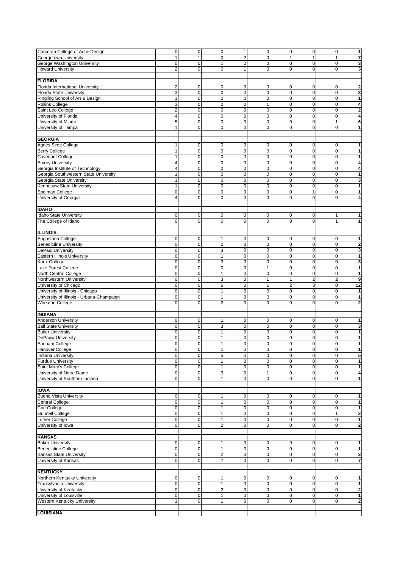| Corcoran College of Art & Design                                                               | $\overline{0}$ | $\mathbf 0$    | $\mathsf{O}\xspace$     | $\mathbf{1}$            | $\mathbf 0$         | $\mathbf 0$  | $\pmb{0}$      | $\pmb{0}$      | $\overline{1}$          |
|------------------------------------------------------------------------------------------------|----------------|----------------|-------------------------|-------------------------|---------------------|--------------|----------------|----------------|-------------------------|
| Georgetown University                                                                          | $\mathbf{1}$   | $\mathbf{1}$   | $\mathbf 0$             | $\overline{2}$          | 0                   | $\mathbf{1}$ | $\overline{1}$ | $\mathbf{1}$   | $\overline{\mathbf{r}}$ |
| George Washington University                                                                   | $\mathbf 0$    | $\mathsf 0$    | 1                       | $\overline{\mathbf{c}}$ | 0                   | $\pmb{0}$    | $\mathbf 0$    | $\pmb{0}$      | 3                       |
|                                                                                                | $\overline{2}$ | $\mathbf 0$    | $\mathbf 0$             | $\mathbf{1}$            | 0                   | $\mathbf 0$  | $\Omega$       | $\mathbf 0$    |                         |
| <b>Howard University</b>                                                                       |                |                |                         |                         |                     |              |                |                | 3                       |
|                                                                                                |                |                |                         |                         |                     |              |                |                |                         |
| <b>FLORIDA</b>                                                                                 |                |                |                         |                         |                     |              |                |                |                         |
| Florida International University                                                               | $\overline{c}$ | 0              | 0                       | 0                       | 0                   | $\pmb{0}$    | 0              | 0              | $\mathbf 2$             |
|                                                                                                |                |                |                         |                         |                     |              |                |                |                         |
| <b>Florida State University</b>                                                                | 3              | $\mathsf 0$    | 0                       | $\mathbf 0$             | $\mathbf 0$         | $\pmb{0}$    | $\mathbf 0$    | $\mathbf 0$    | 3                       |
| Ringling School of Art & Design                                                                | $\mathbf{1}$   | $\mathsf 0$    | 0                       | 0                       | $\pmb{0}$           | $\pmb{0}$    | $\mathbf 0$    | $\mathbf 0$    | 1                       |
| <b>Rollins College</b>                                                                         | 3              | $\mathsf 0$    | 0                       | $\pmb{0}$               | $\mathbf{1}$        | $\pmb{0}$    | $\mathbf 0$    | $\mathbf 0$    | $\overline{\mathbf{4}}$ |
|                                                                                                |                | 0              | $\mathbf 0$             | 0                       | $\mathbf 0$         | $\pmb{0}$    | $\mathbf 0$    | $\mathbf 0$    |                         |
| Saint Leo College                                                                              | $\overline{c}$ |                |                         |                         |                     |              |                |                | $\mathbf 2$             |
| University of Florida                                                                          | 4              | $\mathbf 0$    | $\mathbf 0$             | 0                       | $\mathbf 0$         | $\mathbf 0$  | $\mathbf 0$    | $\mathbf 0$    | $\overline{\mathbf{4}}$ |
| University of Miami                                                                            | 5              | $\mathbf 0$    | $\mathbf 0$             | 0                       | $\pmb{0}$           | $\pmb{0}$    | $\mathbf 0$    | 1              | 6                       |
| University of Tampa                                                                            | $\mathbf{1}$   | $\mathbf 0$    | 0                       | 0                       | $\mathbf 0$         | $\mathbf 0$  | $\mathbf 0$    | $\mathbf 0$    | $\mathbf{1}$            |
|                                                                                                |                |                |                         |                         |                     |              |                |                |                         |
|                                                                                                |                |                |                         |                         |                     |              |                |                |                         |
| <b>GEORGIA</b>                                                                                 |                |                |                         |                         |                     |              |                |                |                         |
| Agnes Scott College                                                                            | 1              | $\mathbf 0$    | 0                       | 0                       | 0                   | 0            | $\mathbf 0$    | 0              | 1                       |
|                                                                                                |                |                |                         |                         |                     |              |                |                |                         |
| <b>Berry College</b>                                                                           | $\mathbf{1}$   | $\mathbf 0$    | 0                       | $\mathbf 0$             | 0                   | $\pmb{0}$    | $\mathbf 0$    | $\mathbf 0$    | 1                       |
| <b>Covenant College</b>                                                                        | $\mathbf{1}$   | 0              | 0                       | 0                       | $\mathbf 0$         | $\pmb{0}$    | $\mathbf 0$    | $\mathbf 0$    | $\mathbf{1}$            |
| <b>Emory University</b>                                                                        | $\overline{4}$ | 0              | $\mathbf 0$             | $\Omega$                | $\mathbf 0$         | $\mathbf 0$  | $\mathbf 0$    | $\mathbf 0$    | 4                       |
|                                                                                                |                |                |                         |                         |                     |              |                |                |                         |
| Georgia Institute of Technology                                                                | $\overline{4}$ | $\mathbf 0$    | $\mathbf 0$             | $\mathbf 0$             | $\mathbf 0$         | $\mathbf 0$  | $\mathbf 0$    | $\mathbf 0$    | $\overline{\mathbf{4}}$ |
| Georgia Southwestern State University                                                          | $\mathbf{1}$   | $\mathsf 0$    | 0                       | $\mathbf 0$             | $\mathbf 0$         | $\pmb{0}$    | $\mathbf 0$    | $\mathbf 0$    | $\mathbf{1}$            |
| Georgia State University                                                                       | 3              | $\mathbf 0$    | 0                       | 0                       | $\mathbf 0$         | $\pmb{0}$    | $\mathbf 0$    | $\mathbf 0$    | 3                       |
|                                                                                                |                |                |                         |                         |                     |              |                |                |                         |
| Kennesaw State University                                                                      | $\mathbf{1}$   | $\mathsf 0$    | 0                       | 0                       | $\mathbf 0$         | $\pmb{0}$    | $\mathbf 0$    | $\mathbf 0$    | 1                       |
| Spelman College                                                                                | $\mathbf 0$    | $\mathbf 0$    | $\mathbf 0$             | $\mathbf 0$             | $\mathbf 0$         | $\mathbf 0$  | $\mathbf{1}$   | $\mathbf 0$    | 1                       |
| University of Georgia                                                                          | $\overline{4}$ | $\mathbf 0$    | 0                       | 0                       | $\mathbf 0$         | $\mathbf 0$  | $\mathbf 0$    | $\mathbf 0$    | 4                       |
|                                                                                                |                |                |                         |                         |                     |              |                |                |                         |
|                                                                                                |                |                |                         |                         |                     |              |                |                |                         |
| <b>IDAHO</b>                                                                                   |                |                |                         |                         |                     |              |                |                |                         |
| <b>Idaho State University</b>                                                                  | 0              | $\mathbf 0$    | 0                       | 0                       | 0                   | 0            | $\mathbf 0$    | 1              | 1                       |
| The College of Idaho                                                                           | $\mathbf 0$    | $\mathbf 0$    | $\mathbf 0$             | 0                       | $\mathbf 0$         | $\mathbf 0$  | $\mathbf 0$    | $\mathbf{1}$   | 1                       |
|                                                                                                |                |                |                         |                         |                     |              |                |                |                         |
|                                                                                                |                |                |                         |                         |                     |              |                |                |                         |
| <b>ILLINOIS</b>                                                                                |                |                |                         |                         |                     |              |                |                |                         |
| Augustana College                                                                              | 0              | $\mathbf{0}$   | 1                       | 0                       | $\mathbf 0$         | $\pmb{0}$    | $\mathbf 0$    | 0              | 1                       |
|                                                                                                |                |                |                         |                         |                     |              |                |                |                         |
| <b>Benedictine University</b>                                                                  | 0              | $\mathbf 0$    | $\overline{2}$          | $\mathbf 0$             | $\pmb{0}$           | $\pmb{0}$    | $\mathbf 0$    | $\mathbf 0$    | $\mathbf 2$             |
| <b>DePaul University</b>                                                                       | $\mathbf 0$    | $\mathbf 0$    | 3                       | $\pmb{0}$               | 0                   | $\pmb{0}$    | $\mathbf 0$    | $\mathbf 0$    | $\overline{\mathbf{3}}$ |
| Eastern Illinois University                                                                    | $\mathbf 0$    | 0              | 1                       | 0                       | 0                   | $\pmb{0}$    | $\mathbf 0$    | $\mathbf 0$    | 1                       |
|                                                                                                |                |                |                         |                         |                     |              |                |                |                         |
| Knox College                                                                                   | $\mathbf 0$    | $\mathbf 0$    | 3                       | 0                       | $\mathbf 0$         | $\mathbf 0$  | $\mathbf 0$    | $\mathbf 0$    | 3                       |
| Lake Forest College                                                                            | 0              | $\mathbf 0$    | 0                       | 0                       | $\mathbf{1}$        | $\pmb{0}$    | $\mathbf 0$    | $\mathbf 0$    | 1                       |
| North Central College                                                                          | $\mathbf 0$    | $\mathsf 0$    | $\mathbf{1}$            | $\mathbf 0$             | $\mathbf 0$         | $\pmb{0}$    | $\mathbf 0$    | $\mathbf 0$    | $\mathbf{1}$            |
|                                                                                                | $\mathbf 0$    | $\pmb{0}$      | 3                       | $\pmb{0}$               | $\mathbf{1}$        | $\mathbf{1}$ | $\overline{2}$ | $\overline{c}$ | 9                       |
| Northwestern University                                                                        |                |                |                         |                         |                     |              |                |                |                         |
| University of Chicago                                                                          | $\mathbf 0$    | $\pmb{0}$      | 6                       | $\mathbf 0$             | $\mathbf{1}$        | $\mathbf 2$  | 3              | $\mathbf 0$    | 12                      |
| University of Illinois - Chicago                                                               | $\mathbf 0$    | $\mathsf 0$    | $\mathbf{1}$            | $\pmb{0}$               | $\mathbf 0$         | $\pmb{0}$    | $\mathbf 0$    | $\mathbf 0$    | $\mathbf{1}$            |
|                                                                                                | $\mathbf 0$    | $\mathbf 0$    | $\mathbf{1}$            | $\mathbf 0$             | $\mathbf 0$         | $\pmb{0}$    | $\mathbf 0$    | $\mathbf 0$    | $\mathbf{1}$            |
| University of Illinois - Urbana-Champaign                                                      |                |                |                         |                         |                     |              |                |                |                         |
| <b>Wheaton College</b>                                                                         | $\overline{0}$ | 0              | $\overline{2}$          | 0                       | $\mathbf 0$         | $\mathbf 0$  | $\mathbf 0$    | $\mathbf 0$    | $\overline{\mathbf{2}}$ |
|                                                                                                |                |                |                         |                         |                     |              |                |                |                         |
| <b>INDIANA</b>                                                                                 |                |                |                         |                         |                     |              |                |                |                         |
|                                                                                                |                |                |                         |                         |                     |              |                |                |                         |
|                                                                                                |                |                |                         |                         |                     |              |                |                | 1                       |
| <b>Anderson University</b>                                                                     | 0              | 0              | 1                       | 0                       | 0                   | 0            | $\mathbf 0$    | 0              |                         |
| <b>Ball State University</b>                                                                   | $\mathbf 0$    | $\mathsf 0$    | 3                       | $\mathbf 0$             | $\mathbf 0$         | $\pmb{0}$    | $\mathbf 0$    | $\mathbf 0$    | 3                       |
|                                                                                                |                |                |                         |                         |                     |              |                |                |                         |
| <b>Butler University</b>                                                                       | $\mathbf 0$    | $\pmb{0}$      | $\mathbf{1}$            | $\mathbf 0$             | $\mathbf 0$         | $\pmb{0}$    | $\mathbf 0$    | $\pmb{0}$      | 1                       |
| DePauw University                                                                              | 0              | $\mathbf 0$    | 1                       | 0                       | $\pmb{0}$           | $\mathbf 0$  | $\mathbf 0$    | $\mathbf 0$    | 1                       |
|                                                                                                | $\mathbf 0$    | $\mathsf 0$    | 1                       | 0                       | 0                   | $\pmb{0}$    | $\mathbf 0$    | 0              | 1                       |
| <b>Hanover College</b>                                                                         | 0              | $\overline{0}$ | $\mathbf{1}$            | 0                       | 0                   | $\pmb{0}$    | $\mathsf 0$    | $\Omega$       | 1                       |
|                                                                                                |                |                |                         |                         |                     |              |                |                |                         |
|                                                                                                | $\mathbf 0$    | $\mathbf 0$    | 5                       | $\pmb{0}$               | 0                   | $\pmb{0}$    | $\mathbf 0$    | $\mathbf 0$    | $\overline{\mathbf{5}}$ |
| <b>Purdue University</b>                                                                       | $\mathbf 0$    | $\mathsf 0$    | 1                       | 0                       | $\mathbf 0$         | $\mathbf 0$  | $\mathbf 0$    | 0              | $\mathbf{1}$            |
| Saint Mary's College                                                                           | $\mathbf 0$    | $\mathsf 0$    | $\mathbf{1}$            | 0                       | $\mathbf 0$         | $\pmb{0}$    | $\mathbf 0$    | $\mathbf 0$    | 1                       |
| University of Notre Dame                                                                       | $\mathbf 0$    | $\mathsf 0$    |                         | $\pmb{0}$               | $\mathbf{1}$        | $\pmb{0}$    | $\mathbf 0$    |                |                         |
|                                                                                                |                |                | 3                       |                         |                     |              |                | $\pmb{0}$      | 4                       |
| University of Southern Indiana                                                                 | $\mathbf 0$    | $\overline{0}$ | $\mathbf{1}$            | 0                       | $\mathbf 0$         | $\mathbf 0$  | $\Omega$       | $\mathbf 0$    | $\mathbf{1}$            |
|                                                                                                |                |                |                         |                         |                     |              |                |                |                         |
| <b>IOWA</b>                                                                                    |                |                |                         |                         |                     |              |                |                |                         |
|                                                                                                |                |                |                         |                         |                     |              |                |                |                         |
| <b>Buena Vista University</b>                                                                  | $\pmb{0}$      | $\mathbf 0$    | $\mathbf{1}$            | 0                       | $\pmb{0}$           | $\pmb{0}$    | $\mathbf 0$    | $\pmb{0}$      | $\mathbf{1}$            |
| <b>Central College</b>                                                                         | $\mathbf 0$    | $\pmb{0}$      | $\mathbf{1}$            | 0                       | $\mathbf 0$         | $\pmb{0}$    | $\mathbf 0$    | $\mathbf 0$    | 1                       |
| Coe College                                                                                    | $\mathbf 0$    | $\pmb{0}$      | $\mathbf{1}$            | 0                       | $\mathbf 0$         | $\pmb{0}$    | $\mathbf 0$    | $\mathbf 0$    | $\mathbf{1}$            |
| <b>Grinnell College</b>                                                                        | $\mathbf 0$    | $\pmb{0}$      | $\mathbf{1}$            | 0                       | $\mathbf 0$         | $\pmb{0}$    | $\Omega$       | $\mathbf{1}$   |                         |
|                                                                                                |                |                |                         |                         |                     |              |                |                | $\mathbf 2$             |
| <b>Luther College</b>                                                                          | $\mathbf 0$    | $\mathbf 0$    | $\mathbf{1}$            | $\pmb{0}$               | $\mathbf 0$         | $\mathbf 0$  | $\mathbf 0$    | $\pmb{0}$      | 1                       |
| University of Iowa                                                                             | 0              | $\mathbf 0$    | $\overline{2}$          | 0                       | $\mathbf 0$         | $\pmb{0}$    | $\mathbf 0$    | 0              | $\overline{\mathbf{2}}$ |
|                                                                                                |                |                |                         |                         |                     |              |                |                |                         |
|                                                                                                |                |                |                         |                         |                     |              |                |                |                         |
| <b>KANSAS</b>                                                                                  |                |                |                         |                         |                     |              |                |                |                         |
| <b>Baker University</b>                                                                        | $\mathbf 0$    | $\mathbf 0$    | $\mathbf{1}$            | $\mathbf 0$             | $\mathbf 0$         | 0            | $\mathbf 0$    | 0              | 1                       |
| <b>Benedictine College</b>                                                                     | $\overline{0}$ | $\mathbf 0$    | $\mathbf{1}$            | $\pmb{0}$               | $\mathsf{O}\xspace$ | $\pmb{0}$    | $\mathbf 0$    | $\overline{0}$ | $\overline{1}$          |
|                                                                                                |                |                |                         |                         |                     |              |                |                |                         |
| Kansas State University                                                                        | $\mathbf 0$    | $\pmb{0}$      | $\overline{\mathbf{c}}$ | 0                       | $\mathbf 0$         | $\pmb{0}$    | $\mathbf 0$    | $\mathbf 0$    | $\mathbf 2$             |
| University of Kansas                                                                           | $\mathbf 0$    | $\mathbf 0$    | $\overline{7}$          | 0                       | $\mathbf 0$         | $\mathbf 0$  | $\mathbf 0$    | $\mathbf 0$    | $\overline{7}$          |
|                                                                                                |                |                |                         |                         |                     |              |                |                |                         |
|                                                                                                |                |                |                         |                         |                     |              |                |                |                         |
|                                                                                                |                |                |                         |                         |                     |              |                |                |                         |
| Northern Kentucky University                                                                   | $\pmb{0}$      | $\mathbf 0$    | 1                       | 0                       | $\pmb{0}$           | 0            | 0              | 0              | 1                       |
| <b>Transylvania University</b>                                                                 | $\pmb{0}$      | $\mathbf 0$    | $\mathbf{1}$            | $\mathbf 0$             | $\mathbf 0$         | $\mathbf 0$  | $\mathbf 0$    | $\pmb{0}$      | $\mathbf{1}$            |
| University of Kentucky                                                                         | 0              | $\mathbf 0$    | 2                       | $\pmb{0}$               | $\mathbf 0$         | $\mathbf 0$  | $\mathbf 0$    | $\pmb{0}$      | $\mathbf 2$             |
|                                                                                                | $\mathbf 0$    |                |                         | $\mathbf 0$             |                     |              | $\mathbf 0$    |                |                         |
| University of Louisville                                                                       |                | $\mathbf 0$    | $\mathbf{1}$            |                         | $\mathbf 0$         | $\mathbf 0$  |                | $\pmb{0}$      | 1                       |
| Earlham College<br><b>Indiana University</b><br><b>KENTUCKY</b><br>Western Kentucky University | 1              | 0              | $\mathbf{1}$            | 0                       | $\mathbf 0$         | $\pmb{0}$    | $\mathbf 0$    | $\mathbf 0$    | $\mathbf 2$             |
| <b>LOUISIANA</b>                                                                               |                |                |                         |                         |                     |              |                |                |                         |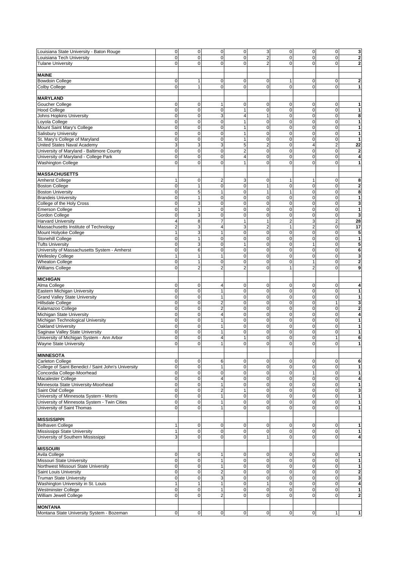| Louisiana State University - Baton Rouge            | 0              | $\mathbf 0$    | $\pmb{0}$               | $\pmb{0}$               | 3                       | $\mathbf 0$    | 0              | $\overline{0}$ | 3                       |
|-----------------------------------------------------|----------------|----------------|-------------------------|-------------------------|-------------------------|----------------|----------------|----------------|-------------------------|
| Louisiana Tech University                           | 0              | $\mathbf 0$    | $\mathbf 0$             | 0                       | $\overline{\mathbf{c}}$ | $\mathbf 0$    | $\mathbf 0$    | $\mathbf 0$    | $\overline{\mathbf{c}}$ |
| <b>Tulane University</b>                            | 0              | $\mathbf 0$    | $\mathbf 0$             | 0                       | $\overline{2}$          | $\mathbf 0$    | $\mathbf 0$    | 0              | $\overline{\mathbf{2}}$ |
|                                                     |                |                |                         |                         |                         |                |                |                |                         |
|                                                     |                |                |                         |                         |                         |                |                |                |                         |
| <b>MAINE</b>                                        |                |                |                         |                         |                         |                |                |                |                         |
| <b>Bowdoin College</b>                              | 0              | 1              | $\mathbf 0$             | 0                       | 0                       | 1              | 0              | 0              | 2                       |
| <b>Colby College</b>                                | $\overline{0}$ | $\mathbf{1}$   | $\mathbf 0$             | $\overline{0}$          | $\mathbf 0$             | $\mathbf 0$    | $\mathbf 0$    | $\mathbf 0$    | $\mathbf{1}$            |
|                                                     |                |                |                         |                         |                         |                |                |                |                         |
| <b>MARYLAND</b>                                     |                |                |                         |                         |                         |                |                |                |                         |
| Goucher College                                     | 0              | 0              | 1                       | 0                       | 0                       | $\mathbf 0$    | 0              | 0              | 1                       |
| <b>Hood College</b>                                 | 0              | 0              | $\mathbf 0$             | $\mathbf{1}$            | $\mathbf 0$             | $\mathbf 0$    | $\mathbf 0$    | $\pmb{0}$      | 1                       |
| Johns Hopkins University                            | $\mathbf 0$    | $\mathbf 0$    | 3                       | 4                       | $\mathbf{1}$            | $\mathbf 0$    | $\mathbf 0$    | $\mathbf 0$    | 8                       |
| Loyola College                                      | 0              | $\mathbf 0$    | $\mathbf 0$             |                         | $\mathbf 0$             | $\mathbf 0$    | $\mathbf 0$    | 0              | 1                       |
| Mount Saint Mary's College                          | 0              | 0              | $\mathbf 0$             | 1                       | $\mathbf 0$             | $\mathbf 0$    | $\mathbf 0$    | $\mathbf 0$    | 1                       |
| Salisbury University                                | $\mathbf 0$    | 0              | $\mathbf 0$             | 1                       | $\mathbf 0$             | $\mathbf 0$    | $\mathbf 0$    | $\pmb{0}$      | $\mathbf{1}$            |
| St. Mary's College of Maryland                      | $\mathbf 0$    | $\mathbf 0$    | $\mathbf 0$             | $\mathbf{1}$            | $\mathbf 0$             | $\mathbf 0$    | $\mathbf 0$    | $\mathbf 0$    | 1                       |
| United States Naval Academy                         | 3              | 3              | 3                       | 5                       | $\overline{c}$          | $\mathbf 0$    | $\overline{4}$ | $\overline{2}$ | $\overline{22}$         |
| University of Maryland - Baltimore County           | $\mathbf 0$    | $\mathbf 0$    | $\mathbf 0$             | $\overline{2}$          | 0                       | $\mathbf 0$    | $\mathbf 0$    | $\pmb{0}$      | $\mathbf 2$             |
| University of Maryland - College Park               | 0              | 0              | $\mathbf 0$             | $\overline{\mathbf{4}}$ | 0                       | $\mathbf 0$    | $\mathbf 0$    | $\mathbf 0$    | $\overline{\mathbf{4}}$ |
|                                                     |                |                |                         |                         |                         |                |                |                |                         |
| <b>Washington College</b>                           | $\overline{0}$ | 0              | $\overline{0}$          | 1                       | $\mathbf 0$             | $\mathbf 0$    | $\mathbf 0$    | $\mathbf 0$    | 1                       |
|                                                     |                |                |                         |                         |                         |                |                |                |                         |
| <b>MASSACHUSETTS</b>                                |                |                |                         |                         |                         |                |                |                |                         |
| <b>Amherst College</b>                              | $\mathbf{1}$   | $\mathbf 0$    | $\overline{c}$          | 3                       | $\mathbf 0$             | 1              | 1              | $\pmb{0}$      | 8                       |
| <b>Boston College</b>                               | 0              | $\mathbf{1}$   | $\mathbf 0$             | 0                       | $\mathbf{1}$            | $\mathbf 0$    | $\pmb{0}$      | $\pmb{0}$      | $\mathbf{2}$            |
| <b>Boston University</b>                            | 0              | 5              | $\mathbf{1}$            | 0                       | $\mathbf{1}$            | $\mathbf{1}$   | 0              | $\pmb{0}$      | 8                       |
| <b>Brandeis University</b>                          | $\mathbf 0$    | 1              | $\mathbf 0$             | 0                       | $\pmb{0}$               | $\mathbf 0$    | $\mathbf 0$    | $\mathbf 0$    | 1                       |
| College of the Holy Cross                           | 0              | 3              | $\mathbf 0$             | 0                       | $\pmb{0}$               | $\mathbf 0$    | $\mathbf 0$    | $\mathbf 0$    | 3                       |
| <b>Emerson College</b>                              | 0              | $\mathbf{1}$   | $\mathbf 0$             | 0                       | $\mathbf 0$             | $\mathbf 0$    | $\mathbf 0$    | $\pmb{0}$      | $\mathbf{1}$            |
| Gordon College                                      | $\mathbf 0$    | 3              | $\mathbf 0$             | 0                       | $\mathbf 0$             | $\mathbf 0$    | $\mathbf 0$    | $\mathbf 0$    | $\mathbf{3}$            |
| <b>Harvard University</b>                           | 4              | 8              | $\overline{7}$          |                         | $\mathbf{1}$            | $\overline{c}$ | 3              | $\overline{c}$ | 28                      |
| Massachusetts Institute of Technology               | $\overline{2}$ | 3              | $\overline{4}$          | 3                       | $\overline{2}$          | $\mathbf{1}$   | $\overline{2}$ | 0              | 17                      |
| Mount Holyoke College                               | $\mathbf{1}$   | 3              | $\mathbf{1}$            | 0                       | $\mathbf 0$             | $\mathbf 0$    | $\mathbf 0$    | $\pmb{0}$      | 5                       |
| Stonehill College                                   | $\mathbf 0$    | $\mathbf{1}$   | $\mathbf 0$             | 0                       | 0                       | $\mathbf 0$    | $\pmb{0}$      | $\pmb{0}$      | 1                       |
| <b>Tufts University</b>                             | $\mathbf 0$    | 3              | $\mathbf 0$             | $\mathbf{1}$            | 0                       | $\mathbf 0$    | $\mathbf{1}$   | $\mathbf 0$    | 5                       |
| University of Massachusetts System - Amherst        | $\mathbf 0$    | 6              | $\mathbf 0$             | 0                       | $\pmb{0}$               | $\mathbf 0$    | $\pmb{0}$      | $\mathbf 0$    | 6                       |
|                                                     | $\mathbf{1}$   |                |                         | 0                       |                         |                |                |                |                         |
| <b>Wellesley College</b>                            |                | 1              | $\mathbf{1}$            |                         | $\pmb{0}$               | $\mathbf 0$    | 0              | $\pmb{0}$      | 3                       |
| <b>Wheaton College</b>                              | 0              | $\mathbf{1}$   | $\mathbf 0$             | 0                       | $\mathbf 0$             | $\mathbf 0$    | 1              | $\mathbf 0$    | $\mathbf{2}$            |
| <b>Williams College</b>                             | 0              | $\overline{c}$ | $\overline{2}$          | $\overline{2}$          | $\mathbf 0$             | $\mathbf{1}$   | $\overline{2}$ | 0              | 9                       |
|                                                     |                |                |                         |                         |                         |                |                |                |                         |
| <b>MICHIGAN</b>                                     |                |                |                         |                         |                         |                |                |                |                         |
| Alma College                                        | 0              | $\mathbf 0$    | 4                       | 0                       | $\pmb{0}$               | $\mathbf 0$    | 0              | $\pmb{0}$      | 4                       |
| Eastern Michigan University                         | $\mathbf 0$    | 0              | $\mathbf{1}$            | 0                       | $\mathbf 0$             | $\mathbf 0$    | $\pmb{0}$      | $\pmb{0}$      | 1                       |
| <b>Grand Valley State University</b>                | 0              | $\mathbf 0$    | $\mathbf{1}$            | 0                       | $\mathbf 0$             | $\mathbf 0$    | $\mathbf 0$    | $\pmb{0}$      | 1                       |
| Hillsdale College                                   | $\mathbf 0$    | $\mathsf 0$    | $\overline{\mathbf{c}}$ | 0                       | $\mathbf 0$             | $\mathbf 0$    | 0              | $\mathbf{1}$   | 3                       |
| Kalamazoo College                                   | $\mathbf 0$    | $\mathbf 0$    | $\overline{2}$          | 0                       | $\mathbf 0$             | $\mathbf 0$    | $\mathbf 0$    | $\mathbf 0$    | $\overline{\mathbf{2}}$ |
| Michigan State University                           | 0              | $\mathbf 0$    | 4                       | 0                       | $\pmb{0}$               | $\mathbf 0$    | $\pmb{0}$      | $\pmb{0}$      | 4                       |
| Michigan Technological University                   | $\mathbf{0}$   | 0              | 1                       | 0                       | $\mathbf 0$             | $\mathbf 0$    | $\mathbf 0$    | 0              | 1                       |
| Oakland University                                  | 0              | $\mathbf 0$    | 1                       | 0                       | $\mathbf 0$             | $\mathbf 0$    | $\mathbf 0$    | $\mathbf 0$    | 1                       |
| Saginaw Valley State University                     | 0              | 0              | $\mathbf{1}$            | 0                       | 0                       | $\mathbf 0$    | 0              | $\pmb{0}$      | $\mathbf{1}$            |
| University of Michigan System - Ann Arbor           | 0              | $\mathbf 0$    | 4                       | 1                       | 0                       | $\mathbf 0$    | $\pmb{0}$      | $\mathbf{1}$   | 6                       |
| <b>Wayne State University</b>                       | 0              | $\mathbf 0$    | $\mathbf{1}$            | 0                       | $\mathbf 0$             | $\mathbf 0$    | $\mathbf 0$    | 0              | 1                       |
|                                                     |                |                |                         |                         |                         |                |                |                |                         |
| <b>MINNESOTA</b>                                    |                |                |                         |                         |                         |                |                |                |                         |
|                                                     |                |                |                         |                         |                         |                |                |                |                         |
| <b>Carleton College</b>                             | $\mathbf 0$    | 0              | 6                       | 0                       | $\mathbf 0$             | 0              | $\mathbf 0$    | $\mathbf 0$    | 6                       |
| College of Saint Benedict / Saint John's University | $\overline{0}$ | $\mathbf 0$    | 1                       | 0                       | $\pmb{0}$               | $\mathbf 0$    | $\mathbf 0$    | $\mathbf 0$    | $\mathbf{1}$            |
| Concordia College-Moorhead                          | $\mathbf 0$    | $\pmb{0}$      | 0                       | 0                       | $\mathbf 0$             | $\mathbf 0$    |                | $\mathbf 0$    | 1                       |
| Macalester College                                  | $\mathbf 0$    | $\pmb{0}$      | 4                       | 0                       | $\mathbf 0$             | $\mathbf 0$    | 0              | $\mathbf 0$    | $\overline{\mathbf{4}}$ |
| Minnesota State University-Moorhead                 | $\mathbf 0$    | 0              | $\mathbf{1}$            | 0                       | $\mathbf 0$             | $\mathbf 0$    | 0              | $\mathbf 0$    | 1                       |
| Saint Olaf College                                  | $\mathbf 0$    | $\mathbf 0$    | $\overline{\mathbf{c}}$ |                         | $\pmb{0}$               | $\mathbf 0$    | $\mathbf 0$    | $\mathbf 0$    | 3                       |
| University of Minnesota System - Morris             | $\mathbf 0$    | 0              | 1                       | 0                       | $\mathbf 0$             | $\pmb{0}$      | 0              | $\mathbf 0$    | 1                       |
| University of Minnesota System - Twin Cities        | $\mathbf 0$    | $\pmb{0}$      | $\mathbf{1}$            | 0                       | $\mathbf 0$             | $\pmb{0}$      | $\mathbf 0$    | $\mathbf 0$    | 1                       |
| University of Saint Thomas                          | $\mathbf 0$    | 0              | $\mathbf{1}$            | 0                       | $\mathbf 0$             | $\mathbf 0$    | $\mathbf 0$    | $\mathbf 0$    | $\mathbf{1}$            |
|                                                     |                |                |                         |                         |                         |                |                |                |                         |
| <b>MISSISSIPPI</b>                                  |                |                |                         |                         |                         |                |                |                |                         |
| <b>Belhaven College</b>                             | $\mathbf{1}$   | 0              | 0                       | 0                       | $\mathbf 0$             | 0              | $\mathbf 0$    | $\mathbf 0$    | $\mathbf{1}$            |
| Mississippi State University                        | $\mathbf{1}$   | $\mathsf 0$    | 0                       | 0                       | 0                       | $\mathbf 0$    | $\mathbf 0$    | $\mathbf 0$    | $\mathbf{1}$            |
| University of Southern Mississippi                  | $\overline{3}$ | $\mathbf 0$    | $\mathbf 0$             | 0                       | $\mathbf{1}$            | $\mathbf 0$    | $\Omega$       | $\overline{0}$ | $\overline{\mathbf{4}}$ |
|                                                     |                |                |                         |                         |                         |                |                |                |                         |
| <b>MISSOURI</b>                                     |                |                |                         |                         |                         |                |                |                |                         |
| Avila College                                       | $\mathbf 0$    | 0              | 1                       | 0                       | $\mathbf 0$             | 0              | 0              | $\mathbf 0$    | 1                       |
| <b>Missouri State University</b>                    | $\overline{0}$ | $\mathbf 0$    | 1                       | 0                       | $\mathbf 0$             | $\mathbf 0$    | $\pmb{0}$      | $\mathbf 0$    | $\mathbf{1}$            |
| Northwest Missouri State University                 | $\overline{0}$ | $\mathbf 0$    | $\mathbf{1}$            | $\Omega$                | $\mathbf 0$             | $\mathbf 0$    | $\mathbf 0$    | $\mathbf{0}$   | 1                       |
| Saint Louis University                              | $\mathbf{0}$   | $\mathbf 0$    | $\overline{\mathbf{c}}$ | 0                       | $\pmb{0}$               | $\mathbf 0$    | $\mathbf 0$    | $\mathbf 0$    | $\overline{\mathbf{c}}$ |
|                                                     | $\mathbf 0$    |                |                         | 0                       |                         |                |                |                | $\mathbf{3}$            |
| <b>Truman State University</b>                      |                | 0              | 3                       |                         | $\mathsf{O}\xspace$     | $\mathbf 0$    | 0              | $\mathbf 0$    |                         |
| Washington University in St. Louis                  | $\mathbf{1}$   | $\mathbf{1}$   | $\mathbf{1}$            | 0                       | $\mathbf{1}$            | $\pmb{0}$      | $\mathbf 0$    | $\mathbf 0$    | 4                       |
| <b>Westminster College</b>                          | $\overline{0}$ | 0              | 1                       | 0                       | $\mathbf 0$             | $\mathbf 0$    | $\mathbf 0$    | $\overline{0}$ | 1                       |
| William Jewell College                              | $\mathbf 0$    | $\mathbf 0$    | $\overline{2}$          | 0                       | $\mathbf 0$             | $\mathbf 0$    | $\mathbf 0$    | $\overline{0}$ | $\overline{\mathbf{2}}$ |
|                                                     |                |                |                         |                         |                         |                |                |                |                         |
| <b>MONTANA</b>                                      |                |                |                         |                         |                         |                |                |                |                         |
| Montana State University System - Bozeman           | $\overline{0}$ | 0              | 0                       | 0                       | $\overline{0}$          | 0              | 0              | $\mathbf{1}$   | $\mathbf{1}$            |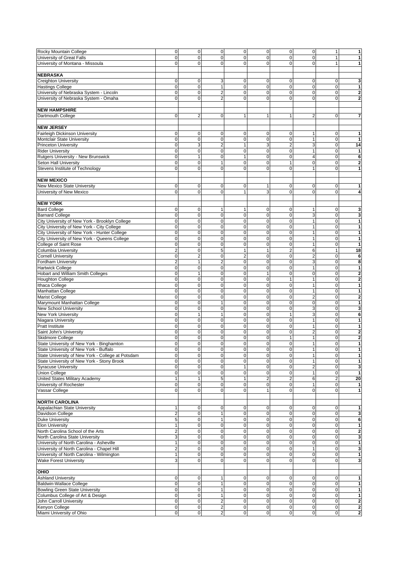| Rocky Mountain College                            | $\mathsf{O}\xspace$     | 0              | $\mathbf 0$      | $\pmb{0}$      | $\mathbf 0$    | $\mathbf 0$    | 0              | $\mathbf{1}$   | 1                       |
|---------------------------------------------------|-------------------------|----------------|------------------|----------------|----------------|----------------|----------------|----------------|-------------------------|
| University of Great Falls                         | 0                       | $\mathbf 0$    | $\mathbf 0$      | $\mathbf 0$    | 0              | $\mathbf 0$    | $\mathbf 0$    | $\mathbf{1}$   | 1                       |
| University of Montana - Missoula                  | $\overline{0}$          | $\mathbf 0$    | 0                | 0              | $\mathbf 0$    | $\mathbf 0$    | $\mathbf 0$    | $\mathbf{1}$   | $\mathbf{1}$            |
|                                                   |                         |                |                  |                |                |                |                |                |                         |
| <b>NEBRASKA</b>                                   |                         |                |                  |                |                |                |                |                |                         |
| Creighton University                              | $\overline{0}$          | $\mathbf 0$    | 3                | 0              | 0              | $\mathbf 0$    | $\mathbf 0$    | $\mathbf 0$    | 3                       |
| <b>Hastings College</b>                           | $\mathbf 0$             | $\mathbf 0$    | $\mathbf{1}$     | 0              | 0              | $\mathbf 0$    | $\mathbf 0$    | $\mathbf 0$    | 1                       |
| University of Nebraska System - Lincoln           | $\mathbf 0$             | 0              | $\overline{c}$   | 0              | $\mathbf 0$    | 0              | 0              | $\pmb{0}$      | $\mathbf{2}$            |
| University of Nebraska System - Omaha             | $\overline{0}$          | $\Omega$       | $\overline{2}$   | $\Omega$       | $\Omega$       | $\mathbf 0$    | $\Omega$       | $\mathbf 0$    | $\mathbf{2}$            |
|                                                   |                         |                |                  |                |                |                |                |                |                         |
|                                                   |                         |                |                  |                |                |                |                |                |                         |
| <b>NEW HAMPSHIRE</b>                              |                         |                |                  |                |                |                |                |                |                         |
| Dartmouth College                                 | $\overline{0}$          | $\overline{2}$ | $\mathbf 0$      | 1              | $\mathbf{1}$   | 1              | $\overline{2}$ | $\mathbf{O}$   | $\overline{7}$          |
|                                                   |                         |                |                  |                |                |                |                |                |                         |
| <b>NEW JERSEY</b>                                 |                         |                |                  |                |                |                |                |                |                         |
| <b>Fairleigh Dickinson University</b>             | $\mathbf 0$             | 0              | $\mathbf 0$      | 0              | 0              | 0              | 1              | 0              | 1                       |
| Montclair State University                        | 0                       | $\mathbf 0$    | $\mathbf 0$      | 0              | $\mathbf 0$    | $\mathbf 0$    | 1              | $\mathbf 0$    | 1                       |
| <b>Princeton University</b>                       | $\mathbf 0$             | 3              | $\overline{2}$   |                | 3              | $\overline{c}$ | 3              | $\mathbf 0$    | 14                      |
| <b>Rider University</b>                           | $\mathbf{0}$            | $\mathbf 0$    | $\mathbf 0$      | 0              | $\mathbf 0$    | $\mathbf 0$    | $\mathbf{1}$   | 0              | 1                       |
|                                                   |                         |                |                  |                |                |                |                |                |                         |
| Rutgers University - New Brunswick                | $\mathbf 0$             | $\mathbf{1}$   | $\mathbf 0$      | $\mathbf{1}$   | $\mathbf 0$    | $\mathbf 0$    | $\overline{4}$ | $\mathbf 0$    | 6                       |
| Seton Hall University                             | $\mathbf 0$             | $\mathbf 0$    | 1                | $\mathbf 0$    | $\mathbf 0$    | 1              | $\mathbf 0$    | $\mathbf 0$    | $\mathbf 2$             |
| Stevens Institute of Technology                   | 0                       | $\mathbf 0$    | $\mathbf 0$      | 0              | $\mathbf 0$    | $\mathbf 0$    | 1              | 0              | $\mathbf{1}$            |
|                                                   |                         |                |                  |                |                |                |                |                |                         |
| <b>NEW MEXICO</b>                                 |                         |                |                  |                |                |                |                |                |                         |
| New Mexico State University                       | $\mathbf 0$             | 0              | 0                | $\mathbf 0$    | 1              | 0              | 0              | 0              | 1                       |
| University of New Mexico                          | $\overline{0}$          | $\Omega$       | $\mathbf 0$      | 1              | 3              | $\mathbf 0$    | 0              | $\mathbf 0$    | $\overline{\mathbf{4}}$ |
|                                                   |                         |                |                  |                |                |                |                |                |                         |
|                                                   |                         |                |                  |                |                |                |                |                |                         |
| <b>NEW YORK</b>                                   |                         |                |                  |                |                |                |                |                |                         |
| <b>Bard College</b>                               | $\mathbf 0$             | 0              | 1                | 1              | $\mathbf 0$    | 0              | 1              | $\mathbf 0$    | 3                       |
| <b>Barnard College</b>                            | $\overline{0}$          | 0              | $\mathbf 0$      | $\mathbf 0$    | 0              | $\mathbf 0$    | 3              | $\mathbf 0$    | 3                       |
| City University of New York - Brooklyn College    | $\overline{0}$          | $\mathbf 0$    | $\mathbf 0$      | 0              | $\mathbf 0$    | $\mathbf 0$    | $\mathbf{1}$   | $\mathbf 0$    | $\mathbf{1}$            |
| City University of New York - City College        | $\overline{0}$          | $\mathbf 0$    | $\mathbf 0$      | $\Omega$       | $\mathbf 0$    | $\mathbf 0$    | $\mathbf{1}$   | 0              | 1                       |
| City University of New York - Hunter College      | $\overline{0}$          | $\mathbf 0$    | $\mathbf 0$      | 0              | $\mathbf 0$    | $\mathbf 0$    | $\mathbf{1}$   | $\mathbf 0$    | 1                       |
| City University of New York - Queens College      | $\mathbf 0$             | $\mathbf 0$    | $\mathbf 0$      | 0              | $\mathbf 0$    | $\mathbf 0$    | $\mathbf{1}$   | $\pmb{0}$      | $\mathbf{1}$            |
| College of Saint Rose                             | $\mathbf 0$             | $\mathbf 0$    | $\mathbf 0$      | 0              | $\mathbf 0$    | $\mathbf 0$    | $\mathbf{1}$   | $\mathbf 0$    | $\mathbf{1}$            |
|                                                   |                         |                |                  |                |                |                |                |                |                         |
| Columbia University                               | 2                       | $\mathbf 0$    | 5                | $\mathbf{1}$   | $\mathbf{1}$   | $\overline{2}$ | 6              | $\mathbf{1}$   | 18                      |
| <b>Cornell University</b>                         | $\mathbf 0$             | $\overline{2}$ | $\mathbf 0$      | $\overline{2}$ | $\pmb{0}$      | $\mathbf 0$    | $\overline{2}$ | $\pmb{0}$      | 6                       |
| Fordham University                                | $\overline{2}$          | 1              | $\overline{c}$   | $\mathbf 0$    | $\pmb{0}$      | $\mathbf 0$    | 3              | $\mathbf 0$    | 8                       |
| <b>Hartwick College</b>                           | $\mathbf 0$             | $\mathbf 0$    | $\mathbf 0$      | $\Omega$       | $\mathbf 0$    | $\mathbf 0$    | 1              | $\mathbf 0$    | 1                       |
| Hobart and William Smith Colleges                 | $\mathbf{0}$            | $\mathbf{1}$   | $\mathbf 0$      | 0              | $\mathbf{1}$   | $\mathbf 0$    | $\mathbf 0$    | 0              | $\mathbf{2}$            |
| <b>Houghton College</b>                           | $\mathbf 0$             | $\mathbf 0$    | $\mathbf 0$      | 0              | $\mathbf 0$    | $\mathbf{1}$   | $\mathbf{1}$   | $\mathbf 0$    | $\overline{\mathbf{2}}$ |
| <b>Ithaca College</b>                             | $\mathbf 0$             | $\mathbf 0$    | $\mathbf 0$      | 0              | $\mathbf 0$    | $\mathbf 0$    | $\mathbf{1}$   | $\pmb{0}$      | $\mathbf{1}$            |
| Manhattan College                                 | $\mathbf 0$             | $\mathbf 0$    | $\mathbf 0$      | 0              | 0              | $\mathbf 0$    | $\mathbf{1}$   | $\pmb{0}$      | 1                       |
|                                                   |                         |                |                  |                |                |                |                |                |                         |
| <b>Marist College</b>                             | $\mathbf 0$             | $\mathbf 0$    | $\mathbf 0$      | 0              | 0              | $\mathbf 0$    | $\overline{c}$ | $\mathbf 0$    | $\overline{\mathbf{2}}$ |
| Marymount Manhattan College                       | $\mathbf 0$             | $\mathbf 0$    | $\mathbf{1}$     | 0              | 0              | $\mathbf 0$    | $\mathbf 0$    | $\mathbf 0$    | 1                       |
| <b>New School University</b>                      | $\overline{0}$          | $\mathbf 0$    | $\mathbf 0$      | $\mathbf 0$    | 0              | $\mathbf 0$    | 3              | $\pmb{0}$      | $\mathbf{3}$            |
| <b>New York University</b>                        | 0                       | $\mathbf{1}$   | $\mathbf{1}$     | 0              | $\mathbf 0$    | $\mathbf{1}$   | 3              | $\pmb{0}$      | 6                       |
| Niagara University                                | 0                       | $\mathbf 0$    | $\mathbf 0$      | 0              | $\mathbf 0$    | $\mathbf 0$    | 1              | $\mathbf 0$    | $\mathbf{1}$            |
| <b>Pratt Institute</b>                            | 0                       | $\mathbf 0$    | $\mathbf 0$      | 0              | $\mathbf 0$    | $\mathbf 0$    | $\mathbf{1}$   | $\mathbf 0$    | 1                       |
| Saint John's University                           | $\overline{0}$          | $\mathbf 0$    | 0                | 0              | $\mathbf 0$    | $\mathbf 0$    | $\overline{2}$ | 0              | $\mathbf{2}$            |
| <b>Skidmore College</b>                           | 0                       | $\mathbf 0$    | $\mathbf 0$      | 0              | $\mathbf 0$    | $\mathbf{1}$   | $\mathbf{1}$   | $\pmb{0}$      | $\mathbf 2$             |
| State University of New York - Binghamton         | $\mathbf 0$             | $\mathbf 0$    | $\mathbf 0$      | 0              | $\mathbf 0$    | $\mathbf 0$    | $\mathbf{1}$   | 0              | $\mathbf{1}$            |
|                                                   |                         |                |                  |                |                |                |                |                |                         |
| State University of New York - Buffalo            | $\Omega$                | $\Omega$       | $\Omega$         | $\Omega$       | $\Omega$       | $\Omega$       | $\mathbf{1}$   | $\Omega$       | $\mathbf{1}$            |
| State University of New York - College at Potsdam | $\overline{\mathbf{0}}$ | 0              | $\pmb{0}$        | $\pmb{0}$      | $\mathbf 0$    | $\pmb{0}$      | $\mathbf{1}$   | $\overline{0}$ | 1                       |
| State University of New York - Stony Brook        | $\mathbf 0$             | $\pmb{0}$      | $\mathbf 0$      | $\Omega$       | $\mathbf 0$    | $\mathbf 0$    | $\mathbf{1}$   | $\mathbf 0$    | 1                       |
| <b>Syracuse University</b>                        | $\mathbf 0$             | 0              | $\mathbf 0$      |                | $\mathbf 0$    | $\mathbf 0$    | $\overline{2}$ | $\mathbf 0$    | $\mathbf{3}$            |
| <b>Union College</b>                              | $\overline{0}$          | $\mathbf 0$    | $\mathbf 0$      | 0              | 0              | $\mathbf 0$    |                | $\mathbf{0}$   | $\vert$                 |
| United States Military Academy                    | 1                       | 1              | 5                |                | $\overline{c}$ | $\mathbf 2$    | 6              | $\mathbf 2$    | 20                      |
| University of Rochester                           | $\mathbf 0$             | 0              | $\mathbf 0$      | 0              | 0              | $\mathbf 0$    | $\mathbf{1}$   | $\mathbf 0$    | $\vert$                 |
| Vassar College                                    | $\overline{0}$          | $\mathbf 0$    | $\mathbf 0$      | 0              | $\mathbf{1}$   | $\mathbf 0$    | $\mathbf 0$    | $\mathbf 0$    | $\vert$                 |
|                                                   |                         |                |                  |                |                |                |                |                |                         |
|                                                   |                         |                |                  |                |                |                |                |                |                         |
| <b>NORTH CAROLINA</b>                             |                         |                |                  |                |                |                |                |                |                         |
| Appalachian State University                      | $\mathbf{1}$            | 0              | 0                | 0              | $\pmb{0}$      | $\mathbf 0$    | 0              | $\mathbf 0$    | 1                       |
| Davidson College                                  | $\overline{2}$          | 0              | $\mathbf{1}$     | $\Omega$       | $\mathbf 0$    | $\mathbf 0$    | $\mathbf 0$    | $\mathbf 0$    | 3                       |
| <b>Duke University</b>                            | 5 <sup>1</sup>          | $\mathbf 0$    | 1                | 0              | $\mathbf 0$    | $\mathbf 0$    | $\pmb{0}$      | $\mathbf 0$    | 6                       |
| <b>Elon University</b>                            | $\mathbf{1}$            | $\mathbf 0$    | $\mathbf 0$      | $\Omega$       | $\pmb{0}$      | $\mathbf 0$    | $\mathbf 0$    | 0              | 1                       |
| North Carolina School of the Arts                 | $\overline{2}$          | $\mathbf 0$    | $\mathbf 0$      | 0              | $\mathbf 0$    | $\mathbf 0$    | 0              | $\pmb{0}$      | $\overline{\mathbf{2}}$ |
| North Carolina State University                   | 3                       | 0              | 0                | 0              | $\mathbf 0$    | 0              | 0              | $\pmb{0}$      | 3                       |
| University of North Carolina - Asheville          | $\mathbf{1}$            | 0              | $\mathbf 0$      | 0              | $\mathbf 0$    | $\mathbf 0$    | 0              | $\mathbf 0$    | $\mathbf{1}$            |
|                                                   |                         |                |                  |                |                |                |                |                |                         |
| University of North Carolina - Chapel Hill        | $\overline{2}$          | $\mathbf 0$    | $\mathbf 0$      | 0              | $\mathbf 0$    | $\mathbf 0$    | 1              | $\mathbf 0$    | 3                       |
| University of North Carolina - Wilmington         | $\mathbf{1}$            | $\mathbf 0$    | 0                | 0              | $\mathbf 0$    | $\mathbf 0$    | $\mathbf 0$    | $\mathbf 0$    | $\mathbf{1}$            |
| <b>Wake Forest University</b>                     | $\overline{3}$          | $\mathbf 0$    | $\pmb{0}$        | 0              | $\mathbf 0$    | 0              | $\mathbf 0$    | $\overline{0}$ | 3                       |
|                                                   |                         |                |                  |                |                |                |                |                |                         |
| OHIO                                              |                         |                |                  |                |                |                |                |                |                         |
| <b>Ashland University</b>                         | $\mathbf 0$             | 0              | $\mathbf 1$      | 0              | $\mathbf 0$    | 0              | 0              | $\mathbf 0$    | 1                       |
| <b>Baldwin-Wallace College</b>                    | $\mathbf 0$             | $\pmb{0}$      | $\mathbf{1}$     | 0              | 0              | $\mathbf 0$    | 0              | $\mathbf 0$    | 1                       |
| <b>Bowling Green State University</b>             | $\mathbf 0$             | 0              | 1                | 0              | $\mathbf 0$    | $\mathbf 0$    | 0              | $\mathbf 0$    | $\mathbf{1}$            |
| Columbus College of Art & Design                  | $\overline{0}$          | $\mathbf 0$    | 1                | 0              | $\pmb{0}$      | $\mathbf 0$    | $\mathbf 0$    | $\mathbf 0$    | $\mathbf{1}$            |
|                                                   |                         |                |                  |                |                |                |                |                |                         |
| John Carroll University                           | $\overline{0}$          | $\mathsf 0$    | $\mathbf 2$      | 0              | $\mathbf 0$    | $\mathbf 0$    | $\mathbf 0$    | $\overline{0}$ | $\overline{\mathbf{c}}$ |
| Kenyon College                                    | $\overline{0}$          | $\mathsf 0$    | $\overline{c}$   | $\mathbf 0$    | $\overline{0}$ | $\mathbf 0$    | 0              | $\mathbf 0$    | $\overline{\mathbf{c}}$ |
| Miami University of Ohio                          | $\mathsf{O}\xspace$     | 0              | $\boldsymbol{2}$ | $\pmb{0}$      | $\mathbf 0$    | $\pmb{0}$      | 0              | $\mathbf 0$    | $\overline{\mathbf{c}}$ |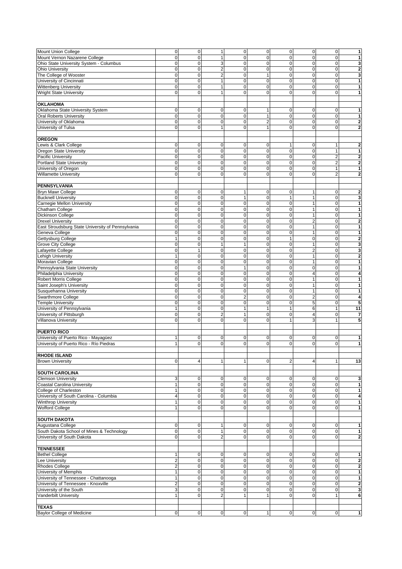| Mount Union College                               | $\mathsf{O}\xspace$ | 0           | $\mathbf{1}$   | $\pmb{0}$      | $\pmb{0}$      | $\mathbf 0$  | $\overline{0}$          | $\overline{0}$ | 1                       |
|---------------------------------------------------|---------------------|-------------|----------------|----------------|----------------|--------------|-------------------------|----------------|-------------------------|
| Mount Vernon Nazarene College                     | 0                   | $\mathbf 0$ | 1              | 0              | 0              | $\mathbf 0$  | $\mathbf 0$             | $\mathbf 0$    | 1                       |
| Ohio State University System - Columbus           | $\mathbf 0$         | 0           | 3              | 0              | 0              | $\mathbf 0$  | 0                       | $\mathbf 0$    | 3                       |
|                                                   | 0                   | $\mathbf 0$ |                | 0              | $\mathbf 0$    |              | $\mathbf 0$             | $\pmb{0}$      |                         |
| <b>Ohio University</b>                            |                     |             | $\overline{c}$ |                |                | $\mathbf 0$  |                         |                | $\mathbf{2}$            |
| The College of Wooster                            | 0                   | $\mathbf 0$ | $\overline{c}$ | 0              | $\mathbf{1}$   | $\mathbf 0$  | $\pmb{0}$               | 0              | 3                       |
| University of Cincinnati                          | 0                   | $\mathbf 0$ | 1              | 0              | $\mathbf 0$    | $\mathbf 0$  | $\mathbf 0$             | 0              | 1                       |
| <b>Wittenberg University</b>                      | 0                   | $\mathbf 0$ | 1              | 0              | $\pmb{0}$      | $\mathbf 0$  | $\mathbf 0$             | $\pmb{0}$      | $\mathbf{1}$            |
| <b>Wright State University</b>                    | 0                   | $\mathbf 0$ | $\mathbf{1}$   | 0              | 0              | $\mathbf 0$  | $\mathbf 0$             | $\mathbf 0$    | 1                       |
|                                                   |                     |             |                |                |                |              |                         |                |                         |
|                                                   |                     |             |                |                |                |              |                         |                |                         |
| <b>OKLAHOMA</b>                                   |                     |             |                |                |                |              |                         |                |                         |
| Oklahoma State University System                  | $\mathbf 0$         | 0           | 0              | 0              | 1              | 0            | 0                       | 0              | 1                       |
| <b>Oral Roberts University</b>                    | $\mathbf 0$         | 0           | $\mathbf 0$    | 0              | $\mathbf{1}$   | $\mathbf 0$  | $\pmb{0}$               | $\mathbf 0$    | $\mathbf{1}$            |
|                                                   | 0                   | $\mathbf 0$ | $\overline{0}$ | 0              | $\overline{2}$ | $\mathbf 0$  | $\mathbf 0$             | $\mathbf 0$    |                         |
| University of Oklahoma                            |                     |             |                |                |                |              |                         |                | $\mathbf{2}$            |
| University of Tulsa                               | 0                   | $\mathbf 0$ | 1              | $\Omega$       | $\mathbf{1}$   | $\mathbf 0$  | $\mathbf 0$             | 0              | $\mathbf{2}$            |
|                                                   |                     |             |                |                |                |              |                         |                |                         |
| <b>OREGON</b>                                     |                     |             |                |                |                |              |                         |                |                         |
| Lewis & Clark College                             | $\mathbf 0$         | 0           | 0              | 0              | $\pmb{0}$      | 1            | 0                       | 1              | 2                       |
|                                                   |                     |             |                |                |                |              |                         |                |                         |
| Oregon State University                           | $\mathbf 0$         | $\mathbf 0$ | $\mathbf 0$    | 0              | $\mathbf 0$    | $\mathbf 0$  | $\mathbf 0$             | $\mathbf{1}$   | 1                       |
| Pacific University                                | $\mathbf 0$         | $\mathbf 0$ | $\mathbf 0$    | $\mathbf 0$    | $\mathbf 0$    | $\mathbf 0$  | $\mathbf 0$             | $\mathbf 2$    | $\overline{\mathbf{c}}$ |
| <b>Portland State University</b>                  | 0                   | $\mathbf 0$ | $\mathbf 0$    | $\mathbf 0$    | 0              | $\mathbf 0$  | $\pmb{0}$               | $\overline{c}$ | $\mathbf 2$             |
| University of Oregon                              | 0                   | $\mathbf 0$ | $\mathbf 0$    | 0              | 0              | $\mathbf 0$  | $\mathbf 0$             | $\mathbf{1}$   | $\mathbf{1}$            |
| <b>Willamette University</b>                      | $\overline{0}$      | $\mathbf 0$ | $\mathbf 0$    | 0              | 0              | $\mathbf 0$  | $\mathbf 0$             | $\overline{c}$ | $\mathbf{2}$            |
|                                                   |                     |             |                |                |                |              |                         |                |                         |
|                                                   |                     |             |                |                |                |              |                         |                |                         |
| <b>PENNSYLVANIA</b>                               |                     |             |                |                |                |              |                         |                |                         |
| <b>Bryn Mawr College</b>                          | 0                   | $\mathbf 0$ | $\mathbf 0$    | 1              | 0              | 0            | 1                       | 0              | $\overline{\mathbf{2}}$ |
| <b>Bucknell University</b>                        | $\mathbf 0$         | 0           | $\mathbf 0$    | 1              | $\mathbf 0$    | $\mathbf{1}$ | $\mathbf{1}$            | $\mathbf 0$    | 3                       |
|                                                   |                     |             |                |                |                |              |                         |                |                         |
| Carnegie Mellon University                        | 0                   | $\mathbf 0$ | $\mathbf 0$    | $\mathbf 0$    | $\mathbf 0$    | $\mathbf 0$  | $\mathbf{1}$            | $\mathbf 0$    | 1                       |
| Chatham College                                   | $\mathbf 0$         | 0           | $\mathbf 0$    | 0              | $\mathbf 0$    | $\mathbf 0$  | 1                       | $\pmb{0}$      | 1                       |
| <b>Dickinson College</b>                          | 0                   | 0           | $\mathbf 0$    | $\mathbf 0$    | $\pmb{0}$      | $\mathbf 0$  | $\mathbf{1}$            | $\pmb{0}$      | 1                       |
| <b>Drexel University</b>                          | $\mathbf 0$         | $\mathbf 0$ | $\mathbf 0$    | 0              | $\mathbf 0$    | $\mathbf 0$  | $\overline{2}$          | $\mathbf 0$    | $\overline{2}$          |
| East Stroudsburg State University of Pennsylvania | $\overline{0}$      | $\mathbf 0$ | $\mathbf 0$    | 0              | $\mathbf 0$    | $\mathbf 0$  | 1                       | 0              |                         |
|                                                   |                     |             |                |                |                |              |                         |                | 1                       |
| Geneva College                                    | $\mathbf 0$         | $\mathbf 0$ | $\mathbf 0$    | 0              | $\mathbf 0$    | $\mathbf 0$  | $\mathbf{1}$            | $\mathbf 0$    | $\mathbf{1}$            |
| Gettysburg College                                | $\overline{1}$      | $\mathbf 0$ | $\mathbf 0$    | 0              | $\mathbf 0$    | $\mathbf{1}$ | 0                       | $\pmb{0}$      | $\overline{\mathbf{c}}$ |
| <b>Grove City College</b>                         | $\mathbf 0$         | $\mathbf 0$ | $\mathbf{1}$   | $\mathbf{1}$   | $\mathbf 0$    | $\mathbf 0$  | $\mathbf{1}$            | $\mathbf 0$    | 3                       |
| Lafayette College                                 | $\mathbf 0$         | 1           | $\mathbf 0$    | $\mathbf 0$    | $\mathbf 0$    | $\mathbf 0$  | $\overline{2}$          | $\pmb{0}$      | $\mathbf{3}$            |
|                                                   |                     |             |                |                |                |              |                         |                |                         |
| <b>Lehigh University</b>                          | 1                   | $\pmb{0}$   | $\mathbf 0$    | 0              | 0              | $\mathbf 0$  | 1                       | $\mathbf 0$    | $\mathbf 2$             |
| Moravian College                                  | $\mathbf 0$         | 0           | $\mathbf 0$    | $\pmb{0}$      | $\mathbf 0$    | $\mathbf 0$  | 1                       | $\mathbf 0$    | $\overline{1}$          |
| Pennsylvania State University                     | $\overline{0}$      | $\mathbf 0$ | $\mathbf 0$    | 1              | $\mathbf 0$    | $\mathbf 0$  | $\mathbf 0$             | $\mathbf 0$    | $\mathbf{1}$            |
| Philadelphia University                           | 0                   | $\mathbf 0$ | $\mathbf 0$    | 0              | $\mathbf 0$    | $\mathbf 0$  | $\overline{4}$          | 0              | 4                       |
|                                                   |                     |             |                |                |                |              |                         |                |                         |
| Robert Morris College                             | $\mathbf 0$         | $\mathbf 0$ | $\mathbf 0$    | 0              | 0              | $\mathbf 0$  | $\mathbf{1}$            | 0              | $\mathbf{1}$            |
| Saint Joseph's University                         | 0                   | $\mathbf 0$ | $\mathbf 0$    | 0              | $\mathbf 0$    | $\mathbf 0$  | $\mathbf{1}$            | $\pmb{0}$      | $\mathbf{1}$            |
| Susquehanna University                            | 0                   | $\pmb{0}$   | $\mathbf 0$    | 0              | $\mathbf 0$    | $\mathbf 0$  | $\mathbf{1}$            | $\pmb{0}$      | $\mathbf{1}$            |
|                                                   | 0                   | $\mathbf 0$ | $\mathbf 0$    | $\overline{2}$ | $\pmb{0}$      | $\mathbf 0$  |                         | $\pmb{0}$      | 4                       |
| Swarthmore College                                |                     |             |                |                |                |              | $\overline{\mathbf{c}}$ |                |                         |
| <b>Temple University</b>                          | $\mathbf 0$         | $\mathbf 0$ | $\mathbf 0$    | $\pmb{0}$      | $\pmb{0}$      | $\mathbf 0$  | 5                       | $\mathbf 0$    | 5                       |
| University of Pennsylvania                        | $\mathbf{1}$        | $\mathbf 0$ | $\mathbf 0$    | 1              | $\mathbf{1}$   | $\mathbf{1}$ | 6                       | $\mathbf{1}$   | 11                      |
| University of Pittsburgh                          | $\mathbf 0$         | 0           | $\overline{c}$ | 1              | $\mathbf 0$    | $\mathbf 0$  | 4                       | $\pmb{0}$      | $\overline{\mathbf{r}}$ |
| Villanova University                              | 0                   | $\mathbf 0$ | $\mathbf 0$    | 0              | $\Omega$       | $\mathbf{1}$ | 3                       | 1              | 5                       |
|                                                   |                     |             |                |                |                |              |                         |                |                         |
|                                                   |                     |             |                |                |                |              |                         |                |                         |
| <b>PUERTO RICO</b>                                |                     |             |                |                |                |              |                         |                |                         |
| University of Puerto Rico - Mayagüez              | $\mathbf{1}$        | 0           | 0              | 0              | 0              | 0            | 0                       | 0              | 1                       |
| University of Puerto Rico - Río Piedras           | 1                   | $\mathbf 0$ | $\mathbf 0$    | 0              | $\mathbf 0$    | $\mathbf 0$  | $\mathbf 0$             | $\mathbf 0$    | $\mathbf{1}$            |
|                                                   |                     |             |                |                |                |              |                         |                |                         |
|                                                   |                     |             |                |                |                |              |                         |                |                         |
| <b>RHODE ISLAND</b>                               |                     |             |                |                |                |              |                         |                |                         |
| <b>Brown University</b>                           | $\overline{0}$      | 4           | $\mathbf{1}$   | $\mathbf{1}$   | $\overline{0}$ | $\sqrt{2}$   | $\overline{4}$          | $\mathbf{1}$   | 13                      |
|                                                   |                     |             |                |                |                |              |                         |                |                         |
| <b>SOUTH CAROLINA</b>                             |                     |             |                |                |                |              |                         |                |                         |
|                                                   |                     |             |                |                |                |              |                         |                |                         |
| <b>Clemson University</b>                         | 3                   | $\mathbf 0$ | 0              | 0              | $\mathbf 0$    | $\mathbf 0$  | 0                       | $\mathbf 0$    | 3                       |
| <b>Coastal Carolina University</b>                | $\mathbf{1}$        | $\mathsf 0$ | $\mathbf 0$    | 0              | $\mathbf 0$    | $\mathbf 0$  | 0                       | $\mathbf 0$    | 1                       |
| College of Charleston                             | $\mathbf{1}$        | 0           | $\mathbf 0$    | 0              | 0              | $\mathbf 0$  | 0                       | $\mathbf 0$    | $\mathbf{1}$            |
| University of South Carolina - Columbia           | $\overline{4}$      | $\mathbf 0$ | $\pmb{0}$      | 0              | $\mathbf 0$    | $\mathbf 0$  | $\mathbf 0$             | $\overline{0}$ | $\overline{\mathbf{4}}$ |
|                                                   |                     |             |                | 0              |                |              |                         | $\mathbf 0$    |                         |
| <b>Winthrop University</b>                        | $\mathbf{1}$        | 0           | $\mathbf 0$    |                | $\mathbf 0$    | $\mathbf 0$  | 0                       |                | 1                       |
| <b>Wofford College</b>                            | 1                   | 0           | $\pmb{0}$      | 0              | $\mathbf 0$    | $\mathbf 0$  | 0                       | $\mathbf{O}$   | 1                       |
|                                                   |                     |             |                |                |                |              |                         |                |                         |
| <b>SOUTH DAKOTA</b>                               |                     |             |                |                |                |              |                         |                |                         |
|                                                   |                     |             | 1              |                |                |              |                         |                | $\mathbf{1}$            |
| Augustana College                                 | $\mathbf 0$         | $\mathbf 0$ |                | 0              | $\mathbf 0$    | 0            | $\mathbf 0$             | $\mathbf 0$    |                         |
| South Dakota School of Mines & Technology         | $\mathbf 0$         | $\mathsf 0$ | $\mathbf{1}$   | $\mathbf 0$    | $\mathbf 0$    | $\mathbf 0$  | 0                       | $\mathbf 0$    | 1                       |
| University of South Dakota                        | $\mathbf 0$         | $\mathbf 0$ | $\overline{2}$ | 0              | $\mathbf 0$    | 0            | $\mathbf 0$             | $\mathbf{O}$   | $\mathbf{2}$            |
|                                                   |                     |             |                |                |                |              |                         |                |                         |
| <b>TENNESSEE</b>                                  |                     |             |                |                |                |              |                         |                |                         |
|                                                   |                     |             |                |                |                |              |                         |                |                         |
| <b>Bethel College</b>                             | 1                   | 0           | 0              | 0              | 0              | 0            | 0                       | $\mathbf 0$    | 1                       |
| <b>Lee University</b>                             | $\overline{2}$      | $\mathsf 0$ | $\pmb{0}$      | $\pmb{0}$      | $\mathbf 0$    | $\pmb{0}$    | 0                       | $\mathbf 0$    | $\mathbf 2$             |
| <b>Rhodes College</b>                             | $\overline{2}$      | $\mathbf 0$ | $\mathbf 0$    | 0              | $\mathbf 0$    | $\mathbf 0$  | $\mathbf 0$             | $\mathbf 0$    | $\mathbf{2}$            |
| University of Memphis                             | $\mathbf{1}$        | $\mathbf 0$ | $\mathbf 0$    | 0              | $\mathbf 0$    | $\mathbf 0$  | $\mathbf 0$             | $\mathbf 0$    | $\mathbf{1}$            |
|                                                   |                     |             |                |                |                |              |                         |                |                         |
| University of Tennessee - Chattanooga             | $\mathbf{1}$        | $\mathbf 0$ | $\mathbf 0$    | 0              | $\mathbf 0$    | $\mathbf 0$  | $\mathbf 0$             | $\mathbf 0$    | 1                       |
| University of Tennessee - Knoxville               | $\overline{2}$      | $\mathbf 0$ | $\mathbf 0$    | 0              | $\mathbf 0$    | $\mathbf 0$  | 0                       | $\mathbf 0$    | $\overline{\mathbf{2}}$ |
| University of the South                           | 3                   | $\pmb{0}$   | $\mathbf 0$    | 0              | $\mathbf 0$    | $\mathbf 0$  | $\pmb{0}$               | $\mathbf 0$    | $\mathbf{3}$            |
| Vanderbilt University                             | 1                   | $\mathbf 0$ | $\overline{2}$ | $\mathbf{1}$   | $\mathbf{1}$   | $\mathbf 0$  | $\mathbf 0$             | $\mathbf{1}$   | 6                       |
|                                                   |                     |             |                |                |                |              |                         |                |                         |
|                                                   |                     |             |                |                |                |              |                         |                |                         |
| <b>TEXAS</b>                                      |                     |             |                |                |                |              |                         |                |                         |
| Baylor College of Medicine                        | $\pmb{0}$           | $\mathsf 0$ | $\pmb{0}$      | $\pmb{0}$      | 1              | $\pmb{0}$    | 0                       | $\mathbf 0$    | $\mathbf{1}$            |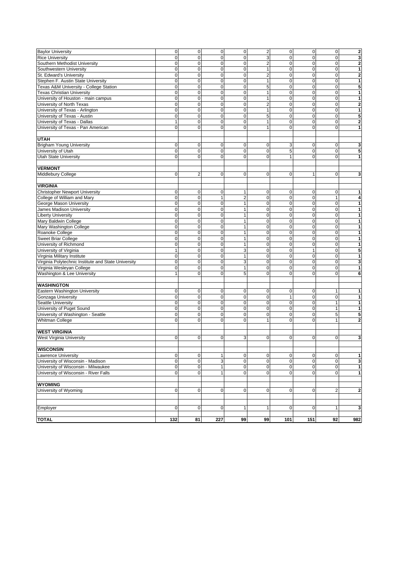| <b>Baylor University</b>                            | $\pmb{0}$      | $\mathbf 0$    | $\mathbf 0$  | $\pmb{0}$      | $\overline{\mathbf{c}}$ | $\pmb{0}$    | $\mathbf 0$    | $\mathbf 0$  | $\overline{\mathbf{c}}$ |
|-----------------------------------------------------|----------------|----------------|--------------|----------------|-------------------------|--------------|----------------|--------------|-------------------------|
| <b>Rice University</b>                              | $\mathbf 0$    | $\mathbf 0$    | $\mathbf{0}$ | $\mathbf 0$    | 3                       | $\mathbf 0$  | $\mathbf 0$    | $\pmb{0}$    | 3                       |
| Southern Methodist University                       | $\mathbf 0$    | $\mathbf 0$    | 0            | 0              | $\overline{\mathbf{c}}$ | 0            | $\mathbf 0$    | $\pmb{0}$    | $\overline{\mathbf{2}}$ |
| Southwestern University                             | $\overline{0}$ | 0              | 0            | 0              | 1                       | 0            | $\mathbf 0$    | $\mathbf 0$  |                         |
|                                                     |                |                |              |                |                         |              |                |              | 1                       |
| St. Edward's University                             | $\mathbf 0$    | $\mathbf 0$    | 0            | $\mathbf 0$    | $\overline{c}$          | 0            | $\mathbf 0$    | $\mathbf 0$  | $\mathbf 2$             |
| Stephen F. Austin State University                  | 0              | $\mathbf 0$    | 0            | $\mathbf 0$    | 1                       | 0            | $\mathbf 0$    | $\mathbf 0$  | $\mathbf{1}$            |
| Texas A&M University - College Station              | $\mathbf 0$    | $\mathbf 0$    | 0            | $\mathbf 0$    | 5                       | 0            | $\pmb{0}$      | $\pmb{0}$    | 5                       |
|                                                     | 0              | $\overline{0}$ | $\mathbf 0$  | $\mathbf 0$    | $\mathbf{1}$            | 0            | $\pmb{0}$      | $\pmb{0}$    | 1                       |
| <b>Texas Christian University</b>                   |                |                |              |                |                         |              |                |              |                         |
| University of Houston - main campus                 | $\mathbf 0$    | $\mathbf 0$    | $\mathbf{0}$ | $\mathbf 0$    | $\mathbf{1}$            | 0            | $\mathbf 0$    | $\pmb{0}$    | 1                       |
| University of North Texas                           | 0              | $\mathsf 0$    | $\mathbf 0$  | 0              | $\overline{\mathbf{c}}$ | $\mathsf 0$  | 0              | $\pmb{0}$    | $\mathbf 2$             |
| University of Texas - Arlington                     | $\mathbf 0$    | $\mathsf 0$    | 0            | $\mathbf 0$    | $\mathbf{1}$            | 0            | $\mathbf 0$    | $\pmb{0}$    | $\mathbf{1}$            |
|                                                     |                |                |              |                |                         |              |                |              |                         |
| University of Texas - Austin                        | $\mathbf 0$    | 0              | 0            | 0              | 5                       | 0            | $\mathbf 0$    | $\pmb{0}$    | 5                       |
| University of Texas - Dallas                        | 1              | 0              | 0            | 0              | $\mathbf{1}$            | 0            | $\mathbf 0$    | 0            | $\mathbf{2}$            |
| University of Texas - Pan American                  | $\mathbf 0$    | $\mathbf 0$    | 0            | 0              | $\mathbf{1}$            | 0            | $\mathbf 0$    | $\mathbf 0$  | 1                       |
|                                                     |                |                |              |                |                         |              |                |              |                         |
|                                                     |                |                |              |                |                         |              |                |              |                         |
| <b>UTAH</b>                                         |                |                |              |                |                         |              |                |              |                         |
| <b>Brigham Young University</b>                     | 0              | $\mathbf{0}$   | $\mathbf 0$  | 0              | 0                       | 3            | 0              | 0            | 3                       |
| University of Utah                                  | $\mathbf 0$    | $\mathsf 0$    | 0            | $\mathbf 0$    | $\mathbf 0$             | 5            | $\pmb{0}$      | $\mathbf 0$  | 5                       |
| <b>Utah State University</b>                        | $\mathbf 0$    | $\mathbf 0$    | 0            | 0              | $\mathbf 0$             | $\mathbf{1}$ | $\mathbf 0$    | $\mathbf 0$  | $\mathbf{1}$            |
|                                                     |                |                |              |                |                         |              |                |              |                         |
|                                                     |                |                |              |                |                         |              |                |              |                         |
| <b>VERMONT</b>                                      |                |                |              |                |                         |              |                |              |                         |
| Middlebury College                                  | $\mathbf 0$    | $\overline{2}$ | 0            | $\mathbf 0$    | $\mathbf 0$             | 0            | 1              | $\mathbf 0$  | 3                       |
|                                                     |                |                |              |                |                         |              |                |              |                         |
|                                                     |                |                |              |                |                         |              |                |              |                         |
| <b>VIRGINIA</b>                                     |                |                |              |                |                         |              |                |              |                         |
| <b>Christopher Newport University</b>               | $\mathbf 0$    | $\mathsf 0$    | $\mathbf 0$  | $\mathbf{1}$   | 0                       | 0            | 0              | $\pmb{0}$    | 1                       |
| College of William and Mary                         | $\mathbf 0$    | $\mathsf 0$    | $\mathbf{1}$ | $\overline{2}$ | $\pmb{0}$               | $\mathbf 0$  | $\mathbf 0$    | $\mathbf{1}$ | 4                       |
|                                                     |                |                |              |                |                         |              |                |              |                         |
| George Mason University                             | 0              | $\mathsf 0$    | 0            | 1              | $\mathbf 0$             | 0            | $\mathbf 0$    | $\pmb{0}$    | 1                       |
| James Madison University                            | $\mathbf 0$    | $\mathsf 0$    | 0            | 1              | $\pmb{0}$               | $\pmb{0}$    | $\pmb{0}$      | $\pmb{0}$    | $\mathbf{1}$            |
| <b>Liberty University</b>                           | $\mathbf 0$    | 0              | $\mathbf 0$  | $\mathbf{1}$   | $\mathbf 0$             | 0            | $\mathbf 0$    | $\mathbf 0$  | $\mathbf{1}$            |
| Mary Baldwin College                                | $\mathbf 0$    | $\mathbf 0$    | 0            | $\mathbf{1}$   | $\mathbf 0$             | 0            | $\mathbf 0$    | $\mathbf 0$  | 1                       |
|                                                     |                |                |              |                |                         |              |                |              |                         |
| Mary Washington College                             | 0              | $\mathsf 0$    | 0            | 1              | $\mathbf 0$             | 0            | $\mathbf 0$    | 0            | 1                       |
| Roanoke College                                     | $\mathbf 0$    | $\mathbf 0$    | 0            | $\mathbf{1}$   | $\mathbf 0$             | 0            | $\mathbf 0$    | $\pmb{0}$    | 1                       |
| <b>Sweet Briar College</b>                          | 0              | $\overline{0}$ | $\mathbf 0$  | $\mathbf{1}$   | $\mathbf 0$             | 0            | $\pmb{0}$      | $\pmb{0}$    | $\mathbf{1}$            |
| University of Richmond                              |                | 0              | $\mathbf{0}$ | $\mathbf{1}$   |                         | 0            | $\mathbf 0$    | 0            |                         |
|                                                     | 0              |                |              |                | $\pmb{0}$               |              |                |              | 1                       |
| University of Virginia                              | $\mathbf{1}$   | $\mathbf 0$    | $\mathbf 0$  | 3              | $\pmb{0}$               | $\mathsf 0$  | $\mathbf{1}$   | $\pmb{0}$    | 5                       |
| Virginia Military Institute                         | $\pmb{0}$      | 0              | 0            | $\mathbf{1}$   | $\mathbf 0$             | $\pmb{0}$    | $\pmb{0}$      | $\pmb{0}$    | $\mathbf{1}$            |
| Virginia Polytechnic Institute and State University | $\mathbf 0$    | 0              | $\mathbf 0$  | 3              | $\mathbf 0$             | 0            | $\mathbf 0$    | $\pmb{0}$    | 3                       |
|                                                     |                |                |              |                |                         |              |                |              |                         |
| Virginia Wesleyan College                           | $\mathbf 0$    | $\mathbf 0$    | 0            | $\mathbf{1}$   | $\mathbf 0$             | 0            | $\mathbf 0$    | 0            | 1                       |
| Washington & Lee University                         | $\mathbf{1}$   | $\mathbf 0$    | 0            | 5              | $\mathbf 0$             | 0            | $\mathbf 0$    | $\mathbf 0$  | 6                       |
|                                                     |                |                |              |                |                         |              |                |              |                         |
| <b>WASHINGTON</b>                                   |                |                |              |                |                         |              |                |              |                         |
|                                                     |                |                |              |                |                         |              |                |              |                         |
| Eastern Washington University                       | $\mathbf 0$    | $\mathsf 0$    | $\pmb{0}$    | 0              | 0                       | 0            | 0              | 1            | 1                       |
| Gonzaga University                                  | $\mathbf 0$    | $\mathbf 0$    | $\mathbf 0$  | $\mathbf 0$    | $\mathbf 0$             | $\mathbf{1}$ | $\mathbf 0$    | $\pmb{0}$    | 1                       |
| <b>Seattle University</b>                           | $\mathbf 0$    | $\mathbf 0$    | $\mathbf 0$  | $\pmb{0}$      | $\mathbf 0$             | $\pmb{0}$    | 0              | $\mathbf{1}$ | $\mathbf{1}$            |
|                                                     | $\overline{0}$ | $\mathsf 0$    | 0            | 0              | $\mathbf 0$             | 0            | $\mathbf 0$    | $\mathbf{1}$ | 1                       |
| University of Puget Sound                           |                |                |              |                |                         |              |                |              |                         |
| University of Washington - Seattle                  | $\mathbf 0$    | 0              | 0            | $\mathbf 0$    | $\mathbf 0$             | 0            | $\pmb{0}$      | 5            | 5                       |
| <b>Whitman College</b>                              | $\mathbf 0$    | $\mathbf 0$    | 0            | 0              | $\mathbf{1}$            | 0            | $\mathbf 0$    | $\mathbf{1}$ | $\mathbf{2}$            |
|                                                     |                |                |              |                |                         |              |                |              |                         |
|                                                     |                |                |              |                |                         |              |                |              |                         |
| <b>WEST VIRGINIA</b>                                |                |                |              |                |                         |              |                |              |                         |
| <b>West Virginia University</b>                     | $\mathbf 0$    | $\mathbf{0}$   | $\mathbf 0$  | 3              | 0                       | 0            | 0              | $\mathbf 0$  | 3                       |
|                                                     |                |                |              |                |                         |              |                |              |                         |
| <b>WISCONSIN</b>                                    |                |                |              |                |                         |              |                |              |                         |
|                                                     |                |                |              |                |                         |              |                |              |                         |
| Lawrence University                                 | $\pmb{0}$      | $\mathbf 0$    | $\mathbf{1}$ | $\pmb{0}$      | $\mathbf 0$             | $\mathsf 0$  | $\mathbf 0$    | $\mathbf 0$  | $\mathbf{1}$            |
| University of Wisconsin - Madison                   | $\mathbf 0$    | $\mathbf 0$    | 3            | 0              | $\mathbf 0$             | 0            | $\mathbf 0$    | $\mathbf 0$  | $\mathbf{3}$            |
| University of Wisconsin - Milwaukee                 | 0              | $\mathsf 0$    | 1            | 0              | $\pmb{0}$               | 0            | 0              | $\mathbf 0$  | $\mathbf{1}$            |
| University of Wisconsin - River Falls               | 0              | $\mathbf 0$    | $\mathbf{1}$ | $\mathbf 0$    | $\mathbf 0$             | 0            | $\mathbf 0$    | $\mathbf{O}$ | $\mathbf{1}$            |
|                                                     |                |                |              |                |                         |              |                |              |                         |
|                                                     |                |                |              |                |                         |              |                |              |                         |
| <b>WYOMING</b>                                      |                |                |              |                |                         |              |                |              |                         |
| University of Wyoming                               | $\pmb{0}$      | $\mathbf 0$    | $\mathbf 0$  | $\mathbf 0$    | $\mathbf 0$             | $\mathbf 0$  | $\overline{0}$ | 2            | $\mathbf 2$             |
|                                                     |                |                |              |                |                         |              |                |              |                         |
|                                                     |                |                |              |                |                         |              |                |              |                         |
|                                                     |                |                |              |                |                         |              |                |              |                         |
| Employer                                            | 0              | $\overline{0}$ | $\mathbf{0}$ | 1              | 1                       | 0            | $\mathbf 0$    |              | $\mathbf{3}$            |
|                                                     |                |                |              |                |                         |              |                |              |                         |
|                                                     |                |                |              |                |                         |              |                |              |                         |
| <b>TOTAL</b>                                        | 132            | 81             | 227          | 99             | 99                      | 101          | 151            | 92           | 982                     |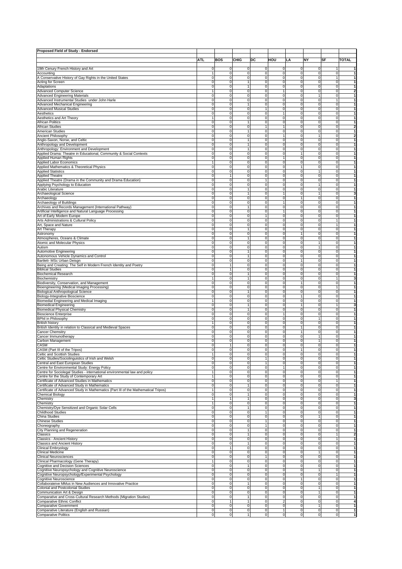| Proposed Field of Study - Endorsed                                                                                          |                     |                             |                                  |                             |                |                               |                             |                              |                |
|-----------------------------------------------------------------------------------------------------------------------------|---------------------|-----------------------------|----------------------------------|-----------------------------|----------------|-------------------------------|-----------------------------|------------------------------|----------------|
|                                                                                                                             | ATL                 | <b>BOS</b>                  | CHIG                             | DC                          | HOU            | LA                            | NΥ                          | SF                           | <b>TOTAL</b>   |
|                                                                                                                             |                     |                             |                                  |                             |                |                               |                             |                              |                |
| 19th Cenury French History and Art                                                                                          | 0                   | 0                           | $\Omega$                         | 0                           | 0              | 0                             | 0                           | 1                            |                |
| Accounting                                                                                                                  |                     | 0                           | 0                                | 0                           | 0              | 0                             | $\mathbf 0$                 | $\mathbf{0}$                 |                |
| A Conservative History of Gay Rights in the United States<br>Acting for Screen                                              | 0<br>0              | $\mathbf 0$<br>0            | 0<br>1                           | $\mathbf 0$<br>0            | 0<br>0         | $\mathbf 0$<br>0              | $\Omega$<br>$\Omega$        | 1<br>$\overline{0}$          | 1<br>1         |
| Adaptations                                                                                                                 | $\Omega$            | 0                           | $\mathbf{1}$                     | $\mathbf 0$                 | 0              | $\mathbf 0$                   | $\mathbf 0$                 | $\mathbf 0$                  | 1              |
| <b>Advanced Computer Science</b>                                                                                            |                     | 0                           | 0                                | $\mathbf 0$                 | $\overline{1}$ | O                             | $\mathbf 0$                 | $\mathbf 0$                  | $\overline{2}$ |
| <b>Advanced Engineering Materials</b>                                                                                       | 0                   | 0                           | 0                                | $\mathbf 0$                 | 0              | 0                             | 1<br>$\Omega$               | $\mathbf 0$                  |                |
| Advanced Instrumental Studies under John Harle<br><b>Advanced Mechanical Engineering</b>                                    | 0<br>0              | 0<br>0                      | 0<br>1                           | $\mathbf 0$<br>0            | 0<br>0         | $\mathbf 0$<br>0              | $\Omega$                    | $\overline{0}$               |                |
| <b>Advanced Musical Studies</b>                                                                                             | $\Omega$            | $\pmb{0}$                   | 0                                | $\mathbf{1}$                | 0              | $\mathbf 0$                   | $\mathbf 0$                 | $\mathbf 0$                  |                |
| Aesthetics                                                                                                                  | 0                   | $\pmb{0}$                   | 0                                | $\mathbf 0$                 | 1              | $\mathbf 0$                   | $\Omega$                    | $\mathbf 0$                  |                |
| Aesthetics and Art Theory<br><b>African Politics</b>                                                                        | 0                   | 0<br>0                      | 0<br>$\mathbf{1}$                | 0<br>$\mathbf 0$            | 0<br>0         | 0<br>$\mathbf 0$              | $\Omega$<br>$\Omega$        | $\mathbf 0$<br>$\mathbf{0}$  | 1              |
| <b>African Studies</b>                                                                                                      | 0                   | 0                           | 0                                | 1                           | 1              | $\Omega$                      | $\Omega$                    | $\Omega$                     | $\mathbf{2}$   |
| <b>American Studies</b>                                                                                                     | 0                   | 0                           | $\mathbf{1}$                     | 0                           | 0              | $\mathbf 0$                   | 0                           | $\mathbf{0}$                 | 1              |
| Ancient Philosophy                                                                                                          | 0                   | $\pmb{0}$                   | 0                                | $\mathbf 0$                 | $\overline{1}$ | $\mathbf 0$                   | ł                           | $\mathbf 0$                  | $\overline{2}$ |
| Anglo-Saxon, Norse, and Celtic                                                                                              | $\Omega$            | 0                           | 1                                | 0                           | 0<br>0         | $\mathbf 0$<br>$\mathbf 0$    | $\Omega$<br>$\Omega$        | $\mathbf 0$<br>$\mathbf{0}$  | 1              |
| Anthropology and Development<br>Anthropology: Environment and Development                                                   | 0<br>0              | $\pmb{0}$<br>0              | $\mathbf{1}$<br>1                | $\mathbf 0$<br>0            | 0              | 0                             | $\Omega$                    | $\overline{0}$               | 1              |
| Applied Drama: Theatre in Educational, Community & Social Contexts                                                          | $\Omega$            | $\pmb{0}$                   | 0                                | 0                           | 0              | $\overline{1}$                | $\mathbf 0$                 | $\mathbf{0}$                 |                |
| Applied Human Rights                                                                                                        | 0                   | $\pmb{0}$                   | 0                                | $\mathbf 0$                 | 1              | $\mathbf 0$                   | $\Omega$                    | $\mathbf 0$                  |                |
| Applied Labor Economics<br>Applied Mathematics & Theoretical Physics                                                        | 0                   | 0<br>$\pmb{0}$              | 0<br>0                           | 0<br>0                      | 0<br>0         | 0<br>1                        | $\Omega$<br>$\Omega$        | $\mathbf{0}$<br>$\mathbf{0}$ | 1              |
| <b>Applied Statistics</b>                                                                                                   | 0                   | 0                           | 0                                | 0                           | 0              | 0                             | 1                           | $\overline{0}$               | 1              |
| <b>Applied Theatre</b>                                                                                                      | 0                   | 1                           | 0                                | $\mathbf 0$                 | 0              | $\mathbf 0$                   | 0                           | $\mathbf{0}$                 |                |
| Applied Theatre (Drama in the Community and Drama Education)                                                                | 0                   | $\pmb{0}$                   | 0                                | $\mathbf{1}$                | 0              | 0                             | $\mathbf 0$                 | $\mathbf 0$                  |                |
| Applying Psychology to Education                                                                                            | 0<br>0              | 0<br>$\pmb{0}$              | 0                                | 0                           | 0<br>0         | C<br>$\mathbf 0$              | 0                           | $\Omega$<br>$\mathbf{0}$     |                |
| Arabic Literature<br>Archaeological Science                                                                                 | 0                   | $\mathbf 0$                 | 1<br>1                           | $\mathbf 0$<br>$\mathbf 0$  | 1              | $\mathbf 0$                   | -1                          | $\mathbf{0}$                 |                |
| Archaeology                                                                                                                 | $\Omega$            | 0                           | 0                                | 0                           | 0              | $\overline{1}$                | $\mathbf 0$                 | $\mathbf 0$                  |                |
| Archaeology of Buildings                                                                                                    | 0                   | 0                           | 0                                | 0                           | 1              | 0                             | $\mathbf 0$                 | $\mathbf 0$                  |                |
| Archives and Records Management (International Pathway)                                                                     | 0                   | 0                           | 1                                | 0                           | 0              | 0                             | $\Omega$                    | $\Omega$                     |                |
| Artificial Intelligence and Natural Language Processing<br>Art of Early Modern Europe                                       | 0<br>0              | 0<br>$\mathbf 0$            | 0<br>$\mathbf 0$                 | $\mathbf 0$<br>$\mathbf{1}$ | 1<br>0         | $\mathbf 0$<br>$\mathbf 0$    | $\Omega$<br>$\Omega$        | $\mathbf{0}$<br>$\mathbf{0}$ |                |
| Arts Administrations & Cultural Policy                                                                                      | 0                   | 0                           | 0                                | 0                           | 0              | $\mathbf 0$                   | $\mathbf 0$                 | $\mathbf{1}$                 |                |
| Art, Space and Nature                                                                                                       | 0                   | $\pmb{0}$                   | 0                                | $\mathbf 0$                 | 0              | 0                             | $\Omega$                    | $\mathbf{1}$                 |                |
| Art Therapy                                                                                                                 | 0                   | 0                           | 1                                | 0                           | 0              | 0                             | $\Omega$                    | $\Omega$                     |                |
| Astronomy<br>Atmospheres, Oceans & Climate                                                                                  | 0<br>0              | $\pmb{0}$<br>$\mathbf 0$    | 0<br>1                           | $\mathbf 0$<br>$\mathbf 0$  | 0<br>0         | $\overline{1}$<br>$\mathbf 0$ | $\Omega$<br>$\mathbf 0$     | $\mathbf{0}$<br>$\mathbf{0}$ |                |
| Atomic and Molecular Physics                                                                                                | $\Omega$            | 0                           | 0                                | 0                           | 0              | $\mathbf 0$                   | 1                           | $\mathbf 0$                  |                |
| Autism                                                                                                                      | 0                   | $\pmb{0}$                   | 0                                | $\mathbf 0$                 | 0              | $\mathbf 0$                   | 1                           | $\mathbf 0$                  |                |
| Automotive Engineering                                                                                                      | 0                   | 0                           | 1                                | 0                           | 0              | C                             | $\Omega$                    | $\mathbf 0$                  |                |
| Autonomous Vehicle Dynamics and Control                                                                                     | 0<br>0              | $\pmb{0}$<br>$\mathbf 0$    | 1<br>$\mathbf 0$                 | 0<br>$\mathbf 0$            | 0<br>0         | $\mathbf 0$<br>$\overline{1}$ | $\Omega$<br>0               | $\mathbf{0}$<br>$\mathbf{0}$ | 1<br>1         |
| Bartlett- MSc Urban Deisgn<br>Being and Creating: The Self in Modern French Identity and Poetry                             | 0                   | $\mathbf{1}$                | $\mathbf 0$                      | $\mathbf 0$                 | 0              | $\mathbf 0$                   | 0                           | $\mathbf{0}$                 |                |
| <b>Biblical Studies</b>                                                                                                     | 0                   | $\mathbf{1}$                | 0                                | $\mathbf 0$                 | 0              | $\mathbf 0$                   | $\mathbf 0$                 | $\mathbf{0}$                 | 1              |
| <b>Biochemical Research</b>                                                                                                 | 0                   | 0                           | 1                                | 0                           | 0              | O                             | $\Omega$                    | $\mathbf 0$                  |                |
| Biochemistry<br>Biodiversity, Conservation, and Management                                                                  | 0                   | $\pmb{0}$<br>$\mathbf 0$    | 1<br>0                           | $\mathbf 0$<br>$\mathbf 0$  | 0<br>0         | $\mathbf 0$<br>1              | $\Omega$<br>$\mathbf 0$     | 1<br>$\mathbf{0}$            | 3              |
| Bioengineering (Medical Imaging Processing)                                                                                 | 0                   | 0                           | 0                                | 0                           | 0              | $\mathbf 0$                   | $\mathbf 0$                 | $\mathbf{1}$                 |                |
| <b>Biological Anthropological Science</b>                                                                                   | 0                   | $\pmb{0}$                   | 1                                | $\mathbf 0$                 | 0              | 0                             | $\Omega$                    | $\mathbf 0$                  |                |
| Biology-Integrative Bioscience                                                                                              | 0                   | 0                           | 0                                | 0                           | 0              | 1                             | $\Omega$                    | $\mathbf 0$                  |                |
| Biomedial Engineering and Medical Imaging<br><b>Biomedical Engineering</b>                                                  | 0                   | $\pmb{0}$<br>$\mathbf 0$    | 0<br>1                           | $\mathbf 0$<br>$\mathbf 0$  | 0<br>0         | $\mathbf 0$<br>1              | $\Omega$<br>0               | $\mathbf{0}$<br>1            | 1              |
| <b>Biomedical Physical Chemistry</b>                                                                                        | $\Omega$            | 0                           | $\mathbf{1}$                     | $\mathbf 0$                 | 0              | $\mathbf 0$                   | $\mathbf 0$                 | $\mathbf 0$                  |                |
| <b>Bioscience Enterprise</b>                                                                                                | 0                   | 0                           | 0                                | $\mathbf 0$                 | 1              | 0                             | $\mathbf 0$                 | $\mathbf 0$                  |                |
| <b>BPhil in Philosophy</b>                                                                                                  | 0                   | 0                           | $\Omega$                         | 0                           | 0              | C                             |                             | $\Omega$                     |                |
| <b>British history</b><br>British Identity in relation to Classical and Medieval Spaces                                     | 0                   | 0<br>$\mathbf 0$            | 0<br>$\mathbf 0$                 | $\mathbf 0$<br>$\mathbf 0$  | 0<br>0         | $\mathbf 0$<br>1              | $\Omega$<br>$\mathbf 0$     | $\mathbf{0}$<br>$\mathbf{0}$ |                |
| <b>Cancer Chemsitry</b>                                                                                                     | $\Omega$            | 0                           | 0                                | 0                           | 0              | $\overline{1}$                | $\mathbf 0$                 | $\mathbf 0$                  |                |
| Cancer Immunotherapy                                                                                                        | 0                   | 0                           | 0                                | $\mathbf 0$                 | 0              | 0                             | 1                           | $\mathbf 0$                  |                |
| Carbon Management                                                                                                           | 0                   | 0                           | 0                                | 0                           | 0              | 0                             | 1                           | $\Omega$                     |                |
| CASM<br>CASM (Part III of the Tripos)                                                                                       | 0<br>0              | $\mathbf{1}$<br>$\mathbf 0$ | 0<br>$\Omega$                    | $\mathbf 0$<br>$\mathbf 0$  | 0<br>0         | $\mathbf 0$<br>1              | $\Omega$<br>$\Omega$        | $\mathbf{0}$<br>$\mathbf{0}$ | 1              |
| Celtic and Scottish Studies                                                                                                 |                     | 0                           | $\mathbf 0$                      | $\mathbf 0$                 | 0              | $\mathbf 0$                   | 0                           | $\mathbf 0$                  |                |
| Celtic Studies/Sociolinguistics of Irish and Welsh                                                                          | 0                   | $\mathbf 0$                 | $\mathbf 0$                      | $\mathbf{1}$                | 0              | $\mathbf 0$                   | $\mathbf 0$                 | $\mathbf{0}$                 |                |
| Central and East European Studies                                                                                           | $\Omega$            | $\mathbf 0$                 | 0                                | 1                           | 0              | $\mathbf 0$                   | $\mathbf 0$                 | $\mathbf{0}$                 | 1              |
| Centre for Environmental Study: Energy Policy<br>Centre for Sociolegal Studies - international environmental law and policy | 0                   | $\mathbf 0$<br>$\mathbf 0$  | $\overline{0}$<br>$\overline{0}$ | $\mathbf 0$<br>$\mathbf 0$  | 1<br>0         | $\mathbf 0$<br>0              | $\mathbf 0$<br>$\mathbf 0$  | $\mathbf{0}$<br>$\mathbf 0$  | 1<br>1         |
| Centre for the Study of Contemporary Art                                                                                    |                     | $\circ$                     | ō                                | ō                           | 0              | $\overline{0}$                | $\mathbf 0$                 | $\overline{0}$               | 1              |
| Certificate of Advanced Studies in Mathematics                                                                              | 0                   | $\mathbf 0$                 | $\mathbf 0$                      | $\mathbf 0$                 | 0              | $\mathbf 0$                   | 0                           | 1                            | 1              |
| Certificate of Advanced Study in Mathematics                                                                                | 0                   | $\mathbf 0$                 | 1                                | $\mathbf 0$                 | 0              | 0                             | $\mathbf 0$<br>$\Omega$     | $\mathbf{0}$                 | 1              |
| Certificate of Advanced Study in Mathematics (Part III of the Mathematical Tripos)<br><b>Chemical Biology</b>               | 1<br>$\Omega$       | $\mathbf 0$<br>$\mathbf 0$  | $\overline{0}$<br>$\mathbf{1}$   | $\mathbf 0$<br>$\mathbf 0$  | 0<br>0         | 0<br>0                        | $\mathbf 0$                 | $\mathbf{0}$<br>$\mathbf{0}$ | 1<br>1         |
| Chemistry                                                                                                                   |                     | $\overline{1}$              | $\mathbf{1}$                     | $\mathbf 0$                 | 0              | $\mathbf 0$                   | $\mathbf 0$                 | $\mathbf{0}$                 | 3              |
| Chemistry                                                                                                                   |                     | $\mathbf 0$                 | $\mathbf 0$                      | $\mathbf 0$                 | 0              | 0                             | $\mathbf 0$                 | $\mathbf{0}$                 | 1              |
| Chemistry/Dye Sensitized and Organic Solar Cells                                                                            | 0                   | 0                           | 1                                | $\mathbf 0$                 | 0              | 0                             | $\mathbf 0$                 | $\mathbf{0}$                 | 1              |
| Childhood Studies<br>China Studies                                                                                          | 0<br>0              | $\mathbf 0$<br>$\mathbf 0$  | $\overline{0}$<br>$\overline{0}$ | 1<br>$\mathbf 0$            | 0<br>0         | 0<br>0                        | $\mathbf 0$<br>$\mathbf{1}$ | $\mathbf{0}$<br>$\mathbf{0}$ | 1<br>1         |
| <b>Chinese Studies</b>                                                                                                      | 0                   | $\mathbf 0$                 | 0                                | $\mathbf{1}$                | 0              | 0                             | $\mathbf 0$                 | $\mathbf{0}$                 |                |
| Choreography                                                                                                                | 0                   | $\mathbf 0$                 | $\mathbf 0$                      | $\mathbf{1}$                | 0              | 0                             | $\mathbf 0$                 | $\mathbf 0$                  | 1              |
| City Planning and Regeneration                                                                                              | 0                   | 0                           | 1                                | $\mathbf 0$                 | 0              | 0                             | $\mathbf 0$                 | $\mathbf{0}$                 | 1              |
| Classics<br>Classics - Ancient History                                                                                      | 0<br>0              | $\mathbf 0$<br>$\mathbf 0$  | 1<br>$\overline{0}$              | $\mathbf 0$<br>$\mathbf 0$  | 0<br>0         | $\mathbf 0$<br>$\mathbf 0$    | $\Omega$<br>$\mathbf 0$     | 1<br>$\mathbf{1}$            | 2<br>1         |
| Classics and Ancient History                                                                                                | 0                   | $\mathbf 0$                 | $\mathbf{1}$                     | $\mathbf 0$                 | 0              | $\mathbf 0$                   | $\mathbf 0$                 | $\mathbf{0}$                 | 1              |
| Clinical Embryology                                                                                                         | 0                   | $\mathbf{1}$                | $\mathbf 0$                      | $\mathbf 0$                 | 0              | $\mathbf 0$                   | $\mathbf 0$                 | $\mathbf{0}$                 | 1              |
| Clinical Medicine                                                                                                           | $\Omega$            | 0                           | 0                                | $\mathbf 0$                 | 0<br>0         | $\mathbf 0$                   | $\Omega$                    | $\mathbf 0$<br>$\mathbf{0}$  | 1              |
| <b>Clinical Neurosciences</b><br>Clinical Pharmacology (Gene Therapy)                                                       | 0<br>1              | $\mathbf 0$<br>$\mathbf 0$  | $\overline{0}$<br>$\overline{0}$ | 1<br>$\mathbf 0$            | 0              | $\mathbf 0$<br>0              | $\mathbf 0$                 | $\mathbf{0}$                 | 1<br>1         |
| Cognitive and Decision Sciences                                                                                             | 0                   | $\circ$                     | $\mathbf{1}$                     | ō                           | 0              | $\mathbf 0$                   | $\mathbf 0$                 | $\mathbf{0}$                 | 1              |
| Cognitive Neuropsychology and Cognitive Neuroscience                                                                        | 0                   | $\mathbf 0$                 | $\mathbf 0$                      | $\mathbf 0$                 | 0              | $\mathbf 0$                   | 1                           | $\mathbf{0}$                 | 1              |
| Cognitive Neuropsychology/Experimental Psychology                                                                           | 0                   | $\mathbf 0$                 | 0                                | $\mathbf 0$                 | 0              | $\mathbf 0$                   | 0                           | 1                            | 1              |
| Cognitive Neuroscience<br>Collaborateive MMus in New Audiences and Innovative Practice                                      | 0<br>0              | $\mathbf 0$<br>$\mathbf 0$  | $\overline{0}$<br>$\mathbf{1}$   | $\mathbf 0$<br>$\mathbf 0$  | 0<br>0         | 1<br>$\mathbf 0$              | $\Omega$<br>$\mathbf 0$     | $\mathbf{0}$<br>$\mathbf{0}$ | 1<br>1         |
| Colonial and Postcolonial Studies                                                                                           | 0                   | $\circ$                     | $\mathbf 0$                      | ō                           | 0              | $\overline{0}$                | 1                           | $\mathbf{0}$                 | 1              |
| Communication Art & Design                                                                                                  | 0                   | $\mathbf 0$                 | $\mathbf 0$                      | $\mathbf 0$                 | 0              | $\mathbf 0$                   | 1                           | $\mathbf{0}$                 | 1              |
| Comparative and Cross-Cultural Research Methods (Migration Studies)                                                         | 0                   | $\mathbf 0$                 | 1                                | $\mathbf 0$                 | 0              | 0                             | $\mathbf 0$                 | $\mathbf{0}$                 | 1              |
| Comparative Ethnic Conflict<br><b>Comparative Government</b>                                                                | 0<br>0              | 1<br>$\mathbf 0$            | 1<br>$\overline{0}$              | $\mathbf 0$<br>$\mathbf 0$  | 2<br>0         | $\mathbf 0$<br>0              | $\mathbf 0$<br>$\mathbf{1}$ | $\mathbf{0}$<br>$\mathbf 0$  | 4<br>1         |
| Comparative Literature (English and Russian)                                                                                | 0                   | $\circ$                     | ō                                | ō                           | 1              | 0                             | 0                           | $\overline{0}$               | 1              |
| <b>Comparative Politics</b>                                                                                                 | $\mathsf{O}\xspace$ | $\mathbf 0$                 | 1                                | $\mathbf 0$                 | 0              | $\mathbf 0$                   | $\mathbf 0$                 | $\overline{0}$               | 1              |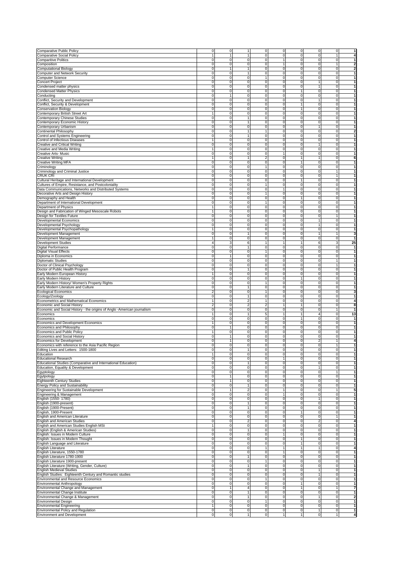| Comparative Public Policy                                                                                                                                                                                                                                                                                                                                                                                                                                                                                                                                                                                                                                                                                                                                                                                                                                                                                                                                                                                                                                                                                                                                                                                                                                                                                                                                                                                                                                                                                                                                                                                                                                                                                                                                                                                                                                                                               | 0              | $\mathbf 0$                   | 1<br>0                                    | 0              | $\overline{0}$ | 0              | ō              | 1                                                                                                                                                                                                                                                                                                                                                                                                                                                                                        |
|---------------------------------------------------------------------------------------------------------------------------------------------------------------------------------------------------------------------------------------------------------------------------------------------------------------------------------------------------------------------------------------------------------------------------------------------------------------------------------------------------------------------------------------------------------------------------------------------------------------------------------------------------------------------------------------------------------------------------------------------------------------------------------------------------------------------------------------------------------------------------------------------------------------------------------------------------------------------------------------------------------------------------------------------------------------------------------------------------------------------------------------------------------------------------------------------------------------------------------------------------------------------------------------------------------------------------------------------------------------------------------------------------------------------------------------------------------------------------------------------------------------------------------------------------------------------------------------------------------------------------------------------------------------------------------------------------------------------------------------------------------------------------------------------------------------------------------------------------------------------------------------------------------|----------------|-------------------------------|-------------------------------------------|----------------|----------------|----------------|----------------|------------------------------------------------------------------------------------------------------------------------------------------------------------------------------------------------------------------------------------------------------------------------------------------------------------------------------------------------------------------------------------------------------------------------------------------------------------------------------------------|
| Comparative Social Policy                                                                                                                                                                                                                                                                                                                                                                                                                                                                                                                                                                                                                                                                                                                                                                                                                                                                                                                                                                                                                                                                                                                                                                                                                                                                                                                                                                                                                                                                                                                                                                                                                                                                                                                                                                                                                                                                               | 1              | $\mathbf{1}$                  | 1<br>0                                    | 0              | $\mathbf 0$    | 0              | $\mathbf{1}$   | 4                                                                                                                                                                                                                                                                                                                                                                                                                                                                                        |
| <b>Comparitive Politics</b>                                                                                                                                                                                                                                                                                                                                                                                                                                                                                                                                                                                                                                                                                                                                                                                                                                                                                                                                                                                                                                                                                                                                                                                                                                                                                                                                                                                                                                                                                                                                                                                                                                                                                                                                                                                                                                                                             | 0              | 0                             | $\overline{0}$<br>0                       | 1              | $\mathbf 0$    | 0              | $\mathbf 0$    | 1                                                                                                                                                                                                                                                                                                                                                                                                                                                                                        |
| Composition                                                                                                                                                                                                                                                                                                                                                                                                                                                                                                                                                                                                                                                                                                                                                                                                                                                                                                                                                                                                                                                                                                                                                                                                                                                                                                                                                                                                                                                                                                                                                                                                                                                                                                                                                                                                                                                                                             | $\Omega$       | $\mathbf 0$                   | $\mathbf 0$<br>$\pmb{0}$                  | 1              | $\mathbf 0$    | 0              | $\mathbf{1}$   | $\overline{\mathbf{2}}$                                                                                                                                                                                                                                                                                                                                                                                                                                                                  |
| Computational Biology                                                                                                                                                                                                                                                                                                                                                                                                                                                                                                                                                                                                                                                                                                                                                                                                                                                                                                                                                                                                                                                                                                                                                                                                                                                                                                                                                                                                                                                                                                                                                                                                                                                                                                                                                                                                                                                                                   | 0              | $\mathbf{1}$                  | 0<br>1                                    | 0              | $\mathbf 0$    | 0              | $\mathbf 0$    | $\overline{\mathbf{2}}$                                                                                                                                                                                                                                                                                                                                                                                                                                                                  |
| Computer and Network Security                                                                                                                                                                                                                                                                                                                                                                                                                                                                                                                                                                                                                                                                                                                                                                                                                                                                                                                                                                                                                                                                                                                                                                                                                                                                                                                                                                                                                                                                                                                                                                                                                                                                                                                                                                                                                                                                           | 0              | 0                             | $\mathbf{1}$<br>0                         | 0              | $\mathbf{0}$   | 0              | $\mathbf 0$    | 1                                                                                                                                                                                                                                                                                                                                                                                                                                                                                        |
| Computer Science                                                                                                                                                                                                                                                                                                                                                                                                                                                                                                                                                                                                                                                                                                                                                                                                                                                                                                                                                                                                                                                                                                                                                                                                                                                                                                                                                                                                                                                                                                                                                                                                                                                                                                                                                                                                                                                                                        | 0              | 0                             | 0<br>1                                    | 0              | $\mathbf 0$    | 0              | $\mathbf 0$    | $\mathbf{1}$                                                                                                                                                                                                                                                                                                                                                                                                                                                                             |
| <b>Concert Project</b>                                                                                                                                                                                                                                                                                                                                                                                                                                                                                                                                                                                                                                                                                                                                                                                                                                                                                                                                                                                                                                                                                                                                                                                                                                                                                                                                                                                                                                                                                                                                                                                                                                                                                                                                                                                                                                                                                  | 0              | 0                             | $\mathbf 0$<br>0                          | 0              | $\mathbf 0$    | 1              | $\overline{0}$ | $\mathbf{1}$                                                                                                                                                                                                                                                                                                                                                                                                                                                                             |
|                                                                                                                                                                                                                                                                                                                                                                                                                                                                                                                                                                                                                                                                                                                                                                                                                                                                                                                                                                                                                                                                                                                                                                                                                                                                                                                                                                                                                                                                                                                                                                                                                                                                                                                                                                                                                                                                                                         |                |                               |                                           |                |                |                |                |                                                                                                                                                                                                                                                                                                                                                                                                                                                                                          |
| Condensed matter physics                                                                                                                                                                                                                                                                                                                                                                                                                                                                                                                                                                                                                                                                                                                                                                                                                                                                                                                                                                                                                                                                                                                                                                                                                                                                                                                                                                                                                                                                                                                                                                                                                                                                                                                                                                                                                                                                                | $\Omega$       | $\mathsf 0$                   | $\mathbf 0$<br>0                          | $\mathbf 0$    | $\mathbf{0}$   | 1              | $\mathbf 0$    | $\mathbf{1}$                                                                                                                                                                                                                                                                                                                                                                                                                                                                             |
| <b>Condensed Matter Physics</b>                                                                                                                                                                                                                                                                                                                                                                                                                                                                                                                                                                                                                                                                                                                                                                                                                                                                                                                                                                                                                                                                                                                                                                                                                                                                                                                                                                                                                                                                                                                                                                                                                                                                                                                                                                                                                                                                         | 0              | $\mathbf 0$                   | 0<br>$\mathbf 0$                          | $\mathbf 0$    | $\mathbf{1}$   | 0              | $\mathbf 0$    | $\mathbf{1}$                                                                                                                                                                                                                                                                                                                                                                                                                                                                             |
| Conducting                                                                                                                                                                                                                                                                                                                                                                                                                                                                                                                                                                                                                                                                                                                                                                                                                                                                                                                                                                                                                                                                                                                                                                                                                                                                                                                                                                                                                                                                                                                                                                                                                                                                                                                                                                                                                                                                                              | $\Omega$       | 1                             | $\mathbf 0$<br>0                          | 0              | $\mathbf 0$    | 0              | $\mathbf 0$    | 1                                                                                                                                                                                                                                                                                                                                                                                                                                                                                        |
| Conflict, Security and Development                                                                                                                                                                                                                                                                                                                                                                                                                                                                                                                                                                                                                                                                                                                                                                                                                                                                                                                                                                                                                                                                                                                                                                                                                                                                                                                                                                                                                                                                                                                                                                                                                                                                                                                                                                                                                                                                      | 0              | 0                             | 0<br>0                                    | 0              | $\mathbf 0$    | 1              | $\mathbf 0$    | $\mathbf{1}$                                                                                                                                                                                                                                                                                                                                                                                                                                                                             |
| Conflict, Security & Development                                                                                                                                                                                                                                                                                                                                                                                                                                                                                                                                                                                                                                                                                                                                                                                                                                                                                                                                                                                                                                                                                                                                                                                                                                                                                                                                                                                                                                                                                                                                                                                                                                                                                                                                                                                                                                                                        | 0              | 0                             | 0<br>0                                    | 0              | 1              | 0              | $\mathbf 0$    | $\mathbf{1}$                                                                                                                                                                                                                                                                                                                                                                                                                                                                             |
| <b>Conservation Biology</b>                                                                                                                                                                                                                                                                                                                                                                                                                                                                                                                                                                                                                                                                                                                                                                                                                                                                                                                                                                                                                                                                                                                                                                                                                                                                                                                                                                                                                                                                                                                                                                                                                                                                                                                                                                                                                                                                             | $\Omega$       | $\mathbf 0$                   | $\mathbf 0$<br>0                          | $\mathbf 0$    | $\mathbf{1}$   | 0              | $\mathbf 0$    | $\mathbf{1}$                                                                                                                                                                                                                                                                                                                                                                                                                                                                             |
|                                                                                                                                                                                                                                                                                                                                                                                                                                                                                                                                                                                                                                                                                                                                                                                                                                                                                                                                                                                                                                                                                                                                                                                                                                                                                                                                                                                                                                                                                                                                                                                                                                                                                                                                                                                                                                                                                                         |                | 0                             | 0<br>0                                    | 0              | $\mathbf 0$    | 0              | $\mathbf 0$    | 1                                                                                                                                                                                                                                                                                                                                                                                                                                                                                        |
| Contemporary British Street Art                                                                                                                                                                                                                                                                                                                                                                                                                                                                                                                                                                                                                                                                                                                                                                                                                                                                                                                                                                                                                                                                                                                                                                                                                                                                                                                                                                                                                                                                                                                                                                                                                                                                                                                                                                                                                                                                         |                |                               |                                           |                |                |                |                |                                                                                                                                                                                                                                                                                                                                                                                                                                                                                          |
| Contemporary Chinese Studies                                                                                                                                                                                                                                                                                                                                                                                                                                                                                                                                                                                                                                                                                                                                                                                                                                                                                                                                                                                                                                                                                                                                                                                                                                                                                                                                                                                                                                                                                                                                                                                                                                                                                                                                                                                                                                                                            | 0              | $\mathbf 0$                   | 0<br>1                                    | 0              | $\mathbf 0$    | 0              | $\mathbf 0$    | 1                                                                                                                                                                                                                                                                                                                                                                                                                                                                                        |
| Contemporary Economic History                                                                                                                                                                                                                                                                                                                                                                                                                                                                                                                                                                                                                                                                                                                                                                                                                                                                                                                                                                                                                                                                                                                                                                                                                                                                                                                                                                                                                                                                                                                                                                                                                                                                                                                                                                                                                                                                           | 0              | 0                             | 0<br>1                                    | 0              | $\mathbf 0$    | 0              | $\mathbf 0$    | $\mathbf{1}$                                                                                                                                                                                                                                                                                                                                                                                                                                                                             |
| Contemporary Urbanism                                                                                                                                                                                                                                                                                                                                                                                                                                                                                                                                                                                                                                                                                                                                                                                                                                                                                                                                                                                                                                                                                                                                                                                                                                                                                                                                                                                                                                                                                                                                                                                                                                                                                                                                                                                                                                                                                   | 0              | 0                             | $\mathbf 0$<br>0                          | 0              | $\mathbf 0$    | 1              | $\overline{0}$ | 1                                                                                                                                                                                                                                                                                                                                                                                                                                                                                        |
| Continental Philosophy                                                                                                                                                                                                                                                                                                                                                                                                                                                                                                                                                                                                                                                                                                                                                                                                                                                                                                                                                                                                                                                                                                                                                                                                                                                                                                                                                                                                                                                                                                                                                                                                                                                                                                                                                                                                                                                                                  | $\Omega$       | $\mathbf 0$                   | $\mathbf{1}$<br>$\mathbf{1}$              | 0              | $\mathbf 0$    | $\mathbf 0$    | $\mathbf 0$    | $\overline{\mathbf{2}}$                                                                                                                                                                                                                                                                                                                                                                                                                                                                  |
| Control and Systems Engineering                                                                                                                                                                                                                                                                                                                                                                                                                                                                                                                                                                                                                                                                                                                                                                                                                                                                                                                                                                                                                                                                                                                                                                                                                                                                                                                                                                                                                                                                                                                                                                                                                                                                                                                                                                                                                                                                         | 0              | $\mathbf 0$                   | $\mathbf{1}$<br>0                         | $\mathbf 0$    | $\mathbf 0$    | 0              | $\mathbf 0$    | 1                                                                                                                                                                                                                                                                                                                                                                                                                                                                                        |
| Control of Infectious Diseases                                                                                                                                                                                                                                                                                                                                                                                                                                                                                                                                                                                                                                                                                                                                                                                                                                                                                                                                                                                                                                                                                                                                                                                                                                                                                                                                                                                                                                                                                                                                                                                                                                                                                                                                                                                                                                                                          |                | $\mathbf 0$                   | $\mathbf 0$<br>0                          | 0              | $\mathbf 0$    | 0              | $\mathbf 0$    | 1                                                                                                                                                                                                                                                                                                                                                                                                                                                                                        |
| Creative and Critical Writing                                                                                                                                                                                                                                                                                                                                                                                                                                                                                                                                                                                                                                                                                                                                                                                                                                                                                                                                                                                                                                                                                                                                                                                                                                                                                                                                                                                                                                                                                                                                                                                                                                                                                                                                                                                                                                                                           | 0              | 0                             | 0<br>0                                    | 0              | $\mathbf 0$    | 1              | $\mathbf 0$    | $\mathbf{1}$                                                                                                                                                                                                                                                                                                                                                                                                                                                                             |
| Creative and Media Writing                                                                                                                                                                                                                                                                                                                                                                                                                                                                                                                                                                                                                                                                                                                                                                                                                                                                                                                                                                                                                                                                                                                                                                                                                                                                                                                                                                                                                                                                                                                                                                                                                                                                                                                                                                                                                                                                              |                | 0                             | $\mathbf 0$<br>0                          | 0              | $\mathbf 0$    | 0              | $\mathbf 0$    | $\mathbf{1}$                                                                                                                                                                                                                                                                                                                                                                                                                                                                             |
|                                                                                                                                                                                                                                                                                                                                                                                                                                                                                                                                                                                                                                                                                                                                                                                                                                                                                                                                                                                                                                                                                                                                                                                                                                                                                                                                                                                                                                                                                                                                                                                                                                                                                                                                                                                                                                                                                                         | $\Omega$       | $\mathbf 0$                   | $\mathbf 0$                               | 1              | $\mathbf 0$    | 0              | $\mathbf 0$    | $\mathbf{1}$                                                                                                                                                                                                                                                                                                                                                                                                                                                                             |
| Creative Arts-Music                                                                                                                                                                                                                                                                                                                                                                                                                                                                                                                                                                                                                                                                                                                                                                                                                                                                                                                                                                                                                                                                                                                                                                                                                                                                                                                                                                                                                                                                                                                                                                                                                                                                                                                                                                                                                                                                                     |                |                               | 0                                         |                |                |                |                |                                                                                                                                                                                                                                                                                                                                                                                                                                                                                          |
| <b>Creative Writing</b>                                                                                                                                                                                                                                                                                                                                                                                                                                                                                                                                                                                                                                                                                                                                                                                                                                                                                                                                                                                                                                                                                                                                                                                                                                                                                                                                                                                                                                                                                                                                                                                                                                                                                                                                                                                                                                                                                 |                | 0                             | $\overline{\mathbf{c}}$<br>1              | 0              | $\mathbf{1}$   | 1              | $\mathbf 0$    | 6                                                                                                                                                                                                                                                                                                                                                                                                                                                                                        |
| Creative Writing MFA                                                                                                                                                                                                                                                                                                                                                                                                                                                                                                                                                                                                                                                                                                                                                                                                                                                                                                                                                                                                                                                                                                                                                                                                                                                                                                                                                                                                                                                                                                                                                                                                                                                                                                                                                                                                                                                                                    | 0              | $\mathbf 0$                   | 0<br>$\mathbf 0$                          | $\mathbf 0$    | 1              | 0              | $\mathbf 0$    | 1                                                                                                                                                                                                                                                                                                                                                                                                                                                                                        |
| Criminology                                                                                                                                                                                                                                                                                                                                                                                                                                                                                                                                                                                                                                                                                                                                                                                                                                                                                                                                                                                                                                                                                                                                                                                                                                                                                                                                                                                                                                                                                                                                                                                                                                                                                                                                                                                                                                                                                             | 0              | 0                             | 0<br>1                                    | 0              | $\mathbf 0$    | 0              | $\mathbf 0$    | $\mathbf{1}$                                                                                                                                                                                                                                                                                                                                                                                                                                                                             |
| Criminology and Criminal Justice                                                                                                                                                                                                                                                                                                                                                                                                                                                                                                                                                                                                                                                                                                                                                                                                                                                                                                                                                                                                                                                                                                                                                                                                                                                                                                                                                                                                                                                                                                                                                                                                                                                                                                                                                                                                                                                                        | 0              | 0                             | $\mathbf 0$<br>0                          | 0              | $\mathbf 0$    | 0              | $\mathbf{1}$   | $\mathbf{1}$                                                                                                                                                                                                                                                                                                                                                                                                                                                                             |
| CRUK CRI                                                                                                                                                                                                                                                                                                                                                                                                                                                                                                                                                                                                                                                                                                                                                                                                                                                                                                                                                                                                                                                                                                                                                                                                                                                                                                                                                                                                                                                                                                                                                                                                                                                                                                                                                                                                                                                                                                | $\Omega$       | 0                             | $\mathbf 0$<br>0                          | 0              | $\mathbf 0$    | $\mathbf 0$    | $\mathbf{1}$   | $\mathbf{1}$                                                                                                                                                                                                                                                                                                                                                                                                                                                                             |
| Cultural Heritage and International Development                                                                                                                                                                                                                                                                                                                                                                                                                                                                                                                                                                                                                                                                                                                                                                                                                                                                                                                                                                                                                                                                                                                                                                                                                                                                                                                                                                                                                                                                                                                                                                                                                                                                                                                                                                                                                                                         | 0              | 0                             | $\mathbf 0$<br>0                          | 0              | 1              | 0              | $\mathbf 0$    | 1                                                                                                                                                                                                                                                                                                                                                                                                                                                                                        |
| Cultures of Empire, Resistance, and Postcoloniality                                                                                                                                                                                                                                                                                                                                                                                                                                                                                                                                                                                                                                                                                                                                                                                                                                                                                                                                                                                                                                                                                                                                                                                                                                                                                                                                                                                                                                                                                                                                                                                                                                                                                                                                                                                                                                                     | 0              | 0                             | $\mathbf 0$<br>1                          | 0              | $\mathbf 0$    | 0              | $\mathbf 0$    | 1                                                                                                                                                                                                                                                                                                                                                                                                                                                                                        |
|                                                                                                                                                                                                                                                                                                                                                                                                                                                                                                                                                                                                                                                                                                                                                                                                                                                                                                                                                                                                                                                                                                                                                                                                                                                                                                                                                                                                                                                                                                                                                                                                                                                                                                                                                                                                                                                                                                         |                |                               | 0                                         |                |                |                | $\mathbf 0$    |                                                                                                                                                                                                                                                                                                                                                                                                                                                                                          |
| Data Communications, Networks and Distributed Systems                                                                                                                                                                                                                                                                                                                                                                                                                                                                                                                                                                                                                                                                                                                                                                                                                                                                                                                                                                                                                                                                                                                                                                                                                                                                                                                                                                                                                                                                                                                                                                                                                                                                                                                                                                                                                                                   | 0              | 0                             | 0                                         | $\mathbf{1}$   | $\mathbf 0$    | 0              |                | $\mathbf{1}$                                                                                                                                                                                                                                                                                                                                                                                                                                                                             |
| Decorative Arts and Design History                                                                                                                                                                                                                                                                                                                                                                                                                                                                                                                                                                                                                                                                                                                                                                                                                                                                                                                                                                                                                                                                                                                                                                                                                                                                                                                                                                                                                                                                                                                                                                                                                                                                                                                                                                                                                                                                      | $\Omega$       | $\mathsf 0$                   | $\mathbf 0$<br>1                          | 0              | $\mathbf{0}$   | 0              | $\mathbf 0$    | 1                                                                                                                                                                                                                                                                                                                                                                                                                                                                                        |
| Demography and Health                                                                                                                                                                                                                                                                                                                                                                                                                                                                                                                                                                                                                                                                                                                                                                                                                                                                                                                                                                                                                                                                                                                                                                                                                                                                                                                                                                                                                                                                                                                                                                                                                                                                                                                                                                                                                                                                                   | $\Omega$       | $\mathsf 0$                   | $\mathbf 0$<br>0                          | $\pmb{0}$      | $\mathbf{1}$   | 0              | $\mathbf 0$    | $\mathbf{1}$                                                                                                                                                                                                                                                                                                                                                                                                                                                                             |
| Department of International Development                                                                                                                                                                                                                                                                                                                                                                                                                                                                                                                                                                                                                                                                                                                                                                                                                                                                                                                                                                                                                                                                                                                                                                                                                                                                                                                                                                                                                                                                                                                                                                                                                                                                                                                                                                                                                                                                 | $\Omega$       | 0                             | $\mathbf 0$<br>1                          | 0              | $\mathbf{0}$   | 0              | $\mathbf 0$    | 1                                                                                                                                                                                                                                                                                                                                                                                                                                                                                        |
| Department of Physics                                                                                                                                                                                                                                                                                                                                                                                                                                                                                                                                                                                                                                                                                                                                                                                                                                                                                                                                                                                                                                                                                                                                                                                                                                                                                                                                                                                                                                                                                                                                                                                                                                                                                                                                                                                                                                                                                   |                | $\mathbf 0$                   | $\mathbf 0$<br>0                          | $\mathbf 0$    | $\mathbf 0$    | 0              | $\mathbf 0$    | 1                                                                                                                                                                                                                                                                                                                                                                                                                                                                                        |
| Design and Fabrication of Winged Mesoscale Robots                                                                                                                                                                                                                                                                                                                                                                                                                                                                                                                                                                                                                                                                                                                                                                                                                                                                                                                                                                                                                                                                                                                                                                                                                                                                                                                                                                                                                                                                                                                                                                                                                                                                                                                                                                                                                                                       |                | 0                             | 0<br>0                                    | 0              | $\mathbf 0$    | 0              | $\mathbf 0$    | $\mathbf{1}$                                                                                                                                                                                                                                                                                                                                                                                                                                                                             |
| Design for Textiles Future                                                                                                                                                                                                                                                                                                                                                                                                                                                                                                                                                                                                                                                                                                                                                                                                                                                                                                                                                                                                                                                                                                                                                                                                                                                                                                                                                                                                                                                                                                                                                                                                                                                                                                                                                                                                                                                                              | $\Omega$       | 0                             | $\mathbf 0$<br>0                          | 0              | $\mathbf 0$    | 0              | $\mathbf{1}$   | $\mathbf{1}$                                                                                                                                                                                                                                                                                                                                                                                                                                                                             |
|                                                                                                                                                                                                                                                                                                                                                                                                                                                                                                                                                                                                                                                                                                                                                                                                                                                                                                                                                                                                                                                                                                                                                                                                                                                                                                                                                                                                                                                                                                                                                                                                                                                                                                                                                                                                                                                                                                         |                |                               |                                           |                |                |                |                |                                                                                                                                                                                                                                                                                                                                                                                                                                                                                          |
| Developmental Economics                                                                                                                                                                                                                                                                                                                                                                                                                                                                                                                                                                                                                                                                                                                                                                                                                                                                                                                                                                                                                                                                                                                                                                                                                                                                                                                                                                                                                                                                                                                                                                                                                                                                                                                                                                                                                                                                                 | $\Omega$       | 0                             | $\mathbf 0$<br>0                          | 0              | $\mathbf 0$    | 1              | $\mathbf 0$    | $\mathbf{1}$                                                                                                                                                                                                                                                                                                                                                                                                                                                                             |
| Developmental Psychology                                                                                                                                                                                                                                                                                                                                                                                                                                                                                                                                                                                                                                                                                                                                                                                                                                                                                                                                                                                                                                                                                                                                                                                                                                                                                                                                                                                                                                                                                                                                                                                                                                                                                                                                                                                                                                                                                | 0              | 0                             | $\mathbf 0$<br>0                          | 0              | $\mathbf 0$    |                | $\mathbf 0$    | 1                                                                                                                                                                                                                                                                                                                                                                                                                                                                                        |
| Developmental Psychopathology                                                                                                                                                                                                                                                                                                                                                                                                                                                                                                                                                                                                                                                                                                                                                                                                                                                                                                                                                                                                                                                                                                                                                                                                                                                                                                                                                                                                                                                                                                                                                                                                                                                                                                                                                                                                                                                                           |                | $\mathbf 0$                   | $\mathbf 0$<br>0                          | 0              | $\mathbf 0$    | 0              | $\mathbf 0$    | 1                                                                                                                                                                                                                                                                                                                                                                                                                                                                                        |
| Development Management                                                                                                                                                                                                                                                                                                                                                                                                                                                                                                                                                                                                                                                                                                                                                                                                                                                                                                                                                                                                                                                                                                                                                                                                                                                                                                                                                                                                                                                                                                                                                                                                                                                                                                                                                                                                                                                                                  | 0              | $\mathsf 0$                   | 0<br>$\mathbf{1}$                         | 0              | $\mathbf{0}$   | 1              | $\mathbf{1}$   | 3                                                                                                                                                                                                                                                                                                                                                                                                                                                                                        |
| Development Management                                                                                                                                                                                                                                                                                                                                                                                                                                                                                                                                                                                                                                                                                                                                                                                                                                                                                                                                                                                                                                                                                                                                                                                                                                                                                                                                                                                                                                                                                                                                                                                                                                                                                                                                                                                                                                                                                  |                | $\mathbf 0$                   | $\mathbf 0$<br>$\mathbf 0$                | $\pmb{0}$      | $\mathbf 0$    | 0              | $\mathbf 0$    | $\overline{1}$                                                                                                                                                                                                                                                                                                                                                                                                                                                                           |
| Development Studies                                                                                                                                                                                                                                                                                                                                                                                                                                                                                                                                                                                                                                                                                                                                                                                                                                                                                                                                                                                                                                                                                                                                                                                                                                                                                                                                                                                                                                                                                                                                                                                                                                                                                                                                                                                                                                                                                     |                | 3                             | 6<br>$\mathbf{1}$                         | 1              | $\overline{1}$ | 6              | $\mathbf{3}$   | 25                                                                                                                                                                                                                                                                                                                                                                                                                                                                                       |
|                                                                                                                                                                                                                                                                                                                                                                                                                                                                                                                                                                                                                                                                                                                                                                                                                                                                                                                                                                                                                                                                                                                                                                                                                                                                                                                                                                                                                                                                                                                                                                                                                                                                                                                                                                                                                                                                                                         |                |                               | 1                                         |                |                |                |                |                                                                                                                                                                                                                                                                                                                                                                                                                                                                                          |
| Digital Performance                                                                                                                                                                                                                                                                                                                                                                                                                                                                                                                                                                                                                                                                                                                                                                                                                                                                                                                                                                                                                                                                                                                                                                                                                                                                                                                                                                                                                                                                                                                                                                                                                                                                                                                                                                                                                                                                                     | 0              | 0                             | 0                                         | 0              | $\mathbf 0$    | 0              | $\mathbf 0$    | 1                                                                                                                                                                                                                                                                                                                                                                                                                                                                                        |
| Digital Visual Effects                                                                                                                                                                                                                                                                                                                                                                                                                                                                                                                                                                                                                                                                                                                                                                                                                                                                                                                                                                                                                                                                                                                                                                                                                                                                                                                                                                                                                                                                                                                                                                                                                                                                                                                                                                                                                                                                                  | 0              | $\mathbf 0$                   | 0<br>1                                    | $\mathbf 0$    | $\mathbf 0$    | 0              | $\mathbf 0$    | 1                                                                                                                                                                                                                                                                                                                                                                                                                                                                                        |
| Diploma in Economics                                                                                                                                                                                                                                                                                                                                                                                                                                                                                                                                                                                                                                                                                                                                                                                                                                                                                                                                                                                                                                                                                                                                                                                                                                                                                                                                                                                                                                                                                                                                                                                                                                                                                                                                                                                                                                                                                    | 0              | 1                             | 0<br>0                                    | 0              | $\mathbf 0$    | 0              | $\mathbf 0$    | $\mathbf{1}$                                                                                                                                                                                                                                                                                                                                                                                                                                                                             |
| Diplomatic Studies                                                                                                                                                                                                                                                                                                                                                                                                                                                                                                                                                                                                                                                                                                                                                                                                                                                                                                                                                                                                                                                                                                                                                                                                                                                                                                                                                                                                                                                                                                                                                                                                                                                                                                                                                                                                                                                                                      | $\Omega$       | 0                             | $\mathbf 0$<br>0                          | 0              | $\mathbf{0}$   | 0              | $\mathbf{1}$   | $\mathbf{1}$                                                                                                                                                                                                                                                                                                                                                                                                                                                                             |
| Doctor of Clinical Psychology                                                                                                                                                                                                                                                                                                                                                                                                                                                                                                                                                                                                                                                                                                                                                                                                                                                                                                                                                                                                                                                                                                                                                                                                                                                                                                                                                                                                                                                                                                                                                                                                                                                                                                                                                                                                                                                                           | $\Omega$       | $\mathbf 0$                   | $\mathbf 0$<br>0                          | 0              | $\mathbf 0$    | $\mathbf 0$    | $\mathbf{1}$   | $\mathbf{1}$                                                                                                                                                                                                                                                                                                                                                                                                                                                                             |
| Doctor of Public Health Program                                                                                                                                                                                                                                                                                                                                                                                                                                                                                                                                                                                                                                                                                                                                                                                                                                                                                                                                                                                                                                                                                                                                                                                                                                                                                                                                                                                                                                                                                                                                                                                                                                                                                                                                                                                                                                                                         | $\Omega$       | 0                             | 1<br>0                                    | 0              | $\mathbf 0$    | 0              | $\mathbf 0$    | $\mathbf{1}$                                                                                                                                                                                                                                                                                                                                                                                                                                                                             |
| Early Modern European History                                                                                                                                                                                                                                                                                                                                                                                                                                                                                                                                                                                                                                                                                                                                                                                                                                                                                                                                                                                                                                                                                                                                                                                                                                                                                                                                                                                                                                                                                                                                                                                                                                                                                                                                                                                                                                                                           |                | $\mathbf 0$                   | $\mathbf 0$<br>0                          | 0              | $\mathbf 0$    | 0              | $\mathbf 0$    | 1                                                                                                                                                                                                                                                                                                                                                                                                                                                                                        |
|                                                                                                                                                                                                                                                                                                                                                                                                                                                                                                                                                                                                                                                                                                                                                                                                                                                                                                                                                                                                                                                                                                                                                                                                                                                                                                                                                                                                                                                                                                                                                                                                                                                                                                                                                                                                                                                                                                         | 0              | $\mathbf 0$                   | 0                                         |                |                | 0              |                |                                                                                                                                                                                                                                                                                                                                                                                                                                                                                          |
|                                                                                                                                                                                                                                                                                                                                                                                                                                                                                                                                                                                                                                                                                                                                                                                                                                                                                                                                                                                                                                                                                                                                                                                                                                                                                                                                                                                                                                                                                                                                                                                                                                                                                                                                                                                                                                                                                                         |                |                               |                                           |                | $\mathbf{1}$   |                | $\mathbf 0$    | $\mathbf{1}$                                                                                                                                                                                                                                                                                                                                                                                                                                                                             |
|                                                                                                                                                                                                                                                                                                                                                                                                                                                                                                                                                                                                                                                                                                                                                                                                                                                                                                                                                                                                                                                                                                                                                                                                                                                                                                                                                                                                                                                                                                                                                                                                                                                                                                                                                                                                                                                                                                         |                |                               | 0                                         | 0              |                |                |                |                                                                                                                                                                                                                                                                                                                                                                                                                                                                                          |
|                                                                                                                                                                                                                                                                                                                                                                                                                                                                                                                                                                                                                                                                                                                                                                                                                                                                                                                                                                                                                                                                                                                                                                                                                                                                                                                                                                                                                                                                                                                                                                                                                                                                                                                                                                                                                                                                                                         | $\Omega$       | $\mathbf 0$                   | $\mathbf 0$<br>$\mathbf{1}$               | 0              | $\mathbf 0$    | 0              | $\mathbf 0$    |                                                                                                                                                                                                                                                                                                                                                                                                                                                                                          |
|                                                                                                                                                                                                                                                                                                                                                                                                                                                                                                                                                                                                                                                                                                                                                                                                                                                                                                                                                                                                                                                                                                                                                                                                                                                                                                                                                                                                                                                                                                                                                                                                                                                                                                                                                                                                                                                                                                         | $\Omega$       | $\mathbf 0$                   | $\pmb{0}$<br>$\mathbf{1}$                 | 0              | $\mathbf 0$    | 0              | $\mathbf 0$    |                                                                                                                                                                                                                                                                                                                                                                                                                                                                                          |
|                                                                                                                                                                                                                                                                                                                                                                                                                                                                                                                                                                                                                                                                                                                                                                                                                                                                                                                                                                                                                                                                                                                                                                                                                                                                                                                                                                                                                                                                                                                                                                                                                                                                                                                                                                                                                                                                                                         |                | 0                             | 0<br>1                                    | 0              | $\mathbf 0$    | 0              | $\mathbf 0$    |                                                                                                                                                                                                                                                                                                                                                                                                                                                                                          |
|                                                                                                                                                                                                                                                                                                                                                                                                                                                                                                                                                                                                                                                                                                                                                                                                                                                                                                                                                                                                                                                                                                                                                                                                                                                                                                                                                                                                                                                                                                                                                                                                                                                                                                                                                                                                                                                                                                         | 0              | $\mathbf 0$                   | 0<br>1                                    | 0              | $\mathbf 0$    | 0              | $\mathbf 0$    |                                                                                                                                                                                                                                                                                                                                                                                                                                                                                          |
|                                                                                                                                                                                                                                                                                                                                                                                                                                                                                                                                                                                                                                                                                                                                                                                                                                                                                                                                                                                                                                                                                                                                                                                                                                                                                                                                                                                                                                                                                                                                                                                                                                                                                                                                                                                                                                                                                                         |                |                               |                                           |                |                |                |                |                                                                                                                                                                                                                                                                                                                                                                                                                                                                                          |
|                                                                                                                                                                                                                                                                                                                                                                                                                                                                                                                                                                                                                                                                                                                                                                                                                                                                                                                                                                                                                                                                                                                                                                                                                                                                                                                                                                                                                                                                                                                                                                                                                                                                                                                                                                                                                                                                                                         |                | 0                             | $\overline{2}$<br>1                       | 0              | $\mathbf 0$    | 0              | $\mathbf 0$    |                                                                                                                                                                                                                                                                                                                                                                                                                                                                                          |
|                                                                                                                                                                                                                                                                                                                                                                                                                                                                                                                                                                                                                                                                                                                                                                                                                                                                                                                                                                                                                                                                                                                                                                                                                                                                                                                                                                                                                                                                                                                                                                                                                                                                                                                                                                                                                                                                                                         |                | 0                             | $\overline{a}$<br>$\overline{\mathbf{c}}$ | $\overline{1}$ | 1              | 0              | $\overline{0}$ |                                                                                                                                                                                                                                                                                                                                                                                                                                                                                          |
|                                                                                                                                                                                                                                                                                                                                                                                                                                                                                                                                                                                                                                                                                                                                                                                                                                                                                                                                                                                                                                                                                                                                                                                                                                                                                                                                                                                                                                                                                                                                                                                                                                                                                                                                                                                                                                                                                                         | $\Omega$       | $\mathbf 0$                   | $\mathbf 0$<br>0                          | 0              | $\mathbf 0$    | $\mathbf 0$    | $\mathbf{1}$   |                                                                                                                                                                                                                                                                                                                                                                                                                                                                                          |
|                                                                                                                                                                                                                                                                                                                                                                                                                                                                                                                                                                                                                                                                                                                                                                                                                                                                                                                                                                                                                                                                                                                                                                                                                                                                                                                                                                                                                                                                                                                                                                                                                                                                                                                                                                                                                                                                                                         |                | 0                             | 1<br>5                                    |                | 1              | 4              | $\mathbf 0$    |                                                                                                                                                                                                                                                                                                                                                                                                                                                                                          |
|                                                                                                                                                                                                                                                                                                                                                                                                                                                                                                                                                                                                                                                                                                                                                                                                                                                                                                                                                                                                                                                                                                                                                                                                                                                                                                                                                                                                                                                                                                                                                                                                                                                                                                                                                                                                                                                                                                         | 0              | $\mathbf 0$                   | $\mathbf 0$<br>0                          | $\mathbf 0$    |                | 0              | $\mathbf 0$    |                                                                                                                                                                                                                                                                                                                                                                                                                                                                                          |
|                                                                                                                                                                                                                                                                                                                                                                                                                                                                                                                                                                                                                                                                                                                                                                                                                                                                                                                                                                                                                                                                                                                                                                                                                                                                                                                                                                                                                                                                                                                                                                                                                                                                                                                                                                                                                                                                                                         |                | 0                             | 0<br>0                                    | 0              | $\mathbf 0$    | 0              | $\mathbf 0$    |                                                                                                                                                                                                                                                                                                                                                                                                                                                                                          |
|                                                                                                                                                                                                                                                                                                                                                                                                                                                                                                                                                                                                                                                                                                                                                                                                                                                                                                                                                                                                                                                                                                                                                                                                                                                                                                                                                                                                                                                                                                                                                                                                                                                                                                                                                                                                                                                                                                         | 0              | $\mathbf{1}$                  | $\mathbf 0$<br>0                          | 0              | $\mathbf 0$    | 0              | $\mathbf 0$    |                                                                                                                                                                                                                                                                                                                                                                                                                                                                                          |
|                                                                                                                                                                                                                                                                                                                                                                                                                                                                                                                                                                                                                                                                                                                                                                                                                                                                                                                                                                                                                                                                                                                                                                                                                                                                                                                                                                                                                                                                                                                                                                                                                                                                                                                                                                                                                                                                                                         |                |                               | $\mathbf 0$                               |                | $\mathbf 0$    |                |                |                                                                                                                                                                                                                                                                                                                                                                                                                                                                                          |
|                                                                                                                                                                                                                                                                                                                                                                                                                                                                                                                                                                                                                                                                                                                                                                                                                                                                                                                                                                                                                                                                                                                                                                                                                                                                                                                                                                                                                                                                                                                                                                                                                                                                                                                                                                                                                                                                                                         |                | 0                             | 0                                         | 0              |                | 0              | $\mathbf 0$    |                                                                                                                                                                                                                                                                                                                                                                                                                                                                                          |
|                                                                                                                                                                                                                                                                                                                                                                                                                                                                                                                                                                                                                                                                                                                                                                                                                                                                                                                                                                                                                                                                                                                                                                                                                                                                                                                                                                                                                                                                                                                                                                                                                                                                                                                                                                                                                                                                                                         | 0              | $\mathbf{1}$                  | $\mathbf 0$<br>0                          | 0              | $\mathbf 0$    | 0              | $\mathbf 0$    |                                                                                                                                                                                                                                                                                                                                                                                                                                                                                          |
|                                                                                                                                                                                                                                                                                                                                                                                                                                                                                                                                                                                                                                                                                                                                                                                                                                                                                                                                                                                                                                                                                                                                                                                                                                                                                                                                                                                                                                                                                                                                                                                                                                                                                                                                                                                                                                                                                                         | 0              | 1                             | $\mathbf 0$<br>0                          | 0              | $\mathbf{0}$   | $\overline{2}$ | 1              |                                                                                                                                                                                                                                                                                                                                                                                                                                                                                          |
|                                                                                                                                                                                                                                                                                                                                                                                                                                                                                                                                                                                                                                                                                                                                                                                                                                                                                                                                                                                                                                                                                                                                                                                                                                                                                                                                                                                                                                                                                                                                                                                                                                                                                                                                                                                                                                                                                                         | 0              | $\mathbf 0$                   | 0<br>0                                    | 0              | $\mathbf 0$    | 0              | $\mathbf{1}$   |                                                                                                                                                                                                                                                                                                                                                                                                                                                                                          |
|                                                                                                                                                                                                                                                                                                                                                                                                                                                                                                                                                                                                                                                                                                                                                                                                                                                                                                                                                                                                                                                                                                                                                                                                                                                                                                                                                                                                                                                                                                                                                                                                                                                                                                                                                                                                                                                                                                         | $\Omega$       | $\Omega$                      | 1<br>$\Omega$                             | $\Omega$       | $\Omega$       | $\Omega$       | $\Omega$       | 1                                                                                                                                                                                                                                                                                                                                                                                                                                                                                        |
|                                                                                                                                                                                                                                                                                                                                                                                                                                                                                                                                                                                                                                                                                                                                                                                                                                                                                                                                                                                                                                                                                                                                                                                                                                                                                                                                                                                                                                                                                                                                                                                                                                                                                                                                                                                                                                                                                                         |                | $\overline{0}$                | ō<br>0                                    | $\overline{0}$ | ō              | 0              | ō              |                                                                                                                                                                                                                                                                                                                                                                                                                                                                                          |
|                                                                                                                                                                                                                                                                                                                                                                                                                                                                                                                                                                                                                                                                                                                                                                                                                                                                                                                                                                                                                                                                                                                                                                                                                                                                                                                                                                                                                                                                                                                                                                                                                                                                                                                                                                                                                                                                                                         | 0              | 0                             | 0<br>$\overline{0}$                       | 1              | $\mathbf 0$    | 0              | $\mathbf 0$    |                                                                                                                                                                                                                                                                                                                                                                                                                                                                                          |
|                                                                                                                                                                                                                                                                                                                                                                                                                                                                                                                                                                                                                                                                                                                                                                                                                                                                                                                                                                                                                                                                                                                                                                                                                                                                                                                                                                                                                                                                                                                                                                                                                                                                                                                                                                                                                                                                                                         | 0              | $\mathbf 0$                   | 0<br>1                                    | $\mathbf 0$    | $\mathbf{0}$   | 0              | $\mathbf 0$    |                                                                                                                                                                                                                                                                                                                                                                                                                                                                                          |
|                                                                                                                                                                                                                                                                                                                                                                                                                                                                                                                                                                                                                                                                                                                                                                                                                                                                                                                                                                                                                                                                                                                                                                                                                                                                                                                                                                                                                                                                                                                                                                                                                                                                                                                                                                                                                                                                                                         | 0              | $\mathbf 0$                   | $\overline{0}$<br>0                       | 0              | $\mathbf{0}$   | 1              | $\mathbf 0$    | 1                                                                                                                                                                                                                                                                                                                                                                                                                                                                                        |
|                                                                                                                                                                                                                                                                                                                                                                                                                                                                                                                                                                                                                                                                                                                                                                                                                                                                                                                                                                                                                                                                                                                                                                                                                                                                                                                                                                                                                                                                                                                                                                                                                                                                                                                                                                                                                                                                                                         | 0              |                               | 0                                         |                | $\mathbf{0}$   | 0              | $\mathbf{1}$   | $\mathbf{1}$                                                                                                                                                                                                                                                                                                                                                                                                                                                                             |
|                                                                                                                                                                                                                                                                                                                                                                                                                                                                                                                                                                                                                                                                                                                                                                                                                                                                                                                                                                                                                                                                                                                                                                                                                                                                                                                                                                                                                                                                                                                                                                                                                                                                                                                                                                                                                                                                                                         | 0              | $\mathbf 0$<br>1              | 0<br>o                                    | $\pmb{0}$      | $\overline{0}$ |                |                |                                                                                                                                                                                                                                                                                                                                                                                                                                                                                          |
|                                                                                                                                                                                                                                                                                                                                                                                                                                                                                                                                                                                                                                                                                                                                                                                                                                                                                                                                                                                                                                                                                                                                                                                                                                                                                                                                                                                                                                                                                                                                                                                                                                                                                                                                                                                                                                                                                                         |                |                               | 0                                         | 0              |                | 0              | o              |                                                                                                                                                                                                                                                                                                                                                                                                                                                                                          |
|                                                                                                                                                                                                                                                                                                                                                                                                                                                                                                                                                                                                                                                                                                                                                                                                                                                                                                                                                                                                                                                                                                                                                                                                                                                                                                                                                                                                                                                                                                                                                                                                                                                                                                                                                                                                                                                                                                         | $\overline{0}$ | 1                             | 0<br>0                                    | 0              | $\mathbf 0$    | 0              | $\mathbf 0$    |                                                                                                                                                                                                                                                                                                                                                                                                                                                                                          |
|                                                                                                                                                                                                                                                                                                                                                                                                                                                                                                                                                                                                                                                                                                                                                                                                                                                                                                                                                                                                                                                                                                                                                                                                                                                                                                                                                                                                                                                                                                                                                                                                                                                                                                                                                                                                                                                                                                         | 0              | $\mathsf 0$                   | 0<br>1                                    | $\pmb{0}$      | $\mathbf{0}$   | 0              | $\mathbf 0$    |                                                                                                                                                                                                                                                                                                                                                                                                                                                                                          |
|                                                                                                                                                                                                                                                                                                                                                                                                                                                                                                                                                                                                                                                                                                                                                                                                                                                                                                                                                                                                                                                                                                                                                                                                                                                                                                                                                                                                                                                                                                                                                                                                                                                                                                                                                                                                                                                                                                         | 0              | $\mathbf{1}$                  | $\overline{2}$<br>0                       | 1              | $\mathbf 0$    | 0              | $\mathbf{1}$   |                                                                                                                                                                                                                                                                                                                                                                                                                                                                                          |
|                                                                                                                                                                                                                                                                                                                                                                                                                                                                                                                                                                                                                                                                                                                                                                                                                                                                                                                                                                                                                                                                                                                                                                                                                                                                                                                                                                                                                                                                                                                                                                                                                                                                                                                                                                                                                                                                                                         | 0              | $\mathsf 0$                   | $\mathbf 0$<br>0                          | $\mathbf{1}$   | $\mathbf 0$    | 0              | $\mathbf 0$    | $\mathbf{1}$                                                                                                                                                                                                                                                                                                                                                                                                                                                                             |
|                                                                                                                                                                                                                                                                                                                                                                                                                                                                                                                                                                                                                                                                                                                                                                                                                                                                                                                                                                                                                                                                                                                                                                                                                                                                                                                                                                                                                                                                                                                                                                                                                                                                                                                                                                                                                                                                                                         | $\overline{0}$ | $\overline{0}$                | o<br>0                                    | 0              | ō              | 1              | ō              |                                                                                                                                                                                                                                                                                                                                                                                                                                                                                          |
|                                                                                                                                                                                                                                                                                                                                                                                                                                                                                                                                                                                                                                                                                                                                                                                                                                                                                                                                                                                                                                                                                                                                                                                                                                                                                                                                                                                                                                                                                                                                                                                                                                                                                                                                                                                                                                                                                                         | 0              | 0                             | $\mathbf{1}$<br>0                         | 0              | $\mathbf 0$    | 0              | $\mathbf 0$    |                                                                                                                                                                                                                                                                                                                                                                                                                                                                                          |
|                                                                                                                                                                                                                                                                                                                                                                                                                                                                                                                                                                                                                                                                                                                                                                                                                                                                                                                                                                                                                                                                                                                                                                                                                                                                                                                                                                                                                                                                                                                                                                                                                                                                                                                                                                                                                                                                                                         |                |                               |                                           |                |                |                |                |                                                                                                                                                                                                                                                                                                                                                                                                                                                                                          |
|                                                                                                                                                                                                                                                                                                                                                                                                                                                                                                                                                                                                                                                                                                                                                                                                                                                                                                                                                                                                                                                                                                                                                                                                                                                                                                                                                                                                                                                                                                                                                                                                                                                                                                                                                                                                                                                                                                         | 0              | $\mathsf 0$                   | 0<br>1                                    | $\pmb{0}$      | $\mathbf{0}$   | 0              | $\mathbf 0$    |                                                                                                                                                                                                                                                                                                                                                                                                                                                                                          |
|                                                                                                                                                                                                                                                                                                                                                                                                                                                                                                                                                                                                                                                                                                                                                                                                                                                                                                                                                                                                                                                                                                                                                                                                                                                                                                                                                                                                                                                                                                                                                                                                                                                                                                                                                                                                                                                                                                         | 0              | $\mathbf 0$                   | $\overline{0}$<br>0                       | 0              | $\mathbf{1}$   | 0              | $\mathbf 0$    |                                                                                                                                                                                                                                                                                                                                                                                                                                                                                          |
|                                                                                                                                                                                                                                                                                                                                                                                                                                                                                                                                                                                                                                                                                                                                                                                                                                                                                                                                                                                                                                                                                                                                                                                                                                                                                                                                                                                                                                                                                                                                                                                                                                                                                                                                                                                                                                                                                                         | 0              | $\mathsf 0$                   | $\mathbf 0$<br>0                          | $\pmb{0}$      | $\mathbf{0}$   | 0              | $\mathbf{1}$   |                                                                                                                                                                                                                                                                                                                                                                                                                                                                                          |
|                                                                                                                                                                                                                                                                                                                                                                                                                                                                                                                                                                                                                                                                                                                                                                                                                                                                                                                                                                                                                                                                                                                                                                                                                                                                                                                                                                                                                                                                                                                                                                                                                                                                                                                                                                                                                                                                                                         | $\overline{0}$ | $\overline{0}$                | $\overline{2}$<br>0                       | $\overline{0}$ | $\overline{0}$ | 2              | o              | 1                                                                                                                                                                                                                                                                                                                                                                                                                                                                                        |
|                                                                                                                                                                                                                                                                                                                                                                                                                                                                                                                                                                                                                                                                                                                                                                                                                                                                                                                                                                                                                                                                                                                                                                                                                                                                                                                                                                                                                                                                                                                                                                                                                                                                                                                                                                                                                                                                                                         |                | 0                             | 0<br>0                                    | 0              | $\mathbf 0$    | 0              | $\mathbf 0$    |                                                                                                                                                                                                                                                                                                                                                                                                                                                                                          |
|                                                                                                                                                                                                                                                                                                                                                                                                                                                                                                                                                                                                                                                                                                                                                                                                                                                                                                                                                                                                                                                                                                                                                                                                                                                                                                                                                                                                                                                                                                                                                                                                                                                                                                                                                                                                                                                                                                         | 0              | $\mathsf 0$                   | 0<br>$\mathbf{1}$                         | $\mathbf 0$    | $\mathbf{0}$   | 0              | $\mathbf 0$    |                                                                                                                                                                                                                                                                                                                                                                                                                                                                                          |
|                                                                                                                                                                                                                                                                                                                                                                                                                                                                                                                                                                                                                                                                                                                                                                                                                                                                                                                                                                                                                                                                                                                                                                                                                                                                                                                                                                                                                                                                                                                                                                                                                                                                                                                                                                                                                                                                                                         | 0              | $\mathbf 0$                   | $\overline{0}$<br>0                       | $\mathbf{1}$   | $\mathbf 0$    | 0              | $\mathbf 0$    |                                                                                                                                                                                                                                                                                                                                                                                                                                                                                          |
|                                                                                                                                                                                                                                                                                                                                                                                                                                                                                                                                                                                                                                                                                                                                                                                                                                                                                                                                                                                                                                                                                                                                                                                                                                                                                                                                                                                                                                                                                                                                                                                                                                                                                                                                                                                                                                                                                                         | 0              |                               |                                           |                | 1              |                |                |                                                                                                                                                                                                                                                                                                                                                                                                                                                                                          |
|                                                                                                                                                                                                                                                                                                                                                                                                                                                                                                                                                                                                                                                                                                                                                                                                                                                                                                                                                                                                                                                                                                                                                                                                                                                                                                                                                                                                                                                                                                                                                                                                                                                                                                                                                                                                                                                                                                         |                | $\mathsf 0$                   | 0<br>0                                    | 0              |                | 0              | $\mathbf 0$    |                                                                                                                                                                                                                                                                                                                                                                                                                                                                                          |
|                                                                                                                                                                                                                                                                                                                                                                                                                                                                                                                                                                                                                                                                                                                                                                                                                                                                                                                                                                                                                                                                                                                                                                                                                                                                                                                                                                                                                                                                                                                                                                                                                                                                                                                                                                                                                                                                                                         | 0              | 0                             | 0<br>0                                    | 0              | 1              | $\overline{0}$ | ō              |                                                                                                                                                                                                                                                                                                                                                                                                                                                                                          |
|                                                                                                                                                                                                                                                                                                                                                                                                                                                                                                                                                                                                                                                                                                                                                                                                                                                                                                                                                                                                                                                                                                                                                                                                                                                                                                                                                                                                                                                                                                                                                                                                                                                                                                                                                                                                                                                                                                         | 0              | 0                             | $\overline{0}$<br>1                       | 1              | $\mathbf{1}$   | 1              | $\mathbf 0$    |                                                                                                                                                                                                                                                                                                                                                                                                                                                                                          |
|                                                                                                                                                                                                                                                                                                                                                                                                                                                                                                                                                                                                                                                                                                                                                                                                                                                                                                                                                                                                                                                                                                                                                                                                                                                                                                                                                                                                                                                                                                                                                                                                                                                                                                                                                                                                                                                                                                         | 0              | $\mathsf 0$                   | $\mathbf 0$<br>0                          | 1              | $\mathbf{0}$   | 0              | $\mathbf 0$    |                                                                                                                                                                                                                                                                                                                                                                                                                                                                                          |
|                                                                                                                                                                                                                                                                                                                                                                                                                                                                                                                                                                                                                                                                                                                                                                                                                                                                                                                                                                                                                                                                                                                                                                                                                                                                                                                                                                                                                                                                                                                                                                                                                                                                                                                                                                                                                                                                                                         | 0              | $\mathbf 0$                   | 0<br>1                                    | 0              | $\mathbf 0$    | 0              | $\mathbf{0}$   |                                                                                                                                                                                                                                                                                                                                                                                                                                                                                          |
|                                                                                                                                                                                                                                                                                                                                                                                                                                                                                                                                                                                                                                                                                                                                                                                                                                                                                                                                                                                                                                                                                                                                                                                                                                                                                                                                                                                                                                                                                                                                                                                                                                                                                                                                                                                                                                                                                                         | 0              | $\mathsf 0$                   | $\mathbf 0$<br>$\mathbf{1}$               | $\pmb{0}$      | $\mathbf{0}$   | 0              | $\mathbf 0$    |                                                                                                                                                                                                                                                                                                                                                                                                                                                                                          |
|                                                                                                                                                                                                                                                                                                                                                                                                                                                                                                                                                                                                                                                                                                                                                                                                                                                                                                                                                                                                                                                                                                                                                                                                                                                                                                                                                                                                                                                                                                                                                                                                                                                                                                                                                                                                                                                                                                         | 0              | $\overline{0}$                | $\overline{1}$<br>0                       | 0              | $\overline{0}$ | 0              | o              |                                                                                                                                                                                                                                                                                                                                                                                                                                                                                          |
|                                                                                                                                                                                                                                                                                                                                                                                                                                                                                                                                                                                                                                                                                                                                                                                                                                                                                                                                                                                                                                                                                                                                                                                                                                                                                                                                                                                                                                                                                                                                                                                                                                                                                                                                                                                                                                                                                                         | 0              | 0                             | 0                                         | 0              | $\mathbf 0$    | 1              | $\mathbf 0$    |                                                                                                                                                                                                                                                                                                                                                                                                                                                                                          |
|                                                                                                                                                                                                                                                                                                                                                                                                                                                                                                                                                                                                                                                                                                                                                                                                                                                                                                                                                                                                                                                                                                                                                                                                                                                                                                                                                                                                                                                                                                                                                                                                                                                                                                                                                                                                                                                                                                         |                |                               | 0                                         |                |                | 1              |                |                                                                                                                                                                                                                                                                                                                                                                                                                                                                                          |
|                                                                                                                                                                                                                                                                                                                                                                                                                                                                                                                                                                                                                                                                                                                                                                                                                                                                                                                                                                                                                                                                                                                                                                                                                                                                                                                                                                                                                                                                                                                                                                                                                                                                                                                                                                                                                                                                                                         | 0              | $\mathsf 0$                   | $\mathbf 0$<br>0                          | $\mathbf 0$    | $\mathbf{0}$   |                | $\mathbf 0$    |                                                                                                                                                                                                                                                                                                                                                                                                                                                                                          |
|                                                                                                                                                                                                                                                                                                                                                                                                                                                                                                                                                                                                                                                                                                                                                                                                                                                                                                                                                                                                                                                                                                                                                                                                                                                                                                                                                                                                                                                                                                                                                                                                                                                                                                                                                                                                                                                                                                         | 0              | $\mathbf 0$                   | $\overline{0}$<br>1                       | 0              | $\mathbf 0$    | 0              | $\mathbf 0$    |                                                                                                                                                                                                                                                                                                                                                                                                                                                                                          |
|                                                                                                                                                                                                                                                                                                                                                                                                                                                                                                                                                                                                                                                                                                                                                                                                                                                                                                                                                                                                                                                                                                                                                                                                                                                                                                                                                                                                                                                                                                                                                                                                                                                                                                                                                                                                                                                                                                         | 0              | $\mathbf 0$                   | 0<br>0                                    | 0              | $\mathbf{1}$   | 0              | $\mathbf 0$    |                                                                                                                                                                                                                                                                                                                                                                                                                                                                                          |
|                                                                                                                                                                                                                                                                                                                                                                                                                                                                                                                                                                                                                                                                                                                                                                                                                                                                                                                                                                                                                                                                                                                                                                                                                                                                                                                                                                                                                                                                                                                                                                                                                                                                                                                                                                                                                                                                                                         | $\overline{0}$ | 1                             | 4<br>0                                    | 0              | $\mathbf{1}$   | 0              | $\overline{1}$ |                                                                                                                                                                                                                                                                                                                                                                                                                                                                                          |
|                                                                                                                                                                                                                                                                                                                                                                                                                                                                                                                                                                                                                                                                                                                                                                                                                                                                                                                                                                                                                                                                                                                                                                                                                                                                                                                                                                                                                                                                                                                                                                                                                                                                                                                                                                                                                                                                                                         | $\overline{0}$ | 0                             | 0<br>1                                    | 0              | $\mathbf 0$    | 0              | $\mathbf 0$    |                                                                                                                                                                                                                                                                                                                                                                                                                                                                                          |
|                                                                                                                                                                                                                                                                                                                                                                                                                                                                                                                                                                                                                                                                                                                                                                                                                                                                                                                                                                                                                                                                                                                                                                                                                                                                                                                                                                                                                                                                                                                                                                                                                                                                                                                                                                                                                                                                                                         | 0              | $\mathbf 0$                   | $\pmb{0}$<br>$\mathbf{1}$                 | $\pmb{0}$      | $\mathbf{0}$   | 1              | $\mathbf 0$    |                                                                                                                                                                                                                                                                                                                                                                                                                                                                                          |
|                                                                                                                                                                                                                                                                                                                                                                                                                                                                                                                                                                                                                                                                                                                                                                                                                                                                                                                                                                                                                                                                                                                                                                                                                                                                                                                                                                                                                                                                                                                                                                                                                                                                                                                                                                                                                                                                                                         | 0              | $\mathbf 0$                   | $\overline{0}$<br>$\mathbf{1}$            | 0              | $\mathbf 0$    | 0              | $\mathbf{0}$   |                                                                                                                                                                                                                                                                                                                                                                                                                                                                                          |
|                                                                                                                                                                                                                                                                                                                                                                                                                                                                                                                                                                                                                                                                                                                                                                                                                                                                                                                                                                                                                                                                                                                                                                                                                                                                                                                                                                                                                                                                                                                                                                                                                                                                                                                                                                                                                                                                                                         | 1              |                               | $\overline{0}$                            | $\pmb{0}$      | $\mathbf{0}$   | 0              | $\mathbf{0}$   |                                                                                                                                                                                                                                                                                                                                                                                                                                                                                          |
| Early Modern History<br>Early Modern History/ Women's Property Rights<br>Early Modern Literature and Culture<br><b>Ecological Economics</b><br>Ecology/Zoology<br>Econometrics and Mathematical Economics<br>Economic and Social History<br>Economic and Social History - the origins of Anglo -American journalism<br>Economics<br>Economics<br>Economics and Development Economics<br>Economics and Philosophy<br>Economics and Public Policy<br>Economics and Social History<br>Economics for Development<br>Economics with reference to the Asia Pacific Region<br>Editing Lives and Letters: 1500-1800<br>Education<br><b>Educational Research</b><br>Educational Studies (Comparative and International Education)<br>Education, Equality & Development<br>Egyptology<br>Egytpology<br><b>Eighteenth Century Studies</b><br><b>Energy Policy and Sustainability</b><br>Engineering for Sustainable Development<br>Engineering & Management<br>English (1550-1780)<br>English (1900-present)<br>English (1900-Present)<br>English, 1900-Present<br>English and American Literature<br><b>English and American Studies</b><br>English and American Studies English MSt<br>English (English & American Studies)<br>English: Issues in Modern Culture<br>English: Issues in Modern Thought<br>English Language and Literature<br>English Literature<br>English Literature, 1550-1780<br>English Literature 1780-1900<br>English Literature 1900-present<br>English Literature (Writing, Gender, Culture)<br><b>English Medieval Studies</b><br>English Studies: Eighteenth Century and Romantic studies<br>Environmental and Resource Economics<br>Environmental Anthropology<br>Environmental Change and Management<br>Environmental Change Institute<br>Environmental Change & Management<br><b>Environmental Design</b><br><b>Environmental Engineering</b><br>Environmental Policy and Regulation | 0              | $\mathbf 0$<br>$\overline{0}$ | 0<br>O<br>0                               | $\overline{0}$ | $\overline{0}$ | 1              | o              | 1<br>$\mathbf{1}$<br>3<br>1<br>$\overline{\mathbf{4}}$<br>8<br>$\mathbf{1}$<br>13<br>$\mathbf{1}$<br>$\mathbf{1}$<br>$\mathbf{1}$<br>$\mathbf{1}$<br>1<br>4<br>1<br>1<br>1<br>$\mathbf{1}$<br>1<br>1<br>1<br>5<br>1<br>$\mathbf{1}$<br>1<br>$\mathbf{1}$<br>4<br>1<br>1<br>$\mathbf{1}$<br>$\overline{1}$<br>-1<br>4<br>$\mathbf{1}$<br>$\mathbf{1}$<br>1<br>1<br>1<br>1<br>$\mathbf{1}$<br>$\overline{1}$<br>7<br>1<br>$\overline{2}$<br>$\mathbf{1}$<br>$\mathbf{1}$<br>$\overline{1}$ |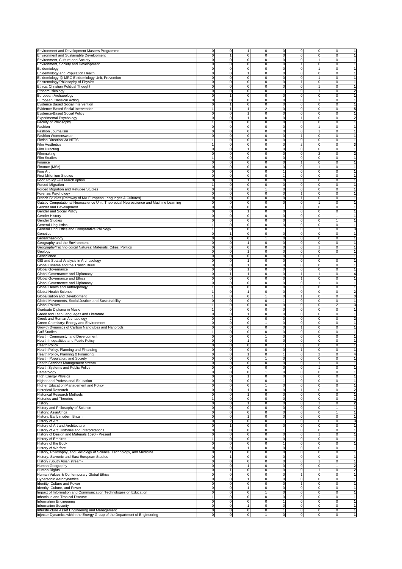|                                                                                       |                |                               | 1                                |                |              |                              | 1                                       |
|---------------------------------------------------------------------------------------|----------------|-------------------------------|----------------------------------|----------------|--------------|------------------------------|-----------------------------------------|
| Environment and Development Masters Programme                                         |                | 0                             | 0                                | 0              |              | 0<br>0                       | 0                                       |
| Environment and Sustainable Development                                               | 0              | $\mathbf{1}$                  | $\mathbf{0}$<br>0                | 0              |              | $\mathbf{0}$<br>0            | $\mathbf 0$<br>1                        |
| Environment, Culture and Society                                                      | 0              | 0                             | $\overline{0}$<br>0              | 0              |              | $\overline{0}$<br>1          | $\overline{0}$<br>1                     |
| Environment, Society and Development                                                  | $\Omega$       | $\mathsf 0$                   | 0<br>$\mathbf 0$                 | $\pmb{0}$      | 1            | 0                            | $\mathbf 0$<br>$\mathbf{1}$             |
| Epidemiology                                                                          | 0              | 0                             | 0<br>0                           | 0              | $\mathbf 0$  | 1                            | 0<br>$\mathbf{1}$                       |
| Epidemiology and Population Health                                                    | 0              | 0                             | 0<br>1                           | 0              | $\mathbf 0$  | 0                            | $\mathbf 0$<br>1                        |
| Epidemiology @ MRC Epidemiology Unit, Prevention                                      | 0              | $\mathbf 0$                   | $\mathbf 0$<br>0                 | $\mathbf 0$    | $\mathbf 0$  | 1                            | $\mathbf 0$<br>1                        |
| Epistemology/Philosophy of Physics                                                    | 0              | 0                             | 0<br>0                           | 0              |              | $\mathbf{1}$<br>0            | $\overline{0}$<br>1                     |
| Ethics: Christian Political Thought                                                   | $\Omega$       | $\mathsf 0$                   | 0<br>$\mathbf 0$                 | 0              | $\mathbf 0$  | 1                            | $\mathbf 0$<br>$\mathbf{1}$             |
| Ethnomusicology                                                                       | $\Omega$       | $\mathbf 0$                   | $\mathbf 0$<br>0                 | 1              | $\mathbf 0$  |                              | $\mathbf 0$<br>$\overline{\mathbf{2}}$  |
| European Archaeology                                                                  | 0              |                               | $\mathbf 0$<br>0                 | 0              | $\mathbf 0$  | 0                            | 0<br>1                                  |
| European Classical Acting                                                             | 0              | 0                             | 0<br>0                           | $\mathbf 0$    | $\mathbf 0$  | 1                            | $\mathbf 0$<br>1                        |
| Evidence Based Social Intervention                                                    | 0              | 1                             | 0<br>0                           | 0              |              | $\overline{0}$<br>0          | $\mathbf 0$<br>1                        |
| Evidence-Based Social Intervention                                                    |                | $\mathbf{1}$                  | $\boldsymbol{2}$<br>$\mathbf{1}$ | 0              | $\mathbf 0$  | 0                            | $\mathbf 0$<br>5                        |
| Evidence-Based Social Policy                                                          | 0              | 0                             | $\mathbf{1}$<br>0                | 0              | $\mathbf 0$  | 0                            | $\mathbf 0$<br>$\mathbf{1}$             |
| Experimental Psychology                                                               | $\Omega$       | 0                             | 1<br>0                           | 0              | 1            | 0                            | $\mathbf 0$<br>$\overline{\mathbf{2}}$  |
| Faculty of Philosophy                                                                 |                | $\mathbf 0$                   | $\mathbf 0$<br>0                 | $\mathbf 0$    |              | $\mathbf{0}$<br>$\mathbf 0$  | $\mathbf 0$<br>1                        |
| Fashion                                                                               | 0              | 0                             | 0<br>0                           | 0              |              | $\overline{0}$<br>1          | $\mathbf{1}$<br>$\overline{0}$          |
|                                                                                       | $\Omega$       |                               |                                  |                |              | 1                            |                                         |
| <b>Fashion Journalism</b>                                                             |                | 0                             | $\mathbf 0$<br>0                 | 0              | $\mathbf 0$  |                              | $\mathbf 0$<br>$\mathbf{1}$             |
| <b>Fashion Womenswear</b>                                                             | $\Omega$       | 0                             | $\mathbf 0$<br>0                 | 0              | $\mathbf{1}$ | 0                            | $\mathbf 0$<br>$\mathbf{1}$             |
| Fiction Direction via NFTS                                                            |                | 0                             | $\mathbf 0$<br>0                 | 0              | $\mathbf 0$  | 0                            | $\mathbf 0$<br>1                        |
| <b>Film Aesthetics</b>                                                                |                | 0                             | 0<br>0                           | 0              |              | $\overline{\mathbf{c}}$<br>0 | $\mathbf 0$<br>3                        |
| <b>Film Directing</b>                                                                 | 0              | 0                             | 1<br>0                           | 0              |              | $\overline{0}$<br>0          | $\overline{0}$<br>1                     |
| Filmmaking                                                                            | $\Omega$       | $\mathsf 0$                   | 0<br>$\mathbf 0$                 | 0              | $\mathbf 0$  | $\overline{2}$               | $\mathbf 0$<br>$\mathbf{2}$             |
| Film Studies                                                                          |                | $\mathbf 0$                   | $\mathbf 0$<br>0                 | 0              | $\mathbf 0$  | 0                            | $\mathbf 0$<br>$\mathbf{1}$             |
| Finance                                                                               | $\Omega$       | 0                             | $\mathbf 0$<br>0                 | 0              | 1            | 0                            | $\mathbf 0$<br>1                        |
| Finance (MSc)                                                                         | 0              | $\mathbf 0$                   | 0<br>$\mathbf 0$                 | $\mathbf 0$    |              | $\mathbf{0}$<br>1            | $\mathbf 0$<br>1                        |
| Fine Art                                                                              | 0              | 0                             | 0<br>0                           | $\mathbf{1}$   |              | $\overline{0}$<br>$\Omega$   | $\overline{0}$<br>1                     |
| First Millenium Studies                                                               | $\Omega$       | 0                             | $\mathbf 0$<br>0                 | $\overline{1}$ | $\mathbf 0$  | 0                            | $\mathbf 0$<br>$\overline{1}$           |
| Food Policy w/research option                                                         | 0              | 0                             | 0<br>$\mathbf{1}$                | 0              | $\mathbf 0$  | 0                            | $\mathbf{1}$<br>$\mathbf 0$             |
| Forced Migration                                                                      |                | 0                             | 0<br>0                           | 0              | 0            | 0                            | 0<br>1                                  |
| Forced Migration and Refugee Studies                                                  | 0              | $\mathbf 0$                   | 0<br>1                           | 0              | $\mathbf 0$  | 0                            | $\mathbf 0$<br>1                        |
| Forensic Psychology                                                                   |                |                               | $\mathbf 0$                      |                | $\mathbf{1}$ |                              | 1                                       |
|                                                                                       | 0              | 0                             | 0                                | 0              | 1            | 0                            | $\mathbf 0$                             |
| French Studies (Pathway of MA European Languages & Cultures)                          | 0              | 0                             | 0<br>$\mathbf 0$                 | 0              |              | 0                            | $\mathbf 0$<br>1                        |
| Gatsby Computational Neuroscience Unit: Theoretical Neuroscience and Machine Learning | $\overline{0}$ | $\mathbf 0$                   | 0<br>0                           | 0              |              | $\mathbf{0}$<br>1            | $\mathbf 0$<br>$\mathbf{1}$             |
| Gender and Development                                                                | 0              | 0                             | 0<br>0                           |                | $\Omega$     | 0                            | 0<br>1                                  |
| Gender and Social Policy                                                              | 0              | $\mathbf 0$                   | 0<br>1                           | $\mathbf 0$    |              | $\mathbf{0}$<br>$\mathbf 0$  | $\mathbf 0$<br>1                        |
| Gender History                                                                        | 0              | 0                             | 0<br>0                           | $\mathbf 0$    |              | $\mathbf 0$<br>0             | $\mathbf{1}$<br>1                       |
| Gender Studies                                                                        | $\Omega$       | 0                             | $\mathbf 0$<br>0                 | 0              |              | $\mathbf 0$<br>0             | $\mathbf{1}$<br>$\mathbf{1}$            |
| General Linguistics                                                                   |                | 0                             | $\mathbf 0$<br>0                 | 0              | $\mathbf 0$  | 0                            | 1<br>$\mathbf 0$                        |
| General Linguistics and Comparative Philology                                         |                | 0                             | $\mathbf 0$<br>0                 |                | $\Omega$     |                              | $\mathbf 0$<br>3                        |
| Genetics                                                                              | $\Omega$       | 1                             | $\mathbf 0$<br>0                 | 0              |              | $\mathbf{0}$<br>$\mathbf 0$  | $\mathbf 0$<br>1                        |
| Geoarchaeology                                                                        | 0              | $\mathbf 0$                   | $\mathbf 0$<br>$\mathbf{1}$      | $\mathbf 0$    |              | $\mathbf{0}$<br>0            | $\mathbf 0$<br>1                        |
| Geography and the Environment                                                         | $\Omega$       | 0                             | 0<br>$\mathbf{1}$                | 0              | $\mathbf 0$  | 0                            | $\mathbf 0$<br>1                        |
| Geography/Technological Natures: Materials, Cities, Politics                          | 0              | $\mathbf 0$                   | 0<br>0                           | 0              | $\mathbf 0$  | 1                            | $\mathbf 0$<br>1                        |
| Geology                                                                               | 0              | 0                             | 0<br>1                           | 0              | 0            | 0                            | 0<br>1                                  |
|                                                                                       | 0              | 0                             | 0<br>0                           | 0              |              | $\mathbf 0$<br>0             | $\mathbf{1}$<br>1                       |
| Geoscience                                                                            |                |                               |                                  |                |              |                              |                                         |
| GIS and Spatial Analysis in Archaeology                                               | 0              | 0                             | $\mathbf{1}$<br>0                | $\mathbf 0$    |              | $\mathbf 0$<br>0             | $\overline{0}$<br>1                     |
| Global Cinema and the Transcultural                                                   | 0              | 0                             | $\mathbf{1}$<br>0                | 0              |              | $\mathbf{0}$<br>0            | $\mathbf 0$<br>1                        |
| Global Governance                                                                     | 0              | $\mathsf 0$                   | $\mathbf{1}$<br>0                | 0              | $\mathbf 0$  | 0                            | $\overline{1}$<br>$\mathbf 0$           |
| Global Governance and Diplomacy                                                       | $\Omega$       |                               | 0<br>1                           | 0              |              |                              | $\mathbf 0$<br>4                        |
| Global Governance and Ethics                                                          | 0              | ō.                            | $\mathbf 0$<br>0                 | 0              | 1            | $\mathbf 0$                  | $\mathbf 0$<br>1                        |
| Global Governence and Diplomacy                                                       |                | $\mathbf 0$                   | $\mathbf 0$<br>0                 | $\mathbf 0$    |              | $\mathbf{0}$<br>1            | $\mathbf 0$<br>1                        |
| Global Health and Anthropology                                                        |                | 0                             | $\mathbf 0$<br>0                 | 0              | $\mathbf 0$  | 0                            | $\mathbf 0$<br>$\mathbf{1}$             |
| Global Health Science                                                                 |                | 0                             | 0<br>$\mathbf{1}$                | 0              | $\mathbf 0$  | 0                            | $\mathbf 0$<br>$\overline{\mathbf{2}}$  |
| Globalisation and Development                                                         |                | 0                             | 0<br>1                           | 0              | 1            | 0                            | $\mathbf 0$<br>3                        |
| Global Movements, Social Justice, and Sustainability                                  | 0              | $\mathbf 0$                   | 0<br>$\mathbf 0$                 |                |              | $\mathbf{0}$<br>0            | $\mathbf 0$<br>1                        |
| <b>Global Politics</b>                                                                |                | 0                             | $\mathbf 0$<br>0                 | $\mathbf 0$    |              | $\mathbf 0$<br>0             | $\overline{2}$<br>3                     |
| Graduate Diploma in Music                                                             |                | 0                             | $\mathbf 0$<br>0                 | 0              |              | $\mathbf{0}$<br>0            | $\mathbf 0$<br>1                        |
| Greek and Latin Languages and Literature                                              | 0              | $\mathbf 0$                   | $\mathbf{1}$<br>0                | 0              | $\mathbf 0$  | 0                            | $\mathbf 0$<br>$\mathbf{1}$             |
| Greek and Roman Archaeology                                                           | 0              | $\overline{2}$                | 0<br>0                           | 0              | $\Omega$     | 0                            | 0<br>$\overline{\mathbf{2}}$            |
|                                                                                       |                |                               |                                  |                |              |                              |                                         |
| Green Chemistry: Energy and Environment                                               | 0              | 0                             | 0<br>1                           | 0              |              | $\mathbf 0$<br>0             | $\mathbf 0$<br>1                        |
| Growth Dynamics of Carbon Nanotubes and Nanorods                                      | 0              | $\mathbf 0$                   | $\mathbf 0$<br>0                 | $\mathbf 0$    | 1            | 0                            | $\mathbf 0$<br>1                        |
| <b>Gulf Studies</b>                                                                   |                | 0                             | $\mathbf 0$<br>0                 | 0              | $\mathbf 0$  | 0                            | $\mathbf 0$<br>$\mathbf{1}$             |
| Health, Community, and Development                                                    | 0              | 0                             | $\mathbf{1}$<br>0                | 0              |              | 0<br>$\mathbf 0$             | $\mathbf{1}$<br>$\mathbf 0$             |
| Health Inequalities and Public Policy                                                 | 0              | 0                             | 0<br>1                           | 0              | $\mathbf 0$  | 0                            | $\mathbf 0$<br>1                        |
| <b>Health Policy</b>                                                                  | 0              | $\mathbf 0$                   | $\mathbf 0$<br>0                 | 1              |              | $\mathbf{0}$<br>0            | $\mathbf 0$<br>1                        |
| Health Policy, Planning and Financing                                                 | $\Omega$       | 0                             | $\mathbf 0$<br>$\mathbf 0$       | 0              |              | 0<br>1                       | $\mathbf 0$<br>1                        |
| Health Policy, Planning & Financing                                                   | 0              | 0                             | 0<br>1                           | 1              | $\mathbf 0$  | $\overline{2}$               | 0<br>4                                  |
| Health, Population, and Society                                                       | 0              | $\mathsf 0$                   | $\mathbf 0$<br>$\mathbf{1}$      | $\pmb{0}$      | $\mathbf 0$  | 0                            | $\mathbf 0$<br>$\mathbf{1}$             |
| Health Services Management stream                                                     | 0              | 0                             | $\overline{0}$<br>0              | 0              | $\mathbf 0$  |                              | $\mathbf 0$<br>1                        |
| Health Systems and Public Policy                                                      | 0              | 0                             | 0<br>$\overline{0}$              | 0              |              | $\mathbf 0$<br>1             | $\mathbf 0$<br>1                        |
| Hematology                                                                            | 0              | 0                             | $\overline{0}$<br>1              | 0              |              | $\mathbf 0$<br>0             | $\overline{0}$<br>1                     |
| <b>High Energy Physics</b>                                                            | 0              | $\overline{0}$                | 0<br>$\mathbf{1}$                | $\overline{0}$ |              | $\mathbf 0$<br>0             | ō<br>1                                  |
| Higher and Professional Education                                                     | 0              | $\pmb{0}$                     | $\mathbf 0$<br>0                 | $\mathbf{1}$   |              | $\mathbf{0}$<br>0            | $\mathbf 0$<br>1                        |
|                                                                                       |                |                               |                                  |                |              |                              |                                         |
| Higher Education Management and Policy                                                | 0              | $\mathsf 0$                   | 0<br>1                           | 0              |              | 0<br>$\mathbf{0}$            | $\mathbf 0$<br>1                        |
| Historical Research                                                                   | 0              | $\mathbf 0$                   | 0<br>$\mathbf{1}$                | 0              | 1            | 0                            | $\mathbf 0$<br>2                        |
| <b>Historical Research Methods</b>                                                    | 0              | $\mathbf 0$                   | $\mathbf{1}$<br>0                | 0              |              | $\mathbf 0$<br>0             | $\overline{0}$<br>$\mathbf{1}$          |
| <b>Histories and Theories</b>                                                         |                | 0                             | 0<br>0                           | 0              | $\mathbf 0$  | 0                            | $\mathbf 0$<br>$\mathbf{1}$             |
| History                                                                               | 0              | 0                             | $\pmb{0}$<br>1                   | 0              |              | $\mathbf 0$<br>1             | $\overline{\mathbf{2}}$<br>$\mathbf 0$  |
| History and Philosophy of Science                                                     | 0              | 0                             | $\overline{0}$<br>0              | 0              | $\mathbf 0$  | 0                            | $\mathbf{1}$<br>1                       |
| History: Asia/Africa                                                                  | 0              | $\pmb{0}$                     | 0<br>$\overline{0}$              | 0              |              | 0<br>$\mathbf 0$             | $\mathbf{1}$<br>1                       |
| History: Early modern Britain                                                         | 0              | $\mathbf 0$                   | $\mathbf{1}$<br>0                | 0              |              | $\mathbf 0$<br>0             | $\mathbf{0}$<br>1                       |
| History of Art                                                                        | 0              | $\overline{2}$                | o<br>0                           | $\overline{1}$ |              | $\mathbf 0$<br>0             | ō<br>3                                  |
| History of Art and Architecture                                                       | 0              | $\mathbf{1}$                  | $\overline{0}$<br>$\mathbf 0$    | 0              |              | $\mathbf{0}$<br>0            | $\mathbf 0$<br>$\mathbf{1}$             |
| History of Art: Histories and Interpretations                                         | 0              | $\mathbf 0$                   | 0<br>0                           |                |              | 0<br>0                       | $\mathbf 0$<br>1                        |
| History of Design and Materials 1690 - Present                                        | 0              | $\mathbf 0$                   | 0<br>$\overline{0}$              | 0              |              | $\mathbf 0$<br>1             | $\mathbf 0$<br>1                        |
| <b>History of Empires</b>                                                             |                | $\mathbf 0$                   | $\overline{0}$<br>0              | 0              |              | $\mathbf 0$<br>0             | $\overline{0}$<br>$\mathbf{1}$          |
|                                                                                       |                |                               |                                  |                |              |                              |                                         |
| <b>History of the Book</b>                                                            | 0              | $\mathbf 0$                   | 0<br>0                           | $\overline{1}$ |              | $\mathbf 0$<br>0             | $\mathbf 0$<br>$\mathbf{1}$             |
| History of Warfare                                                                    | 0              | $\mathbf 0$                   | $\mathbf{1}$<br>0                | 0              |              | $\mathbf 0$<br>0             | $\mathbf 0$<br>1                        |
| History, Philosophy, and Sociology of Science, Technology, and Medicine               | 0              | 1                             | 0<br>0                           | 0              | $\mathbf 0$  | 0                            | $\mathbf 0$<br>1                        |
| History: Slavonic and East European Studies                                           | 0              | 1                             | $\mathbf 0$<br>0                 | 0              |              | 0<br>$\mathbf 0$             | $\mathbf 0$<br>1                        |
| History (South Asian stream)                                                          | 0              | $\mathbf 0$                   | $\overline{0}$<br>0              | 0              |              | $\mathbf 0$<br>1             | $\overline{0}$<br>1                     |
| Human Geography                                                                       | 0              | $\overline{0}$                | 0<br>$\mathbf{1}$                | 0              | $\mathbf 0$  | 0                            | $\mathbf{1}$<br>$\overline{\mathbf{2}}$ |
| Human Rights                                                                          | 0              | $\mathbf{1}$                  | $\overline{0}$<br>$\mathbf 0$    | 0              |              | $\mathbf 0$<br>1             | $\mathbf 0$<br>$\overline{\mathbf{2}}$  |
| Human Values & Contemporary Global Ethics                                             | 0              | 0                             | 0<br>0                           | 0              | $\mathbf{1}$ | 0                            | $\mathbf 0$<br>1                        |
| Hypersonic Aerodynamics                                                               | 0              | 0                             | 0<br>$\mathbf{1}$                | 0              |              | $\mathbf{0}$<br>0            | $\mathbf 0$<br>1                        |
| Identity, Culture and Power                                                           | 0              | $\mathbf 0$                   | $\overline{0}$<br>0              | 0              | $\mathbf{1}$ | 0                            | $\overline{0}$<br>$\mathbf{1}$          |
| Identity, Culture, and Power                                                          | 0              | o                             | 0<br>$\mathbf{1}$                | 0              |              | $\mathbf 0$<br>0             | $\overline{0}$<br>$\mathbf{1}$          |
| Impact of Information and Communication Technologies on Education                     | 0              | $\mathsf 0$                   | $\mathbf 0$<br>$\mathbf{1}$      | 0              |              | $\mathbf{0}$<br>0            | $\overline{1}$<br>$\mathbf 0$           |
| Infectious and Tropical Disease                                                       |                | $\mathsf 0$                   | 0<br>$\mathbf 0$                 | 0              | $\mathbf 0$  | 0                            | $\mathbf 0$<br>1                        |
| Information Engineering                                                               | 0              | $\mathsf 0$                   | $\mathbf{0}$<br>0                | -1             |              | $\mathbf{0}$<br>0            | $\mathbf 0$<br>1                        |
| <b>Information Security</b>                                                           | 0              |                               | 1                                |                |              | 0<br>$\mathbf 0$             | $\overline{0}$<br>1                     |
| Infrastructure Asset Engineering and Management                                       | 0              | $\mathbf 0$<br>$\overline{0}$ | 0<br>O<br>0                      | 0<br>1         | ō            | 0                            | o<br>1                                  |
|                                                                                       |                |                               |                                  |                |              |                              |                                         |
| Injector Dynamics within the Energy Group of the Department of Engineering            | 0              | $\mathsf 0$                   | $\overline{0}$<br>$\overline{1}$ | $\mathbf 0$    |              | 0<br>$\mathbf{0}$            | $\overline{\mathbf{0}}$<br>$\mathbf{1}$ |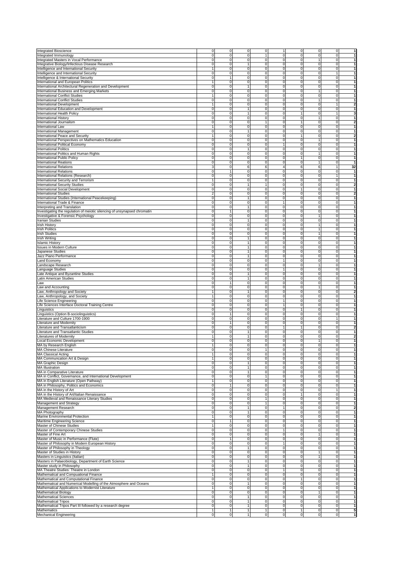|                                                                                                                                                                                                                                                                                                                                                                                                                                                                                                                                                                                                                                                                                                                                                                                                                                                                                                                                                                                                                                                                                                                                                                                                                                                  |                     |                               |                                         |                |                                          | 1                                                                                                |
|--------------------------------------------------------------------------------------------------------------------------------------------------------------------------------------------------------------------------------------------------------------------------------------------------------------------------------------------------------------------------------------------------------------------------------------------------------------------------------------------------------------------------------------------------------------------------------------------------------------------------------------------------------------------------------------------------------------------------------------------------------------------------------------------------------------------------------------------------------------------------------------------------------------------------------------------------------------------------------------------------------------------------------------------------------------------------------------------------------------------------------------------------------------------------------------------------------------------------------------------------|---------------------|-------------------------------|-----------------------------------------|----------------|------------------------------------------|--------------------------------------------------------------------------------------------------|
| <b>Integrated Bioscience</b>                                                                                                                                                                                                                                                                                                                                                                                                                                                                                                                                                                                                                                                                                                                                                                                                                                                                                                                                                                                                                                                                                                                                                                                                                     | 0                   | $\mathbf 0$                   | $\mathbf 0$<br>0                        | 1              | $\mathbf 0$<br>0                         | $\mathbf 0$                                                                                      |
| Integrated Immunology                                                                                                                                                                                                                                                                                                                                                                                                                                                                                                                                                                                                                                                                                                                                                                                                                                                                                                                                                                                                                                                                                                                                                                                                                            | $\mathbf 0$         | $\mathsf 0$                   | $\mathbf 0$<br>1                        | 0              | 0<br>$\mathbf 0$                         | $\mathbf 0$<br>1                                                                                 |
| Integrated Masters in Vocal Performance                                                                                                                                                                                                                                                                                                                                                                                                                                                                                                                                                                                                                                                                                                                                                                                                                                                                                                                                                                                                                                                                                                                                                                                                          | 0                   | 0                             | $\mathbf 0$<br>0                        | 0              | $\mathbf{0}$<br>1                        | $\mathbf 0$<br>1                                                                                 |
| Integrative Biology/Infectious Disease Research                                                                                                                                                                                                                                                                                                                                                                                                                                                                                                                                                                                                                                                                                                                                                                                                                                                                                                                                                                                                                                                                                                                                                                                                  | 0                   | 0                             | $\mathbf{1}$<br>$\pmb{0}$               | $\mathbf 0$    | $\mathbf 0$<br>0                         | $\mathbf 0$<br>1                                                                                 |
|                                                                                                                                                                                                                                                                                                                                                                                                                                                                                                                                                                                                                                                                                                                                                                                                                                                                                                                                                                                                                                                                                                                                                                                                                                                  |                     | $\Omega$                      |                                         |                | $\mathbf{0}$                             | 1                                                                                                |
| Intelligence and International Security                                                                                                                                                                                                                                                                                                                                                                                                                                                                                                                                                                                                                                                                                                                                                                                                                                                                                                                                                                                                                                                                                                                                                                                                          |                     |                               | 0<br>0                                  | 0              | 0                                        | $\mathbf 0$                                                                                      |
| Intelligence and International Security                                                                                                                                                                                                                                                                                                                                                                                                                                                                                                                                                                                                                                                                                                                                                                                                                                                                                                                                                                                                                                                                                                                                                                                                          | 0                   | 0                             | $\mathbf 0$<br>0                        | 0              | $\mathbf 0$<br>0                         | 1<br>1                                                                                           |
| Intelligence & International Security                                                                                                                                                                                                                                                                                                                                                                                                                                                                                                                                                                                                                                                                                                                                                                                                                                                                                                                                                                                                                                                                                                                                                                                                            | 0                   | 1                             | $\mathbf 0$<br>0                        | 0              | $\mathbf 0$<br>0                         | $\mathbf 0$<br>$\mathbf{1}$                                                                      |
| International and European Politics                                                                                                                                                                                                                                                                                                                                                                                                                                                                                                                                                                                                                                                                                                                                                                                                                                                                                                                                                                                                                                                                                                                                                                                                              | 1                   | 0                             | $\mathbf 0$<br>0                        | 0              | $\mathbf{0}$<br>0                        | $\overline{0}$<br>$\mathbf{1}$                                                                   |
| International Architectural Regeneration and Development                                                                                                                                                                                                                                                                                                                                                                                                                                                                                                                                                                                                                                                                                                                                                                                                                                                                                                                                                                                                                                                                                                                                                                                         | 0                   | $\pmb{0}$                     | $\mathbf{1}$<br>0                       | $\pmb{0}$      | $\mathbf{0}$<br>0                        | $\mathbf 0$<br>$\mathbf{1}$                                                                      |
|                                                                                                                                                                                                                                                                                                                                                                                                                                                                                                                                                                                                                                                                                                                                                                                                                                                                                                                                                                                                                                                                                                                                                                                                                                                  |                     |                               |                                         |                | 1                                        |                                                                                                  |
| International Business and Emerging Markets                                                                                                                                                                                                                                                                                                                                                                                                                                                                                                                                                                                                                                                                                                                                                                                                                                                                                                                                                                                                                                                                                                                                                                                                      | $\mathsf{O}\xspace$ | 0                             | $\mathbf 0$<br>0                        | 0              | $\mathbf 0$                              | 1<br>$\mathbf 0$                                                                                 |
| <b>International Conflict Studies</b>                                                                                                                                                                                                                                                                                                                                                                                                                                                                                                                                                                                                                                                                                                                                                                                                                                                                                                                                                                                                                                                                                                                                                                                                            |                     | 0                             | $\mathbf 0$<br>0                        | 0              | $\mathbf 0$<br>0                         | $\mathbf 0$<br>1                                                                                 |
| <b>International Conflict Studies</b>                                                                                                                                                                                                                                                                                                                                                                                                                                                                                                                                                                                                                                                                                                                                                                                                                                                                                                                                                                                                                                                                                                                                                                                                            | 0                   | 0                             | 0<br>$\mathbf 0$                        | 0              | $\mathbf 0$<br>1                         | $\mathbf 0$<br>$\mathbf{1}$                                                                      |
| <b>International Development</b>                                                                                                                                                                                                                                                                                                                                                                                                                                                                                                                                                                                                                                                                                                                                                                                                                                                                                                                                                                                                                                                                                                                                                                                                                 | 1                   | 0                             | $\mathbf 0$<br>0                        | 0              | $\mathbf{0}$<br>0                        | $\mathbf{1}$<br>$\overline{\mathbf{2}}$                                                          |
|                                                                                                                                                                                                                                                                                                                                                                                                                                                                                                                                                                                                                                                                                                                                                                                                                                                                                                                                                                                                                                                                                                                                                                                                                                                  |                     |                               |                                         |                |                                          |                                                                                                  |
| International Education and Development                                                                                                                                                                                                                                                                                                                                                                                                                                                                                                                                                                                                                                                                                                                                                                                                                                                                                                                                                                                                                                                                                                                                                                                                          | 0                   | 0                             | 1<br>0                                  | $\mathbf 0$    | $\mathbf{0}$<br>0                        | $\mathbf 0$<br>1                                                                                 |
| International Health Policy                                                                                                                                                                                                                                                                                                                                                                                                                                                                                                                                                                                                                                                                                                                                                                                                                                                                                                                                                                                                                                                                                                                                                                                                                      | 0                   | $\Omega$                      | 1<br>0                                  | 0              | $\mathbf{1}$<br>0                        | $\mathbf{1}$<br>3                                                                                |
| <b>International History</b>                                                                                                                                                                                                                                                                                                                                                                                                                                                                                                                                                                                                                                                                                                                                                                                                                                                                                                                                                                                                                                                                                                                                                                                                                     | 0                   | 0                             | $\mathbf 0$<br>0                        | 0              | $\mathbf 0$<br>1                         | $\mathbf 0$<br>1                                                                                 |
| International Journalism                                                                                                                                                                                                                                                                                                                                                                                                                                                                                                                                                                                                                                                                                                                                                                                                                                                                                                                                                                                                                                                                                                                                                                                                                         | 0                   | 0                             | 0<br>1                                  | 0              | 1<br>0                                   | $\mathbf 0$<br>$\overline{\mathbf{2}}$                                                           |
| International Law                                                                                                                                                                                                                                                                                                                                                                                                                                                                                                                                                                                                                                                                                                                                                                                                                                                                                                                                                                                                                                                                                                                                                                                                                                | 1                   | 0                             | $\mathbf 0$<br>0                        | 0              | $\mathbf{0}$<br>0                        | $\overline{0}$<br>$\mathbf{1}$                                                                   |
|                                                                                                                                                                                                                                                                                                                                                                                                                                                                                                                                                                                                                                                                                                                                                                                                                                                                                                                                                                                                                                                                                                                                                                                                                                                  |                     |                               |                                         |                |                                          |                                                                                                  |
| International Management                                                                                                                                                                                                                                                                                                                                                                                                                                                                                                                                                                                                                                                                                                                                                                                                                                                                                                                                                                                                                                                                                                                                                                                                                         | $\mathbf 0$         | 0                             | $\mathbf{1}$<br>0                       | $\pmb{0}$      | $\mathbf{0}$<br>0                        | $\mathbf 0$<br>$\mathbf{1}$                                                                      |
| International Peace and Security                                                                                                                                                                                                                                                                                                                                                                                                                                                                                                                                                                                                                                                                                                                                                                                                                                                                                                                                                                                                                                                                                                                                                                                                                 | $\mathbf{1}$        | 0                             | $\mathbf 0$<br>0                        | 0              | 0<br>$\mathbf{1}$                        | $\overline{\mathbf{2}}$<br>$\mathbf 0$                                                           |
| International Perspectives on Mathematics Education                                                                                                                                                                                                                                                                                                                                                                                                                                                                                                                                                                                                                                                                                                                                                                                                                                                                                                                                                                                                                                                                                                                                                                                              | 0                   | 0                             | $\mathbf 0$<br>0                        | 0              | $\mathbf 0$                              | $\mathbf 0$<br>1                                                                                 |
| International Political Economy                                                                                                                                                                                                                                                                                                                                                                                                                                                                                                                                                                                                                                                                                                                                                                                                                                                                                                                                                                                                                                                                                                                                                                                                                  | 0                   | 0                             | 0<br>$\mathbf 0$                        | $\mathbf{1}$   | $\mathbf 0$<br>0                         | $\mathbf 0$<br>$\mathbf{1}$                                                                      |
| <b>International Politics</b>                                                                                                                                                                                                                                                                                                                                                                                                                                                                                                                                                                                                                                                                                                                                                                                                                                                                                                                                                                                                                                                                                                                                                                                                                    | 0                   | 0                             | $\mathbf{1}$<br>0                       | 0              | $\mathbf{0}$<br>0                        | $\mathbf 0$<br>$\mathbf{1}$                                                                      |
|                                                                                                                                                                                                                                                                                                                                                                                                                                                                                                                                                                                                                                                                                                                                                                                                                                                                                                                                                                                                                                                                                                                                                                                                                                                  |                     |                               |                                         |                |                                          |                                                                                                  |
| International Politics and Human Rights                                                                                                                                                                                                                                                                                                                                                                                                                                                                                                                                                                                                                                                                                                                                                                                                                                                                                                                                                                                                                                                                                                                                                                                                          | 0                   | 0                             | $\pmb{0}$<br>0                          | $\mathbf 0$    | $\mathbf{0}$<br>1                        | $\mathbf 0$<br>$\mathbf{1}$                                                                      |
| International Public Policy                                                                                                                                                                                                                                                                                                                                                                                                                                                                                                                                                                                                                                                                                                                                                                                                                                                                                                                                                                                                                                                                                                                                                                                                                      | 0                   | 0                             | 0<br>0                                  | 0              | $\mathbf{1}$<br>0                        | $\mathbf 0$<br>1                                                                                 |
| <b>International Reations</b>                                                                                                                                                                                                                                                                                                                                                                                                                                                                                                                                                                                                                                                                                                                                                                                                                                                                                                                                                                                                                                                                                                                                                                                                                    | 0                   | 0                             | $\mathbf 0$<br>0                        | 0              | $\mathbf 0$<br>1                         | $\mathbf 0$<br>1                                                                                 |
| <b>International Relations</b>                                                                                                                                                                                                                                                                                                                                                                                                                                                                                                                                                                                                                                                                                                                                                                                                                                                                                                                                                                                                                                                                                                                                                                                                                   | 3                   | 0                             | 6<br>6                                  | 4              | 6<br>6                                   | $\mathbf{1}$<br>32                                                                               |
|                                                                                                                                                                                                                                                                                                                                                                                                                                                                                                                                                                                                                                                                                                                                                                                                                                                                                                                                                                                                                                                                                                                                                                                                                                                  | 0                   |                               | $\mathbf 0$<br>0                        | 0              | $\mathbf{0}$<br>0                        | $\overline{0}$<br>$\mathbf{1}$                                                                   |
| <b>International Relations</b>                                                                                                                                                                                                                                                                                                                                                                                                                                                                                                                                                                                                                                                                                                                                                                                                                                                                                                                                                                                                                                                                                                                                                                                                                   |                     | 1                             |                                         |                |                                          |                                                                                                  |
| International Relations (Research)                                                                                                                                                                                                                                                                                                                                                                                                                                                                                                                                                                                                                                                                                                                                                                                                                                                                                                                                                                                                                                                                                                                                                                                                               | 0                   | 0                             | $\mathbf 0$<br>0                        | $\pmb{0}$      | $\mathbf{0}$<br>0                        | $\mathbf{1}$<br>$\mathbf{1}$                                                                     |
| International Security and Terrorism                                                                                                                                                                                                                                                                                                                                                                                                                                                                                                                                                                                                                                                                                                                                                                                                                                                                                                                                                                                                                                                                                                                                                                                                             |                     | 0                             | $\mathbf 0$<br>0                        | 0              | 0<br>$\mathbf 0$                         | 1<br>$\mathbf 0$                                                                                 |
| <b>International Security Studies</b>                                                                                                                                                                                                                                                                                                                                                                                                                                                                                                                                                                                                                                                                                                                                                                                                                                                                                                                                                                                                                                                                                                                                                                                                            | 0                   | 0                             | 1<br>1                                  | $\mathbf 0$    | $\mathbf 0$<br>0                         | $\mathbf 0$<br>$\overline{\mathbf{2}}$                                                           |
| International Social Development                                                                                                                                                                                                                                                                                                                                                                                                                                                                                                                                                                                                                                                                                                                                                                                                                                                                                                                                                                                                                                                                                                                                                                                                                 | 0                   | 0                             | $\mathbf 0$<br>0                        | 0              | $\mathbf{1}$<br>0                        | $\mathbf 0$<br>$\mathbf{1}$                                                                      |
|                                                                                                                                                                                                                                                                                                                                                                                                                                                                                                                                                                                                                                                                                                                                                                                                                                                                                                                                                                                                                                                                                                                                                                                                                                                  |                     |                               |                                         |                |                                          |                                                                                                  |
| <b>International Studies</b>                                                                                                                                                                                                                                                                                                                                                                                                                                                                                                                                                                                                                                                                                                                                                                                                                                                                                                                                                                                                                                                                                                                                                                                                                     | $\overline{2}$      | 0                             | $\mathbf 0$<br>0                        | 0              | $\mathbf 0$<br>0                         | $\mathbf 0$<br>$\overline{\mathbf{2}}$                                                           |
| International Studies (International Peacekeeping)                                                                                                                                                                                                                                                                                                                                                                                                                                                                                                                                                                                                                                                                                                                                                                                                                                                                                                                                                                                                                                                                                                                                                                                               | 0                   | 0                             | $\mathbf{1}$<br>0                       | 0              | $\mathbf{0}$<br>0                        | $\mathbf 0$<br>1                                                                                 |
| International Trade & Finance                                                                                                                                                                                                                                                                                                                                                                                                                                                                                                                                                                                                                                                                                                                                                                                                                                                                                                                                                                                                                                                                                                                                                                                                                    | 0                   | 0                             | $\mathbf 0$<br>0                        | $\mathbf{1}$   | $\mathbf 0$<br>0                         | $\mathbf 0$<br>1                                                                                 |
| Interpreting and Translation                                                                                                                                                                                                                                                                                                                                                                                                                                                                                                                                                                                                                                                                                                                                                                                                                                                                                                                                                                                                                                                                                                                                                                                                                     | 0                   | 0                             | 0<br>1                                  | 0              | $\mathbf 0$<br>0                         | $\mathbf 0$<br>1                                                                                 |
|                                                                                                                                                                                                                                                                                                                                                                                                                                                                                                                                                                                                                                                                                                                                                                                                                                                                                                                                                                                                                                                                                                                                                                                                                                                  |                     |                               | $\mathbf 0$<br>0                        | 0              | $\mathbf 0$<br>0                         | $\mathbf 0$<br>$\mathbf{1}$                                                                      |
| Investigating the regulation of meiotic silencing of unsynapsed chromatin                                                                                                                                                                                                                                                                                                                                                                                                                                                                                                                                                                                                                                                                                                                                                                                                                                                                                                                                                                                                                                                                                                                                                                        | $\mathbf 0$         | 1                             |                                         |                |                                          |                                                                                                  |
| Investigative & Forensic Psychology                                                                                                                                                                                                                                                                                                                                                                                                                                                                                                                                                                                                                                                                                                                                                                                                                                                                                                                                                                                                                                                                                                                                                                                                              | 0                   | 0                             | $\mathbf 0$<br>$\mathbf 0$              | 0              | $\mathbf{0}$                             | $\mathbf{1}$<br>$\overline{0}$                                                                   |
| Iranian Studies                                                                                                                                                                                                                                                                                                                                                                                                                                                                                                                                                                                                                                                                                                                                                                                                                                                                                                                                                                                                                                                                                                                                                                                                                                  | 0                   | 0                             | $\mathbf{1}$<br>0                       | 0              | $\mathbf{0}$<br>0                        | $\mathbf 0$<br>$\mathbf{1}$                                                                      |
| <b>Irish History</b>                                                                                                                                                                                                                                                                                                                                                                                                                                                                                                                                                                                                                                                                                                                                                                                                                                                                                                                                                                                                                                                                                                                                                                                                                             | 0                   | 0                             | $\mathbf 0$<br>0                        | 0              | $\mathbf 0$                              | 1<br>$\mathbf 0$                                                                                 |
| <b>Irish Politics</b>                                                                                                                                                                                                                                                                                                                                                                                                                                                                                                                                                                                                                                                                                                                                                                                                                                                                                                                                                                                                                                                                                                                                                                                                                            | 0                   | 0                             | 0<br>0                                  | $\mathbf 0$    | $\mathbf 0$                              | $\mathbf 0$<br>1                                                                                 |
|                                                                                                                                                                                                                                                                                                                                                                                                                                                                                                                                                                                                                                                                                                                                                                                                                                                                                                                                                                                                                                                                                                                                                                                                                                                  |                     |                               |                                         |                |                                          |                                                                                                  |
| <b>Irish Studies</b>                                                                                                                                                                                                                                                                                                                                                                                                                                                                                                                                                                                                                                                                                                                                                                                                                                                                                                                                                                                                                                                                                                                                                                                                                             | 0                   | 0                             | $\mathbf 0$<br>0                        | 0              | $\mathbf 0$                              | $\mathbf 0$<br>$\mathbf{1}$                                                                      |
| <b>Irish Writing</b>                                                                                                                                                                                                                                                                                                                                                                                                                                                                                                                                                                                                                                                                                                                                                                                                                                                                                                                                                                                                                                                                                                                                                                                                                             | 0                   | 0                             | $\mathbf{1}$<br>0                       | 0              | $\mathbf 0$<br>0                         | $\mathbf 0$<br>$\mathbf{1}$                                                                      |
| <b>Islamic History</b>                                                                                                                                                                                                                                                                                                                                                                                                                                                                                                                                                                                                                                                                                                                                                                                                                                                                                                                                                                                                                                                                                                                                                                                                                           | 0                   | 0                             | $\mathbf{1}$<br>0                       | 0              | $\mathbf{0}$<br>0                        | $\mathbf 0$<br>$\mathbf{1}$                                                                      |
| Issues in Modern Culture                                                                                                                                                                                                                                                                                                                                                                                                                                                                                                                                                                                                                                                                                                                                                                                                                                                                                                                                                                                                                                                                                                                                                                                                                         | 0                   | 0                             | 1<br>0                                  | 0              | $\mathbf 0$<br>0                         | $\mathbf 0$<br>1                                                                                 |
| Japanese Studies                                                                                                                                                                                                                                                                                                                                                                                                                                                                                                                                                                                                                                                                                                                                                                                                                                                                                                                                                                                                                                                                                                                                                                                                                                 | 0                   | 0                             | 0<br>1                                  | $\mathbf 0$    | $\mathbf 0$<br>0                         | $\mathbf 0$<br>1                                                                                 |
|                                                                                                                                                                                                                                                                                                                                                                                                                                                                                                                                                                                                                                                                                                                                                                                                                                                                                                                                                                                                                                                                                                                                                                                                                                                  |                     |                               |                                         |                |                                          |                                                                                                  |
| Jazz Piano Performance                                                                                                                                                                                                                                                                                                                                                                                                                                                                                                                                                                                                                                                                                                                                                                                                                                                                                                                                                                                                                                                                                                                                                                                                                           | $\mathbf 0$         | 0                             | $\mathbf{1}$<br>0                       | 0              | $\mathbf 0$<br>0                         | $\mathbf{1}$<br>$\mathbf 0$                                                                      |
| Land Economy                                                                                                                                                                                                                                                                                                                                                                                                                                                                                                                                                                                                                                                                                                                                                                                                                                                                                                                                                                                                                                                                                                                                                                                                                                     | 0                   | 0                             | $\mathbf 0$<br>$\mathbf 0$              | $\mathbf{1}$   | $\mathbf{0}$<br>0                        | $\mathbf{1}$<br>$\mathbf 0$                                                                      |
| Landscape Research                                                                                                                                                                                                                                                                                                                                                                                                                                                                                                                                                                                                                                                                                                                                                                                                                                                                                                                                                                                                                                                                                                                                                                                                                               | 0                   | 0                             | $\mathbf 0$<br>0                        | 0              | $\mathbf{0}$                             | $\mathbf 0$<br>$\mathbf{1}$                                                                      |
| Language Studies                                                                                                                                                                                                                                                                                                                                                                                                                                                                                                                                                                                                                                                                                                                                                                                                                                                                                                                                                                                                                                                                                                                                                                                                                                 | 0                   | 0                             | $\mathbf 0$<br>0                        |                | $\mathbf 0$<br>0                         | $\mathbf{1}$<br>$\mathbf 0$                                                                      |
| Late Antique and Byzantine Studies                                                                                                                                                                                                                                                                                                                                                                                                                                                                                                                                                                                                                                                                                                                                                                                                                                                                                                                                                                                                                                                                                                                                                                                                               | 0                   | 0                             | 0<br>1                                  | $\mathbf 0$    | $\mathbf 0$<br>0                         | $\mathbf 0$<br>1                                                                                 |
| Latin American Studies                                                                                                                                                                                                                                                                                                                                                                                                                                                                                                                                                                                                                                                                                                                                                                                                                                                                                                                                                                                                                                                                                                                                                                                                                           | 0                   | 0                             | $\mathbf{1}$<br>0                       | 0              | $\mathbf 0$<br>0                         | $\mathbf 0$<br>$\mathbf{1}$                                                                      |
|                                                                                                                                                                                                                                                                                                                                                                                                                                                                                                                                                                                                                                                                                                                                                                                                                                                                                                                                                                                                                                                                                                                                                                                                                                                  |                     |                               |                                         |                |                                          |                                                                                                  |
|                                                                                                                                                                                                                                                                                                                                                                                                                                                                                                                                                                                                                                                                                                                                                                                                                                                                                                                                                                                                                                                                                                                                                                                                                                                  |                     |                               |                                         |                |                                          |                                                                                                  |
|                                                                                                                                                                                                                                                                                                                                                                                                                                                                                                                                                                                                                                                                                                                                                                                                                                                                                                                                                                                                                                                                                                                                                                                                                                                  | 0                   | 1                             | $\mathbf 0$<br>0                        | 0              | $\mathbf 0$<br>0                         | $\mathbf 0$<br>$\mathbf{1}$                                                                      |
|                                                                                                                                                                                                                                                                                                                                                                                                                                                                                                                                                                                                                                                                                                                                                                                                                                                                                                                                                                                                                                                                                                                                                                                                                                                  | 0                   | 0                             | $\pmb{0}$<br>0                          | 0              | $\mathbf{0}$<br>1                        | $\mathbf 0$<br>$\mathbf{1}$                                                                      |
|                                                                                                                                                                                                                                                                                                                                                                                                                                                                                                                                                                                                                                                                                                                                                                                                                                                                                                                                                                                                                                                                                                                                                                                                                                                  | 1                   | 0                             | 1<br>0                                  | 0              | $\mathbf{0}$<br>0                        | $\mathbf 0$                                                                                      |
|                                                                                                                                                                                                                                                                                                                                                                                                                                                                                                                                                                                                                                                                                                                                                                                                                                                                                                                                                                                                                                                                                                                                                                                                                                                  |                     | 0                             | 0                                       | $\mathbf 0$    | $\mathbf 0$                              |                                                                                                  |
|                                                                                                                                                                                                                                                                                                                                                                                                                                                                                                                                                                                                                                                                                                                                                                                                                                                                                                                                                                                                                                                                                                                                                                                                                                                  |                     |                               | 0                                       |                | 0                                        | $\mathbf 0$                                                                                      |
|                                                                                                                                                                                                                                                                                                                                                                                                                                                                                                                                                                                                                                                                                                                                                                                                                                                                                                                                                                                                                                                                                                                                                                                                                                                  | $\mathbf 0$         | 0                             | $\mathbf 0$<br>0                        | 1              | $\mathbf 0$<br>0                         | $\mathbf 0$                                                                                      |
|                                                                                                                                                                                                                                                                                                                                                                                                                                                                                                                                                                                                                                                                                                                                                                                                                                                                                                                                                                                                                                                                                                                                                                                                                                                  | 0                   | 0                             | $\mathbf 0$<br>$\mathbf 0$              | $\mathbf{1}$   | $\mathbf{0}$<br>0                        | $\overline{0}$                                                                                   |
|                                                                                                                                                                                                                                                                                                                                                                                                                                                                                                                                                                                                                                                                                                                                                                                                                                                                                                                                                                                                                                                                                                                                                                                                                                                  | 0                   | 0                             | $\mathbf 0$<br>0                        | 0              | $\mathbf 0$<br>$\overline{1}$            | $\mathbf 0$                                                                                      |
|                                                                                                                                                                                                                                                                                                                                                                                                                                                                                                                                                                                                                                                                                                                                                                                                                                                                                                                                                                                                                                                                                                                                                                                                                                                  | 0                   |                               | $\mathbf 0$<br>0                        | 0              | $\mathbf 0$<br>0                         | $\overline{\mathbf{2}}$<br>1<br>$\mathbf{1}$<br>$\mathbf{1}$<br>$\mathbf{1}$<br>1<br>$\mathbf 0$ |
|                                                                                                                                                                                                                                                                                                                                                                                                                                                                                                                                                                                                                                                                                                                                                                                                                                                                                                                                                                                                                                                                                                                                                                                                                                                  | 0                   | 0                             | 0<br>0                                  | $\mathbf 0$    | $\mathbf 0$<br>0                         | $\mathbf{1}$<br>1                                                                                |
|                                                                                                                                                                                                                                                                                                                                                                                                                                                                                                                                                                                                                                                                                                                                                                                                                                                                                                                                                                                                                                                                                                                                                                                                                                                  |                     |                               |                                         |                |                                          |                                                                                                  |
|                                                                                                                                                                                                                                                                                                                                                                                                                                                                                                                                                                                                                                                                                                                                                                                                                                                                                                                                                                                                                                                                                                                                                                                                                                                  | 0                   | $\overline{1}$                | $\mathbf 0$<br>0                        | 0              | $\mathbf 0$<br>0                         | $\mathbf 0$<br>$\mathbf{1}$                                                                      |
| Law<br>Law and Accounting<br>Law, Anthropology and Society<br>Law, Anthropology, and Society<br>Life Science Engineering<br>Life Sciences Interface Doctoral Training Centre<br>Linguistics<br>Linguistics (Option B-sociolinguistics)<br>Literature and Culture 1700-1900<br>Literature and Modernity<br>Literature and Transatlanticism                                                                                                                                                                                                                                                                                                                                                                                                                                                                                                                                                                                                                                                                                                                                                                                                                                                                                                        | 0                   | 0                             | $\mathbf 0$<br>0                        | $\mathbf{1}$   | 1<br>0                                   | $\mathbf 0$<br>$\overline{\mathbf{2}}$                                                           |
|                                                                                                                                                                                                                                                                                                                                                                                                                                                                                                                                                                                                                                                                                                                                                                                                                                                                                                                                                                                                                                                                                                                                                                                                                                                  | 0                   | 0                             | 1<br>0                                  | 0              | $\mathbf{0}$<br>0                        | $\mathbf 0$<br>1                                                                                 |
| Literature and Transatlantic Studies<br>Literatures of Modernity                                                                                                                                                                                                                                                                                                                                                                                                                                                                                                                                                                                                                                                                                                                                                                                                                                                                                                                                                                                                                                                                                                                                                                                 | 1                   | 0                             | 1<br>0                                  | 0              | 0<br>$\mathbf 0$                         | $\mathbf 0$<br>2                                                                                 |
| Local Economic Development                                                                                                                                                                                                                                                                                                                                                                                                                                                                                                                                                                                                                                                                                                                                                                                                                                                                                                                                                                                                                                                                                                                                                                                                                       | 0                   | 0                             | $\mathbf 0$<br>0                        | $\mathbf 0$    | $\mathbf{0}$<br>1                        | $\mathbf 0$<br>1                                                                                 |
|                                                                                                                                                                                                                                                                                                                                                                                                                                                                                                                                                                                                                                                                                                                                                                                                                                                                                                                                                                                                                                                                                                                                                                                                                                                  |                     |                               |                                         |                |                                          |                                                                                                  |
|                                                                                                                                                                                                                                                                                                                                                                                                                                                                                                                                                                                                                                                                                                                                                                                                                                                                                                                                                                                                                                                                                                                                                                                                                                                  | 1                   | 0                             | $\mathbf 0$<br>0                        | 0              | 0<br>$\mathbf 0$                         | $\mathbf 0$<br>$\mathbf{1}$                                                                      |
| MA by Research English<br><b>MA Chinese Literature</b>                                                                                                                                                                                                                                                                                                                                                                                                                                                                                                                                                                                                                                                                                                                                                                                                                                                                                                                                                                                                                                                                                                                                                                                           | $\Omega$            | $\Omega$                      | $\Omega$<br>$\mathbf{1}$                | $\Omega$       | $\Omega$<br>$\Omega$                     | $\Omega$<br>1                                                                                    |
| <b>MA Classical Acting</b>                                                                                                                                                                                                                                                                                                                                                                                                                                                                                                                                                                                                                                                                                                                                                                                                                                                                                                                                                                                                                                                                                                                                                                                                                       |                     | 0                             | ō<br>0                                  | 0              | ō<br>0                                   | ō<br>1                                                                                           |
|                                                                                                                                                                                                                                                                                                                                                                                                                                                                                                                                                                                                                                                                                                                                                                                                                                                                                                                                                                                                                                                                                                                                                                                                                                                  |                     | 0                             | $\mathbf 0$<br>0                        | 0              | $\mathbf 0$<br>0                         | 0<br>1                                                                                           |
|                                                                                                                                                                                                                                                                                                                                                                                                                                                                                                                                                                                                                                                                                                                                                                                                                                                                                                                                                                                                                                                                                                                                                                                                                                                  |                     | $\mathsf 0$                   | 0<br>$\mathbf{1}$                       | $\mathbf 0$    | $\mathbf{0}$<br>$\mathbf 0$              | $\mathbf 0$<br>1                                                                                 |
|                                                                                                                                                                                                                                                                                                                                                                                                                                                                                                                                                                                                                                                                                                                                                                                                                                                                                                                                                                                                                                                                                                                                                                                                                                                  | $\mathbf 0$         |                               |                                         |                |                                          |                                                                                                  |
|                                                                                                                                                                                                                                                                                                                                                                                                                                                                                                                                                                                                                                                                                                                                                                                                                                                                                                                                                                                                                                                                                                                                                                                                                                                  | $\mathbf 0$         | 0                             | $\mathbf{1}$<br>0                       | 0              | $\mathbf 0$<br>0                         | $\mathbf 0$<br>1                                                                                 |
|                                                                                                                                                                                                                                                                                                                                                                                                                                                                                                                                                                                                                                                                                                                                                                                                                                                                                                                                                                                                                                                                                                                                                                                                                                                  | 0                   | 0                             | 0<br>$\mathbf{1}$                       | 0              | $\mathbf 0$<br>0                         | $\mathbf 0$<br>$\overline{1}$                                                                    |
|                                                                                                                                                                                                                                                                                                                                                                                                                                                                                                                                                                                                                                                                                                                                                                                                                                                                                                                                                                                                                                                                                                                                                                                                                                                  | 0                   | 0                             | $\mathbf 0$<br>1                        | 0              | $\mathbf 0$<br>0                         | $\mathbf 0$<br>$\mathbf{1}$                                                                      |
|                                                                                                                                                                                                                                                                                                                                                                                                                                                                                                                                                                                                                                                                                                                                                                                                                                                                                                                                                                                                                                                                                                                                                                                                                                                  | 1                   | 0                             | $\mathbf 0$<br>0                        | 0              | 0<br>$\mathbf 0$                         | $\mathbf 0$<br>1                                                                                 |
|                                                                                                                                                                                                                                                                                                                                                                                                                                                                                                                                                                                                                                                                                                                                                                                                                                                                                                                                                                                                                                                                                                                                                                                                                                                  |                     | $\mathbf{1}$                  |                                         | $\pmb{0}$      | $\mathbf{0}$<br>0                        | $\mathbf 0$<br>1                                                                                 |
|                                                                                                                                                                                                                                                                                                                                                                                                                                                                                                                                                                                                                                                                                                                                                                                                                                                                                                                                                                                                                                                                                                                                                                                                                                                  | $\mathbf 0$         |                               | $\mathsf{O}\xspace$<br>0                |                |                                          |                                                                                                  |
|                                                                                                                                                                                                                                                                                                                                                                                                                                                                                                                                                                                                                                                                                                                                                                                                                                                                                                                                                                                                                                                                                                                                                                                                                                                  | $\mathbf 0$         | 0                             | $\mathbf 0$<br>0                        | 0              | $\mathbf 0$<br>0                         | $\mathbf{1}$<br>$\mathbf{1}$                                                                     |
|                                                                                                                                                                                                                                                                                                                                                                                                                                                                                                                                                                                                                                                                                                                                                                                                                                                                                                                                                                                                                                                                                                                                                                                                                                                  | $\mathbf 0$         | 0                             | $\mathbf 0$<br>0                        | 0              | $\mathbf{1}$<br>0                        | $\mathbf 0$<br>$\mathbf{1}$                                                                      |
|                                                                                                                                                                                                                                                                                                                                                                                                                                                                                                                                                                                                                                                                                                                                                                                                                                                                                                                                                                                                                                                                                                                                                                                                                                                  | 0                   | 0                             | ō<br>1                                  | 0              | 0<br>$\mathbf{0}$                        | ō<br>1                                                                                           |
|                                                                                                                                                                                                                                                                                                                                                                                                                                                                                                                                                                                                                                                                                                                                                                                                                                                                                                                                                                                                                                                                                                                                                                                                                                                  | 0                   | 0                             | $\mathbf 0$<br>1                        | 0              | $\mathbf 0$<br>0                         | $\mathbf 0$<br>1                                                                                 |
|                                                                                                                                                                                                                                                                                                                                                                                                                                                                                                                                                                                                                                                                                                                                                                                                                                                                                                                                                                                                                                                                                                                                                                                                                                                  |                     | 0                             | 0<br>$\mathbf{1}$                       | $\overline{1}$ | $\mathbf{0}$<br>0                        | $\mathbf 0$<br>$\overline{\mathbf{2}}$                                                           |
|                                                                                                                                                                                                                                                                                                                                                                                                                                                                                                                                                                                                                                                                                                                                                                                                                                                                                                                                                                                                                                                                                                                                                                                                                                                  | 0                   |                               |                                         |                |                                          |                                                                                                  |
|                                                                                                                                                                                                                                                                                                                                                                                                                                                                                                                                                                                                                                                                                                                                                                                                                                                                                                                                                                                                                                                                                                                                                                                                                                                  | $\mathbf 0$         | 0                             | $\mathbf{1}$<br>0                       | 0              | $\mathbf 0$<br>0                         | $\mathbf 0$<br>1                                                                                 |
|                                                                                                                                                                                                                                                                                                                                                                                                                                                                                                                                                                                                                                                                                                                                                                                                                                                                                                                                                                                                                                                                                                                                                                                                                                                  | 1                   | 0                             | $\mathbf 0$<br>0                        | 0              | $\mathbf 0$<br>0                         | $\mathbf 0$<br>$\mathbf{1}$                                                                      |
|                                                                                                                                                                                                                                                                                                                                                                                                                                                                                                                                                                                                                                                                                                                                                                                                                                                                                                                                                                                                                                                                                                                                                                                                                                                  | 0                   | $\mathbf{1}$                  | o<br>0                                  | 0              | $\mathbf 0$<br>0                         | o<br>1                                                                                           |
|                                                                                                                                                                                                                                                                                                                                                                                                                                                                                                                                                                                                                                                                                                                                                                                                                                                                                                                                                                                                                                                                                                                                                                                                                                                  | 1                   | 0                             | 0<br>0                                  | 0              | 0<br>$\mathbf 0$                         | $\mathbf 0$<br>1                                                                                 |
|                                                                                                                                                                                                                                                                                                                                                                                                                                                                                                                                                                                                                                                                                                                                                                                                                                                                                                                                                                                                                                                                                                                                                                                                                                                  | $\mathbf 0$         | 0                             | 0<br>$\mathbf 0$                        | $\overline{1}$ | $\mathbf{0}$<br>0                        | $\mathbf 0$<br>1                                                                                 |
|                                                                                                                                                                                                                                                                                                                                                                                                                                                                                                                                                                                                                                                                                                                                                                                                                                                                                                                                                                                                                                                                                                                                                                                                                                                  |                     | 0                             | $\mathbf 0$<br>0                        | 0              | $\mathbf 0$<br>1                         | $\overline{0}$<br>$\mathbf{1}$                                                                   |
|                                                                                                                                                                                                                                                                                                                                                                                                                                                                                                                                                                                                                                                                                                                                                                                                                                                                                                                                                                                                                                                                                                                                                                                                                                                  | $\mathbf 0$         |                               |                                         |                |                                          |                                                                                                  |
|                                                                                                                                                                                                                                                                                                                                                                                                                                                                                                                                                                                                                                                                                                                                                                                                                                                                                                                                                                                                                                                                                                                                                                                                                                                  | $\mathbf 0$         | $\mathbf{1}$                  | $\mathbf 0$<br>0                        | 0              | $\mathbf{0}$<br>0                        | $\mathbf{1}$<br>$\mathbf 0$                                                                      |
|                                                                                                                                                                                                                                                                                                                                                                                                                                                                                                                                                                                                                                                                                                                                                                                                                                                                                                                                                                                                                                                                                                                                                                                                                                                  | 0                   | 0                             | ō<br>0                                  | 1              | 0<br>$\mathbf{0}$                        | 1<br>$\mathbf 0$                                                                                 |
|                                                                                                                                                                                                                                                                                                                                                                                                                                                                                                                                                                                                                                                                                                                                                                                                                                                                                                                                                                                                                                                                                                                                                                                                                                                  | 0                   | 0                             | 1<br>0                                  | 0              | $\mathbf 0$<br>0                         | $\mathbf 0$<br>1                                                                                 |
|                                                                                                                                                                                                                                                                                                                                                                                                                                                                                                                                                                                                                                                                                                                                                                                                                                                                                                                                                                                                                                                                                                                                                                                                                                                  | $\mathbf 0$         | 0                             | 0<br>$\mathbf 0$                        | $\mathbf 0$    | $\mathbf{0}$<br>1                        | $\mathbf 0$<br>1                                                                                 |
|                                                                                                                                                                                                                                                                                                                                                                                                                                                                                                                                                                                                                                                                                                                                                                                                                                                                                                                                                                                                                                                                                                                                                                                                                                                  |                     |                               |                                         |                | 1                                        |                                                                                                  |
|                                                                                                                                                                                                                                                                                                                                                                                                                                                                                                                                                                                                                                                                                                                                                                                                                                                                                                                                                                                                                                                                                                                                                                                                                                                  | $\mathbf 0$         | 0                             | 0<br>0                                  | 0              | $\mathbf 0$                              | $\mathbf 0$<br>$\mathbf{1}$                                                                      |
|                                                                                                                                                                                                                                                                                                                                                                                                                                                                                                                                                                                                                                                                                                                                                                                                                                                                                                                                                                                                                                                                                                                                                                                                                                                  | $\mathbf 0$         | 0                             | $\mathbf{1}$<br>0                       | 0              | $\mathbf 0$<br>0                         | $\mathbf 0$<br>$\mathbf{1}$                                                                      |
|                                                                                                                                                                                                                                                                                                                                                                                                                                                                                                                                                                                                                                                                                                                                                                                                                                                                                                                                                                                                                                                                                                                                                                                                                                                  | o                   | 0                             | $\overline{1}$<br>0                     | 0              | 0<br>$\mathbf 0$                         | o<br>1                                                                                           |
|                                                                                                                                                                                                                                                                                                                                                                                                                                                                                                                                                                                                                                                                                                                                                                                                                                                                                                                                                                                                                                                                                                                                                                                                                                                  | $\mathbf 0$         | 0                             | 0<br>0                                  | 1              | 0<br>$\mathbf 0$                         | $\mathbf 0$<br>1                                                                                 |
|                                                                                                                                                                                                                                                                                                                                                                                                                                                                                                                                                                                                                                                                                                                                                                                                                                                                                                                                                                                                                                                                                                                                                                                                                                                  | 1                   | 0                             | 0<br>$\mathbf 0$                        | 0              | $\mathbf{0}$<br>0                        | $\mathbf 0$<br>1                                                                                 |
|                                                                                                                                                                                                                                                                                                                                                                                                                                                                                                                                                                                                                                                                                                                                                                                                                                                                                                                                                                                                                                                                                                                                                                                                                                                  |                     |                               |                                         |                |                                          |                                                                                                  |
|                                                                                                                                                                                                                                                                                                                                                                                                                                                                                                                                                                                                                                                                                                                                                                                                                                                                                                                                                                                                                                                                                                                                                                                                                                                  | $\overline{0}$      | 0                             | $\mathbf 0$<br>0                        | 0              | $\mathbf{1}$<br>0                        | $\overline{0}$<br>$\mathbf{1}$                                                                   |
|                                                                                                                                                                                                                                                                                                                                                                                                                                                                                                                                                                                                                                                                                                                                                                                                                                                                                                                                                                                                                                                                                                                                                                                                                                                  | $\mathbf 0$         | 0                             | $\mathbf{1}$<br>0                       | 0              | $\mathbf{0}$<br>0                        | $\mathbf{1}$<br>$\mathbf 0$                                                                      |
|                                                                                                                                                                                                                                                                                                                                                                                                                                                                                                                                                                                                                                                                                                                                                                                                                                                                                                                                                                                                                                                                                                                                                                                                                                                  | 1                   | 0                             | 0<br>$\mathbf 0$                        | 0              | 0<br>$\mathbf{0}$                        | 1<br>$\mathbf 0$                                                                                 |
|                                                                                                                                                                                                                                                                                                                                                                                                                                                                                                                                                                                                                                                                                                                                                                                                                                                                                                                                                                                                                                                                                                                                                                                                                                                  | 0                   | 0                             | $\mathbf 0$<br>0                        | 0              | $\mathbf 0$<br>1                         | $\mathbf 0$                                                                                      |
|                                                                                                                                                                                                                                                                                                                                                                                                                                                                                                                                                                                                                                                                                                                                                                                                                                                                                                                                                                                                                                                                                                                                                                                                                                                  | $\mathbf 0$         | 0                             | 0<br>1                                  | 0              | $\mathbf{0}$<br>0                        | $\mathbf 0$                                                                                      |
| MA Communcation Art & Design<br>MA Graphic Design<br><b>MA</b> Illustration<br>MA in Comparative Literature<br>MA in Conflict, Governance, and International Development<br>MA in English Literature (Open Pathway)<br>MA in Philosophy, Politics and Economics<br>MA in the History of Art<br>MA in the History of Art/Italian Renaissance<br>MA Medieval and Renaissance Literary Studies<br>Management and Strategy<br>Management Research<br>MA Photography<br>Marine Environmental Protection<br>Maritime Engineering Science<br>Master of Chinese Studies<br>Master of Contemporary Chinese Studies<br>Master of Fine Art<br>Master of Music in Performance (Flute)<br>Master of Philosophy in Modern European History<br>Master of Philosophy in Theology<br>Master of Studies in History<br>Masters in Linguistics (Italian)<br>Masters in Palaeobiology, Department of Earth Science<br>Master study in Philosophy<br>MA Theatre Studies: Theatre in London<br>Mathematical and Compuational Finance<br>Mathematical and Computational Finance<br>Mathematical and Numerical Modelling of the Atmosphere and Oceans<br>Mathematical Applications to Modernist Literature<br><b>Mathematical Biology</b><br><b>Mathematical Sciences</b> |                     |                               |                                         |                |                                          |                                                                                                  |
|                                                                                                                                                                                                                                                                                                                                                                                                                                                                                                                                                                                                                                                                                                                                                                                                                                                                                                                                                                                                                                                                                                                                                                                                                                                  | $\mathbf 0$         | 0                             | $\mathbf{1}$<br>0                       | 0              | $\mathbf 0$<br>0                         | $\mathbf 0$                                                                                      |
| <b>Mathematical Tripos</b><br>Mathematical Tripos Part III followed by a research degree                                                                                                                                                                                                                                                                                                                                                                                                                                                                                                                                                                                                                                                                                                                                                                                                                                                                                                                                                                                                                                                                                                                                                         | $\mathbf{0}$        | $\pmb{0}$                     | $\mathbf{1}$<br>0                       | $\pmb{0}$      | $\mathbf{0}$<br>0                        | 1<br>1<br>$\mathbf{1}$<br>$\circ$<br>$\mathbf{1}$                                                |
| Mathematics<br>Mechanical Engineering                                                                                                                                                                                                                                                                                                                                                                                                                                                                                                                                                                                                                                                                                                                                                                                                                                                                                                                                                                                                                                                                                                                                                                                                            | 1<br>$\overline{0}$ | $\overline{1}$<br>$\mathsf 0$ | $\overline{1}$<br>1<br>1<br>$\mathbf 0$ | 0<br>0         | $\overline{1}$<br>0<br>Ō<br>$\mathbf{0}$ | o<br>5<br>$\mathbf{0}$<br>1                                                                      |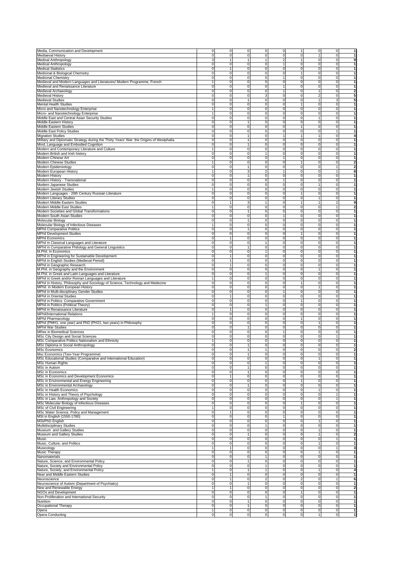| Media, Communication and Development                                                     | $\mathbf{0}$                   | 0              | $\mathbf 0$                           | 0              | 0                     | 1                         | 0                                       | $\mathbf 0$                   | 1                            |
|------------------------------------------------------------------------------------------|--------------------------------|----------------|---------------------------------------|----------------|-----------------------|---------------------------|-----------------------------------------|-------------------------------|------------------------------|
| Mediaeval History                                                                        | $\mathsf 0$                    | 0              | $\mathbf 0$                           | 0              | 0                     | $\mathbf 0$               | 1                                       | $\mathbf 0$                   | $\mathbf{1}$                 |
| Medical Anthropology                                                                     | 3                              | $\mathbf{1}$   | $\mathbf{1}$                          | 1              | $\overline{2}$        | $\mathbf{1}$              | 0                                       | $\mathbf 0$                   | 9                            |
| Medical Anthropology                                                                     | 0                              | 0              | $\mathbf 0$                           | 0              | $\overline{1}$        | $\mathbf 0$               | 0                                       | $\overline{0}$                | 1                            |
| <b>Medical Statistics</b>                                                                | 0                              | 1              | $\mathbf 0$                           | $\pmb{0}$      | $\pmb{0}$             | $\mathbf 0$               | 0                                       | $\mathbf 0$                   | 1                            |
| Medicinal & Biological Chemistry                                                         | $\mathbf 0$                    | 0              | $\mathsf{O}\xspace$                   | $\pmb{0}$      | 0                     | $\mathbf{1}$              | $\mathbf 0$                             | $\mathbf 0$                   | 1                            |
| Medicinal Chemistry                                                                      | $\mathsf 0$                    | 0              | $\mathbf 0$                           | 0              | 1                     | $\mathbf 0$               | 0                                       | $\mathbf 0$                   | 1                            |
| Medieval and Modern Languages and Literatures/ Modern Programme, French                  | $\mathbf{1}$                   | 0              | $\mathbf 0$                           | 0              | 0                     | $\mathbf 0$               | 0                                       | $\mathbf 0$                   | 1                            |
| Medieval and Renaissance Literature                                                      | 0                              | 0              | $\mathbf 0$                           | 0              | $\overline{1}$        | $\mathbf 0$               | 0                                       | $\mathbf 0$                   | $\mathbf{1}$                 |
| Medieval Archaeology                                                                     | 0                              | $\mathbf 0$    | $\mathbf 0$                           | 0              | 1                     | $\mathbf 0$               | 1                                       | $\mathbf 0$                   | $\overline{\mathbf{2}}$      |
| Medieval History                                                                         | $\mathsf 0$                    | 0              | $\mathbf 0$                           | 3              | $\mathbf 0$           | $\mathbf 0$               | $\boldsymbol{2}$                        | $\mathbf 0$                   | 5                            |
| Medieval Studies                                                                         | 0                              | 0              | 1                                     | 0              | $\mathbf 0$           | 0                         | 1                                       | 3                             | 5                            |
| <b>Mental Health Studies</b>                                                             | 0                              | 0              | $\mathbf 0$                           | 0              | 0                     | 1                         | 0                                       | $\mathbf 0$                   | 1                            |
| Micro and Nanotechnology Enterprise                                                      | $\mathbf{1}$                   | 0              | $\mathbf 0$                           | 0              | $\mathbf 0$           | $\mathbf 0$               | 0                                       | $\mathbf 0$                   | 1                            |
| Micro- and Nanotechnology Enterprise                                                     | $\mathbf{1}$                   | $\pmb{0}$      | $\mathbf 0$                           | $\pmb{0}$      | $\pmb{0}$             | $\mathbf 0$               | 0                                       | $\mathbf 0$                   | $\mathbf{1}$                 |
| Middle East and Central Asian Security Studies                                           | $\mathbf 0$                    | 0              | $\mathbf 0$                           | $\pmb{0}$      | 0                     | $\mathbf 0$               | $\mathbf{1}$                            | $\mathbf 0$                   | 1                            |
| Middle Eastern History                                                                   | 0                              | 0              | 1                                     | 0              | 0                     | $\mathbf 0$               | 0                                       | $\mathbf 0$                   | 1                            |
| Middle Eastern Studies                                                                   | 0                              | 0              | $\mathbf 0$                           | 0              | 0                     | 1                         | 0                                       | $\mathbf 0$                   | 1                            |
| Middle East Policy Studies                                                               | 0                              | 0              | $\mathbf 0$                           | 0              | 0                     | $\mathbf 0$               | 0                                       | $\overline{1}$                | 1                            |
| <b>Migration Studies</b>                                                                 | $\mathbf 0$                    | 0              | $\mathbf{1}$                          | 0              | 1                     | 1                         | $\mathbf{1}$                            | $\mathbf 0$                   | 4                            |
|                                                                                          |                                |                | 1                                     |                |                       | $\mathbf 0$               |                                         |                               | 1                            |
| Military and Diplomatic Strategy during the Thirty Years' War: the Origins of Westphalia | $\mathbf 0$                    | 0              |                                       | 0              | 0                     |                           | $\mathbf 0$                             | $\overline{0}$                |                              |
| Mind, Language and Embodied Cognition                                                    | 0                              | 0              | 1                                     | 0              | 0                     | $\mathbf 0$               | 0                                       | $\mathbf 0$                   | 1                            |
| Modern and Contemporary Literature and Culture                                           | $\mathbf{1}$                   | 0              | $\mathbf 0$                           | 0              | $\mathbf 0$           | $\mathbf 0$               | 0                                       | ō                             | 1                            |
| Modern British and Irish history                                                         | 0                              | 0              | $\mathbf 0$                           | $\mathbf{1}$   | $\mathbf 0$           | $\mathbf 0$               | 0                                       | $\mathbf 0$                   | 1                            |
| Modern Chinese Art                                                                       | 0                              | 0              | $\pmb{0}$                             | 0              | 1                     | $\mathbf 0$               | 0                                       | $\mathbf 0$                   | $\mathbf{1}$                 |
| Modern Chinese Studies                                                                   | $\mathbf{1}$                   | 0              | $\mathbf 0$                           | 0              | 0                     | $\mathbf{1}$              | $\mathbf 0$                             | $\mathbf 0$                   | $\overline{\mathbf{2}}$      |
| Modern Epidemiology                                                                      | 0                              | 0              | 1                                     | 0              | 0                     | $\mathbf 0$               | $\mathbf 0$                             | $\mathbf{1}$                  | 2                            |
| Modern European History                                                                  | 1                              | 0              | 3                                     | 2              | 1                     | $\mathbf 0$               | 0                                       | $\mathbf{1}$                  | 8                            |
| Modern History                                                                           | $\mathbf 0$                    | 0              | $\mathbf{1}$                          | 0              | 0                     | $\mathbf 0$               | 0                                       | $\overline{0}$                | 1                            |
| Modern History - Transnational                                                           | o                              | 0              | $\mathbf 0$                           | $\overline{0}$ | 1                     | $\mathbf 0$               | 0                                       | $\mathbf 0$                   | $\mathbf{1}$                 |
| Modern Japanese Studies                                                                  | 0                              | $\Omega$       | $\mathbf 0$                           | 0              | $\Omega$              | 0                         | 1                                       | 0                             | 1                            |
| Modern Jewish Studies                                                                    |                                | 0              | $\mathbf 0$                           | 0              | $\mathbf 0$           | $\mathbf 0$               | 0                                       | $\mathbf 0$                   | 1                            |
| Modern Languages - 20th Century Russian Literature                                       | $\mathsf 0$                    | 0              | $\mathbf 0$                           | 0              | $\mathbf 0$           | $\mathbf{1}$              | 0                                       | $\mathbf 0$                   | 1                            |
| Modern Literary Studies                                                                  | 0                              | 0              | $\mathbf 0$                           | 0              | 0                     | $\mathbf 0$               | 1                                       | $\overline{0}$                | 1                            |
| Modern Middle Eastern Studies                                                            | 0                              | 1              | 3                                     | 1              | $\pmb{0}$             | $\mathbf{1}$              | 1                                       | $\boldsymbol{2}$              | 9                            |
| Modern Middle East Studies                                                               | 1                              | 0              | o                                     | 0              | 0                     | ō                         | O                                       | $\mathbf{1}$                  | $\overline{\mathbf{2}}$      |
| Modern Societies and Global Transformations                                              | 0                              | 0              | 1                                     | 0              | 0                     | $\mathbf 0$               | 0                                       | $\mathbf 0$                   | 1                            |
| Modern South Asian Studies                                                               | $\mathsf 0$                    | 0              | $\mathbf 0$                           | 0              | $\mathbf{1}$          | $\mathbf 0$               | 0                                       | $\mathbf 0$                   | $\mathbf{1}$                 |
| Molecular Biology                                                                        | 0                              | 0              | $\mathbf{1}$                          | 0              | 0                     | $\mathbf 0$               | 0                                       | $\overline{0}$                | $\mathbf{1}$                 |
|                                                                                          |                                |                |                                       | $\overline{0}$ |                       | $\mathbf 0$               | $\overline{0}$                          |                               | $\mathbf{1}$                 |
| Molecular Biology of Infectious Diseases                                                 |                                | $\mathbf 0$    | $\mathbf 0$                           |                | $\mathbf 0$           |                           |                                         | $\mathbf 0$                   |                              |
| <b>MPhil Comparative Politics</b>                                                        | 0                              | 0              | 1                                     | 0              | 0                     | $\mathbf 0$               | 0                                       | 0                             | 1                            |
| <b>MPhil Development Studies</b>                                                         | 0                              | 0              | $\mathbf 0$                           | 0              | 0                     | 1                         | 0                                       | $\mathbf 0$                   | 1                            |
| <b>MPhil Economics</b>                                                                   | 0                              | $\mathbf{1}$   | $\mathbf 0$                           | 0              | 0                     | $\mathbf 0$               | 0                                       | $\mathbf 0$                   | 1                            |
| MPhil in Classical Languages and Literature                                              | 0                              | 0              | $\mathbf 0$                           | 1              | $\mathbf 0$           | $\mathbf 0$               | 0                                       | $\mathbf 0$                   | 1                            |
| MPhil in Comparative Philology and General Linguistics                                   | $\mathbf 0$                    | $\mathbf 0$    | $\mathbf{1}$                          | 0              | $\pmb{0}$             | $\mathbf 0$               | 0                                       | $\mathbf 0$                   | $\mathbf{1}$                 |
| M.Phil. in Economics                                                                     | 0                              | 0              | $\mathbf 0$                           | 1              | 0                     | $\mathbf 0$               | 0                                       | $\mathbf 0$                   | 1                            |
| MPhil in Engineering for Sustainable Development                                         | 0                              | 1              | $\mathbf 0$                           | 0              | 0                     | $\mathbf 0$               | 0                                       | $\mathbf 0$                   | 1                            |
| MPhil in English Studies (Medieval Period)                                               | $\mathbf 0$                    | 1              | $\mathbf 0$                           | 0              | 0                     | $\mathbf 0$               | 0                                       | $\mathbf 0$                   | 1                            |
| MPhil in Geographic Research                                                             | $\mathbf 0$                    | 1              | $\mathbf 0$                           | 0              | $\Omega$              | $\overline{0}$            | 0                                       | $\overline{0}$                | 1                            |
| M.Phil. in Geography and the Environment                                                 | $\mathbf 0$                    | 0              | $\mathbf 0$                           | 0              | $\mathbf 0$           | $\mathbf 0$               | $\overline{1}$                          | $\mathbf 0$                   | $\mathbf{1}$                 |
| M.Phil. in Greek and Latin Languages and Literature                                      | $\overline{0}$                 | 0              | $\mathbf 0$                           | 1              | 0                     | $\mathbf 0$               | 0                                       | $\mathbf 0$                   | 1                            |
| MPhil in Greek and/or Roman Languages and Literature                                     |                                | 0              | $\mathbf 0$                           | 0              | 0                     | $\mathbf 0$               | 0                                       | $\mathbf 0$                   | 1                            |
|                                                                                          |                                |                |                                       |                |                       |                           |                                         |                               |                              |
| MPhil in History, Philosophy and Sociology of Science, Technology and Medecine           | $\mathsf 0$                    | 0              | $\mathbf 0$                           | 0              | $\mathbf 0$           | $\mathbf{1}$              | 0                                       | $\mathbf 0$                   | $\mathbf{1}$                 |
| MPhil. in Modern European History                                                        | 0                              | 0              | $\mathbf 0$                           | 0              | $\mathbf 0$           | $\mathbf 0$               | 1                                       | $\mathbf 0$                   | 1                            |
| MPhil in Multi-disciplinary Gender Studies                                               | 0                              | 0              | $\pmb{0}$                             | 0              | 1                     | $\mathbf 0$               | 0                                       | $\mathbf 0$                   | 1                            |
| MPhil in Oriental Studies                                                                | 0                              |                | $\mathbf 0$                           | 0              | 0                     | $\mathbf 0$               | $\mathbf 0$                             | $\mathbf 0$                   | 1                            |
| MPhil in Politics: Comparative Government                                                | 0                              | 0              | $\mathbf 0$                           | 0              | 0                     | 1                         | $\mathbf 0$                             | $\mathbf 0$                   | 1                            |
| MPhil in Politics (Political Theory)                                                     | $\mathsf 0$                    | 0              | $\mathbf 0$                           | 1              | 0                     | $\mathbf 0$               | 0                                       | $\mathbf 0$                   | 1                            |
| MPhil in Renaissance Literature                                                          | $\mathbf 0$                    | $\mathbf{1}$   | $\mathbf 0$                           | 0              | 0                     | $\mathbf 0$               | 0                                       | $\overline{0}$                | 1                            |
| <b>MPhil/International Relations</b>                                                     | $\mathbf{1}$                   | 0              | $\mathbf 0$                           | $\overline{0}$ | $\mathbf 0$           | $\mathbf 0$               | 0                                       | $\mathbf 0$                   | $\mathbf{1}$                 |
| <b>MPhil Pharmacology</b>                                                                | 0                              | $\Omega$       | $\mathbf 0$                           | 0              | $\Omega$              | 1                         | 0                                       | 0                             | 1                            |
| MPhil (PMH1, one year) and PhD (PH21, two years) in Philosophy                           | 0                              | 0              | $\mathbf 0$                           | 0              | $\mathbf 0$           | 0                         | 1                                       | $\mathbf 0$                   | 1                            |
| <b>MPhil War Studies</b>                                                                 | 0                              | 0              | 1                                     | 0              | $\mathbf 0$           | $\mathbf 0$               | 0                                       | $\mathbf 0$                   | 1                            |
| <b>MRes in Biomedical Sciences</b>                                                       | 0                              | 0              | $\mathbf 0$                           | 0              | -1                    | $\mathbf 0$               | 0                                       | $\mathbf 0$                   | 1                            |
| MSc City Design and Social Sciences                                                      | 0                              | 0              | $\mathbf 0$                           | 0              | $\pmb{0}$             | 0                         | 0                                       | $\mathbf{1}$                  | 1                            |
| MSc Comparative Politics Nationalism and Ethnicity                                       | $\mathbf{1}$                   | 0              | o                                     | 0              | 0                     | $\overline{0}$            | $\mathbf 0$                             | $\mathbf 0$                   | 1                            |
| MSc Diploma in Social Anthropology                                                       | $\mathsf 0$                    | 0              | 1                                     | 0              | 0                     | 0                         | 0                                       | $\mathbf 0$                   | 1                            |
|                                                                                          |                                |                |                                       |                |                       |                           |                                         |                               |                              |
| <b>MSc Economics</b>                                                                     | 0<br>0                         | 0<br>0         | $\mathbf{1}$                          | 1<br>0         | $\pmb{0}$<br>$\Omega$ | $\mathbf 0$<br>0          | 0<br>0                                  | $\overline{0}$<br>$\mathbf 0$ | $\overline{\mathbf{2}}$<br>1 |
| Msc Economics (Two-Year Programme)                                                       |                                |                |                                       |                |                       |                           |                                         |                               |                              |
| MSc Educational Studies (Comparative and International Education)                        | 0                              | 0              | $\mathbf 0$                           | 0              | $\mathbf 0$           | $\mathbf 0$               |                                         | 0                             | 1                            |
| MSc Human Rights                                                                         | $\mathbf 0$                    | 0              | $\mathbf 0$                           | 1              | $\mathbf 0$           | 0                         | $\mathbf 0$                             | $\overline{0}$                | 1                            |
| MSc in Autism                                                                            | $\mathbf 0$                    | 0              | $\mathbf{1}$                          | 0              | 0                     | 0                         | $\mathbf 0$                             | $\overline{0}$                | 1                            |
| <b>MSc in Economics</b>                                                                  | 0                              | 0              | $\mathbf{1}$                          | 0              | 0                     | $\mathbf 0$               | 0                                       | $\overline{0}$                | 1                            |
| MSc in Economics and Development Economics                                               | 0                              | $\mathbf{1}$   | $\mathbf 0$                           | 0              | 0                     | 0                         | 0                                       | $\mathbf 0$                   | 1                            |
| MSc in Environmental and Energy Engineering                                              | $\overline{0}$                 | $\pmb{0}$      | $\mathbf 0$                           | $\pmb{0}$      | $\pmb{0}$             | 1                         | 0                                       | $\mathbf 0$                   | $\mathbf{1}$                 |
| MSc in Environmental Archaeology                                                         | $\overline{0}$                 | 0              | $\mathbf{1}$                          | 0              | $\mathbf 0$           | $\mathbf 0$               | $\mathbf 0$                             | $\mathbf 0$                   | 1                            |
| MSc in Health Economics                                                                  | $\mathbf 0$                    | 0              | $\mathbf 0$                           | 0              | 0                     | $\mathbf 0$               | 1                                       | $\mathbf 0$                   | 1                            |
| MSc in History and Theory of Psychology                                                  | $\pmb{0}$                      | 0              | $\mathbf 0$                           | 0              | $\Omega$              | $\mathbf 0$               | $\mathbf 0$                             | $\overline{1}$                | 1                            |
| MSc in Law, Anthropology and Society                                                     | $\mathbf 0$                    | 0              | $\mathbf 0$                           | 0              | $\Omega$              | 0                         | $\mathbf 0$                             | 1                             | $\mathbf{1}$                 |
| MSc Molecular Biology of Infectious Diseases                                             | $\mathbf{0}$                   | 0              | $\mathbf 0$                           | 0              | 0                     | 1                         | 0                                       | $\mathbf 0$                   | $\mathbf{1}$                 |
| MSc of Civil Engineering                                                                 | $\mathbf{1}$                   | 0              | $\mathbf 0$                           | 0              | $\mathbf 0$           | $\mathbf 0$               | $\mathbf 0$                             | $\mathbf 0$                   | 1                            |
| MSc Water Science, Policy and Management                                                 | $\pmb{0}$                      | 1              | $\mathbf 0$                           | 0              | 0                     | $\mathbf 0$               | 0                                       | $\mathbf 0$                   | 1                            |
| MSt in English (1550-1780)                                                               | 0                              | 0              | $\mathbf 0$                           | 0              | $\overline{1}$        | $\mathbf 0$               | 0                                       | $\mathbf 0$                   | 1                            |
| MSt/PhD English                                                                          | 0                              | 0              | $\mathbf 0$                           | 0              | 0                     | 0                         | 1                                       | $\mathbf 0$                   | 1                            |
|                                                                                          |                                |                |                                       |                |                       |                           |                                         |                               |                              |
| Multidisciplinary Studies                                                                | 0                              | 0              | $\mathbf 0$                           | 1              | 0                     | 0                         | 0                                       | $\mathbf 0$                   | 1                            |
| Museum and Gallery Studies                                                               | $\mathbf 0$                    | 0              | $\mathbf 0$                           | 0              | $\Omega$              | $\mathbf 0$               | $\mathbf{1}$                            | $\mathbf 0$                   | 1                            |
| Museum and Gallery Studies                                                               | $\mathbf 0$                    | 0              | $\mathbf{1}$                          | 0              | 0                     | 0                         | 1                                       | $\mathbf 0$                   | 2                            |
| Music                                                                                    | $\mathbf{0}$                   | 0              | $\mathbf 0$                           | 0              | 0                     | $\mathbf 0$               | $\mathbf 0$                             | 1                             | 1                            |
| Music, Culture, and Politics                                                             | $\overline{0}$                 | 0              | $\mathbf 0$                           | 0              | $\Omega$              | $\overline{0}$            | 1                                       | $\overline{0}$                | 1                            |
| Musicology                                                                               | $\mathbf{1}$                   | 1              | $\mathbf 0$                           | 0              | $\mathbf 0$           | $\mathbf 0$               | 0                                       | 1                             | 3                            |
| Music Therapy                                                                            | $\mathsf 0$                    | 0              | $\mathbf 0$                           | 0              | $\mathbf 0$           | 0                         | $\mathbf{1}$                            | $\mathbf 0$                   | 1                            |
| Nanomaterials                                                                            | $\mathsf 0$                    | 0              | $\mathbf 0$                           | 1              | 0                     | $\mathbf 0$               | 0                                       | $\mathbf 0$                   | 1                            |
| Nature, Science, and Environmental Policy                                                | 0                              | 0              | 1                                     | 0              | 0                     | $\mathbf 0$               | 0                                       | $\mathbf 0$                   | 1                            |
| Nature, Society and Environmental Policy                                                 | 0                              | 0              | $\mathbf 0$                           | $\mathbf{1}$   | 0                     | 0                         | $\mathbf 0$                             | $\mathbf 0$                   | $\mathbf{1}$                 |
| Nature, Society, and Environmental Policy                                                | $\mathbf{1}$                   | 0              | $\mathbf{1}$                          | 1              | $\pmb{0}$             | 0                         | $\mathbf{1}$                            | $\mathbf 0$                   | 4                            |
| Near and Middle Eastern Studies                                                          | $\mathbf{0}$                   | 1              | $\mathbf 0$                           | 0              | 0                     | $\mathbf 0$               | $\mathbf 0$                             | $\mathbf 0$                   | 1                            |
| Neuroscience                                                                             | $\mathbf 0$                    | 1              | $\mathbf 0$                           | 2              | 0                     | $\overline{c}$            | $\mathbf 0$                             | $\mathbf{1}$                  | 6                            |
|                                                                                          |                                |                |                                       |                |                       |                           |                                         |                               |                              |
| Neuroscience of Autism (Department of Psychiatry)                                        | $\mathbf{0}$                   | 0              | $\mathbf{1}$                          | 0              | 0                     | $\mathbf 0$               | 0                                       | $\overline{0}$                | 1                            |
| New and Renewable Energy                                                                 | $\mathbf{1}$                   | 1              | 0                                     | 0              | $\Omega$              | $\overline{0}$            | $\mathbf 0$                             | $\overline{0}$                | 2                            |
| NGOs and Development                                                                     | $\mathbf 0$                    | 0              | $\mathbf 0$                           | 0              | $\mathbf 0$           | 1                         | 0                                       | $\mathbf 0$                   | $\mathbf{1}$                 |
| Non-Proliferation and International Security                                             | $\mathbf 0$                    | 0              | $\mathbf 0$                           | 1              | $\mathbf 0$           | $\mathbf 0$               | $\mathbf 0$                             | $\mathbf 0$                   | 1                            |
| Nutrition                                                                                | $\mathbf 0$                    | 0              | $\mathbf{1}$                          | 0              | 0                     | 0                         | $\mathbf 0$                             | $\overline{0}$                | 1                            |
| Occupational Therapy                                                                     |                                |                | $\mathbf{1}$                          | 0              | $\mathbf 0$           | $\mathbf 0$               | $\mathbf 0$                             | $\overline{0}$                | 1                            |
|                                                                                          | $\mathbf{0}$                   | 0              |                                       |                |                       |                           |                                         |                               |                              |
| Opera<br>Opera Conducting                                                                | $\mathbf{1}$<br>$\overline{0}$ | 0<br>$\pmb{0}$ | $\overline{0}$<br>$\mathsf{O}\xspace$ | 0<br>0         | 0<br>0                | $\overline{0}$<br>$\circ$ | $\mathbf 0$<br>$\overline{\phantom{a}}$ | $\overline{0}$<br>$\circ$     | 1<br>$\mathbf{1}$            |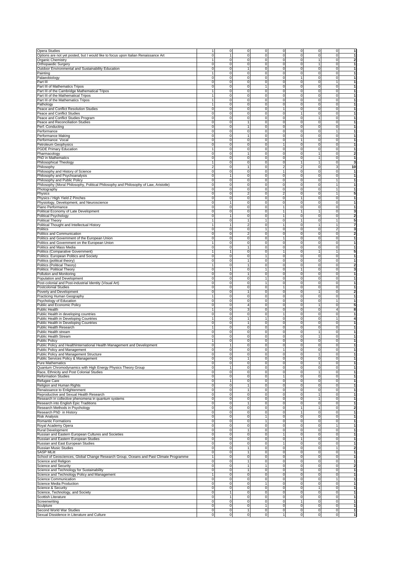| <b>Opera Studies</b>                                                                                      |                     | $\mathbf 0$                | 0<br>0                                  | 0              | $\mathbf 0$                 | ō<br>0                                         | 1                            |
|-----------------------------------------------------------------------------------------------------------|---------------------|----------------------------|-----------------------------------------|----------------|-----------------------------|------------------------------------------------|------------------------------|
| Options are not yet posted, but I would like to focus upon Italian Renaissance Art                        | 0                   | 1                          | $\overline{0}$<br>0                     | 0              | $\mathbf{0}$                | 0<br>$\overline{0}$                            | 1                            |
| <b>Organic Chemistry</b>                                                                                  |                     | $\overline{0}$             | 0<br>$\mathbf 0$                        | 0              | $\mathbf 0$                 | ō<br>1                                         | $\overline{\mathbf{2}}$      |
| Orthopaedic Surgery                                                                                       | 0                   | $\mathbf 0$                | $\overline{0}$<br>0                     | 0              | $\mathbf 0$                 | $\mathbf 0$<br>1                               | 1                            |
| Outdoor Environmental and Sustainability Education                                                        | 0                   | 0                          | 0<br>1                                  | 0              | 0                           | 0<br>$\mathbf 0$                               | 1                            |
| Painting                                                                                                  |                     | 0                          | 0<br>0                                  | 0              | $\mathbf 0$                 | 0<br>$\mathbf 0$                               | 1                            |
| Palaeobiology                                                                                             | 0                   | 0                          | $\mathbf 0$<br>0                        | 0              | $\mathbf{1}$                | 0<br>$\mathbf 0$                               | $\mathbf{1}$                 |
| Part III                                                                                                  | $\Omega$            | $\overline{0}$             | 0<br>$\mathbf 0$                        | 0              | $\mathbf 0$                 | 0<br>$\mathbf{1}$                              | $\mathbf{1}$                 |
| Part III of Mathematics Tripos                                                                            | 0                   | $\mathsf 0$                | $\mathbf 0$<br>$\mathbf{1}$             | 0              | $\mathbf{0}$                | 0<br>$\mathbf 0$                               | $\overline{1}$               |
| Part III of the Cambridge Mathematical Tripos                                                             |                     | $\mathbf 0$                | 0<br>$\mathbf 0$                        | 0              | $\mathbf 0$                 | $\mathbf 0$<br>$\mathbf 0$                     | 1                            |
| Part III of the Mathematical Tripos                                                                       |                     | 0                          | 0<br>0                                  | 0              | $\mathbf{0}$                | $\mathbf 0$<br>$\mathbf 0$                     | 1                            |
| Part III of the Mathematics Tripos                                                                        |                     | 0                          | $\overline{0}$<br>0                     | 0              | $\mathbf{0}$                | 0<br>$\mathbf 0$                               | 1                            |
| Pathology                                                                                                 |                     | $\mathbf 0$                | $\mathbf 0$<br>0                        | 0              | $\mathbf 0$                 | 0<br>$\mathbf 0$                               | 1                            |
| Peace and Conflict Resolution Studies                                                                     | 0                   | 0                          | 0<br>0                                  | $\mathbf{1}$   | $\mathbf 0$                 | $\mathbf 0$<br>0                               | $\mathbf{1}$                 |
| Peace and Conflict Studies                                                                                | 0                   | 0                          | $\mathbf 0$<br>0                        | 0              | 1                           | 0<br>$\mathbf 0$                               | 1                            |
| Peace and Conflict Studies Program                                                                        | 0                   | 0                          | 0<br>0                                  | 0              | $\mathbf 0$                 | $\mathbf 0$<br>1                               | 1                            |
| Peace and Reconciliation Studies                                                                          | $\Omega$            | 0                          | $\mathbf{1}$<br>0                       | $\mathbf 0$    | $\mathbf{0}$                | 0<br>$\mathbf 0$                               | $\mathbf{1}$                 |
| Perf.-Conducting                                                                                          | $\Omega$            | $\overline{0}$             | 0<br>$\mathbf{1}$                       | 0              | $\mathbf 0$                 | ō<br>0                                         | $\mathbf{1}$                 |
| Performance                                                                                               | 0                   | $\mathsf 0$                | $\mathbf 0$<br>0                        | 0              | $\mathbf 0$                 | $\overline{1}$<br>0                            | 1                            |
| Performance Making                                                                                        | $\Omega$            | 0                          | $\pmb{0}$<br>1                          | 0              | $\mathbf 0$                 | 0<br>0                                         | 1                            |
| Performance: Vocal                                                                                        | 0                   | 0                          | 0<br>$\overline{0}$                     | 0              |                             | $\mathbf 0$<br>$\mathbf 0$                     | 1                            |
| Petroleum Geophysics                                                                                      | 0                   | 0                          | $\overline{0}$<br>0                     | $\mathbf{1}$   | $\mathbf 0$                 | 0<br>$\mathbf 0$                               | 1                            |
| <b>PGDE Primary Education</b>                                                                             |                     | 0                          | 0<br>0                                  | 0              | $\mathbf 0$                 | 0<br>$\mathbf 0$                               | 1                            |
| Pharmacology                                                                                              | 0                   | $\mathbf 0$                | 0<br>$\mathbf{1}$                       | 0              | $\mathbf 0$                 | $\mathbf 0$<br>$\mathbf{1}$                    | $\overline{\mathbf{2}}$      |
| PhD in Mathematics                                                                                        | $\Omega$            | 0                          | 0<br>$\mathbf 0$                        | 0              | $\mathbf 0$                 | $\mathbf 0$                                    | 1                            |
| Philosophical Theology                                                                                    |                     | 0                          | $\mathbf 0$<br>0                        | 0              | 1                           | $\mathbf 0$                                    | 3                            |
| Philosophy                                                                                                | 2                   | 0                          | 1<br>0                                  | $\overline{2}$ | $\overline{2}$              | 0<br>3                                         | 10                           |
| Philosophy and History of Science                                                                         | $\Omega$            | 0                          | $\mathbf 0$<br>0                        | 1              | $\mathbf 0$                 | 0<br>$\mathbf 0$                               | $\mathbf{1}$                 |
| Philosophy and Psychoanalysis                                                                             | 0                   | 1                          | $\mathbf 0$<br>0                        | 0              | $\mathbf 0$                 | 0<br>$\mathbf 0$                               | $\mathbf{1}$                 |
| Philosophy and Public Policy                                                                              | 0                   | $\mathbf 0$                | 0<br>$\mathbf 0$                        | 0              | $\mathbf 0$                 | 0<br>1                                         | $\mathbf{1}$                 |
| Philosophy (Moral Philosophy, Political Philosophy and Philosophy of Law, Aristotle)                      | 0                   | 0                          | $\mathbf 0$<br>0                        | 0              | $\mathbf 0$                 | $\overline{0}$<br>$\mathbf{1}$                 | 1                            |
| Photography                                                                                               | 0                   | 0                          | $\overline{0}$<br>0                     | 0              | $\mathbf 0$                 | 0<br>$\mathbf{1}$                              | $\mathbf{1}$                 |
| Physics                                                                                                   | 0                   | $\mathbf 0$                | $\overline{2}$<br>0                     | $\overline{2}$ | $\mathbf 0$                 | 0<br>$\mathbf{1}$                              | 5                            |
| Physics / High Yield Z Pinches                                                                            | 0                   | $\mathbf 0$                | 0<br>0                                  | 0              | $\mathbf{1}$                | 0<br>$\mathbf 0$                               | 1                            |
| Physiology, Development, and Neuroscience                                                                 | $\Omega$            | $\mathbf{1}$               | 0<br>$\mathbf 0$                        | $\mathbf 0$    | $\mathbf 0$                 | 0<br>$\mathbf 0$                               | 1                            |
| Piano Performance                                                                                         | 0                   | $\mathbf 0$                | 0<br>$\mathbf 0$                        | -1             | $\mathbf{0}$                | $\overline{0}$<br>ō                            | $\mathbf{1}$                 |
| Political Economy of Late Development                                                                     | 0                   | 0                          | $\overline{0}$<br>0                     | $\mathbf{1}$   | 1                           | $\mathbf 0$<br>1                               | 3                            |
| Political Psychology                                                                                      |                     | 1                          | $\mathbf 0$<br>0                        | 1              | $\mathbf 0$                 | $\mathbf 0$<br>$\mathbf 0$                     | $\overline{\mathbf{2}}$      |
| Political Theory                                                                                          |                     | 0                          | $\mathbf{1}$<br>$\mathbf{1}$            | 0              | 1                           | $\mathbf{1}$<br>0                              | 5                            |
| Political Thought and Intellectual History                                                                |                     | $\mathbf{1}$               | $\overline{2}$<br>0                     | 1              | $\mathbf 0$                 | 1                                              | 7                            |
| Politics                                                                                                  | 0                   | 0                          | 0<br>1                                  | 0              | $\mathbf 0$                 | 0<br>$\overline{c}$                            | 3                            |
| Politics and Communication                                                                                | $\Omega$            | 0                          | $\overline{2}$<br>0                     | 0              | $\mathbf 0$                 | 0<br>$\mathbf 0$                               | $\overline{\mathbf{2}}$      |
| Politics and Government of the European Union                                                             | 0                   | $\mathsf 0$                | $\mathbf 0$<br>0                        | 1              | $\mathbf{0}$                | 0<br>$\mathbf 0$                               | $\mathbf{1}$                 |
| Politics and Government on the European Union                                                             |                     | $\mathsf 0$                | $\overline{0}$<br>0                     | 0              | $\mathbf{0}$                | 0<br>$\mathbf 0$                               | $\mathbf{1}$                 |
| Politics and Mass Media                                                                                   | $\Omega$            | $\mathbf 0$                | 0<br>1                                  | $\mathbf 0$    | $\mathbf 0$                 | 0<br>$\mathbf 0$                               | 1                            |
| Politics (Comparative Government)                                                                         |                     | 1                          | 0<br>0                                  | -1             | $\mathbf 0$                 | $\overline{1}$<br>1                            | 5                            |
|                                                                                                           | $\Omega$            | 0                          | $\overline{0}$<br>1                     | $\mathbf 0$    | $\mathbf{0}$                | 0<br>$\mathbf 0$                               | $\mathbf{1}$                 |
| Politics: European Politics and Society                                                                   | 0                   | $\mathsf 0$                | $\mathbf{1}$<br>0                       | $\mathbf 0$    | $\mathbf 0$                 | 0<br>$\mathbf 0$                               | $\mathbf{1}$                 |
| Politics (political theory)                                                                               |                     |                            | 0                                       |                |                             |                                                | $\overline{\mathbf{2}}$      |
| Politics (Political Theory)                                                                               | $\Omega$            | 0<br>1                     | $\mathbf{1}$<br>1                       | 0              | $\mathbf 0$<br>$\mathbf{1}$ | 0<br>$\mathbf 0$<br>$\mathbf 0$<br>$\mathbf 0$ | 3                            |
| Politics: Political Theory                                                                                | 0                   | $\overline{0}$             | $\mathbf 0$<br>0<br>1                   | 0<br>0         | $\mathbf 0$                 | 0<br>ō                                         | 1                            |
| Pollution and Monitoring                                                                                  | $\Omega$            | 0                          | $\overline{0}$<br>$\mathbf{1}$          | 0              | $\mathbf 0$                 | 0<br>$\mathbf 0$                               | 1                            |
| Population and Development                                                                                |                     |                            | $\mathbf 0$<br>$\mathbf{1}$             |                | $\mathbf 0$                 |                                                | $\mathbf{1}$                 |
| Post-colonial and Post-industrial Identity (Visual Art)                                                   | 0                   | $\mathbf 0$                |                                         | $\mathbf 0$    |                             | 0<br>$\mathbf 0$                               |                              |
| <b>Postcolonial Studies</b>                                                                               | 0                   | 0                          | 0<br>0                                  | $\mathbf{1}$   | $\mathbf 0$                 | 0<br>$\mathbf 0$<br>1                          | 1                            |
| Poverty and Development                                                                                   | $\Omega$            | $\mathbf 0$                | 0<br>1                                  | 0              | $\mathbf 0$                 | $\mathbf 0$                                    | $\overline{\mathbf{2}}$      |
| Practicing Human Geography                                                                                |                     | 0                          | 0<br>0                                  | 0              | $\mathbf 0$                 | 0<br>$\mathbf 0$                               | 1                            |
| Psychology of Education                                                                                   | 0                   | 0                          | $\overline{0}$<br>0                     | 0              | $\mathbf 0$                 | 0<br>$\mathbf{1}$                              | $\mathbf{1}$                 |
| Public and Economic Policy                                                                                | 0                   | $\mathbf 0$                | 4<br>0                                  | $\mathbf 0$    | $\mathbf{0}$                | $\mathbf 0$<br>1                               | 5                            |
| Public Health                                                                                             |                     | 0                          | 3<br>0                                  | 0              | $\mathbf 0$                 | 0<br>$\overline{4}$                            | 8                            |
| Public Health in developing countries                                                                     | $\Omega$            | $\mathbf 0$                | 0<br>$\mathbf 0$                        |                | $\mathbf 0$                 | $\mathbf 0$<br>$\mathbf 0$                     | 1                            |
| Public Health in Developing Countries                                                                     |                     | $\overline{0}$             | 1<br>$\mathbf{1}$                       | 0              | $\mathbf 0$                 | 0<br>$\overline{1}$                            | 4                            |
| Public Health in Developing Countries                                                                     | 0                   | 0                          | 1<br>0                                  | 0              | $\mathbf 0$                 | 0<br>$\mathbf 0$                               | 1                            |
| Public Health Research                                                                                    |                     | $\mathbf 0$                | $\mathbf 0$<br>0                        | $\mathbf 0$    | $\mathbf 0$                 | 0<br>$\mathbf 0$                               | $\mathbf{1}$                 |
| Public Health stream                                                                                      | 0                   | 0                          | 0<br>0                                  | 0              | $\mathbf 0$                 | $\mathbf{1}$<br>$\mathbf 0$                    | 1                            |
| Public Health Stream                                                                                      | 0                   | $\mathbf 0$                | $\mathbf 0$<br>0                        | 0              | $\mathbf{0}$                | 1<br>$\mathbf 0$                               | 1                            |
| <b>Public Policy</b>                                                                                      | 1                   | 0                          | 0<br>0                                  | 0              | $\mathbf 0$                 | 0<br>$\mathbf 0$                               | 1                            |
| Public Policy and HealthInternational Health Management and Development                                   | 0                   | $\mathbf{1}$               | $\overline{0}$<br>0<br>$\Omega$         | 0              | $\mathbf 0$<br>$\Omega$     | 0<br>$\overline{0}$                            | 1                            |
| Public Policy and Management<br>Public Policy and Management Structure                                    | 0                   | 0                          | $\overline{0}$<br>O                     | 0              | $\overline{0}$              | $\mathbf 0$<br>$\mathbf 0$<br>1                | 1                            |
|                                                                                                           |                     |                            |                                         |                |                             |                                                |                              |
| Public Services Policy & Management<br><b>Pure Mathematics</b>                                            | $\overline{0}$<br>0 | $\mathbf 0$<br>$\mathbf 0$ | 0<br>1<br>$\overline{0}$<br>0           | $\pmb{0}$<br>0 | $\mathbf 0$<br>$\mathbf 0$  | 0<br>$\mathbf 0$<br>$\mathbf 0$<br>1           | 1<br>1                       |
|                                                                                                           |                     |                            |                                         |                |                             |                                                |                              |
| Quantum Chromodynamics with High Energy Physics Theory Group<br>Race, Ethnicity and Post Colonial Studies | 0<br>0              | 1<br>$\pmb{0}$             | $\overline{0}$<br>0<br>$\mathbf 0$<br>0 | 0<br>$\pmb{0}$ | $\mathbf 0$<br>$\mathbf 0$  | 0<br>$\mathbf 0$<br>$\mathbf 0$<br>1           | $\mathbf{1}$<br>$\mathbf{1}$ |
| <b>Reformation Studies</b>                                                                                | 0                   | 0                          | O<br>0                                  | $\mathbf{1}$   | $\mathbf 0$                 | 0<br>$\mathbf 0$                               | 1                            |
| Refugee Care                                                                                              | 0                   | $\mathbf{1}$               | 0<br>0                                  | 0              | $\mathbf{0}$                | 0<br>$\mathbf 0$                               | 1                            |
| Religion and Human Rights                                                                                 | 0                   | $\mathbf 0$                | 0<br>1                                  | 0              | $\mathbf 0$                 | 0<br>$\mathbf 0$                               | $\mathbf{1}$                 |
| Renaissance to Enlightenment                                                                              | 0                   | $\mathbf 0$                | $\mathbf{1}$<br>0                       | 0              | $\mathbf 0$                 | 0<br>$\overline{0}$                            | $\mathbf{1}$                 |
| Reproductive and Sexual Health Research                                                                   | 0                   | $\mathbf 0$                | $\mathbf 0$<br>0                        | $\mathbf 0$    | $\mathbf 0$                 | $\mathbf 0$                                    | $\mathbf{1}$                 |
| Research in collective phenomena in quantum systems                                                       | 0                   | 0                          | 0<br>0                                  | 0              | 0                           | $\mathbf 0$                                    | 1                            |
| Research into English Epic Traditions                                                                     | 0                   | $\mathbf 0$                | 0<br>$\mathbf{1}$                       | 0              | $\mathbf 0$                 | 0<br>$\mathbf 0$                               | $\mathbf{1}$                 |
| Research Methods in Psychology                                                                            | 0                   | 0                          | $\overline{0}$<br>0                     | 0              | 1                           | 1<br>$\mathbf 0$                               | $\overline{\mathbf{2}}$      |
| Research PhD in History                                                                                   | 0                   | 0                          | $\overline{0}$<br>0                     | 0              | $\mathbf{1}$                | 0<br>$\mathbf 0$                               | 1                            |
| <b>Risk Analysis</b>                                                                                      | 0                   | $\pmb{0}$                  | $\mathbf 0$<br>$\mathbf{1}$             | $\pmb{0}$      | $\mathbf{0}$                | 0<br>$\mathbf 0$                               | $\mathbf{1}$                 |
| Romantic Formations                                                                                       | 0                   | $\overline{0}$             | o<br>1                                  | 0              | $\mathbf 0$                 | 0<br>$\mathbf 0$                               | 1                            |
| Royal Academy Opera                                                                                       | 0                   | $\mathsf 0$                | 0<br>$\mathbf 0$                        | 0              | $\mathbf{0}$                | 0<br>$\mathbf{1}$                              | 1                            |
| Rural Development                                                                                         | 0                   | $\mathbf 0$                | 0<br>$\mathbf{1}$                       | 0              | $\mathbf 0$                 | 0<br>$\mathbf{0}$                              | $\mathbf{1}$                 |
| Russian and Eastern European Cultures and Societies                                                       | 0                   | $\mathbf 0$                | $\overline{0}$<br>0                     | $\overline{1}$ | $\mathbf 0$                 | 0<br>$\overline{0}$                            | $\mathbf{1}$                 |
| Russian and Eastern European Studies                                                                      | 0                   | $\mathsf 0$                | $\mathbf 0$<br>0                        | 0              | $\mathbf{1}$                | $\mathbf 0$<br>$\mathbf 0$                     | $\mathbf{1}$                 |
| Russian and East European Studies                                                                         | 0                   | 0                          | 0<br>0                                  | $\mathbf{1}$   | 0                           | 0<br>$\mathbf 0$                               | $\mathbf{1}$                 |
| Russian Music Studies                                                                                     | 0                   | 0                          | 1<br>0                                  | 0              | $\mathbf 0$                 | 0<br>$\mathbf{1}$                              | $\overline{\mathbf{2}}$      |
| <b>SASP MLitt</b>                                                                                         | 0                   | 0                          | 1<br>0                                  | 0              | $\mathbf 0$                 | $\mathbf 0$<br>0                               | 1                            |
| School of Geosciences, Global Change Research Group, Oceans and Past Climate Programme                    | 1                   | $\mathbf 0$                | $\overline{0}$<br>0                     | 0              | $\mathbf 0$                 | 0<br>$\overline{0}$                            | 1                            |
| Science and Religion                                                                                      | 0                   | $\pmb{0}$                  | $\mathbf{1}$<br>0                       | $\pmb{0}$      | $\mathbf{0}$                | 0<br>$\mathbf 0$                               | $\mathbf{1}$                 |
| <b>Science and Security</b>                                                                               | 0                   | 0                          | 1<br>1                                  | 0              | $\mathbf 0$                 | 0<br>$\mathbf 0$                               | $\overline{\mathbf{2}}$      |
| Science and Technology for Sustainability                                                                 | 0                   | $\mathsf 0$                | 0<br>1                                  | 0              | $\mathbf{0}$                | 0<br>$\mathbf 0$                               | 1                            |
| Science and Technology Policy and Management                                                              |                     | $\mathbf 0$                | 0<br>$\overline{0}$                     | 0              | $\mathbf 0$                 | 0<br>$\mathbf 0$                               | $\mathbf{1}$                 |
| Science Communication                                                                                     | 0                   | $\mathbf 0$                | $\overline{0}$<br>0                     | 0              | $\mathbf 0$                 | 0<br>$\mathbf{1}$                              | $\mathbf{1}$                 |
| Science Media Production                                                                                  | 0                   | $\pmb{0}$                  | $\mathbf 0$<br>$\mathbf{1}$             | $\mathbf 0$    | $\mathbf 0$                 | 0<br>$\mathbf 0$                               | $\mathbf{1}$                 |
| Science & Security                                                                                        | 0                   | 0                          | $\overline{0}$<br>0                     | 0              | $\mathbf 0$                 | $\mathbf 0$<br>1                               | 1                            |
| Science, Technology, and Society                                                                          | 0                   | $\mathbf{1}$               | 0<br>0                                  | 0              | $\mathbf 0$                 | $\mathbf 0$<br>0                               | 1                            |
| Scottish Literature                                                                                       | 0                   | 1                          | 0<br>$\mathbf 0$                        | 0              | $\mathbf 0$                 | 0<br>$\mathbf 0$                               | 1                            |
| Screenwriting                                                                                             | 0                   | $\mathbf 0$                | $\overline{0}$<br>0                     | 0              | $\mathbf{1}$                | 0<br>$\overline{0}$                            | 1                            |
| Sculpture                                                                                                 | 0                   | $\mathbf 0$                | $\overline{0}$<br>$\mathbf{1}$          | $\pmb{0}$      | $\mathbf 0$                 | 0<br>$\circ$                                   | $\mathbf{1}$                 |
| Second World War Studies                                                                                  | 0                   | 0                          | 1<br>0                                  | 0              | $\mathbf 0$                 | 0<br>$\mathbf 0$                               | 1                            |
| Sexual Dissidence in Literature and Culture                                                               | 0                   | $\mathbf 0$                | 0<br>$\overline{0}$                     | $\mathbf{1}$   | $\mathbf 0$                 | 0<br>$\mathbf 0$                               | 1                            |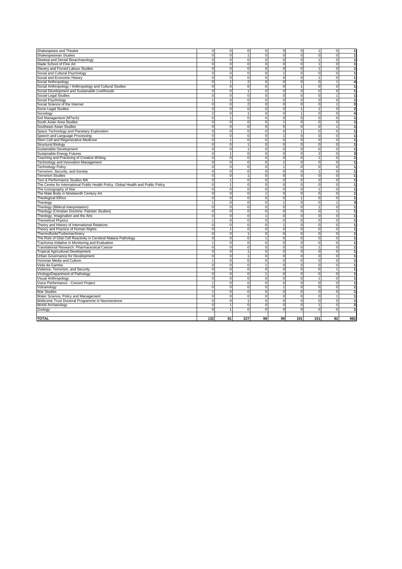| Shakespeare and Theatre                                                            | $\mathbf 0$         | 0                             | $\overline{0}$ | $\mathbf 0$    | $\mathbf 0$    | $\mathbf{0}$ | 1                       | $\overline{0}$ | 1                       |
|------------------------------------------------------------------------------------|---------------------|-------------------------------|----------------|----------------|----------------|--------------|-------------------------|----------------|-------------------------|
| Shakespearean Studies                                                              | $\mathsf{O}\xspace$ | $\mathbf 0$                   | $\mathbf{1}$   | 0              | $\mathbf 0$    | $\mathbf{0}$ | 0                       | $\mathbf 0$    | $\overline{1}$          |
| Skeletal and Dental Bioarchaeology                                                 | $\mathbf 0$         | $\mathbf 0$                   | $\mathbf 0$    | 0              | $\mathbf 0$    | $\mathbf{0}$ | $\mathbf{1}$            | $\mathbf 0$    | 1                       |
| Slade School of Fine Art                                                           | $\mathbf 0$         | $\mathbf 0$                   | $\mathbf 0$    | 0              | $\mathbf 0$    | $\Omega$     | 1                       | $\mathbf 0$    | $\mathbf{1}$            |
| Slavery and Forced Labour Studies                                                  | 0                   | $\mathbf 0$                   | $\mathbf 0$    | 0              | $\mathbf 0$    | $\mathbf 0$  | 1                       | $\mathbf 0$    | $\mathbf{1}$            |
| Social and Cultural Psychology                                                     | 0                   | $\pmb{0}$                     | 0              | 0              | 1              | $\mathbf 0$  | 0                       | $\mathbf 0$    | 1                       |
| Social and Economic History                                                        | 0                   | $\pmb{0}$                     | $\mathbf 0$    | 0              | 0              | $\mathbf{0}$ | 1                       | $\mathbf 0$    | 1                       |
| Social Anthropology                                                                | 0                   | 1                             | $\overline{2}$ | 0              | $\mathbf 0$    | $\mathbf 0$  | $\overline{0}$          | $\overline{1}$ | 4                       |
| Social Anthropology / Anthropology and Cultural Studies                            | $\mathbf 0$         | $\mathbf 0$                   | $\mathbf 0$    | $\mathbf 0$    | $\mathbf 0$    | $\mathbf{1}$ | $\mathbf 0$             | ō              | $\mathbf{1}$            |
| Social Development and Sustainable Livelihoods                                     | $\mathbf 0$         | $\mathbf 0$                   | $\mathbf{1}$   | $\mathbf 0$    | $\mathbf 0$    | $\mathbf 0$  | $\mathbf 0$             | $\mathbf 0$    | $\overline{1}$          |
| Social-Legal Studies                                                               | $\mathbf 0$         | $\pmb{0}$                     | $\mathbf 0$    | $\mathbf 0$    | $\mathbf 0$    | $\mathbf 0$  | $\overline{0}$          | $\mathbf{1}$   | $\overline{1}$          |
| Social Psychology                                                                  | 1                   | $\mathbf 0$                   | $\mathbf 0$    | 0              | $\mathbf 0$    | $\mathbf 0$  | 0                       | $\overline{0}$ | $\mathbf{1}$            |
| Social Science of the Internet                                                     | 0                   | $\overline{0}$                | $\overline{2}$ | $\overline{0}$ | $\overline{0}$ | ō            | 0                       | 1              | 3                       |
| Socio-Legal Studies                                                                | 0                   | $\pmb{0}$                     | $\mathbf 0$    | $\mathbf 0$    | 0              | $\mathbf{1}$ | $\mathbf{1}$            | 0              | $\overline{\mathbf{2}}$ |
| Sociology                                                                          | $\overline{2}$      | $\pmb{0}$                     | $\mathbf{1}$   | $\mathbf 0$    | $\mathbf 0$    |              | 0                       | $\mathbf 0$    | 4                       |
| Soil Management (MTech)                                                            | $\Omega$            | $\mathbf{1}$                  | $\Omega$       | 0              | $\mathbf 0$    | $\Omega$     | $\mathbf 0$             | $\mathbf 0$    | $\mathbf{1}$            |
| South Asian Area Studies                                                           | 0                   | 0                             | $\Omega$       | $\Omega$       | 1              | $\Omega$     | 0                       | $\Omega$       | 1                       |
| Southeast Asian Studies                                                            | $\mathbf 0$         | $\mathbf 0$                   | $\mathbf 0$    | $\overline{0}$ | 0              | $\Omega$     | $\overline{0}$          | 1              | 1                       |
| Space Technology and Planetary Exploration                                         | $\mathbf 0$         | 0                             | 0              | 0              | 0              | 1            | 0                       | $\mathbf 0$    | $\mathbf{1}$            |
| Speech and Language Processing                                                     | $\mathbf 0$         | 0                             | $\mathbf 0$    | $\mathbf 0$    | $\mathbf{1}$   | $\mathbf{0}$ | $\mathbf 0$             | $\mathbf 0$    | $\mathbf{1}$            |
| Stem Cell and Regenerative Medicine                                                | 0                   | $\overline{1}$                | $\mathbf 0$    | 0              | 0              | $\mathbf 0$  | 0                       | $\mathbf 0$    | $\mathbf{1}$            |
| <b>Structural Biology</b>                                                          | $\mathsf{O}\xspace$ | $\pmb{0}$                     | $\mathbf{1}$   | 0              | $\mathbf 0$    | $\Omega$     | 0                       | $\mathbf 0$    | $\mathbf{1}$            |
| Sustainable Development                                                            | 0                   | $\overline{0}$                | 1              | $\overline{0}$ | 0              | $\Omega$     | $\overline{0}$          | ō              | 1                       |
| Sustainable Energy Futures                                                         | $\mathsf{O}\xspace$ |                               | 0              | $\mathbf 0$    | $\mathbf 0$    | $\mathbf 0$  | $\overline{\mathbf{c}}$ | $\mathbf 0$    | 3                       |
| Teaching and Practicing of Creative Writing                                        | $\mathsf{O}\xspace$ | $\pmb{0}$                     | $\mathbf 0$    | 0              | 0              | $\mathbf{0}$ | $\mathbf{1}$            | $\mathbf 0$    | 1                       |
|                                                                                    | ō                   | $\mathbf 0$                   | $\mathbf 0$    | $\overline{0}$ | $\overline{1}$ | $\mathbf 0$  | 0                       | $\mathbf 0$    | $\mathbf{1}$            |
| Technology and Innovation Management                                               | 0                   |                               | $\mathbf 0$    | $\mathbf 0$    | $\mathbf{1}$   | $\mathbf{0}$ | $\mathbf 0$             | ō              | $\mathbf{1}$            |
| <b>Technology Policy</b>                                                           |                     | $\mathbf 0$<br>$\overline{0}$ | $\overline{0}$ | $\overline{0}$ | $\overline{0}$ | ō            | $\overline{1}$          | ō              | 1                       |
| Terrorism, Security, and Society                                                   | ō<br>ō              |                               |                | $\overline{0}$ | $\overline{0}$ |              | $\overline{0}$          | $\overline{0}$ |                         |
| <b>Terrorism Studies</b>                                                           |                     | $\pmb{0}$                     | $\mathbf{1}$   |                |                | $\mathbf 0$  |                         |                | $\mathbf{1}$            |
| Text & Performance Studies MA                                                      | 0                   | $\overline{1}$                | $\mathbf 0$    | $\overline{0}$ | $\overline{0}$ | $\mathbf 0$  | $\overline{0}$          | $\overline{0}$ | 1                       |
| The Centre for International Public Health Policy: Global Health and Public Policy | 0                   | 1                             | 0              | $\overline{0}$ | $\overline{0}$ | ō            | 0                       | ō              | 1                       |
| The Iconography of War                                                             | 0                   | 0                             | 0              | 0              | 0              | $\mathbf 0$  | 1                       | 0              | 1                       |
| The Male Body in Nineteenth Century Art                                            | 0                   | 0                             | 0              | 1              | $\mathbf 0$    | $\mathbf 0$  | 0                       | $\mathbf 0$    | 1                       |
| <b>Theological Ethics</b>                                                          | $\mathbf 0$         | $\mathbf 0$                   | $\Omega$       | 0              | 0              | $\mathbf{1}$ | $\mathbf 0$             | $\mathbf 0$    | $\mathbf{1}$            |
| Theology                                                                           | 1                   | 0                             | $\Omega$       | $\Omega$       | $\overline{1}$ | $\Omega$     | 0                       | $\mathbf{1}$   | 3                       |
| Theology (Biblical Interpretation)                                                 | ō                   | ō                             | $\mathbf 0$    | $\overline{0}$ | 0              | $\mathbf{0}$ | $\overline{1}$          | $\overline{0}$ | $\mathbf{1}$            |
| Theology (Christian Doctrine: Patristic Studies)                                   | O                   | $\pmb{0}$                     | $\mathbf 0$    | 0              | 0              | $\mathbf 0$  | 0                       | $\overline{1}$ | $\mathbf{1}$            |
| Theology, Imagination and the Arts                                                 | 0                   | 0                             | $\mathbf 0$    | 1              | 0              | $\mathbf 0$  | 0                       | O              | $\mathbf{1}$            |
| <b>Theoretical Physics</b>                                                         | 1                   | $\pmb{0}$                     | 0              | 0              | 0              | $\mathbf 0$  | 0                       | $\mathbf 0$    | $\mathbf{1}$            |
| Theory and History of International Relations                                      | $\mathsf 0$         | $\mathbf 0$                   | $\mathbf 0$    | $\mathbf 0$    | $\mathbf{1}$   | $\Omega$     | $\mathbf 0$             | $\mathbf 0$    | 1                       |
| Theory and Practice of Human Rights                                                | $\overline{0}$      | $\mathbf{1}$                  | 0              | $\overline{0}$ | $\overline{0}$ | $\Omega$     | $\overline{0}$          | ō              | 1                       |
| Thermofluids/Turbomachinery                                                        | $\mathsf{O}\xspace$ | $\pmb{0}$                     | $\mathbf{1}$   | $\mathbf 0$    | $\mathbf 0$    | $\Omega$     | 0                       | $\mathbf 0$    | $\mathbf{1}$            |
| The Role of Glial Cell Reactivity in Cerebral Malaria Pathology                    | 0                   | $\pmb{0}$                     | $\mathbf 0$    | $\overline{1}$ | 0              | $\mathbf{0}$ | 0                       | $\mathbf 0$    | $\mathbf{1}$            |
| Trachoma Initiative in Monitoring and Evaluation                                   | $\mathbf{1}$        | $\mathbf 0$                   | $\mathbf 0$    | $\mathbf 0$    | $\mathbf 0$    | $\mathbf{0}$ | 0                       | $\mathbf 0$    | $\mathbf{1}$            |
| Translational Research: Pharmaceutical Cancer                                      | 0                   | $\mathbf 0$                   | $\mathbf 0$    | $\mathbf 0$    | $\mathbf 0$    | $\mathbf{0}$ | $\mathbf{1}$            | ō              | $\mathbf{1}$            |
| <b>Tropical Agricultural Development</b>                                           | ō                   | $\overline{0}$                | $\overline{1}$ | $\overline{0}$ | $\overline{0}$ | ō            | 0                       | ō              | 1                       |
| Urban Governance for Development                                                   | $\mathbf 0$         | $\mathbf 0$                   | $\mathbf{1}$   | $\mathbf 0$    | $\mathbf 0$    | $\mathbf 0$  | $\mathbf 0$             | $\mathbf 0$    | $\mathbf{1}$            |
| Victorian Media and Culture                                                        | 1                   | $\mathbf 0$                   | $\mathbf 0$    | 0              | $\mathbf 0$    | $\mathbf 0$  | 0                       | $\mathbf 0$    | 1                       |
| Viola da Gamba                                                                     | 0                   | 0                             | 0              | 1              | $\mathbf 0$    | $\mathbf{0}$ | $\mathbf 0$             | $\mathbf 0$    | 1                       |
| Violence, Terrorism, and Security                                                  | 0                   | 0                             | 0              | 0              | 0              | $\mathbf 0$  | 0                       | $\mathbf{1}$   | 1                       |
| Virology/Department of Pathology                                                   | $\mathbf 0$         | 0                             | 0              | 1              | $\mathbf 0$    | $\mathbf 0$  | 0                       | $\mathbf 0$    | 1                       |
| Visual Anthropology                                                                | $\mathbf 0$         | $\mathbf 0$                   | $\mathbf 0$    | $\mathbf 0$    | $\mathbf 0$    | $\mathbf{0}$ | $\mathbf{1}$            | $\mathbf 0$    | $\overline{1}$          |
| Voice Performance - Concert Project                                                | $\mathbf{1}$        | 0                             | 0              | 0              | $\mathbf 0$    | $\mathbf 0$  | $\mathbf 0$             | $\mathbf 0$    | $\mathbf{1}$            |
| Volcanology                                                                        | $\mathsf 0$         | 0                             | $\mathbf 0$    | $\mathbf 0$    | $\mathbf{1}$   | $\mathbf{0}$ | $\mathbf 0$             | $\mathbf 0$    | $\mathbf{1}$            |
| War Studies                                                                        | $\mathbf{1}$        | $\mathbf 0$                   | $\mathbf 0$    | 0              | $\mathbf 0$    | $\mathbf 0$  | 0                       | $\mathbf 0$    | $\overline{1}$          |
| Water Science, Policy and Management                                               | 0                   | 0                             | 0              | 0              | 0              | ō            | 0                       | $\overline{1}$ | 1                       |
| Wellcome Trust Doctoral Programme in Neuroscience                                  | $\mathsf 0$         | $\pmb{0}$                     | $\mathbf{1}$   | 0              | 0              | $\mathbf 0$  | 0                       | $\mathbf 0$    | 1                       |
| World Archaeology                                                                  | $\pmb{0}$           | $\mathbf{1}$                  | $\mathbf 0$    | 0              | $\mathbf 0$    | $\Omega$     | 1                       | $\mathbf 0$    | $\mathbf{2}$            |
| Zoology                                                                            | $\Omega$            | $\mathbf{1}$                  | $\mathbf 0$    | $\mathbf 0$    | $\mathbf 0$    | $\Omega$     | $\mathbf 0$             | $\mathbf 0$    | 1                       |
|                                                                                    |                     |                               |                |                |                |              |                         |                |                         |
| <b>TOTAL</b>                                                                       | 132                 | 81                            | 227            | 99             | 99             | 101          | 151                     | 92             | 982                     |
|                                                                                    |                     |                               |                |                |                |              |                         |                |                         |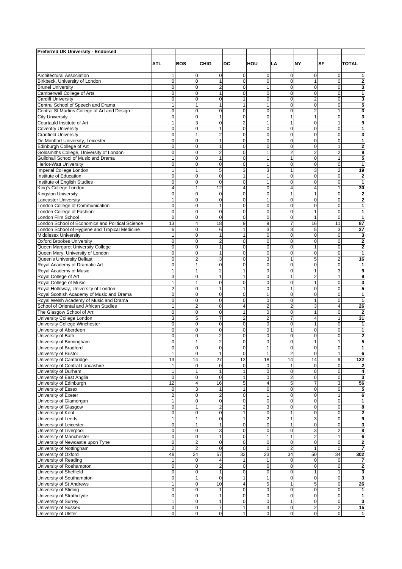| <b>Preferred UK University - Endorsed</b>                              |                   |                            |                          |                                  |                               |                             |                              |                             |                         |
|------------------------------------------------------------------------|-------------------|----------------------------|--------------------------|----------------------------------|-------------------------------|-----------------------------|------------------------------|-----------------------------|-------------------------|
|                                                                        | <b>ATL</b>        | <b>BOS</b>                 | <b>CHIG</b>              | DC                               | HOU                           | LA                          | <b>NY</b>                    | SF                          | <b>TOTAL</b>            |
|                                                                        |                   |                            |                          |                                  |                               |                             |                              |                             |                         |
| <b>Architectural Association</b>                                       | 1                 | $\mathbf 0$                | 0                        | $\mathbf 0$                      | $\mathbf 0$                   | 0                           | 0                            | 0                           | 1                       |
| Birkbeck, University of London                                         | 0                 | $\mathbf 0$                |                          | $\overline{0}$                   | $\mathbf 0$                   | 0                           | 1                            | 0                           | $\overline{2}$          |
| <b>Brunel University</b>                                               | 0                 | $\mathbf 0$                | 2                        | $\overline{0}$                   | $\mathbf{1}$                  | 0                           | 0                            | 0                           | 3                       |
| Camberwell College of Arts                                             | $\mathbf 0$       | $\mathbf 0$                | 1                        | $\overline{0}$                   | $\mathbf 0$                   | 0                           | 0                            | 0                           | 1                       |
| <b>Cardiff University</b>                                              | 0                 | $\mathbf 0$                | 0                        | $\mathbf{1}$                     | $\mathbf 0$                   | 0                           | $\overline{2}$               | $\overline{0}$              | 3                       |
| Central School of Speech and Drama                                     | 1                 | $\mathbf{1}$               | 1                        | $\mathbf{1}$                     | $\mathbf{1}$                  | 0                           | 0                            | 0                           | 5                       |
| Central St Martins College of Art and Design<br><b>City University</b> | 0<br>0            | $\mathbf 0$<br>$\mathbf 0$ | 0<br>1                   | $\overline{0}$<br>$\overline{0}$ | $\mathbf 0$<br>$\mathbf 0$    | $\mathbf 0$<br>1            | $\overline{2}$<br>1          | 1<br>$\mathbf 0$            | 3<br>3                  |
| Courtauld Institute of Art                                             | 1                 | 3                          | 0                        | $\overline{2}$                   | $\mathbf{1}$                  | $\mathbf{1}$                | 0                            | 1                           | 9                       |
| <b>Coventry University</b>                                             | $\mathbf 0$       | $\overline{0}$             | 1                        | $\mathbf 0$                      | $\mathbf 0$                   | 0                           | $\mathbf 0$                  | 0                           | 1                       |
| <b>Cranfield University</b>                                            | 0                 | $\mathbf{1}$               | 2                        | $\mathbf{O}$                     | $\mathbf 0$                   | 0                           | 0                            | $\mathbf 0$                 | 3                       |
| De Montfort University, Leicester                                      | 0                 | $\mathbf 0$                | $\mathbf{1}$             | $\mathbf{O}$                     | $\mathbf 0$                   | 0                           | 0                            | $\mathbf 0$                 | 1                       |
| Edinburgh College of Art                                               | 0                 | $\mathbf 0$                | 1                        | $\overline{0}$                   | $\mathbf 0$                   | 0                           | 0                            | 1                           | $\overline{2}$          |
| Goldsmiths College, University of London                               | $\mathbf 0$       | $\pmb{0}$                  | $\overline{2}$           | $\overline{0}$                   | $\mathbf{1}$                  | $\overline{2}$              | $\overline{2}$               | $\overline{2}$              | 9                       |
| Guildhall School of Music and Drama                                    | 1                 | $\mathbf 0$                |                          | $\overline{0}$                   | $\mathbf{1}$                  | $\mathbf{1}$                | 0                            | 1                           | 5                       |
| <b>Heriot-Watt University</b>                                          | $\mathbf 0$       | $\mathbf 0$                | 0                        | $\overline{0}$                   | $\mathbf{1}$                  | 0                           | 0                            | $\mathbf 0$                 | 1                       |
| Imperial College London                                                | 1                 | $\mathbf{1}$               | 5                        | 3                                | 3                             | 1                           | 3                            | $\overline{c}$              | 19                      |
| Institute of Education                                                 | 0                 | $\mathbf 0$                | 0                        | $\mathbf{1}$                     | $\mathbf{1}$                  | $\mathbf 0$                 | 0                            | $\overline{0}$              | $\overline{\mathbf{2}}$ |
| Institute of English Studies                                           | $\overline{0}$    | $\mathbf 0$                | 0                        | $\overline{0}$                   | $\mathbf{1}$                  | 0                           | 0                            | 0                           | $\mathbf{1}$            |
| King's College London                                                  | 4                 | $\mathbf{1}$               | 12                       | 4                                | $\mathbf 0$                   | $\overline{4}$              | 4                            | $\overline{1}$              | 30                      |
| <b>Kingston University</b>                                             | 0                 | $\mathbf 0$                | 0                        | 0                                | $\mathbf 0$                   | 1                           | 1                            | 0                           | $\overline{\mathbf{2}}$ |
| <b>Lancaster University</b>                                            | 1                 | $\mathbf 0$                | 0                        | $\overline{0}$                   | $\mathbf{1}$                  | 0                           | 0                            | 0                           | $\overline{2}$          |
| London College of Communication                                        | $\mathbf 0$       | $\overline{0}$             | 1                        | $\overline{0}$                   | $\mathbf 0$                   | 0                           | $\mathbf 0$                  | $\overline{0}$              | 1                       |
| London College of Fashion<br>London Film School                        | 0<br>0            | $\mathbf 0$<br>$\mathbf 0$ | 0<br>0                   | $\mathbf{O}$<br>$\overline{0}$   | $\mathbf 0$<br>$\mathbf 0$    | 0<br>0                      | $\mathbf{1}$<br>$\mathbf{1}$ | $\mathbf 0$<br>$\mathbf 0$  | 1<br>1                  |
| London School of Economics and Political Science                       | 13                | 4                          | 18                       | 9                                | 9                             | $\overline{7}$              | 16                           | 11                          | 87                      |
| London School of Hygiene and Tropical Medicine                         | 6                 | $\mathbf 0$                | 6                        | 1                                | 3                             | 3                           | 5                            | 3                           | 27                      |
| <b>Middlesex University</b>                                            | 1                 | $\mathbf 0$                | 1                        | $\mathbf{1}$                     | $\mathbf 0$                   | 0                           | 0                            | 0                           | 3                       |
| <b>Oxford Brookes University</b>                                       | $\mathbf 0$       | $\mathbf 0$                | 2                        | $\overline{0}$                   | $\mathbf 0$                   | 0                           | 0                            | 0                           | $\overline{\mathbf{2}}$ |
| Queen Margaret University College                                      | 0                 | $\mathbf 0$                | 1                        | $\mathbf{O}$                     | $\mathbf 0$                   | 0                           | $\mathbf{1}$                 | 0                           | $\overline{\mathbf{2}}$ |
| Queen Mary, University of London                                       | 0                 | $\pmb{0}$                  | $\mathbf{1}$             | $\overline{0}$                   | $\mathbf 0$                   | 0                           | 0                            | $\mathbf 0$                 | 1                       |
| Queen's University Belfast                                             | $\overline{0}$    | $\overline{c}$             | 3                        | $\overline{0}$                   | 3                             | 1                           | 5                            | $\overline{\mathbf{c}}$     | 16                      |
| Royal Academy of Dramatic Art                                          | $\overline{0}$    | $\mathbf{1}$               | 0                        | $\overline{0}$                   | $\mathbf 0$                   | $\mathbf 0$                 | $\overline{0}$               | $\mathbf 0$                 | 1                       |
| Royal Academy of Music                                                 | 1                 | $\mathbf{1}$               | 2                        | $\mathbf{1}$                     | $\mathbf 0$                   | 0                           | 1                            | 3                           | 9                       |
| Royal College of Art                                                   | 3                 | $\mathbf 0$                | $\mathbf{1}$             | $\mathbf{1}$                     | $\mathbf 0$                   | $\mathbf{1}$                | $\overline{2}$               | $\mathbf{1}$                | 9                       |
| Royal College of Music                                                 | 1                 | $\mathbf{1}$               | 0                        | $\overline{0}$                   | $\mathbf 0$                   | 0                           | $\mathbf{1}$                 | 0                           | 3                       |
| Royal Holloway, University of London                                   | 2                 | $\mathbf 0$                | $\mathbf{1}$             | $\mathbf{1}$                     | $\mathbf 0$                   | $\mathbf{1}$                | 0                            | $\mathbf 0$                 | 5                       |
| Royal Scottish Academy of Music and Drama                              | $\mathbf 0$       | $\pmb{0}$                  | 0                        | $\overline{0}$                   | $\mathbf{1}$                  | 0                           | 0                            | $\mathbf 0$                 | 1                       |
| Royal Welsh Academy of Music and Drama                                 | $\mathbf 0$       | $\pmb{0}$                  | 0                        | $\overline{0}$                   | $\mathbf 0$                   | 0                           | 1                            | $\mathbf 0$                 | 1                       |
| School of Oriental and African Studies                                 | 1                 | $\overline{2}$             | 8                        | 4                                | $\overline{2}$                | $\overline{2}$              | 3                            | $\overline{4}$              | 26                      |
| The Glasgow School of Art                                              | 0                 | $\mathbf 0$                | 0                        | $\mathbf{1}$                     | $\mathbf 0$                   | 0                           | 1                            | 0                           | $\overline{2}$          |
| University College London                                              | 3                 | 5                          | 7                        | 2                                | $\overline{2}$                | 7                           | 4                            | 1                           | 31                      |
| University College Winchester<br>University of Aberdeen                | 0<br>0            | $\mathbf 0$<br>$\mathbf 0$ | 0<br>0                   | $\mathbf 0$<br>$\overline{0}$    | $\mathbf 0$<br>$\mathbf 0$    | $\mathbf 0$<br>$\mathbf{1}$ | 1<br>0                       | 0<br>$\overline{0}$         | 1<br>1                  |
| University of Bath                                                     | 0                 | $\mathbf 0$                | 2                        | $\overline{0}$                   | $\mathbf 0$                   | 0                           | 0                            | 0                           | $\overline{\mathbf{c}}$ |
| University of Birmingham                                               | 0                 | 1                          | 2                        | 0                                | $\mathbf 0$                   | 0                           | 1                            | 1                           | 5                       |
| University of Bradford                                                 | 0                 | $\mathbf 0$                | 0                        | $\overline{0}$                   | 1                             | 0                           | 0                            | 0                           | 1                       |
| University of Bristol                                                  | 1                 | $\mathbf 0$                | 1                        | $\mathbf 0$                      | 1                             | $\overline{\mathbf{c}}$     | 0                            | 1                           | 6                       |
| University of Cambridge                                                | 13                | 14                         | 27                       | 13                               | 18                            | 14                          | 14                           | 9                           | 122                     |
| University of Central Lancashire                                       | 1                 | $\mathbf 0$                | 0                        | $\mathbf 0$                      | 0                             |                             | $\Omega$                     | 0                           | $\overline{\mathbf{2}}$ |
| University of Durham                                                   | 1                 | $\mathbf{1}$               |                          | 1                                | 0                             | $\mathbf 0$                 | 0                            | $\mathbf 0$                 | 4                       |
| University of East Anglia                                              | 0                 | $\pmb{0}$                  | 0                        | 1                                | $\mathbf 0$                   | $\overline{2}$              | 0                            | 0                           | 3                       |
| University of Edinburgh                                                | 12                | 4                          | 16                       | 5                                | $\overline{4}$                | 5                           | 7                            | 3                           | 56                      |
| University of Essex                                                    | 0                 | 3                          |                          | $\mathbf{1}$                     | $\mathbf 0$                   | 0                           | 0                            | 0                           | 5                       |
| University of Exeter                                                   | 2                 | $\pmb{0}$                  | 2                        | $\mathbf 0$                      | $\mathbf{1}$                  | 0                           | 0                            | 1                           | 6                       |
| University of Glamorgan                                                | 1                 | $\mathbf 0$                | 0                        | $\mathsf{O}\xspace$              | $\mathbf 0$                   | 0                           | 0                            | $\pmb{0}$                   | 1                       |
| University of Glasgow                                                  | $\mathbf 0$       | $\mathbf{1}$               | $\overline{2}$           | $\overline{2}$                   | 3                             | 0                           | $\Omega$                     | $\mathbf 0$                 | 8                       |
| University of Kent<br>University of Leeds                              | 0<br>$\mathbf{1}$ | $\pmb{0}$<br>$\mathbf{1}$  | 0<br>0                   | 1<br>$\mathbf{1}$                | $\mathbf 0$                   | $\mathbf{1}$<br>1           | 0                            | 0<br>$\Omega$               | $\overline{\mathbf{c}}$ |
| University of Leicester                                                | 0                 | $\mathbf{1}$               |                          | $\mathbf{O}$                     | $\overline{2}$<br>$\mathbf 0$ | $\mathbf{1}$                | 3<br>0                       | 0                           | 9<br>3                  |
| University of Liverpool                                                | 0                 | $\mathbf 0$                | 3                        | $\overline{0}$                   | $\mathbf 0$                   | 0                           | 3                            | $\overline{c}$              | 8                       |
| University of Manchester                                               | $\mathbf 0$       | $\pmb{0}$                  | $\mathbf{1}$             | $\mathbf{O}$                     | $\mathbf{1}$                  | $\mathbf{1}$                | 2                            | $\mathbf{1}$                | 6                       |
| University of Newcastle upon Tyne                                      | $\mathbf 0$       | $\mathbf 2$                | 0                        | $\mathbf 0$                      | $\pmb{0}$                     | 0                           | $\mathbf 0$                  | 0                           | $\overline{\mathbf{c}}$ |
| University of Nottingham                                               | $\overline{2}$    | $\overline{2}$             | 0                        | $\mathbf 0$                      | $\mathbf 0$                   | $\overline{2}$              | $\mathbf{1}$                 | 0                           | 7                       |
| University of Oxford                                                   | 48                | 24                         | 57                       | 32                               | 23                            | 34                          | 50                           | 34                          | 302                     |
| University of Reading                                                  | 1                 | $\mathbf 0$                | 4                        | $\mathbf{1}$                     | $\mathbf{1}$                  | $\mathbf 0$                 | 0                            | 0                           | 7                       |
| University of Roehampton                                               | 0                 | $\mathbf 0$                | 2                        | $\mathbf 0$                      | $\mathbf 0$                   | 0                           | $\pmb{0}$                    | 0                           | $\overline{\mathbf{2}}$ |
| University of Sheffield                                                | 0                 | $\pmb{0}$                  |                          | $\mathbf 0$                      | $\mathbf 0$                   | 0                           | 1                            | 1                           | 3                       |
| University of Southampton                                              | 0                 | $\mathbf{1}$               | 0                        | 1                                | $\mathbf{1}$                  | 0                           | 0                            | $\pmb{0}$                   | 3                       |
| University of St Andrews                                               | 1                 | $\mathbf 0$                | 10                       | $\overline{4}$                   | 5                             | $\mathbf{1}$                | 5                            | $\mathbf 0$                 | 26                      |
| <b>University of Stirling</b>                                          | 0                 | $\pmb{0}$                  |                          | $\mathbf 0$                      | $\mathbf 0$                   | 0                           | 0                            | 0                           | 1                       |
| University of Strathclyde                                              | 0                 | $\overline{0}$             |                          | $\overline{0}$                   | $\mathbf 0$                   | 0                           | $\Omega$                     | $\mathbf 0$                 | 1                       |
| University of Surrey                                                   | 1                 | $\mathbf 0$                | 1                        | $\mathbf{O}$                     | $\mathbf 0$                   | $\mathbf{1}$                | 0                            | 0                           | 3                       |
| University of Sussex<br>University of Ulster                           | 0                 | $\pmb{0}$<br>$\pmb{0}$     | 7<br>$\mathsf{O}\xspace$ | $\mathbf{1}$<br>$\mathbf{1}$     | 3<br>$\mathbf 0$              | $\mathbf 0$                 | $\overline{c}$<br>0          | $\overline{c}$<br>$\pmb{0}$ | 15                      |
|                                                                        | 0                 |                            |                          |                                  |                               | $\pmb{0}$                   |                              |                             | $\mathbf{1}$            |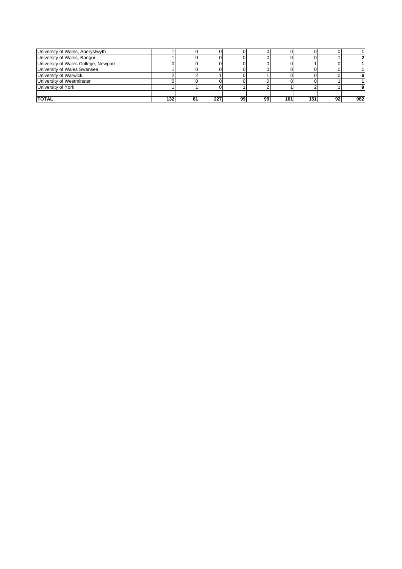| University of Wales, Aberystwyth     |     |    |     |    |    |     |     |    |     |
|--------------------------------------|-----|----|-----|----|----|-----|-----|----|-----|
| University of Wales, Bangor          |     |    |     |    |    |     |     |    |     |
| University of Wales College, Newport |     |    |     |    |    |     |     |    |     |
| University of Wales Swansea          |     |    |     |    |    |     |     |    |     |
| University of Warwick                |     |    |     |    |    |     |     |    |     |
| University of Westminster            |     |    |     |    |    |     |     |    |     |
| University of York                   |     |    |     |    |    |     |     |    |     |
|                                      |     |    |     |    |    |     |     |    |     |
| <b>TOTAL</b>                         | 132 | 81 | 227 | 99 | 99 | 101 | 151 | 92 | 982 |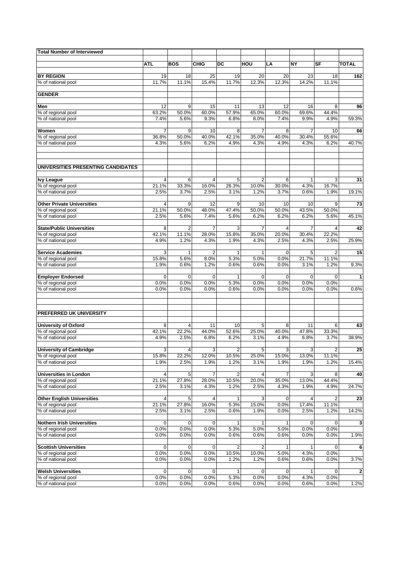| <b>Total Number of Interviewed</b>       |                |                         |                |               |                |                         |               |                |              |
|------------------------------------------|----------------|-------------------------|----------------|---------------|----------------|-------------------------|---------------|----------------|--------------|
|                                          |                |                         |                |               |                |                         |               |                |              |
|                                          | ATL            | <b>BOS</b>              | <b>CHIG</b>    | DC            | HOU            | LA                      | ΝY            | SF             | <b>TOTAL</b> |
| <b>BY REGION</b>                         | 19             | 18                      | 25             | 19            | 20             | 20                      | 23            | 18             | 162          |
| % of national pool                       | 11.7%          | 11.1%                   | 15.4%          | 11.7%         | 12.3%          | 12.3%                   | 14.2%         | 11.1%          |              |
|                                          |                |                         |                |               |                |                         |               |                |              |
| <b>GENDER</b>                            |                |                         |                |               |                |                         |               |                |              |
| Men                                      | 12             | 9                       | 15             | 11            | 13             | 12                      | 16            | 8              | 96           |
| % of regional pool                       | 63.2%          | 50.0%                   | 60.0%          | 57.9%         | 65.0%          | 60.0%                   | 69.6%         | 44.4%          |              |
| % of national pool                       | 7.4%           | 5.6%                    | 9.3%           | 6.8%          | 8.0%           | 7.4%                    | 9.9%          | 4.9%           | 59.3%        |
|                                          |                |                         |                |               |                |                         |               |                |              |
| Women                                    | $\overline{7}$ | 9                       | 10             | 8             | $\overline{7}$ | 8                       | 7             | 10             | 66           |
| % of regional pool<br>% of national pool | 36.8%<br>4.3%  | 50.0%<br>5.6%           | 40.0%<br>6.2%  | 42.1%<br>4.9% | 35.0%<br>4.3%  | 40.0%<br>4.9%           | 30.4%<br>4.3% | 55.6%<br>6.2%  | 40.7%        |
|                                          |                |                         |                |               |                |                         |               |                |              |
| UNIVERSITIES PRESENTING CANDIDATES       |                |                         |                |               |                |                         |               |                |              |
|                                          |                |                         |                |               |                |                         |               |                |              |
| <b>Ivy League</b>                        | 4              | 6                       | 4              | 5             | $\overline{2}$ | 6                       | 1             | 3              | 31           |
| % of regional pool                       | 21.1%          | 33.3%                   | 16.0%          | 26.3%         | 10.0%          | 30.0%                   | 4.3%          | 16.7%          |              |
| % of national pool                       | 2.5%           | 3.7%                    | 2.5%           | 3.1%          | 1.2%           | 3.7%                    | 0.6%          | 1.9%           | 19.1%        |
| <b>Other Private Universities</b>        | 4              | 9                       | 12             | 9             | 10             | 10                      | 10            | 9              | 73           |
| % of regional pool                       | 21.1%          | 50.0%                   | 48.0%          | 47.4%         | 50.0%          | 50.0%                   | 43.5%         | 50.0%          |              |
| % of national pool                       | 2.5%           | 5.6%                    | 7.4%           | 5.6%          | 6.2%           | 6.2%                    | 6.2%          | 5.6%           | 45.1%        |
| <b>State/Public Universities</b>         | 8              | $\overline{\mathbf{c}}$ | 7              | 3             | $\overline{7}$ | 4                       | 7             | $\overline{4}$ |              |
| % of regional pool                       | 42.1%          | 11.1%                   | 28.0%          | 15.8%         | 35.0%          | 20.0%                   | 30.4%         | 22.2%          | 42           |
| % of national pool                       | 4.9%           | 1.2%                    | 4.3%           | 1.9%          | 4.3%           | 2.5%                    | 4.3%          | 2.5%           | 25.9%        |
|                                          |                |                         |                |               |                |                         |               |                |              |
| <b>Service Academies</b>                 | 3              | $\mathbf{1}$            | $\overline{2}$ | $\mathbf{1}$  | $\mathbf{1}$   | $\mathbf 0$             | 5             | $\overline{2}$ | 15           |
| % of regional pool                       | 15.8%          | 5.6%                    | 8.0%           | 5.3%          | 5.0%           | 0.0%                    | 21.7%         | 11.1%          |              |
| % of national pool                       | 1.9%           | 0.6%                    | 1.2%           | 0.6%          | 0.6%           | 0.0%                    | 3.1%          | 1.2%           | 9.3%         |
| <b>Employer Endorsed</b>                 | 0              | $\mathbf 0$             | $\mathbf 0$    | $\mathbf{1}$  | $\mathbf 0$    | $\mathbf 0$             | 0             | 0              | $\mathbf{1}$ |
| % of regional pool                       | 0.0%           | 0.0%                    | 0.0%           | 5.3%          | 0.0%           | 0.0%                    | 0.0%          | 0.0%           |              |
| % of national pool                       | 0.0%           | 0.0%                    | 0.0%           | 0.6%          | 0.0%           | 0.0%                    | 0.0%          | 0.0%           | 0.6%         |
|                                          |                |                         |                |               |                |                         |               |                |              |
| PREFERRED UK UNIVERSITY                  |                |                         |                |               |                |                         |               |                |              |
|                                          |                |                         |                |               |                |                         |               |                |              |
| <b>University of Oxford</b>              | 8              | 4                       | 11             | 10            | 5              | 8                       | 11            | 6              | 63           |
| % of regional pool                       | 42.1%          | 22.2%                   | 44.0%          | 52.6%         | 25.0%          | 40.0%                   | 47.8%         | 33.3%          |              |
| % of national pool                       | 4.9%           | 2.5%                    | 6.8%           | 6.2%          | 3.1%           | 4.9%                    | 6.8%          | 3.7%           | 38.9%        |
| <b>University of Cambridge</b>           | 3              | $\overline{4}$          | 3              | 2             | 5              | 3                       | 3             | $\overline{2}$ | 25           |
| % of regional pool                       | 15.8%          | 22.2%                   | 12.0%          | 10.5%         | 25.0%          | 15.0%                   | 13.0%         | 11.1%          |              |
| % of national pool                       | 1.9%           | 2.5%                    | 1.9%           | 1.2%          | 3.1%           | 1.9%                    | 1.9%          | 1.2%           | 15.4%        |
|                                          |                |                         |                |               |                |                         |               |                |              |
| <b>Universities in London</b>            | 4<br>21.1%     | 5                       | 7<br>28.0%     | 2<br>10.5%    | 4<br>20.0%     | $\overline{7}$<br>35.0% | 3<br>13.0%    | 8<br>44.4%     | 40           |
| % of regional pool<br>% of national pool | 2.5%           | 27.8%<br>3.1%           | 4.3%           | 1.2%          | 2.5%           | 4.3%                    | 1.9%          | 4.9%           | 24.7%        |
|                                          |                |                         |                |               |                |                         |               |                |              |
| <b>Other English Universities</b>        | 4              | 5                       | 4              | 1             | 3              | $\mathbf 0$             | 4             | $\sqrt{2}$     | 23           |
| % of regional pool                       | 21.1%          | 27.8%                   | 16.0%          | 5.3%          | 15.0%          | 0.0%                    | 17.4%         | 11.1%          |              |
| % of national pool                       | 2.5%           | 3.1%                    | 2.5%           | 0.6%          | 1.9%           | 0.0%                    | 2.5%          | 1.2%           | 14.2%        |
| <b>Nothern Irish Universities</b>        | 0              | $\pmb{0}$               | $\mathbf 0$    | 1             | $\mathbf{1}$   | 1                       | 0             | 0              | 3            |
| % of regional pool                       | 0.0%           | 0.0%                    | 0.0%           | 5.3%          | 5.0%           | 5.0%                    | 0.0%          | 0.0%           |              |
| % of national pool                       | 0.0%           | 0.0%                    | 0.0%           | 0.6%          | 0.6%           | 0.6%                    | 0.0%          | 0.0%           | 1.9%         |
|                                          |                |                         |                |               |                |                         |               |                |              |
| <b>Scottish Universities</b>             | 0              | $\pmb{0}$               | $\mathbf 0$    | 2             | $\overline{2}$ | 1                       | 1             | 0              | 6            |
| % of regional pool<br>% of national pool | 0.0%<br>0.0%   | 0.0%<br>0.0%            | 0.0%<br>0.0%   | 10.5%<br>1.2% | 10.0%<br>1.2%  | 5.0%<br>0.6%            | 4.3%<br>0.6%  | 0.0%<br>0.0%   | 3.7%         |
|                                          |                |                         |                |               |                |                         |               |                |              |
| <b>Welsh Universities</b>                | 0              | $\pmb{0}$               | $\mathbf 0$    | 1             | 0              | $\mathbf 0$             | 1             | 0              | 2            |
| % of regional pool                       | 0.0%           | 0.0%                    | 0.0%           | 5.3%          | 0.0%           | 0.0%                    | 4.3%          | 0.0%           |              |
| % of national pool                       | 0.0%           | 0.0%                    | 0.0%           | 0.6%          | 0.0%           | 0.0%                    | 0.6%          | 0.0%           | 1.2%         |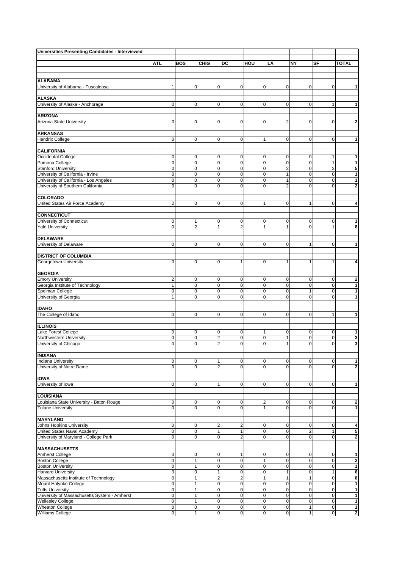| Universities Presenting Candidates - Interviewed                     |                                  |                                |                            |                               |                                           |                            |                     |                   |                         |
|----------------------------------------------------------------------|----------------------------------|--------------------------------|----------------------------|-------------------------------|-------------------------------------------|----------------------------|---------------------|-------------------|-------------------------|
|                                                                      |                                  |                                |                            |                               |                                           |                            |                     |                   |                         |
|                                                                      | <b>ATL</b>                       | <b>BOS</b>                     | <b>CHIG</b>                | DC                            | HOU                                       | LA                         | NY                  | SF                | <b>TOTAL</b>            |
|                                                                      |                                  |                                |                            |                               |                                           |                            |                     |                   |                         |
| <b>ALABAMA</b>                                                       |                                  |                                |                            |                               |                                           |                            |                     |                   |                         |
| University of Alabama - Tuscaloosa                                   | $\mathbf{1}$                     | $\pmb{0}$                      | $\mathbf 0$                | $\overline{0}$                | 0                                         | $\mathbf 0$                | $\overline{0}$      | $\mathbf 0$       | 1                       |
|                                                                      |                                  |                                |                            |                               |                                           |                            |                     |                   |                         |
| <b>ALASKA</b>                                                        |                                  |                                |                            |                               |                                           |                            |                     |                   |                         |
| University of Alaska - Anchorage                                     | $\mathbf{0}$                     | 0                              | $\mathbf{0}$               | $\mathbf{0}$                  | 0                                         | $\mathbf{0}$               | $\mathbf{0}$        | 1                 | 1                       |
| <b>ARIZONA</b>                                                       |                                  |                                |                            |                               |                                           |                            |                     |                   |                         |
| Arizona State University                                             | $\overline{0}$                   | $\mathbf 0$                    | $\mathbf 0$                | $\mathbf{O}$                  | $\mathbf 0$                               | $\overline{2}$             | $\mathbf{O}$        | $\mathbf 0$       | $\overline{2}$          |
|                                                                      |                                  |                                |                            |                               |                                           |                            |                     |                   |                         |
| <b>ARKANSAS</b>                                                      |                                  |                                |                            |                               |                                           |                            |                     |                   |                         |
| <b>Hendrix College</b>                                               | $\mathbf{0}$                     | $\mathbf 0$                    | $\mathbf 0$                | $\mathbf 0$                   | $\mathbf{1}$                              | $\mathbf 0$                | $\mathbf 0$         | $\mathbf 0$       | 1                       |
|                                                                      |                                  |                                |                            |                               |                                           |                            |                     |                   |                         |
| <b>CALIFORNIA</b>                                                    |                                  |                                |                            |                               |                                           |                            |                     |                   |                         |
| Occidental College<br>Pomona College                                 | $\mathbf{0}$<br>$\mathbf 0$      | $\mathbf 0$<br>$\mathbf 0$     | $\mathbf 0$<br>$\mathbf 0$ | 0<br>$\mathbf 0$              | $\mathbf 0$<br>$\mathbf 0$                | $\mathbf 0$<br>$\mathbf 0$ | 0<br>$\mathbf 0$    | 1<br>$\mathbf{1}$ | 1<br>1                  |
| <b>Stanford University</b>                                           | $\mathbf 0$                      | $\mathbf 0$                    | $\mathbf 0$                | $\pmb{0}$                     | $\mathbf 0$                               | $\overline{2}$             | $\pmb{0}$           | 3                 | 5                       |
| University of California - Irvine                                    | $\mathbf 0$                      | 0                              | $\mathbf 0$                | $\pmb{0}$                     | $\mathbf 0$                               | $\mathbf{1}$               | $\pmb{0}$           | $\mathbf 0$       | 1                       |
| University of California - Los Angeles                               | $\mathbf 0$                      | 0                              | $\mathbf 0$                | $\pmb{0}$                     | $\mathbf 0$                               | $\mathbf{1}$               | $\mathbf 0$         | $\mathbf 0$       | 1                       |
| University of Southern California                                    | $\mathbf{O}$                     | $\mathbf 0$                    | $\mathbf{O}$               | $\mathbf 0$                   | $\mathbf 0$                               | $\overline{2}$             | $\mathbf 0$         | $\mathbf 0$       | $\overline{2}$          |
|                                                                      |                                  |                                |                            |                               |                                           |                            |                     |                   |                         |
| <b>COLORADO</b>                                                      |                                  |                                |                            |                               |                                           |                            |                     |                   |                         |
| United States Air Force Academy                                      | $\overline{2}$                   | $\mathbf 0$                    | $\mathbf 0$                | $\mathbf 0$                   | $\mathbf{1}$                              | $\mathbf 0$                | $\mathbf{1}$        | 0                 | 4                       |
| <b>CONNECTICUT</b>                                                   |                                  |                                |                            |                               |                                           |                            |                     |                   |                         |
| University of Connecticut                                            | $\mathbf 0$                      | $\mathbf{1}$                   | $\mathbf 0$                | $\mathbf 0$                   | $\mathbf 0$                               | $\mathbf 0$                | 0                   | $\pmb{0}$         | 1                       |
| <b>Yale University</b>                                               | $\mathbf{O}$                     | $\overline{2}$                 | $\mathbf{1}$               | $\overline{2}$                | $\mathbf{1}$                              | $\mathbf{1}$               | $\mathbf 0$         | 1                 | 8                       |
|                                                                      |                                  |                                |                            |                               |                                           |                            |                     |                   |                         |
| <b>DELAWARE</b>                                                      |                                  |                                |                            |                               |                                           |                            |                     |                   |                         |
| University of Delaware                                               | $\mathbf{O}$                     | $\mathbf 0$                    | $\mathbf 0$                | $\mathbf{O}$                  | 0                                         | $\mathbf 0$                | $\mathbf{1}$        | 0                 | 1                       |
|                                                                      |                                  |                                |                            |                               |                                           |                            |                     |                   |                         |
| <b>DISTRICT OF COLUMBIA</b>                                          | $\overline{0}$                   | $\mathbf 0$                    | $\mathbf{0}$               | $\mathbf{1}$                  | $\mathbf 0$                               | $\mathbf{1}$               |                     |                   |                         |
| Georgetown University                                                |                                  |                                |                            |                               |                                           |                            | $\mathbf{1}$        | 1                 | 4                       |
| <b>GEORGIA</b>                                                       |                                  |                                |                            |                               |                                           |                            |                     |                   |                         |
| <b>Emory University</b>                                              | $\sqrt{2}$                       | $\pmb{0}$                      | $\mathbf 0$                | $\mathbf 0$                   | $\pmb{0}$                                 | $\mathbf 0$                | $\mathsf 0$         | $\pmb{0}$         | $\overline{2}$          |
| Georgia Institute of Technology                                      | $\mathbf{1}$                     | $\mathbf 0$                    | $\mathbf 0$                | $\pmb{0}$                     | $\mathbf 0$                               | $\mathbf 0$                | 0                   | $\pmb{0}$         | 1                       |
| Spelman College                                                      | $\pmb{0}$                        | $\mathbf 0$                    | $\mathbf 0$                | $\pmb{0}$                     | $\mathbf 0$                               | $\mathbf 0$                | $\mathbf{1}$        | $\mathbf 0$       | 1                       |
| University of Georgia                                                | $\mathbf{1}$                     | $\mathbf 0$                    | $\mathbf{0}$               | $\mathbf{O}$                  | $\mathbf 0$                               | $\mathbf{0}$               | $\mathbf 0$         | $\mathbf 0$       | 1                       |
|                                                                      |                                  |                                |                            |                               |                                           |                            |                     |                   |                         |
| <b>IDAHO</b><br>The College of Idaho                                 | $\mathbf{0}$                     | $\mathbf 0$                    | $\mathbf 0$                | 0                             | $\mathbf 0$                               | $\mathbf 0$                | 0                   | $\mathbf{1}$      | 1                       |
|                                                                      |                                  |                                |                            |                               |                                           |                            |                     |                   |                         |
| <b>ILLINOIS</b>                                                      |                                  |                                |                            |                               |                                           |                            |                     |                   |                         |
| Lake Forest College                                                  | $\mathbf 0$                      | $\mathbf 0$                    | $\mathbf 0$                | $\mathbf 0$                   | 1                                         | $\mathbf 0$                | 0                   | $\pmb{0}$         | 1                       |
| Northwestern University                                              | $\pmb{0}$                        | $\mathbf 0$                    | $\overline{\mathbf{c}}$    | $\mathbf 0$                   | $\mathbf 0$                               | 1                          | $\mathbf 0$         | 0                 | 3                       |
| University of Chicago                                                | $\mathbf{O}$                     | $\overline{0}$                 | $\overline{2}$             | $\mathbf 0$                   | $\overline{0}$                            | 1                          | $\mathbf 0$         | $\mathbf 0$       | 3                       |
| <b>INDIANA</b>                                                       |                                  |                                |                            |                               |                                           |                            |                     |                   |                         |
| <b>Indiana University</b>                                            | $\overline{0}$                   | $\pmb{0}$                      | $\mathbf{1}$               | $\mathbf 0$                   | $\pmb{0}$                                 | $\mathbf 0$                | 0                   | 0                 | 1                       |
| University of Notre Dame                                             | $\Omega$                         | 0                              | $\overline{2}$             | $\mathbf{O}$                  | $\mathbf 0$                               | $\Omega$                   | $\Omega$            | $\mathbf 0$       | $\overline{\mathbf{c}}$ |
|                                                                      |                                  |                                |                            |                               |                                           |                            |                     |                   |                         |
| <b>IOWA</b>                                                          |                                  |                                |                            |                               |                                           |                            |                     |                   |                         |
| University of Iowa                                                   | $\overline{0}$                   | $\mathbf 0$                    | $\mathbf{1}$               | $\overline{0}$                | 0                                         | $\mathbf 0$                | $\mathbf 0$         | $\mathbf 0$       | 1                       |
|                                                                      |                                  |                                |                            |                               |                                           |                            |                     |                   |                         |
| <b>LOUISIANA</b>                                                     |                                  |                                |                            |                               |                                           |                            |                     |                   |                         |
| Louisiana State University - Baton Rouge<br><b>Tulane University</b> | $\overline{0}$<br>$\overline{0}$ | 0<br>$\overline{0}$            | $\mathbf 0$<br>$\mathbf 0$ | $\mathbf 0$<br>$\overline{0}$ | $\overline{\mathbf{c}}$<br>$\overline{1}$ | $\mathbf 0$<br>$\mathbf 0$ | 0<br>$\overline{0}$ | 0<br>$\mathbf 0$  | 2<br>$\mathbf{1}$       |
|                                                                      |                                  |                                |                            |                               |                                           |                            |                     |                   |                         |
| <b>MARYLAND</b>                                                      |                                  |                                |                            |                               |                                           |                            |                     |                   |                         |
| <b>Johns Hopkins University</b>                                      | $\overline{0}$                   | $\mathbf 0$                    | $\overline{2}$             | $\overline{c}$                | $\mathbf 0$                               | $\mathbf{O}$               | 0                   | $\pmb{0}$         | $\overline{4}$          |
| United States Naval Academy                                          | $\overline{0}$                   | $\mathbf 0$                    | $\mathbf{1}$               | 1                             | $\mathbf 0$                               | $\overline{0}$             | $\overline{2}$      | $\mathbf{1}$      | 5                       |
| University of Maryland - College Park                                | $\overline{0}$                   | $\mathbf 0$                    | $\mathbf 0$                | $\overline{2}$                | $\mathbf 0$                               | $\mathbf 0$                | $\overline{0}$      | 0                 | 2                       |
|                                                                      |                                  |                                |                            |                               |                                           |                            |                     |                   |                         |
| <b>MASSACHUSETTS</b>                                                 | $\overline{0}$                   | $\mathbf 0$                    |                            |                               |                                           |                            |                     |                   | 1                       |
| Amherst College<br><b>Boston College</b>                             | $\overline{0}$                   | $\overline{1}$                 | $\mathbf 0$<br>$\mathbf 0$ | 1<br>$\mathbf 0$              | 0<br>$\overline{1}$                       | $\mathbf 0$<br>$\mathbf 0$ | 0<br>0              | 0<br>$\mathbf 0$  | $\overline{2}$          |
| <b>Boston University</b>                                             | $\mathbf 0$                      | 1                              | $\mathbf 0$                | $\pmb{0}$                     | 0                                         | $\mathbf 0$                | $\mathsf 0$         | $\mathbf 0$       | 1                       |
| <b>Harvard University</b>                                            | 3 <sup>1</sup>                   | $\mathbf 0$                    | $\mathbf{1}$               | $\mathbf 0$                   | $\mathbf 0$                               | $\mathbf{1}$               | $\overline{0}$      | 1                 | 6                       |
| Massachusetts Institute of Technology                                | $\overline{0}$                   | 1                              | $\overline{2}$             | $\overline{2}$                | 1                                         | $\mathbf{1}$               | 1                   | $\pmb{0}$         | 8                       |
| Mount Holyoke College                                                | $\mathbf 0$                      | 1                              | $\mathbf 0$                | $\mathbf 0$                   | $\mathbf 0$                               | $\mathbf 0$                | 0                   | 0                 | 1                       |
| <b>Tufts University</b>                                              | $\mathbf 0$                      | 1                              | $\mathbf 0$                | $\pmb{0}$                     | $\mathbf 0$                               | $\mathbf 0$                | 0                   | $\pmb{0}$         | 1                       |
| University of Massachusetts System - Amherst                         | $\mathbf{O}$                     | 1                              | $\mathbf 0$                | $\mathbf 0$                   | 0                                         | $\mathbf 0$                | $\mathbf 0$         | 0                 | 1                       |
| <b>Wellesley College</b><br><b>Wheaton College</b>                   | $\overline{0}$<br>$\overline{0}$ | $\mathbf{1}$<br>$\overline{0}$ | $\mathbf 0$<br>$\pmb{0}$   | $\mathbf 0$<br>$\mathbf 0$    | 0<br>0                                    | $\mathbf 0$<br>$\pmb{0}$   | 0<br>$\mathbf{1}$   | $\mathbf 0$<br>0  | 1<br>1                  |
| Williams College                                                     | $\mathbf 0$                      | $\mathbf{1}$                   | $\mathbf 0$                | $\mathbf 0$                   | 0                                         | $\mathbf 0$                | $\mathbf{1}$        | $\mathbf 0$       | $\overline{2}$          |
|                                                                      |                                  |                                |                            |                               |                                           |                            |                     |                   |                         |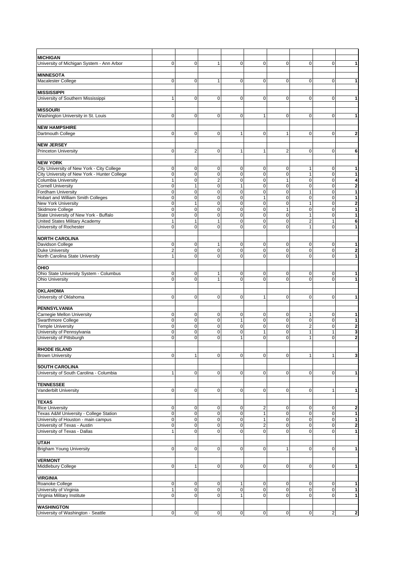| <b>MICHIGAN</b>                                                          |                             |                                |                              |                            |                     |                   |                                |                  |                         |
|--------------------------------------------------------------------------|-----------------------------|--------------------------------|------------------------------|----------------------------|---------------------|-------------------|--------------------------------|------------------|-------------------------|
| University of Michigan System - Ann Arbor                                | $\mathbf{0}$                | 0                              | 1                            | 0                          | 0                   | $\mathbf 0$       | $\mathbf 0$                    | 0                | 1                       |
|                                                                          |                             |                                |                              |                            |                     |                   |                                |                  |                         |
| <b>MINNESOTA</b>                                                         |                             |                                |                              |                            |                     |                   |                                |                  |                         |
| <b>Macalester College</b>                                                | $\mathbf{0}$                | $\mathbf 0$                    | 1                            | $\mathbf 0$                | $\mathbf 0$         | 0                 | 0                              | 0                | 1                       |
|                                                                          |                             |                                |                              |                            |                     |                   |                                |                  |                         |
| <b>MISSISSIPPI</b><br>University of Southern Mississippi                 | $\mathbf{1}$                | 0                              | $\mathbf{O}$                 | $\mathbf{O}$               | 0                   | $\mathbf{0}$      | $\mathbf 0$                    | $\pmb{0}$        | 1                       |
|                                                                          |                             |                                |                              |                            |                     |                   |                                |                  |                         |
| <b>MISSOURI</b>                                                          |                             |                                |                              |                            |                     |                   |                                |                  |                         |
| Washington University in St. Louis                                       | $\mathbf{O}$                | $\mathbf 0$                    | $\mathbf 0$                  | $\mathbf 0$                | 1                   | $\mathbf 0$       | $\mathbf 0$                    | 0                | 1                       |
|                                                                          |                             |                                |                              |                            |                     |                   |                                |                  |                         |
| <b>NEW HAMPSHIRE</b>                                                     |                             |                                |                              |                            |                     |                   |                                |                  |                         |
| Dartmouth College                                                        | $\mathbf{0}$                | $\mathbf 0$                    | $\mathbf 0$                  | $\mathbf{1}$               | $\mathbf 0$         | $\mathbf{1}$      | $\mathbf 0$                    | 0                | 2                       |
| <b>NEW JERSEY</b>                                                        |                             |                                |                              |                            |                     |                   |                                |                  |                         |
| <b>Princeton University</b>                                              | $\mathbf{0}$                | $\overline{2}$                 | $\mathbf 0$                  | 1                          | 1                   | $\overline{2}$    | $\mathbf 0$                    | 0                | 6                       |
|                                                                          |                             |                                |                              |                            |                     |                   |                                |                  |                         |
| <b>NEW YORK</b>                                                          |                             |                                |                              |                            |                     |                   |                                |                  |                         |
| City University of New York - City College                               | 0<br>$\mathbf 0$            | $\mathbf 0$<br>$\mathbf 0$     | $\mathbf 0$<br>0             | 0<br>$\mathbf 0$           | 0<br>$\mathbf 0$    | 0<br>$\mathbf 0$  | 1<br>$\mathbf{1}$              | 0<br>$\mathbf 0$ | 1                       |
| City University of New York - Hunter College<br>Columbia University      | $\mathbf{1}$                | $\mathbf 0$                    | $\overline{2}$               | $\pmb{0}$                  | $\mathbf 0$         | $\mathbf{1}$      | $\mathsf 0$                    | $\mathbf 0$      | 1<br>4                  |
| <b>Cornell University</b>                                                | $\mathbf 0$                 | 1                              | $\mathbf 0$                  | $\mathbf{1}$               | $\mathbf 0$         | $\mathbf 0$       | $\mathbf 0$                    | $\mathbf 0$      | $\overline{2}$          |
| <b>Fordham University</b>                                                | $\mathbf{O}$                | $\mathbf 0$                    | $\mathbf 0$                  | $\pmb{0}$                  | $\mathbf 0$         | $\mathbf 0$       | $\mathbf{1}$                   | $\pmb{0}$        | 1                       |
| Hobart and William Smith Colleges                                        | $\mathbf{O}$                | $\pmb{0}$                      | $\mathbf{0}$                 | $\mathbf 0$                | $\mathbf{1}$        | $\mathbf{0}$      | $\mathbf 0$                    | $\mathbf 0$      | 1                       |
| <b>New York University</b>                                               | $\mathbf 0$                 | 1                              | $\mathbf{0}$                 | $\mathbf 0$                | $\mathbf 0$         | $\mathbf 0$       | $\mathbf{1}$                   | $\mathbf 0$      | $\overline{2}$          |
| Skidmore College                                                         | $\mathbf 0$                 | $\mathbf 0$                    | $\mathbf 0$                  | $\pmb{0}$                  | $\mathbf 0$         | $\mathbf{1}$      | 0                              | $\pmb{0}$        | 1                       |
| State University of New York - Buffalo<br>United States Military Academy | $\mathbf 0$<br>$\mathbf{1}$ | $\overline{0}$<br>$\mathbf{1}$ | $\mathbf{0}$<br>$\mathbf{1}$ | $\mathbf 0$<br>$\mathbf 0$ | $\overline{0}$<br>0 | $\mathbf{0}$<br>0 | $\mathbf{1}$<br>$\overline{2}$ | $\mathbf 0$<br>1 | 1<br>6                  |
| University of Rochester                                                  | $\mathbf{O}$                | $\mathbf 0$                    | $\mathbf 0$                  | $\mathbf 0$                | $\mathbf 0$         | 0                 | $\mathbf{1}$                   | 0                | 1                       |
|                                                                          |                             |                                |                              |                            |                     |                   |                                |                  |                         |
| <b>NORTH CAROLINA</b>                                                    |                             |                                |                              |                            |                     |                   |                                |                  |                         |
| Davidson College                                                         | $\overline{0}$              | $\mathbf 0$                    | $\mathbf{1}$                 | $\mathbf 0$                | $\mathbf 0$         | $\mathbf{O}$      | $\mathbf 0$                    | 0                | 1                       |
| <b>Duke University</b>                                                   | $\overline{2}$              | $\pmb{0}$                      | $\mathbf 0$                  | $\pmb{0}$                  | $\pmb{0}$           | $\mathbf 0$       | $\mathsf 0$                    | $\mathbf 0$      | $\overline{\mathbf{c}}$ |
| North Carolina State University                                          | $\mathbf{1}$                | $\mathbf 0$                    | $\mathbf{O}$                 | $\mathbf 0$                | $\mathbf 0$         | $\mathbf{O}$      | $\mathbf 0$                    | $\mathbf 0$      | 1                       |
| OHIO                                                                     |                             |                                |                              |                            |                     |                   |                                |                  |                         |
| Ohio State University System - Columbus                                  | $\mathbf 0$                 | $\mathbf 0$                    | $\mathbf{1}$                 | 0                          | $\mathbf 0$         | 0                 | 0                              | 0                | 1                       |
| <b>Ohio University</b>                                                   | $\Omega$                    | $\mathbf 0$                    | $\mathbf{1}$                 | $\mathbf 0$                | $\mathbf 0$         | 0                 | $\mathbf 0$                    | $\mathbf 0$      | 1                       |
|                                                                          |                             |                                |                              |                            |                     |                   |                                |                  |                         |
| <b>OKLAHOMA</b><br>University of Oklahoma                                | $\overline{0}$              | $\mathbf 0$                    | $\mathbf{O}$                 | $\mathbf{O}$               | $\mathbf{1}$        | $\mathbf{O}$      | $\mathbf 0$                    | $\pmb{0}$        | 1                       |
|                                                                          |                             |                                |                              |                            |                     |                   |                                |                  |                         |
| PENNSYLVANIA                                                             |                             |                                |                              |                            |                     |                   |                                |                  |                         |
| Carnegie Mellon University                                               | 0                           | $\mathbf 0$                    | $\mathbf 0$                  | 0                          | $\mathbf 0$         | $\mathbf 0$       | 1                              | 0                | 1                       |
| <b>Swarthmore College</b>                                                | $\mathbf 0$                 | 0                              | $\mathbf 0$                  | $\mathbf{1}$               | 0                   | $\mathbf 0$       | $\mathbf 0$                    | 0                | 1                       |
| <b>Temple University</b><br>University of Pennsylvania                   | $\mathbf 0$<br>$\mathbf 0$  | $\mathbf 0$<br>$\mathbf 0$     | $\pmb{0}$<br>0               | $\pmb{0}$<br>$\mathbf 0$   | $\mathbf 0$<br>1    | $\pmb{0}$<br>0    | $\overline{2}$<br>$\mathbf{1}$ | $\mathbf 0$<br>1 | $\overline{2}$<br>3     |
| University of Pittsburgh                                                 | $\mathbf 0$                 | $\mathbf 0$                    | $\mathbf 0$                  | $\mathbf{1}$               | $\mathbf 0$         | $\mathbf 0$       | $\mathbf{1}$                   | $\pmb{0}$        | 2                       |
|                                                                          |                             |                                |                              |                            |                     |                   |                                |                  |                         |
| <b>RHODE ISLAND</b>                                                      |                             |                                |                              |                            |                     |                   |                                |                  |                         |
| <b>Brown University</b>                                                  | $\overline{0}$              | $\mathbf{1}$                   | $\mathbf 0$                  | $\mathbf 0$                | $\overline{0}$      | $\mathbf 0$       | $\mathbf{1}$                   | $\mathbf{1}$     | 3                       |
| <b>SOUTH CAROLINA</b>                                                    |                             |                                |                              |                            |                     |                   |                                |                  |                         |
| University of South Carolina - Columbia                                  | $\mathbf{1}$                | 0                              | $\mathbf 0$                  | $\overline{0}$             | 0                   | $\mathbf 0$       | $\overline{0}$                 | 0                | 1                       |
|                                                                          |                             |                                |                              |                            |                     |                   |                                |                  |                         |
| <b>TENNESSEE</b>                                                         |                             |                                |                              |                            |                     |                   |                                |                  |                         |
| Vanderbilt University                                                    | $\overline{0}$              | 0                              | $\mathbf{0}$                 | $\overline{0}$             | 0                   | $\mathbf{0}$      | $\overline{0}$                 | $\mathbf{1}$     | 1                       |
| <b>TEXAS</b>                                                             |                             |                                |                              |                            |                     |                   |                                |                  |                         |
| <b>Rice University</b>                                                   | $\mathbf 0$                 | 0                              | $\mathbf 0$                  | $\mathbf 0$                | $\overline{c}$      | $\mathbf 0$       | 0                              | 0                | $\overline{\mathbf{2}}$ |
| Texas A&M University - College Station                                   | $\mathbf 0$                 | $\mathbf 0$                    | $\mathbf 0$                  | $\pmb{0}$                  | 1                   | $\mathbf 0$       | $\mathbf 0$                    | $\mathbf 0$      | 1                       |
| University of Houston - main campus                                      | $\overline{0}$              | $\mathbf 0$                    | $\mathbf 0$                  | $\mathbf 0$                | $\mathbf{1}$        | $\mathbf 0$       | $\mathsf 0$                    | $\mathbf 0$      | 1                       |
| University of Texas - Austin                                             | $\overline{0}$              | $\mathbf 0$                    | $\mathbf 0$                  | $\mathbf 0$                | $\overline{c}$      | $\mathbf 0$       | 0                              | $\mathbf 0$      | 2                       |
| University of Texas - Dallas                                             | $\mathbf{1}$                | $\mathbf 0$                    | $\mathbf 0$                  | $\mathbf{O}$               | $\mathbf 0$         | $\mathbf{0}$      | $\mathbf 0$                    | $\mathbf 0$      | 1                       |
| <b>UTAH</b>                                                              |                             |                                |                              |                            |                     |                   |                                |                  |                         |
| <b>Brigham Young University</b>                                          | $\overline{0}$              | 0                              | $\mathbf 0$                  | $\overline{0}$             | 0                   | 1                 | $\mathbf 0$                    | 0                | 1                       |
|                                                                          |                             |                                |                              |                            |                     |                   |                                |                  |                         |
| <b>VERMONT</b>                                                           |                             |                                |                              |                            |                     |                   |                                |                  |                         |
| Middlebury College                                                       | $\overline{0}$              | 1                              | $\mathbf 0$                  | $\overline{0}$             | 0                   | $\mathbf 0$       | $\mathbf 0$                    | 0                | 1                       |
|                                                                          |                             |                                |                              |                            |                     |                   |                                |                  |                         |
| <b>VIRGINIA</b><br>Roanoke College                                       | $\overline{0}$              | $\pmb{0}$                      | $\mathbf 0$                  | 1                          | $\pmb{0}$           | $\mathbf 0$       | $\overline{0}$                 | $\mathbf 0$      | 1                       |
| University of Virginia                                                   | $\mathbf{1}$                | 0                              | $\mathbf{0}$                 | $\mathbf 0$                | 0                   | $\mathbf{0}$      | $\mathbf 0$                    | $\pmb{0}$        | 1                       |
| Virginia Military Institute                                              | $\overline{0}$              | 0                              | $\mathbf 0$                  | $\mathbf{1}$               | $\mathbf 0$         | $\mathbf 0$       | $\overline{0}$                 | 0                | 1                       |
|                                                                          |                             |                                |                              |                            |                     |                   |                                |                  |                         |
| <b>WASHINGTON</b>                                                        |                             |                                |                              |                            |                     |                   |                                |                  |                         |
| University of Washington - Seattle                                       | $\mathbf 0$                 | $\mathbf 0$                    | $\mathbf 0$                  | $\overline{0}$             | $\mathbf 0$         | $\mathbf 0$       | $\mathbf 0$                    | $\mathbf 2$      | $\overline{\mathbf{c}}$ |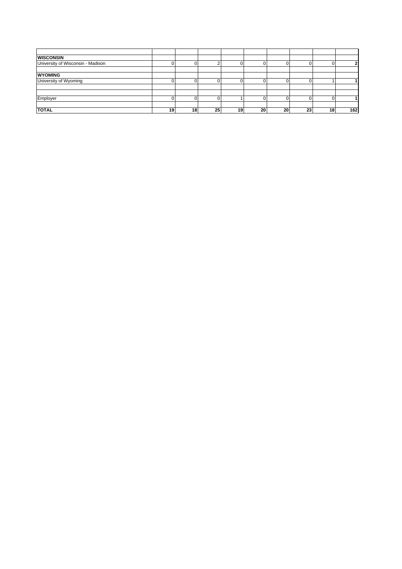| <b>WISCONSIN</b>                  |    |    |                 |    |    |    |    |    |     |
|-----------------------------------|----|----|-----------------|----|----|----|----|----|-----|
| University of Wisconsin - Madison |    |    |                 |    |    |    |    |    | 2   |
|                                   |    |    |                 |    |    |    |    |    |     |
| <b>WYOMING</b>                    |    |    |                 |    |    |    |    |    |     |
| University of Wyoming             |    |    |                 |    |    |    |    |    |     |
|                                   |    |    |                 |    |    |    |    |    |     |
|                                   |    |    |                 |    |    |    |    |    |     |
| Employer                          |    |    |                 |    |    |    |    |    |     |
|                                   |    |    |                 |    |    |    |    |    |     |
| <b>TOTAL</b>                      | 19 | 18 | 25 <sub>1</sub> | 19 | 20 | 20 | 23 | 18 | 162 |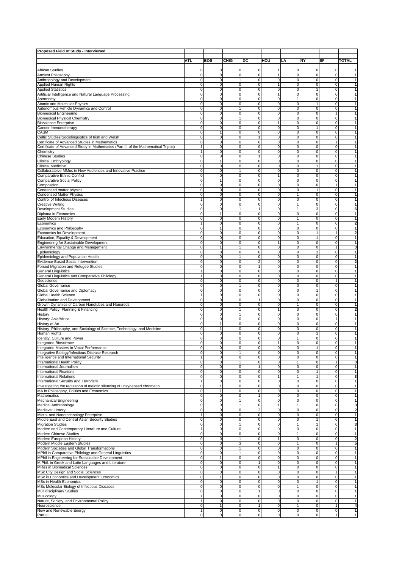| Proposed Field of Study - Interviewed                                              |                             |                                            |                             |                               |                            |                          |                   |                   |                              |
|------------------------------------------------------------------------------------|-----------------------------|--------------------------------------------|-----------------------------|-------------------------------|----------------------------|--------------------------|-------------------|-------------------|------------------------------|
|                                                                                    |                             |                                            |                             |                               |                            |                          |                   |                   |                              |
|                                                                                    | <b>ATL</b>                  | <b>BOS</b>                                 | CHIG                        | DC                            | HOU                        | LA                       | NY                | SF                | TOTAL                        |
|                                                                                    |                             |                                            |                             |                               |                            |                          |                   |                   |                              |
| <b>African Studies</b>                                                             | $\mathbf 0$                 | 0                                          | 0                           | $\mathbf 0$                   | 1                          | 0                        | 0                 | 0                 | 1                            |
| <b>Ancient Philosophy</b>                                                          | $\mathbf 0$                 | $\mathbf 0$                                | $\mathbf 0$                 | 0                             | 1                          | 0                        | 0                 | 0                 | 1                            |
| Anthropology and Development<br><b>Applied Human Rights</b>                        | $\mathbf 0$<br>$\mathbf 0$  | $\mathbf 0$<br>$\mathbf 0$                 | $\mathbf{1}$<br>$\mathbf 0$ | $\mathbf 0$<br>$\mathbf 0$    | $\mathbf 0$<br>1           | 0<br>0                   | 0<br>$\mathbf 0$  | 0<br>0            | 1<br>$\mathbf{1}$            |
| <b>Applied Statistics</b>                                                          | $\mathbf 0$                 | $\mathbf 0$                                | $\mathbf 0$                 | 0                             | $\mathbf 0$                | 0                        | 1                 | 0                 | 1                            |
| Artificial Intelligence and Natural Language Processing                            | $\mathbf 0$                 | $\mathbf 0$                                | $\mathbf 0$                 | 0                             | $\mathbf{1}$               | 0                        | 0                 | 0                 | 1                            |
| Astronomy                                                                          | $\mathbf 0$                 | $\mathbf 0$                                | $\mathbf 0$                 | $\mathbf 0$                   | $\mathbf 0$                | $\mathbf{1}$             | 0                 | $\mathbf 0$       | $\overline{1}$               |
| Atomic and Molecular Physics                                                       | $\mathbf 0$                 | $\mathbf 0$                                | $\mathbf 0$                 | 0                             | $\pmb{0}$                  | 0                        | 1                 | 0                 | 1                            |
| Autonomous Vehicle Dynamics and Control                                            | $\mathbf 0$                 | $\mathbf 0$                                | 1                           | 0                             | 0                          | 0                        | 0                 | 0                 | 1                            |
| <b>Biomedical Engineering</b>                                                      | $\mathbf 0$                 | $\mathbf 0$                                | $\mathbf 0$                 | $\mathbf 0$                   | $\mathbf 0$                | 0                        | 0                 | $\mathbf{1}$      | 1                            |
| <b>Biomedical Physical Chemistry</b>                                               | $\mathbf 0$                 | $\mathbf 0$                                | 1                           | $\mathbf 0$                   | $\pmb{0}$                  | 0                        | $\Omega$          | 0                 | 1                            |
| <b>Bioscience Enterprise</b>                                                       | $\mathbf 0$                 | $\mathbf 0$                                | $\mathbf 0$                 | $\mathbf 0$                   | $\mathbf{1}$               | 0                        | 0                 | 0                 | 1                            |
| Cancer Immunotherapy                                                               | $\mathbf 0$<br>$\mathbf 0$  | $\mathbf 0$<br>$\mathbf{1}$                | $\mathbf 0$<br>$\mathbf 0$  | $\mathbf 0$<br>$\mathbf 0$    | $\mathbf 0$<br>$\mathbf 0$ | 0<br>0                   | 1<br>0            | 0<br>0            | 1<br>1                       |
| CASM<br>Celtic Studies/Sociolinguistics of Irish and Welsh                         | $\mathbf 0$                 | $\mathbf 0$                                | $\mathbf 0$                 | 1                             | $\mathbf 0$                | 0                        | 0                 | 0                 | 1                            |
| Certificate of Advanced Studies in Mathematics                                     | $\mathbf 0$                 | $\mathbf 0$                                | $\mathbf 0$                 | 0                             | 0                          | 0                        | 0                 | $\mathbf{1}$      | 1                            |
| Certificate of Advanced Study in Mathematics (Part III of the Mathematical Tripos) | $\mathbf{1}$                | $\mathbf 0$                                | $\mathbf 0$                 | 0                             | $\mathbf 0$                | 0                        | 0                 | 0                 | 1                            |
| Chemistry                                                                          | $\mathbf{1}$                | $\mathbf 0$                                | $\mathbf 0$                 | $\mathbf 0$                   | $\mathbf 0$                | $\mathbf 0$              | 0                 | $\mathbf 0$       | $\overline{1}$               |
| <b>Chinese Studies</b>                                                             | $\mathbf 0$                 | $\mathbf 0$                                | $\mathbf 0$                 | 1                             | $\pmb{0}$                  | 0                        | 0                 | 0                 | 1                            |
| Clinical Embryology                                                                | $\mathbf 0$                 |                                            | 0                           | 0                             | 0                          | 0                        | 0                 | 0                 | 1                            |
| <b>Clinical Medicine</b>                                                           | $\mathbf 0$                 | $\mathbf 0$                                | $\mathbf 0$                 | $\mathbf 0$                   | $\mathbf 0$                | 0                        | $\overline{1}$    | 0                 | 1                            |
| Collaborateive MMus in New Audiences and Innovative Practice                       | $\mathbf 0$                 | $\mathsf{O}\xspace$                        | 1                           | 0                             | $\mathbf 0$                | 0                        | 0                 | 0                 | 1                            |
| <b>Comparative Ethnic Conflict</b>                                                 | $\mathbf 0$                 | $\mathbf 0$                                | 0                           | 0                             | $\mathbf{1}$               | 0                        | 0                 | 0                 | 1                            |
| Comparative Social Policy                                                          | $\mathbf 0$                 | 1                                          | $\mathbf 0$                 | $\mathbf 0$                   | $\mathbf 0$                | $\mathbf 0$              | 0                 | 0                 | $\mathbf{1}$                 |
| Composition                                                                        | $\mathbf 0$                 | $\mathbf 0$                                | $\mathbf 0$                 | $\mathbf 0$                   | $\mathbf 0$                | 0                        | 0                 | 1                 | 1                            |
| Condensed matter physics<br><b>Condensed Matter Physics</b>                        | $\mathbf 0$<br>$\mathbf 0$  | $\mathbf 0$<br>$\mathbf 0$                 | $\mathbf 0$<br>$\mathbf 0$  | $\mathbf 0$<br>$\mathbf 0$    | 0<br>0                     | 0<br>1                   | 1<br>0            | 0<br>0            | 1<br>1                       |
| Control of Infectious Diseases                                                     | $\mathbf{1}$                | $\mathbf 0$                                | $\mathbf 0$                 | 0                             | $\mathbf 0$                | 0                        | 0                 | 0                 | 1                            |
| Creative Writing                                                                   | $\mathbf 0$                 | $\mathbf 0$                                | $\mathbf 0$                 | $\mathbf 0$                   | $\mathbf 0$                | 1                        | 0                 | $\mathbf 0$       | 1                            |
| Development Studies                                                                | $\mathbf 0$                 | $\mathbf 0$                                | $\overline{1}$              |                               | $\pmb{0}$                  | 1                        | 3                 | 0                 | 6                            |
| Diploma in Economics                                                               | $\mathbf 0$                 | 1                                          | $\mathbf 0$                 | $\mathbf 0$                   | $\mathbf 0$                | 0                        | 0                 | 0                 | 1                            |
| Early Modern History                                                               | $\mathbf 0$                 | $\mathbf 0$                                | $\mathbf 0$                 | $\mathbf 0$                   | $\mathbf 0$                | 1                        | $\mathbf 0$       | 0                 | $\mathbf{1}$                 |
| Economics                                                                          | $\mathbf{1}$                | $\mathbf 0$                                | 0                           | 0                             | $\pmb{0}$                  | 1                        | 0                 | 0                 | $\overline{a}$               |
| Economics and Philosophy                                                           | $\mathbf 0$                 | $\mathbf{1}$                               | 0                           | 0                             | 0                          | 0                        | 0                 | 0                 | 1                            |
| <b>Economics for Development</b>                                                   | $\mathbf 0$                 | $\mathbf 0$                                | $\mathbf 0$                 | $\mathbf 0$                   | $\mathbf 0$                | $\mathbf 0$              | 1                 | 1                 | $\overline{a}$               |
| Education, Equality & Development                                                  | $\mathbf 0$                 | $\mathbf 0$                                | $\mathbf 0$                 | $\mathbf 0$                   | $\mathbf 0$                | 0                        | 1                 | 0                 | 1                            |
| <b>Engineering for Sustainable Development</b>                                     | $\mathbf 0$                 | $\mathbf 0$                                | $\mathbf 0$                 | 0                             | 1                          | 0                        | 0                 | 0                 | 1                            |
| Environmental Change and Management                                                | $\mathbf 0$                 | $\mathbf{1}$                               | 1                           | $\mathbf 0$                   | 0                          | 0                        | 0                 | $\mathbf{1}$      | 3                            |
| Epidemiology                                                                       | $\mathbf 0$                 | $\mathbf 0$                                | $\mathbf 0$                 | $\mathbf 0$                   | $\mathbf 0$                | 0                        | 1                 | 0                 | 1                            |
| Epidemiology and Population Health<br>Evidence-Based Social Intervention           | 0<br>$\mathbf 0$            | $\mathbf 0$<br>$\mathbf 0$                 | 1<br>$\mathbf 0$            | $\mathbf 0$<br>$\overline{2}$ | 0<br>$\mathbf 0$           | 0<br>0                   | 0<br>0            | 0<br>0            | 1<br>$\overline{\mathbf{c}}$ |
| Forced Migration and Refugee Studies                                               | $\mathbf 0$                 | $\mathbf 0$                                | $\mathbf 0$                 | 1                             | $\mathbf 0$                | 0                        | 0                 | 0                 | 1                            |
| General Linguistics                                                                | $\mathbf{1}$                | $\mathbf 0$                                | $\mathbf 0$                 | $\mathbf 0$                   | $\mathbf 0$                | $\pmb{0}$                | $\mathbf 0$       | 0                 | $\mathbf{1}$                 |
| General Linguistics and Comparative Philology                                      | $\mathbf{1}$                | $\mathsf{O}\xspace$                        | 0                           | 0                             | $\pmb{0}$                  | 0                        | 0                 | 0                 | 1                            |
| Geoscience                                                                         | $\mathbf 0$                 | $\mathbf 0$                                | $\mathbf 0$                 | 0                             | 0                          | 0                        | 0                 | 1                 | 1                            |
| Global Governance                                                                  | $\mathbf 0$                 | $\mathbf 0$                                | 1                           | $\mathbf 0$                   | $\mathbf 0$                | $\mathbf 0$              | 0                 | 0                 | 1                            |
| Global Governance and Diplomacy                                                    | $\mathbf 0$                 | $\mathbf 0$                                | $\mathbf 0$                 | 0                             | 0                          | 0                        | 1                 | 0                 | 1                            |
| Global Health Science                                                              | 1                           | $\mathbf 0$                                | $\mathbf 0$                 | 0                             | 0                          | 0                        | 0                 | 0                 | 1                            |
| Globalisation and Development                                                      | $\mathbf 0$                 | $\mathbf 0$                                | $\mathbf 0$                 | 1                             | $\mathbf 0$                | 0                        | 0                 | 0                 | 1                            |
| Growth Dynamics of Carbon Nanotubes and Nanorods                                   | $\mathbf 0$                 | $\mathbf 0$                                | $\mathbf 0$                 | $\mathbf 0$                   | $\pmb{0}$                  | 1                        | $\Omega$          | 0                 | 1                            |
| Health Policy, Planning & Financing                                                | $\mathbf 0$                 | $\mathbf 0$                                | 1                           | 0                             | 1                          | 0                        | 0                 | 0                 | $\overline{a}$               |
| History                                                                            | $\mathbf 0$                 | $\mathbf 0$<br>$\mathbf 0$                 | $\mathbf{1}$<br>$\mathbf 0$ | $\mathbf 0$<br>$\mathbf 0$    | $\mathbf 0$<br>$\mathbf 0$ | 0<br>0                   | 0<br>0            | 0<br>$\mathbf{1}$ | 1                            |
| History: Asia/Africa<br>History of Art                                             | $\mathbf 0$<br>$\mathbf 0$  | 1                                          | $\mathbf 0$                 | $\mathbf 0$                   | $\mathbf 0$                | $\pmb{0}$                | $\mathbf 0$       | 0                 | 1<br>$\mathbf{1}$            |
| History, Philosophy, and Sociology of Science, Technology, and Medicine            | $\mathbf 0$                 | 1                                          | $\mathbf 0$                 | 0                             | $\pmb{0}$                  | 0                        | 0                 | 0                 | 1                            |
| Human Rights                                                                       | $\mathbf 0$                 | $\mathbf 0$                                | 0                           | 0                             | 0                          | 0                        | 1                 | 0                 | 1                            |
| Identity, Culture and Power                                                        | $\mathbf 0$                 | $\mathbf 0$                                | $\mathbf 0$                 | $\mathbf 0$                   | $\mathbf 0$                | $\mathbf{1}$             | 0                 | 0                 | 1                            |
| Integrated Bioscience                                                              | $\mathbf 0$                 | $\mathbf 0$                                | $\mathbf 0$                 | $\mathbf 0$                   | $\mathbf{1}$               | 0                        | 0                 | 0                 | 1                            |
| Integrated Masters in Vocal Performance                                            | $\mathbf 0$                 | $\mathbf 0$                                | 0                           | 0                             | 0                          | 0                        | 1                 | 0                 | 1                            |
| Integrative Biology/Infectious Disease Research                                    | 0                           | 0                                          |                             | 0                             | 0                          | 0                        | 0                 | 0                 |                              |
| Intelligence and International Security                                            | $\mathbf{1}$                | $\mathsf{O}\xspace$                        | 0                           | 0                             | $\pmb{0}$                  | 0                        | $\Omega$          | 0                 | 1                            |
| International Health Policy                                                        | $\mathbf 0$                 | $\mathbf 0$                                | $\mathbf{1}$                | 0                             | $\pmb{0}$                  | 1                        | 0                 | 1                 | 3                            |
| International Journalism                                                           | $\mathbf 0$                 | $\mathbf 0$                                | $\mathbf 0$                 |                               | 0                          | 0                        | 0                 | $\mathbf 0$       | 1                            |
| International Reations<br><b>International Relations</b>                           | $\mathbf 0$<br>$\mathbf 0$  | $\mathbf 0$<br>$\mathbf 0$                 | $\mathbf 0$<br>$\mathbf 0$  | $\mathbf 0$<br>$\mathbf 0$    | $\mathbf 0$<br>1           | $\mathsf{O}\xspace$<br>1 | 1<br>$\mathbf{1}$ | $\mathbf 0$<br>0  | 1<br>3                       |
| International Security and Terrorism                                               | $\mathbf{1}$                | $\mathsf{O}\xspace$                        | $\mathbf 0$                 | 0                             | $\mathbf 0$                | 0                        | 0                 | $\mathbf 0$       | 1                            |
| Investigating the regulation of meiotic silencing of unsynapsed chromatin          | $\mathbf 0$                 | $\mathbf{1}$                               | $\mathbf 0$                 | 0                             | $\pmb{0}$                  | 0                        | 0                 | $\pmb{0}$         | 1                            |
| MA in Philosophy, Politics and Economics                                           | $\mathbf 0$                 | $\mathbf{1}$                               | $\mathbf 0$                 | $\mathbf 0$                   | $\mathbf 0$                | $\pmb{0}$                | 0                 | $\mathbf 0$       | 1                            |
| Mathematics                                                                        | $\mathbf 0$                 | $\mathbf 0$                                | $\mathbf 0$                 | $\mathbf{1}$                  | $\pmb{0}$                  | 0                        | 0                 | 0                 | 1                            |
| Mechanical Engineering                                                             | $\mathbf 0$                 | $\pmb{0}$                                  | $\mathbf{1}$                | 0                             | $\mathbf 0$                | 0                        | 0                 | 0                 | 1                            |
| Medical Anthropology                                                               | $\mathbf 0$                 | $\mathbf 0$                                | $\mathbf{1}$                | 0                             | 1                          | $\mathbf{1}$             | $\mathbf 0$       | 0                 | 3                            |
| Medieval History                                                                   | $\mathbf 0$                 | $\mathbf 0$                                | $\mathbf 0$                 | $\overline{\mathbf{c}}$       | $\pmb{0}$                  | 0                        | 0                 | 0                 | 2                            |
| Micro- and Nanotechnology Enterprise                                               | $\mathbf{1}$                | $\mathsf{O}\xspace$                        | 0                           | $\mathbf 0$                   | $\pmb{0}$                  | 0                        | 0                 | 0                 | 1                            |
| Middle East and Central Asian Security Studies                                     | $\mathbf 0$                 | $\pmb{0}$                                  | 0                           | 0                             | $\pmb{0}$                  | 0                        | 1                 | $\mathbf 0$       | 1                            |
| <b>Migration Studies</b>                                                           | $\mathbf 0$                 | $\mathbf 0$                                | $\mathbf{1}$                | $\mathbf 0$                   | $\pmb{0}$                  | 1                        | $\mathbf{1}$      | $\mathbf 0$       | 3                            |
| Modern and Contemporary Literature and Culture<br>Modern Chinese Studies           | $\mathbf{1}$<br>$\mathbf 0$ | $\mathsf{O}\xspace$<br>$\mathsf{O}\xspace$ | 0<br>$\mathbf 0$            | $\mathbf 0$<br>0              | $\pmb{0}$<br>$\pmb{0}$     | 0<br>1                   | 0<br>0            | 0<br>0            | 1<br>1                       |
| Modern European History                                                            | $\mathbf 0$                 | $\mathbf 0$                                | $\mathbf{1}$                | 0                             | $\mathbf{1}$               | 0                        | 0                 | $\mathbf 0$       | $\overline{a}$               |
| Modern Middle Eastern Studies                                                      | $\mathbf 0$                 | $\mathbf 0$                                | 3                           | $\mathbf 0$                   | $\mathbf 0$                | $\mathbf{1}$             | 0                 | $\mathbf{1}$      | 5                            |
| Modern Societies and Global Transformations                                        | $\mathbf 0$                 | $\mathbf 0$                                | $\mathbf{1}$                | $\mathbf 0$                   | $\mathbf 0$                | 0                        | 0                 | 0                 | 1                            |
| MPhil in Comparative Philology and General Linguistics                             | $\mathbf 0$                 | $\pmb{0}$                                  | $\mathbf{1}$                | 0                             | $\pmb{0}$                  | 0                        | 0                 | 0                 | 1                            |
| MPhil in Engineering for Sustainable Development                                   | $\mathbf 0$                 | 1                                          | $\mathbf 0$                 | $\mathbf 0$                   | $\mathbf 0$                | 0                        | 0                 | $\mathbf 0$       | 1                            |
| M.Phil. in Greek and Latin Languages and Literature                                | $\mathbf 0$                 | $\mathbf 0$                                | $\mathbf 0$                 | $\mathbf{1}$                  | $\mathbf 0$                | $\pmb{0}$                | 0                 | $\mathbf 0$       | 1                            |
| <b>MRes in Biomedical Sciences</b>                                                 | $\mathsf{O}\xspace$         | $\mathsf{O}\xspace$                        | $\mathbf 0$                 | 0                             | 1                          | $\pmb{0}$                | 0                 | $\pmb{0}$         | 1                            |
| MSc City Design and Social Sciences                                                | $\mathbf 0$                 | $\mathbf 0$                                | $\mathbf 0$                 | $\mathbf 0$                   | $\mathbf 0$                | 0                        | 0                 | $\mathbf{1}$      | 1                            |
| MSc in Economics and Development Economics                                         | $\mathbf 0$                 | $\mathbf{1}$                               | $\mathbf 0$                 | $\mathbf 0$                   | $\mathbf 0$                | $\pmb{0}$                | 0                 | $\mathbf 0$       | 1                            |
| MSc in Health Economics                                                            | $\mathbf 0$                 | $\mathbf 0$                                | $\mathbf 0$                 | $\mathbf 0$                   | $\mathbf 0$                | $\pmb{0}$                | 1                 | 0                 | 1                            |
| MSc Molecular Biology of Infectious Diseases                                       | $\mathbf 0$<br>$\mathbf 0$  | $\mathsf{O}\xspace$<br>$\mathbf 0$         | $\mathbf 0$<br>$\mathbf 0$  | 0<br>$\mathbf{1}$             | $\pmb{0}$<br>$\pmb{0}$     | 1<br>$\pmb{0}$           | 0<br>0            | 0<br>$\mathbf 0$  | 1<br>1                       |
| Multidisciplinary Studies<br>Musicology                                            | $\mathbf{1}$                | $\mathbf 0$                                | $\mathbf 0$                 | $\mathbf 0$                   | $\mathbf 0$                | $\pmb{0}$                | 0                 | $\mathbf 0$       | 1                            |
| Nature, Society, and Environmental Policy                                          | 1                           | $\mathbf 0$                                | $\mathbf 0$                 | $\mathbf 0$                   | $\pmb{0}$                  | 0                        | 0                 | 0                 | 1                            |
| Neuroscience                                                                       | $\mathbf 0$                 | 1                                          | $\mathbf 0$                 | $\mathbf{1}$                  | 0                          | 1                        | 0                 | 1                 | 4                            |
| New and Renewable Energy                                                           | $\mathbf{1}$                | $\mathbf 0$                                | $\mathbf 0$                 | $\mathbf 0$                   | $\pmb{0}$                  | $\pmb{0}$                | $\pmb{0}$         | $\mathbf 0$       | 1                            |
| Part III                                                                           | $\mathbf 0$                 | $\mathsf{O}\xspace$                        | 0                           | 0                             | 0                          | 0                        | 0                 | 1                 | 1                            |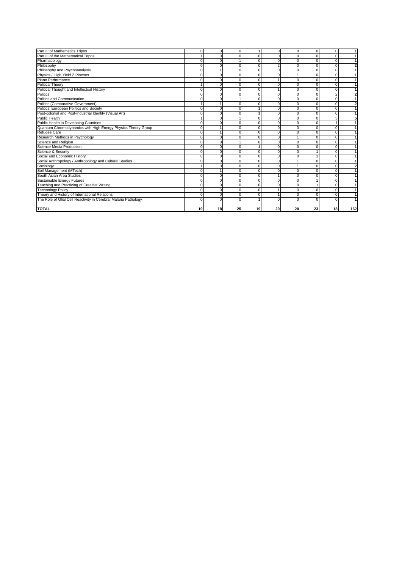| <b>TOTAL</b>                                                    | 19       | 18       | 25       | 19       | 20       | 20 | 23       | 18             | 162            |
|-----------------------------------------------------------------|----------|----------|----------|----------|----------|----|----------|----------------|----------------|
|                                                                 |          |          |          |          |          |    |          |                |                |
| The Role of Glial Cell Reactivity in Cerebral Malaria Pathology |          |          |          |          |          |    |          |                |                |
| Theory and History of International Relations                   | $\Omega$ | $\Omega$ | $\Omega$ | $\Omega$ |          |    |          | $\Omega$       |                |
| <b>Technology Policy</b>                                        |          |          |          | $\Omega$ |          |    |          |                |                |
| Teaching and Practicing of Creative Writing                     | $\Omega$ |          | $\Omega$ | $\Omega$ | $\Omega$ |    |          | $\Omega$       |                |
| Sustainable Energy Futures                                      |          |          |          | C        | $\Omega$ |    |          | $\Omega$       |                |
| South Asian Area Studies                                        | $\Omega$ | $\Omega$ | C        | $\Omega$ |          |    |          | $\Omega$       |                |
| Soil Management (MTech)                                         | $\Omega$ |          |          | n        | $\Omega$ |    |          | $\Omega$       |                |
| Sociology                                                       |          |          |          | C        | $\Omega$ |    |          |                | $\overline{2}$ |
| Social Anthropology / Anthropology and Cultural Studies         |          |          |          | C        | $\Omega$ |    |          |                |                |
| Social and Economic History                                     |          |          |          | C        | n        |    |          |                |                |
| Science & Security                                              | $\Omega$ | n        | C        | $\Omega$ | $\Omega$ |    |          | $\Omega$       |                |
| Science Media Production                                        | $\Omega$ | r        | C        |          | $\Omega$ |    |          | $\Omega$       |                |
| Science and Religion                                            | $\Omega$ |          |          | C        | $\Omega$ |    |          | $\Omega$       |                |
| Research Methods in Psychology                                  | $\Omega$ |          |          | C        | $\Omega$ |    |          |                |                |
| Refugee Care                                                    | $\Omega$ |          |          | C        | $\Omega$ |    |          | n              |                |
| Quantum Chromodynamics with High Energy Physics Theory Group    | $\Omega$ |          | C        | n        | $\Omega$ |    |          | $\Omega$       |                |
| Public Health in Developing Countries                           |          |          |          |          |          |    |          |                |                |
| <b>Public Health</b>                                            |          |          |          |          |          |    |          |                |                |
| Post-colonial and Post-industrial Identity (Visual Art)         |          |          |          |          |          |    |          |                |                |
| Politics: European Politics and Society                         |          |          |          |          |          |    |          | $\Omega$       |                |
| Politics (Comparative Government)                               |          |          | O        |          | $\Omega$ |    |          | $\Omega$       | $\overline{2}$ |
| Politics and Communication                                      |          |          |          | C        | $\Omega$ |    |          | $\Omega$       |                |
| Politics                                                        | $\Omega$ |          |          | n        | $\Omega$ |    |          | $\overline{2}$ | $\overline{2}$ |
| Political Thought and Intellectual History                      | $\Omega$ |          |          | n        |          |    |          | $\Omega$       |                |
| <b>Political Theory</b>                                         |          |          |          | C        |          |    |          |                |                |
| Piano Performance                                               |          |          | C        | C        |          |    |          | $\Omega$       |                |
| Physics / High Yield Z Pinches                                  |          |          |          |          |          |    |          |                |                |
| Philosophy and Psychoanalysis                                   |          |          |          |          |          |    |          |                |                |
| Philosophy                                                      |          |          |          |          |          |    |          |                | $\mathbf{2}$   |
| Pharmacology                                                    |          |          |          |          |          |    |          |                |                |
| Part III of the Mathematical Tripos                             |          |          |          |          |          |    |          |                |                |
| Part III of Mathematics Tripos                                  | $\Omega$ |          | $\Omega$ |          | $\Omega$ |    | $\Omega$ | $\Omega$       |                |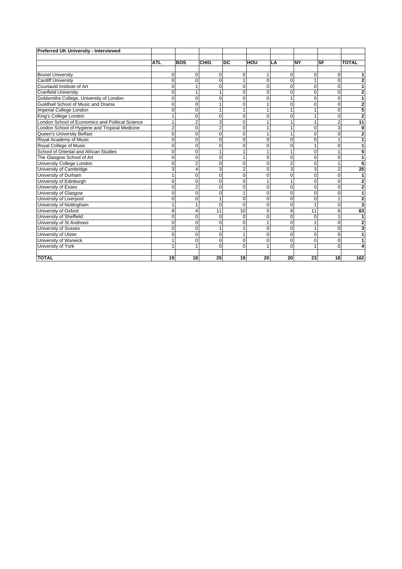| Preferred UK University - Interviewed            |                |                |                |                |          |                |             |           |                |
|--------------------------------------------------|----------------|----------------|----------------|----------------|----------|----------------|-------------|-----------|----------------|
|                                                  |                |                |                |                |          |                |             |           |                |
|                                                  | <b>ATL</b>     | <b>BOS</b>     | <b>CHIG</b>    | DC             | HOU      | LA             | <b>NY</b>   | <b>SF</b> | <b>TOTAL</b>   |
|                                                  |                |                |                |                |          |                |             |           |                |
| <b>Brunel University</b>                         | $\Omega$       | 0              | $\Omega$       | $\Omega$       | 1        | 0              | $\Omega$    | $\Omega$  | 1              |
| <b>Cardiff University</b>                        | $\Omega$       | $\Omega$       | $\Omega$       | 1              | $\Omega$ | $\Omega$       |             | 0         | $\overline{2}$ |
| Courtauld Institute of Art                       | $\Omega$       | 1              | $\Omega$       | $\mathbf 0$    | 0        | 0              | $\mathbf 0$ | $\Omega$  | 1              |
| <b>Cranfield University</b>                      | $\Omega$       | 1              |                | $\Omega$       | 0        | 0              | $\Omega$    | $\Omega$  | $\overline{2}$ |
| Goldsmiths College, University of London         | $\Omega$       | $\Omega$       | 0              | $\Omega$       | $\Omega$ | 1              | $\Omega$    |           | 1              |
| Guildhall School of Music and Drama              | $\Omega$       | $\Omega$       |                | $\Omega$       |          | $\Omega$       | O           |           | $\overline{2}$ |
| Imperial College London                          | $\Omega$       | $\Omega$       |                |                | 1        | 1              |             |           | 5              |
| King's College London                            |                | $\mathbf 0$    | $\Omega$       | $\mathbf 0$    | 0        | $\mathbf 0$    |             | $\Omega$  | $\overline{2}$ |
| London School of Economics and Political Science | 1              | $\overline{2}$ | 3              | $\Omega$       | 1        | 1              |             | 2         | 11             |
| London School of Hygiene and Tropical Medicine   | $\overline{2}$ | $\Omega$       | $\overline{2}$ | $\Omega$       |          |                | 0           |           | 9              |
| Queen's University Belfast                       | $\Omega$       | $\Omega$       | $\Omega$       | $\Omega$       |          |                |             |           | $\overline{2}$ |
| Royal Academy of Music                           | 0              | 0              | $\Omega$       | $\Omega$       | 0        | 0              | O           |           | 1              |
| Royal College of Music                           | $\Omega$       | $\mathbf 0$    | $\Omega$       | $\Omega$       | 0        | 0              |             | O         |                |
| School of Oriental and African Studies           | $\Omega$       | $\mathbf 0$    |                |                |          |                | 0           |           | 5              |
| The Glasgow School of Art                        | $\Omega$       | $\Omega$       | $\Omega$       |                | 0        | $\Omega$       | $\Omega$    | $\Omega$  | 1              |
| University College London                        | $\Omega$       | $\overline{2}$ | $\Omega$       | $\Omega$       | $\Omega$ | $\overline{2}$ | $\Omega$    |           | 5              |
| University of Cambridge                          | 3              | 4              | 3              | $\overline{2}$ | 5        | 3              | 3           | 2         | 25             |
| University of Durham                             | 1              | $\mathbf 0$    | $\Omega$       | $\Omega$       | 0        | 0              | $\Omega$    | $\Omega$  | $\mathbf{1}$   |
| University of Edinburgh                          | $\Omega$       | $\mathbf 0$    | 0              | $\Omega$       |          | 1              | $\Omega$    |           | 2              |
| University of Essex                              | $\Omega$       | $\overline{2}$ | 0              | $\Omega$       | $\Omega$ | $\Omega$       | $\Omega$    |           | 2              |
| University of Glasgow                            | $\Omega$       | $\mathbf 0$    | 0              | 1              | 0        | $\Omega$       | $\Omega$    |           | 1              |
| University of Liverpool                          | $\Omega$       | $\mathbf 0$    |                | $\mathbf 0$    | 0        | $\mathbf 0$    | $\Omega$    |           | $\overline{2}$ |
| University of Nottingham                         | 1              |                | $\Omega$       | $\Omega$       | $\Omega$ | $\Omega$       |             | $\Omega$  | 3              |
| University of Oxford                             | 8              | 4              | 11             | 10             | 5        | 8              | 11          | 6         | 63             |
| University of Sheffield                          | $\Omega$       | $\mathbf 0$    | $\Omega$       | $\Omega$       | 0        | $\Omega$       | $\Omega$    |           | 1              |
| University of St Andrews                         | 0              | $\mathbf 0$    | $\Omega$       | $\Omega$       |          | 0              |             | $\Omega$  | $\overline{2}$ |
| <b>University of Sussex</b>                      | $\Omega$       | 0              |                |                | 0        | 0              |             |           | 3              |
| University of Ulster                             | $\Omega$       | $\Omega$       | $\Omega$       | 1              | $\Omega$ | $\Omega$       | $\Omega$    | $\Omega$  | 1              |
| University of Warwick                            | 1              | $\mathbf 0$    | $\Omega$       | $\mathbf 0$    | 0        | 0              | $\mathbf 0$ | 0         | 1              |
| University of York                               | 1              | 1              | $\Omega$       | $\Omega$       | 1        | $\Omega$       |             | $\Omega$  | 4              |
|                                                  |                |                |                |                |          |                |             |           |                |
| <b>TOTAL</b>                                     | 19             | 18             | 25             | 19             | 20       | 20             | 23          | 18        | 162            |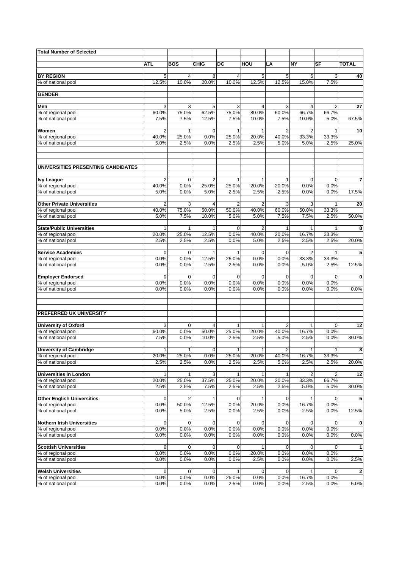| <b>Total Number of Selected</b>          |                         |                |                         |                       |                       |                       |                         |                        |                         |
|------------------------------------------|-------------------------|----------------|-------------------------|-----------------------|-----------------------|-----------------------|-------------------------|------------------------|-------------------------|
|                                          |                         |                |                         |                       |                       |                       |                         |                        |                         |
|                                          | ATL                     | <b>BOS</b>     | <b>CHIG</b>             | DC                    | HOU                   | LA                    | <b>NY</b>               | SF                     | <b>TOTAL</b>            |
| <b>BY REGION</b>                         | 5                       | $\overline{4}$ | 8                       | 4                     | 5                     | 5                     | 6                       | 3                      | 40                      |
| % of national pool                       | 12.5%                   | 10.0%          | 20.0%                   | 10.0%                 | 12.5%                 | 12.5%                 | 15.0%                   | 7.5%                   |                         |
|                                          |                         |                |                         |                       |                       |                       |                         |                        |                         |
| <b>GENDER</b>                            |                         |                |                         |                       |                       |                       |                         |                        |                         |
| Men                                      | 3                       | 3              | 5                       | 3                     | $\overline{4}$        | 3                     | 4                       | $\overline{2}$         | 27                      |
| % of regional pool                       | 60.0%                   | 75.0%          | 62.5%                   | 75.0%                 | 80.0%                 | 60.0%                 | 66.7%                   | 66.7%                  |                         |
| % of national pool                       | 7.5%                    | 7.5%           | 12.5%                   | 7.5%                  | 10.0%                 | 7.5%                  | 10.0%                   | 5.0%                   | 67.5%                   |
| Women                                    | $\overline{2}$          | 1              | $\mathbf 0$             | 1                     | 1                     | 2                     | $\overline{2}$          | 1                      | 10                      |
| % of regional pool                       | 40.0%                   | 25.0%          | 0.0%                    | 25.0%                 | 20.0%                 | 40.0%                 | 33.3%                   | 33.3%                  |                         |
| % of national pool                       | 5.0%                    | 2.5%           | 0.0%                    | 2.5%                  | 2.5%                  | 5.0%                  | 5.0%                    | 2.5%                   | 25.0%                   |
|                                          |                         |                |                         |                       |                       |                       |                         |                        |                         |
| UNIVERSITIES PRESENTING CANDIDATES       |                         |                |                         |                       |                       |                       |                         |                        |                         |
|                                          |                         | $\mathbf 0$    |                         |                       |                       |                       |                         |                        |                         |
| <b>Ivy League</b><br>% of regional pool  | $\overline{2}$<br>40.0% | 0.0%           | $\overline{2}$<br>25.0% | $\mathbf{1}$<br>25.0% | $\mathbf{1}$<br>20.0% | $\mathbf{1}$<br>20.0% | $\mathbf 0$<br>0.0%     | $\overline{0}$<br>0.0% | $\overline{\mathbf{7}}$ |
| % of national pool                       | 5.0%                    | 0.0%           | 5.0%                    | 2.5%                  | 2.5%                  | 2.5%                  | 0.0%                    | 0.0%                   | 17.5%                   |
|                                          |                         |                |                         |                       |                       |                       |                         |                        |                         |
| <b>Other Private Universities</b>        | $\overline{2}$          | 3              | $\overline{4}$          | $\overline{2}$        | 2                     | 3                     | 3                       | $\mathbf{1}$           | 20                      |
| % of regional pool<br>% of national pool | 40.0%<br>5.0%           | 75.0%<br>7.5%  | 50.0%<br>10.0%          | 50.0%<br>5.0%         | 40.0%<br>5.0%         | 60.0%<br>7.5%         | 50.0%<br>7.5%           | 33.3%<br>2.5%          | 50.0%                   |
|                                          |                         |                |                         |                       |                       |                       |                         |                        |                         |
| <b>State/Public Universities</b>         | 1                       | 1              | 1                       | 0                     | 2                     | 1                     |                         | 1                      | 8                       |
| % of regional pool                       | 20.0%                   | 25.0%          | 12.5%                   | 0.0%                  | 40.0%                 | 20.0%                 | 16.7%                   | 33.3%                  |                         |
| % of national pool                       | 2.5%                    | 2.5%           | 2.5%                    | 0.0%                  | 5.0%                  | 2.5%                  | 2.5%                    | 2.5%                   | 20.0%                   |
| <b>Service Academies</b>                 | 0                       | 0              | 1                       | 1                     | $\mathbf 0$           | $\mathbf 0$           | $\overline{2}$          | 1                      | 5                       |
| % of regional pool                       | 0.0%                    | 0.0%           | $12.\overline{5\%}$     | 25.0%                 | 0.0%                  | 0.0%                  | 33.3%                   | 33.3%                  |                         |
| % of national pool                       | 0.0%                    | 0.0%           | 2.5%                    | 2.5%                  | 0.0%                  | 0.0%                  | 5.0%                    | 2.5%                   | 12.5%                   |
|                                          |                         |                |                         |                       |                       |                       |                         |                        |                         |
| <b>Employer Endorsed</b>                 | $\mathbf 0$             | 0              | $\mathbf 0$             | 0                     | $\mathbf 0$           | $\mathbf 0$           | $\mathbf 0$             | $\mathbf 0$            | 0                       |
| % of regional pool<br>% of national pool | 0.0%<br>0.0%            | 0.0%<br>0.0%   | 0.0%<br>0.0%            | 0.0%<br>0.0%          | 0.0%<br>0.0%          | 0.0%<br>0.0%          | 0.0%<br>0.0%            | 0.0%<br>0.0%           | 0.0%                    |
|                                          |                         |                |                         |                       |                       |                       |                         |                        |                         |
| PREFERRED UK UNIVERSITY                  |                         |                |                         |                       |                       |                       |                         |                        |                         |
|                                          |                         |                |                         |                       |                       |                       |                         |                        |                         |
| <b>University of Oxford</b>              | 3                       | 0              | $\overline{4}$          | 1                     | $\mathbf{1}$          | $\overline{2}$        | 1                       | $\mathbf 0$            | 12                      |
| % of regional pool                       | 60.0%                   | 0.0%           | 50.0%                   | 25.0%                 | 20.0%                 | 40.0%                 | 16.7%                   | 0.0%                   |                         |
| % of national pool                       | 7.5%                    | 0.0%           | 10.0%                   | 2.5%                  | 2.5%                  | 5.0%                  | 2.5%                    | 0.0%                   | 30.0%                   |
| <b>University of Cambridge</b>           | $\mathbf{1}$            | $\mathbf{1}$   | 0                       | 1                     | $\mathbf{1}$          | $\overline{2}$        | 1                       | 1                      | 8                       |
| % of regional pool                       | 20.0%                   | 25.0%          | 0.0%                    | 25.0%                 | 20.0%                 | 40.0%                 | 16.7%                   | 33.3%                  |                         |
| % of national pool                       | 2.5%                    | 2.5%           | 0.0%                    | 2.5%                  | 2.5%                  | 5.0%                  | 2.5%                    | 2.5%                   | 20.0%                   |
| <b>Universities in London</b>            | 1                       | 1              | 3                       | 1                     | $\mathbf{1}$          | 1                     | $\overline{\mathbf{c}}$ | 2                      | 12                      |
| % of regional pool                       | 20.0%                   | 25.0%          | 37.5%                   | 25.0%                 | 20.0%                 | 20.0%                 | 33.3%                   | 66.7%                  |                         |
| % of national pool                       | 2.5%                    | 2.5%           | 7.5%                    | 2.5%                  | 2.5%                  | 2.5%                  | 5.0%                    | 5.0%                   | 30.0%                   |
|                                          |                         |                |                         |                       |                       |                       |                         |                        |                         |
| <b>Other English Universities</b>        | 0                       | 2              | 1                       | 0                     | $\mathbf{1}$          | 0                     |                         | 0                      | 5                       |
| % of regional pool<br>% of national pool | 0.0%<br>0.0%            | 50.0%<br>5.0%  | 12.5%<br>2.5%           | 0.0%<br>0.0%          | 20.0%<br>2.5%         | 0.0%<br>0.0%          | 16.7%<br>2.5%           | 0.0%<br>0.0%           | 12.5%                   |
|                                          |                         |                |                         |                       |                       |                       |                         |                        |                         |
| <b>Nothern Irish Universities</b>        | 0                       | 0              | 0                       | 0                     | 0                     | $\mathbf 0$           | 0                       | 0                      | $\mathbf 0$             |
| % of regional pool                       | 0.0%                    | 0.0%           | 0.0%                    | 0.0%                  | 0.0%                  | 0.0%                  | 0.0%                    | 0.0%                   |                         |
| % of national pool                       | 0.0%                    | 0.0%           | 0.0%                    | 0.0%                  | 0.0%                  | 0.0%                  | 0.0%                    | 0.0%                   | 0.0%                    |
| <b>Scottish Universities</b>             | 0                       | 0              | $\mathbf 0$             | 0                     | $\mathbf{1}$          | 0                     | 0                       | 0                      | $\mathbf{1}$            |
| % of regional pool                       | 0.0%                    | 0.0%           | 0.0%                    | 0.0%                  | 20.0%                 | 0.0%                  | 0.0%                    | 0.0%                   |                         |
| % of national pool                       | 0.0%                    | 0.0%           | 0.0%                    | 0.0%                  | 2.5%                  | 0.0%                  | 0.0%                    | 0.0%                   | 2.5%                    |
|                                          |                         |                |                         |                       |                       |                       |                         |                        |                         |
| <b>Welsh Universities</b>                | 0                       | 0<br>0.0%      | $\mathbf 0$             | $\mathbf{1}$          | $\mathbf 0$<br>0.0%   | $\mathbf 0$           |                         | 0                      | 2                       |
| % of regional pool<br>% of national pool | 0.0%<br>0.0%            | 0.0%           | 0.0%<br>0.0%            | 25.0%<br>2.5%         | 0.0%                  | 0.0%<br>0.0%          | 16.7%<br>2.5%           | 0.0%<br>0.0%           | 5.0%                    |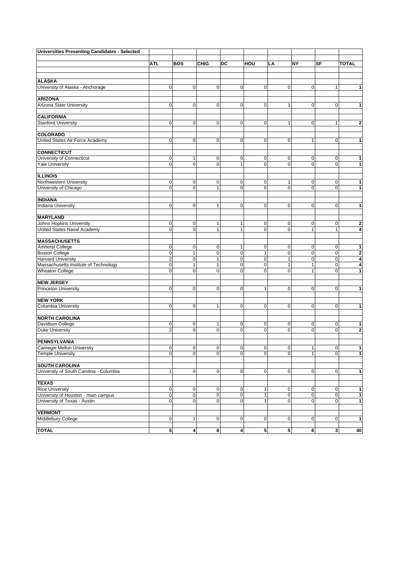| <b>Universities Presenting Candidates - Selected</b> |                         |                     |                     |                         |                  |                  |                              |                         |                   |
|------------------------------------------------------|-------------------------|---------------------|---------------------|-------------------------|------------------|------------------|------------------------------|-------------------------|-------------------|
|                                                      |                         |                     |                     |                         |                  |                  |                              |                         |                   |
|                                                      | <b>ATL</b>              | <b>BOS</b>          | <b>CHIG</b>         | DC                      | HOU              | LA               | <b>NY</b>                    | <b>SF</b>               | <b>TOTAL</b>      |
|                                                      |                         |                     |                     |                         |                  |                  |                              |                         |                   |
| <b>ALASKA</b>                                        |                         |                     |                     |                         |                  |                  |                              |                         |                   |
| University of Alaska - Anchorage                     | $\mathbf 0$             | $\mathbf 0$         | $\mathbf 0$         | $\mathbf 0$             | 0                | 0                | $\overline{0}$               | $\mathbf{1}$            | 1                 |
|                                                      |                         |                     |                     |                         |                  |                  |                              |                         |                   |
| <b>ARIZONA</b>                                       |                         |                     |                     |                         |                  |                  |                              |                         |                   |
| Arizona State University                             | 0                       | $\mathbf 0$         | 0                   | 0                       | 0                | 1                | $\overline{0}$               | 0                       | $\overline{1}$    |
|                                                      |                         |                     |                     |                         |                  |                  |                              |                         |                   |
| <b>CALIFORNIA</b>                                    |                         |                     |                     |                         |                  |                  |                              |                         |                   |
| <b>Stanford University</b>                           | 0                       | 0                   | 0                   | $\mathbf 0$             | 0                | 1                | $\mathbf 0$                  | 1                       | $\bf{2}$          |
| <b>COLORADO</b>                                      |                         |                     |                     |                         |                  |                  |                              |                         |                   |
| United States Air Force Academy                      | 0                       | $\mathbf 0$         | $\mathbf 0$         | $\mathbf 0$             | 0                | $\pmb{0}$        | $\mathbf{1}$                 | $\mathbf 0$             | 1                 |
|                                                      |                         |                     |                     |                         |                  |                  |                              |                         |                   |
| <b>CONNECTICUT</b>                                   |                         |                     |                     |                         |                  |                  |                              |                         |                   |
| University of Connecticut                            | 0                       | 1                   | 0                   | $\mathbf 0$             | 0                | 0                | $\overline{0}$               | $\mathbf 0$             | 1                 |
| <b>Yale University</b>                               | $\pmb{0}$               | $\mathbf 0$         | $\mathbf 0$         | $\mathbf{1}$            | 0                | $\mathbf 0$      | $\mathbf{O}$                 | $\mathbf 0$             | $\mathbf{1}$      |
|                                                      |                         |                     |                     |                         |                  |                  |                              |                         |                   |
| <b>ILLINOIS</b>                                      |                         |                     |                     |                         |                  |                  |                              |                         |                   |
| Northwestern University                              | 0                       | 0                   | $\mathbf 0$         | $\mathbf 0$             | 0                | 1                | $\mathbf 0$                  | $\mathbf 0$             | $\mathbf{1}$      |
| University of Chicago                                | $\mathbf 0$             | $\overline{0}$      | $\mathbf{1}$        | 0                       | 0                | $\mathbf 0$      | $\overline{0}$               | $\Omega$                | $\mathbf{1}$      |
| <b>INDIANA</b>                                       |                         |                     |                     |                         |                  |                  |                              |                         |                   |
| <b>Indiana University</b>                            | $\mathbf 0$             | $\mathbf 0$         | $\mathbf{1}$        | $\mathbf 0$             | $\mathbf 0$      | $\pmb{0}$        | $\overline{0}$               | $\mathbf 0$             | $\mathbf{1}$      |
|                                                      |                         |                     |                     |                         |                  |                  |                              |                         |                   |
| <b>MARYLAND</b>                                      |                         |                     |                     |                         |                  |                  |                              |                         |                   |
| Johns Hopkins University                             | 0                       | $\pmb{0}$           | 1                   | 1                       | 0                | 0                | $\mathbf 0$                  | 0                       | $\mathbf 2$       |
| United States Naval Academy                          | $\mathbf 0$             | $\overline{0}$      | $\mathbf{1}$        | $\mathbf{1}$            | $\mathbf 0$      | $\mathbf 0$      | $\mathbf{1}$                 | $\mathbf{1}$            | 4                 |
|                                                      |                         |                     |                     |                         |                  |                  |                              |                         |                   |
| <b>MASSACHUSETTS</b>                                 |                         |                     |                     |                         |                  |                  |                              |                         |                   |
| Amherst College                                      | 0                       | $\mathbf 0$         | $\mathbf 0$         | $\mathbf{1}$            | 0                | $\pmb{0}$        | $\overline{0}$               | $\mathbf 0$             | $\mathbf{1}$      |
| Boston College                                       | $\pmb{0}$               | 1                   | $\overline{0}$      | $\mathbf 0$             | $\mathbf{1}$     | $\Omega$         | $\overline{0}$               | $\mathbf 0$             | $\overline{2}$    |
| <b>Harvard University</b>                            | $\overline{\mathbf{c}}$ | 0                   | 1                   | $\mathbf 0$             | 0                | 1                | $\mathbf 0$                  | $\mathbf 0$             | 4                 |
| Massachusetts Institute of Technology                | 0<br>$\mathbf 0$        | 1<br>0              | 1<br>$\overline{0}$ | 0<br>$\mathbf 0$        | 0<br>$\mathbf 0$ | 1<br>$\mathbf 0$ | $\mathbf{1}$<br>$\mathbf{1}$ | $\mathbf 0$<br>$\Omega$ | 4<br>$\mathbf{1}$ |
| <b>Wheaton College</b>                               |                         |                     |                     |                         |                  |                  |                              |                         |                   |
| <b>NEW JERSEY</b>                                    |                         |                     |                     |                         |                  |                  |                              |                         |                   |
| <b>Princeton University</b>                          | 0                       | $\overline{0}$      | $\mathbf 0$         | $\mathbf 0$             | 1                | 0                | $\mathbf{O}$                 | $\Omega$                | $\mathbf{1}$      |
|                                                      |                         |                     |                     |                         |                  |                  |                              |                         |                   |
| <b>NEW YORK</b>                                      |                         |                     |                     |                         |                  |                  |                              |                         |                   |
| Columbia University                                  | $\mathbf 0$             | $\overline{0}$      | $\mathbf{1}$        | $\mathbf 0$             | 0                | $\mathbf 0$      | $\overline{0}$               | $\mathbf 0$             | $\mathbf{1}$      |
|                                                      |                         |                     |                     |                         |                  |                  |                              |                         |                   |
| <b>NORTH CAROLINA</b>                                |                         |                     |                     |                         |                  |                  |                              |                         |                   |
| Davidson College                                     | 0                       | $\mathbf 0$         | 1                   | $\mathbf 0$             | 0                | 0                | $\overline{0}$               | 0                       | 1                 |
| <b>Duke University</b>                               | $\overline{2}$          | 0                   | $\overline{0}$      | $\mathbf 0$             | $\mathbf 0$      | 0                | $\overline{0}$               | $\Omega$                | $\overline{2}$    |
| <b>PENNSYLVANIA</b>                                  |                         |                     |                     |                         |                  |                  |                              |                         |                   |
| Carnegie Mellon University                           | 0                       | 0                   | 0                   | 0                       | 0                | 0                | $\mathbf{1}$                 | 0                       | 1                 |
| <b>Temple University</b>                             | $\overline{0}$          | 0                   | $\mathbf 0$         | 0                       | $\overline{0}$   | 0                | 1                            | $\overline{0}$          | 1                 |
|                                                      |                         |                     |                     |                         |                  |                  |                              |                         |                   |
| <b>SOUTH CAROLINA</b>                                |                         |                     |                     |                         |                  |                  |                              |                         |                   |
| University of South Carolina - Columbia              | 1                       | $\overline{0}$      | $\mathbf 0$         | $\mathbf 0$             | $\mathbf 0$      | 0                | $\mathbf 0$                  | $\mathbf 0$             | $\mathbf{1}$      |
|                                                      |                         |                     |                     |                         |                  |                  |                              |                         |                   |
| <b>TEXAS</b>                                         |                         |                     |                     |                         |                  |                  |                              |                         |                   |
| <b>Rice University</b>                               | $\mathbf 0$             | $\pmb{0}$           | $\pmb{0}$           | $\pmb{0}$               | $\mathbf{1}$     | 0                | $\overline{0}$               | $\mathbf 0$             | $\mathbf{1}$      |
| University of Houston - main campus                  | $\pmb{0}$               | $\mathsf{O}\xspace$ | $\pmb{0}$           | $\overline{0}$          | $\mathbf{1}$     | $\pmb{0}$        | $\mathbf 0$                  | $\mathsf{O}\xspace$     | $\overline{1}$    |
| University of Texas - Austin                         | $\pmb{0}$               | $\mathbf 0$         | 0                   | $\mathbf 0$             | $\mathbf{1}$     | 0                | $\overline{0}$               | $\mathbf 0$             | $\overline{1}$    |
| <b>VERMONT</b>                                       |                         |                     |                     |                         |                  |                  |                              |                         |                   |
| Middlebury College                                   | 0                       | 1                   | 0                   | $\mathbf 0$             | 0                | $\pmb{0}$        | $\mathbf 0$                  | $\mathbf 0$             | $\mathbf{1}$      |
|                                                      |                         |                     |                     |                         |                  |                  |                              |                         |                   |
| <b>TOTAL</b>                                         | $5\phantom{.0}$         | $\overline{4}$      | 8                   | $\overline{\mathbf{4}}$ | 5                | 5                | 6                            | 3                       | 40                |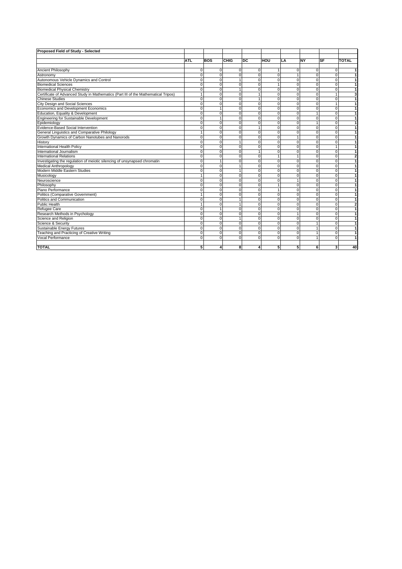| Proposed Field of Study - Selected                                                 |              |            |             |             |              |          |             |              |                |
|------------------------------------------------------------------------------------|--------------|------------|-------------|-------------|--------------|----------|-------------|--------------|----------------|
|                                                                                    |              |            |             |             |              |          |             |              |                |
|                                                                                    | <b>ATL</b>   | <b>BOS</b> | <b>CHIG</b> | <b>DC</b>   | HOU          | LA       | <b>NY</b>   | <b>SF</b>    | <b>TOTAL</b>   |
|                                                                                    |              |            |             |             |              |          |             |              |                |
| Ancient Philosophy                                                                 | $\mathbf 0$  | $\Omega$   | 0           | $\Omega$    |              | 0        | $\Omega$    | 0            | 1              |
| Astronomy                                                                          | $\Omega$     | $\Omega$   | $\Omega$    | $\Omega$    | $\Omega$     |          | $\Omega$    | $\Omega$     | 1              |
| Autonomous Vehicle Dynamics and Control                                            | $\Omega$     | $\Omega$   |             | $\Omega$    | $\Omega$     | $\Omega$ | $\Omega$    | $\Omega$     | 1              |
| <b>Biomedical Sciences</b>                                                         | $\Omega$     | $\Omega$   | $\Omega$    | $\Omega$    |              | O        | $\Omega$    | 0            | $\mathbf{1}$   |
| <b>Biomedical Physical Chemistry</b>                                               | $\Omega$     | $\Omega$   |             | $\Omega$    | $\Omega$     | $\Omega$ | $\Omega$    | 0            | 1              |
| Certificate of Advanced Study in Mathematics (Part III of the Mathematical Tripos) | 1            | $\Omega$   | $\Omega$    |             | $\mathbf 0$  | $\Omega$ | $\Omega$    | $\mathbf{1}$ | 3              |
| <b>Chinese Studies</b>                                                             | $\mathbf 0$  | $\Omega$   | $\Omega$    |             | $\mathbf 0$  | $\Omega$ | $\Omega$    | $\mathbf 0$  | $\overline{1}$ |
| City Design and Social Sciences                                                    | $\Omega$     | $\Omega$   | $\Omega$    | $\Omega$    | $\Omega$     | $\Omega$ | $\Omega$    | $\mathbf{1}$ | 1              |
| Economics and Development Economics                                                | $\Omega$     |            | $\Omega$    | $\Omega$    | $\Omega$     | $\Omega$ | $\Omega$    | 0            | $\mathbf{1}$   |
| Education, Equality & Development                                                  | $\mathbf 0$  | $\Omega$   | $\mathbf 0$ | 0           | $\mathbf 0$  | $\Omega$ |             | 0            | $\mathbf{1}$   |
| Engineering for Sustainable Development                                            | $\mathbf 0$  |            | $\Omega$    | $\Omega$    | $\mathbf 0$  | $\Omega$ | $\Omega$    | $\mathbf 0$  | $\mathbf{1}$   |
| Epidemiology                                                                       | $\mathbf 0$  | $\Omega$   | $\Omega$    | $\Omega$    | $\mathbf 0$  | $\Omega$ |             | $\mathbf 0$  | $\overline{1}$ |
| Evidence-Based Social Intervention                                                 | $\Omega$     | $\Omega$   | $\Omega$    |             | $\Omega$     | $\Omega$ | $\Omega$    | $\Omega$     | $\overline{1}$ |
| General Linguistics and Comparative Philology                                      | $\mathbf{1}$ | $\Omega$   | $\mathbf 0$ | $\mathbf 0$ | $\mathbf 0$  | 0        | $\mathbf 0$ | $\mathbf 0$  | $\overline{1}$ |
| Growth Dynamics of Carbon Nanotubes and Nanorods                                   | $\mathbf 0$  | $\Omega$   | $\Omega$    | $\Omega$    | $\mathbf 0$  |          | $\Omega$    | $\Omega$     | $\overline{1}$ |
| History                                                                            | $\Omega$     | $\Omega$   |             | $\Omega$    | $\mathbf 0$  | $\Omega$ | $\Omega$    | 0            | $\overline{1}$ |
| International Health Policy                                                        | $\Omega$     | $\Omega$   | $\Omega$    | 0           | $\mathbf 0$  | $\Omega$ | $\Omega$    | $\mathbf{1}$ | $\mathbf{1}$   |
| International Journalism                                                           | $\Omega$     | $\Omega$   | $\Omega$    |             | $\Omega$     | $\Omega$ | $\Omega$    | $\Omega$     | 1              |
| <b>International Relations</b>                                                     | $\Omega$     | $\Omega$   | $\Omega$    | $\mathbf 0$ | $\mathbf{1}$ |          | $\Omega$    | $\mathbf 0$  | $\overline{a}$ |
| Investigating the regulation of meiotic silencing of unsynapsed chromatin          | $\mathbf 0$  |            | $\mathbf 0$ | 0           | $\mathbf 0$  | $\Omega$ | $\Omega$    | $\mathbf 0$  | $\mathbf{1}$   |
| <b>Medical Anthropology</b>                                                        | $\Omega$     | $\Omega$   |             | $\Omega$    | $\mathbf 0$  | $\Omega$ | $\Omega$    | $\mathbf 0$  | $\overline{1}$ |
| Modern Middle Eastern Studies                                                      | $\Omega$     | $\Omega$   |             | $\Omega$    | $\Omega$     | $\Omega$ | $\Omega$    | 0            | $\mathbf{1}$   |
| Musicology                                                                         | $\mathbf{1}$ | $\Omega$   | $\Omega$    | $\Omega$    | $\mathbf 0$  | $\Omega$ | $\Omega$    | 0            | $\mathbf{1}$   |
| Neuroscience                                                                       | $\Omega$     | $\Omega$   | $\Omega$    | $\Omega$    | $\mathbf 0$  |          | $\Omega$    | $\mathbf 0$  | $\mathbf{1}$   |
| Philosophy                                                                         | $\Omega$     | $\Omega$   | $\Omega$    | $\Omega$    | $\mathbf{1}$ | $\Omega$ | $\Omega$    | $\Omega$     | $\overline{1}$ |
| Piano Performance                                                                  | $\mathbf 0$  | $\Omega$   | $\Omega$    | $\Omega$    | $\mathbf{1}$ | $\Omega$ | $\Omega$    | $\mathbf 0$  | $\overline{1}$ |
| Politics (Comparative Government)                                                  | $\mathbf{1}$ | $\Omega$   | $\Omega$    | $\Omega$    | $\mathbf 0$  | $\Omega$ | $\Omega$    | 0            | $\overline{1}$ |
| Politics and Communication                                                         | $\Omega$     | $\Omega$   |             | $\Omega$    | $\mathbf 0$  | $\Omega$ | $\Omega$    | $\Omega$     | 1              |
| Public Health                                                                      | $\mathbf{1}$ | $\Omega$   |             | $\Omega$    | $\Omega$     | $\Omega$ | $\Omega$    | $\Omega$     | $\overline{2}$ |
| Refugee Care                                                                       | $\Omega$     |            | $\Omega$    | $\Omega$    | $\Omega$     | $\Omega$ | $\Omega$    | 0            | $\mathbf{1}$   |
| Research Methods in Psychology                                                     | $\Omega$     | $\Omega$   | $\Omega$    | $\Omega$    | $\Omega$     |          | $\Omega$    | $\Omega$     | $\mathbf{1}$   |
| Science and Religion                                                               | $\Omega$     | $\Omega$   |             | $\Omega$    | $\mathbf 0$  | $\Omega$ | $\Omega$    | 0            | $\mathbf{1}$   |
| Science & Security                                                                 | $\mathbf 0$  | $\Omega$   | $\mathbf 0$ | $\mathbf 0$ | $\mathbf 0$  | $\Omega$ |             | $\mathbf 0$  | $\overline{1}$ |
| Sustainable Energy Futures                                                         | $\mathbf 0$  | $\Omega$   | $\Omega$    | $\Omega$    | $\mathbf 0$  | $\Omega$ |             | $\Omega$     | $\overline{1}$ |
| Teaching and Practicing of Creative Writing                                        | $\Omega$     | $\Omega$   | $\Omega$    | $\Omega$    | $\Omega$     | $\Omega$ |             | $\Omega$     | $\overline{1}$ |
| Vocal Performance                                                                  | $\Omega$     | $\Omega$   | $\Omega$    | $\Omega$    | $\Omega$     | $\Omega$ |             | $\Omega$     | 1              |
|                                                                                    |              |            |             |             |              |          |             |              |                |
| <b>TOTAL</b>                                                                       | 5            |            | 8           | 4           | 5            | 5        | 6           | 3            | 40             |